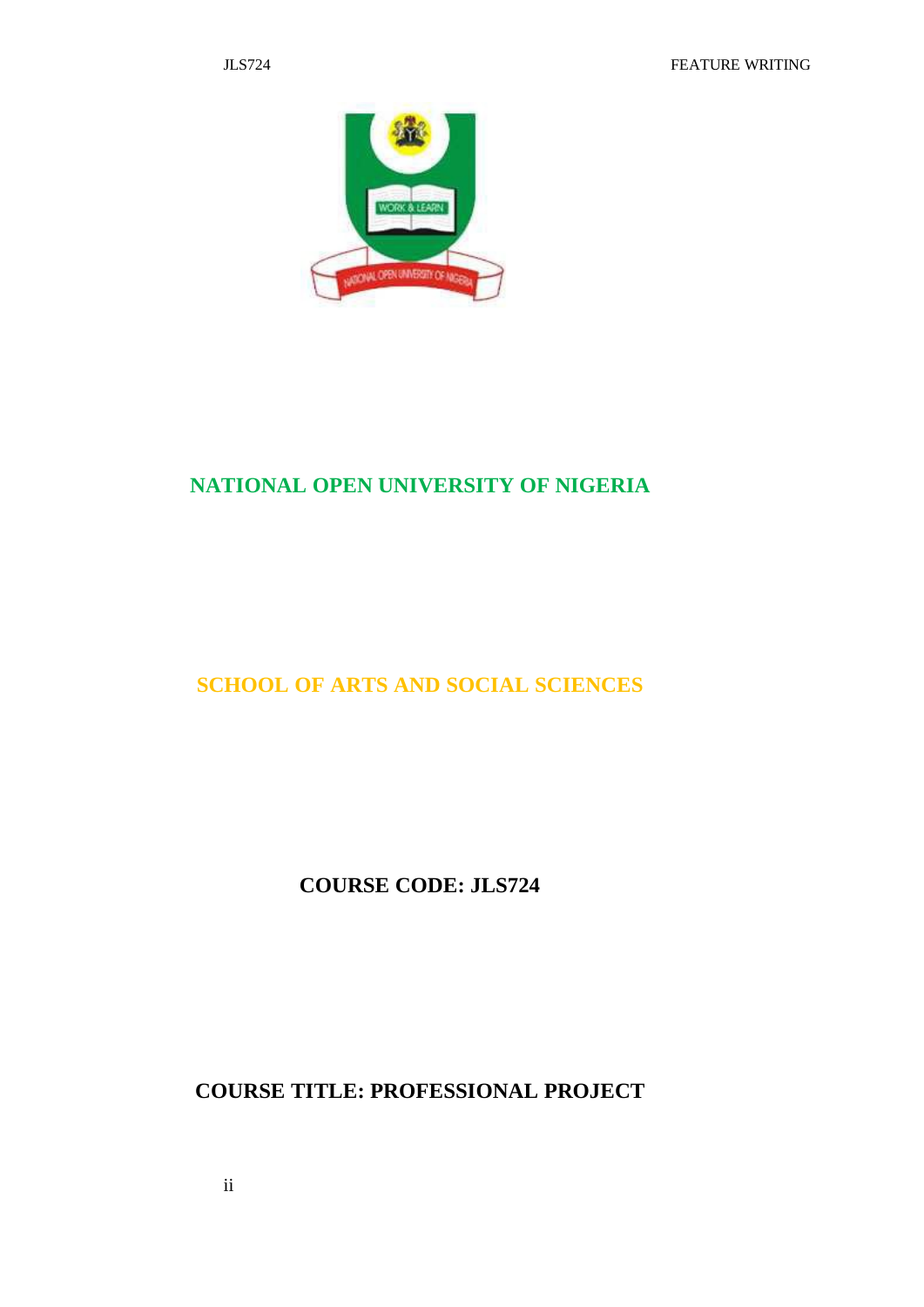

# **NATIONAL OPEN UNIVERSITY OF NIGERIA**

# **SCHOOL OF ARTS AND SOCIAL SCIENCES**

# **COURSE CODE: JLS724**

# **COURSE TITLE: PROFESSIONAL PROJECT**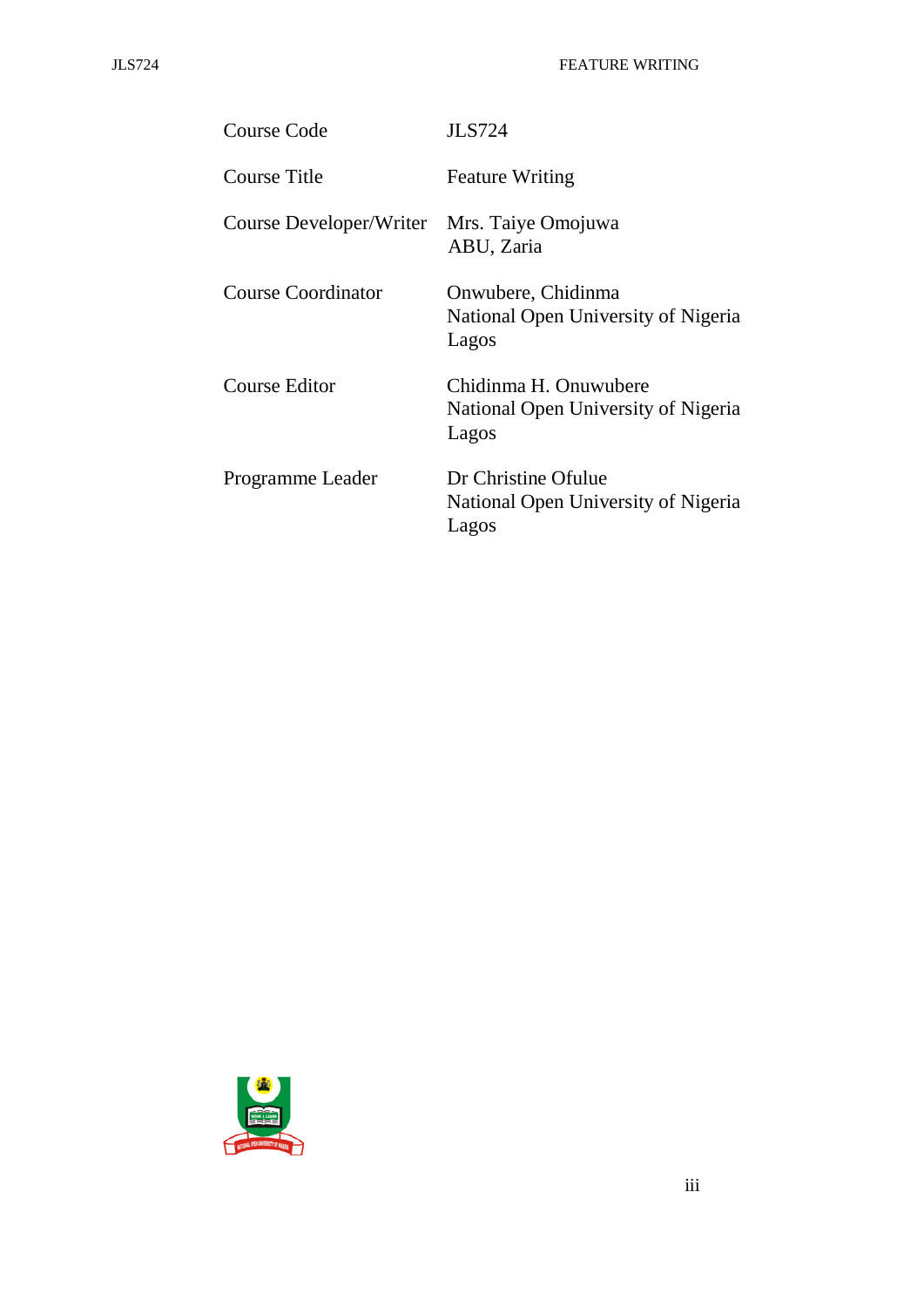| Course Code             | <b>JLS724</b>                                                         |
|-------------------------|-----------------------------------------------------------------------|
| Course Title            | <b>Feature Writing</b>                                                |
| Course Developer/Writer | Mrs. Taiye Omojuwa<br>ABU, Zaria                                      |
| Course Coordinator      | Onwubere, Chidinma<br>National Open University of Nigeria<br>Lagos    |
| <b>Course Editor</b>    | Chidinma H. Onuwubere<br>National Open University of Nigeria<br>Lagos |
| Programme Leader        | Dr Christine Ofulue<br>National Open University of Nigeria<br>Lagos   |

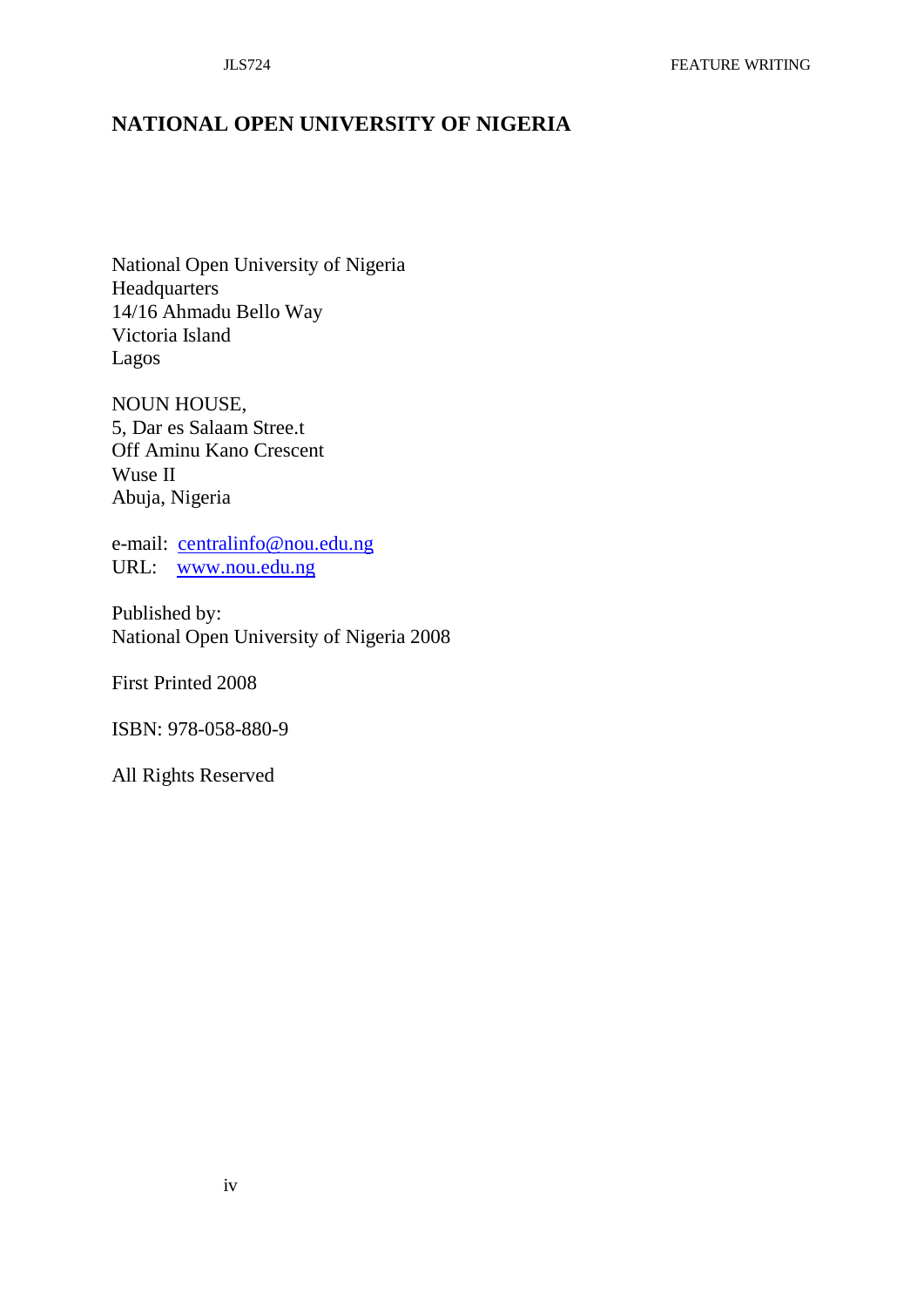## **NATIONAL OPEN UNIVERSITY OF NIGERIA**

National Open University of Nigeria **Headquarters** 14/16 Ahmadu Bello Way Victoria Island Lagos

NOUN HOUSE, 5, Dar es Salaam Stree.t Off Aminu Kano Crescent Wuse II Abuja, Nigeria

e-mail: [centralinfo@nou.edu.ng](mailto:centralinfo@nou.edu.ng) URL: [www.nou.edu.ng](http://www.nou.edu.ng/)

Published by: National Open University of Nigeria 2008

First Printed 2008

ISBN: 978-058-880-9

All Rights Reserved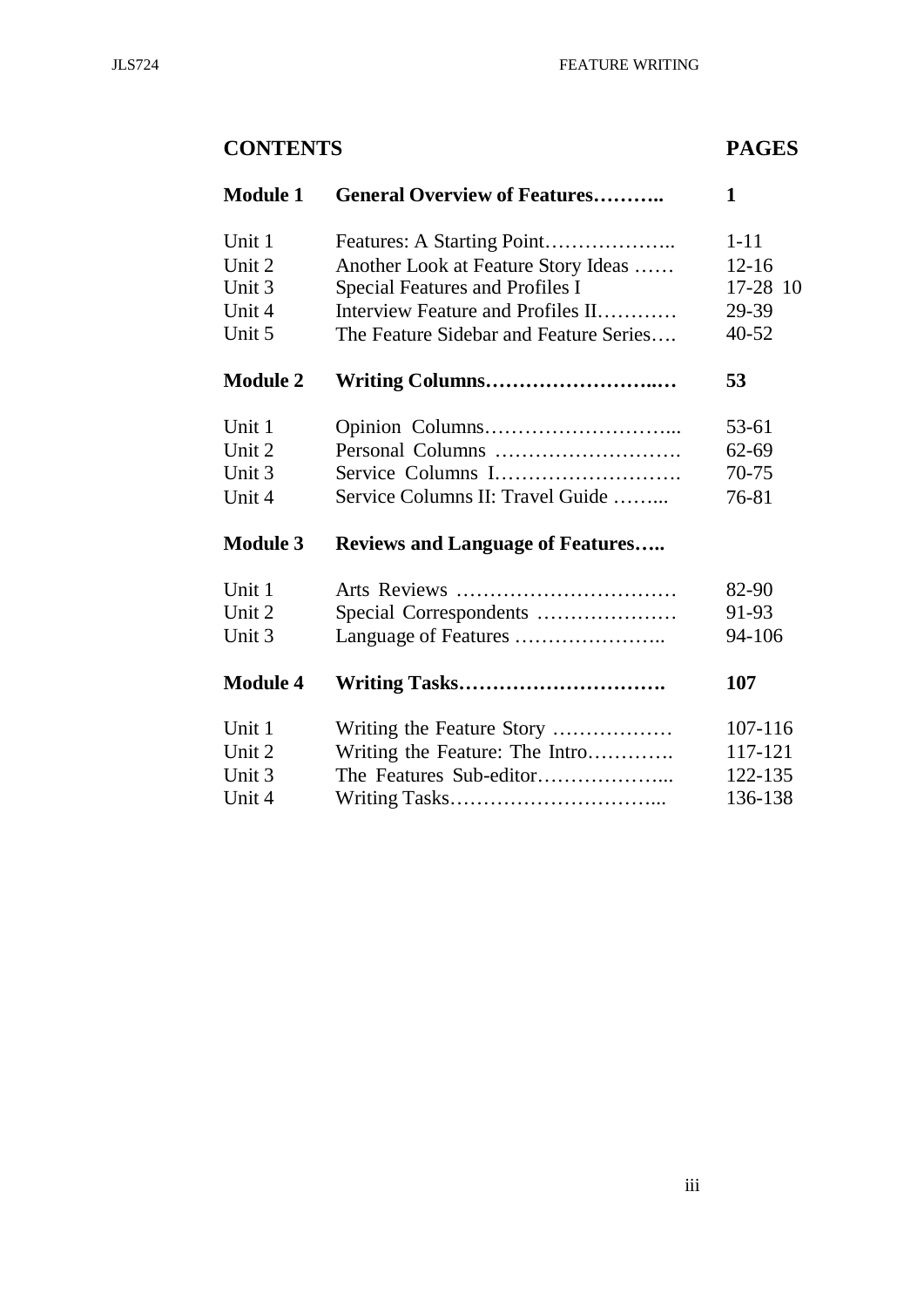| <b>CONTENTS</b> |                                         | <b>PAGES</b> |
|-----------------|-----------------------------------------|--------------|
| <b>Module 1</b> | <b>General Overview of Features</b>     | 1            |
| Unit 1          |                                         | $1 - 11$     |
| Unit 2          | Another Look at Feature Story Ideas     | $12 - 16$    |
| Unit 3          | Special Features and Profiles I         | 17-28 10     |
| Unit 4          | Interview Feature and Profiles II       | 29-39        |
| Unit 5          | The Feature Sidebar and Feature Series  | $40 - 52$    |
| <b>Module 2</b> |                                         | 53           |
| Unit 1          |                                         | 53-61        |
| Unit 2          | Personal Columns                        | $62 - 69$    |
| Unit 3          |                                         | 70-75        |
| Unit 4          | Service Columns II: Travel Guide        | 76-81        |
| <b>Module 3</b> | <b>Reviews and Language of Features</b> |              |
| Unit 1          |                                         | 82-90        |
| Unit 2          | Special Correspondents                  | 91-93        |
| Unit 3          | Language of Features                    | 94-106       |
| <b>Module 4</b> |                                         | 107          |
| Unit 1          | Writing the Feature Story               | 107-116      |
| Unit 2          | Writing the Feature: The Intro          | 117-121      |
| Unit 3          | The Features Sub-editor                 | 122-135      |
| Unit 4          |                                         | 136-138      |
|                 |                                         |              |

## iii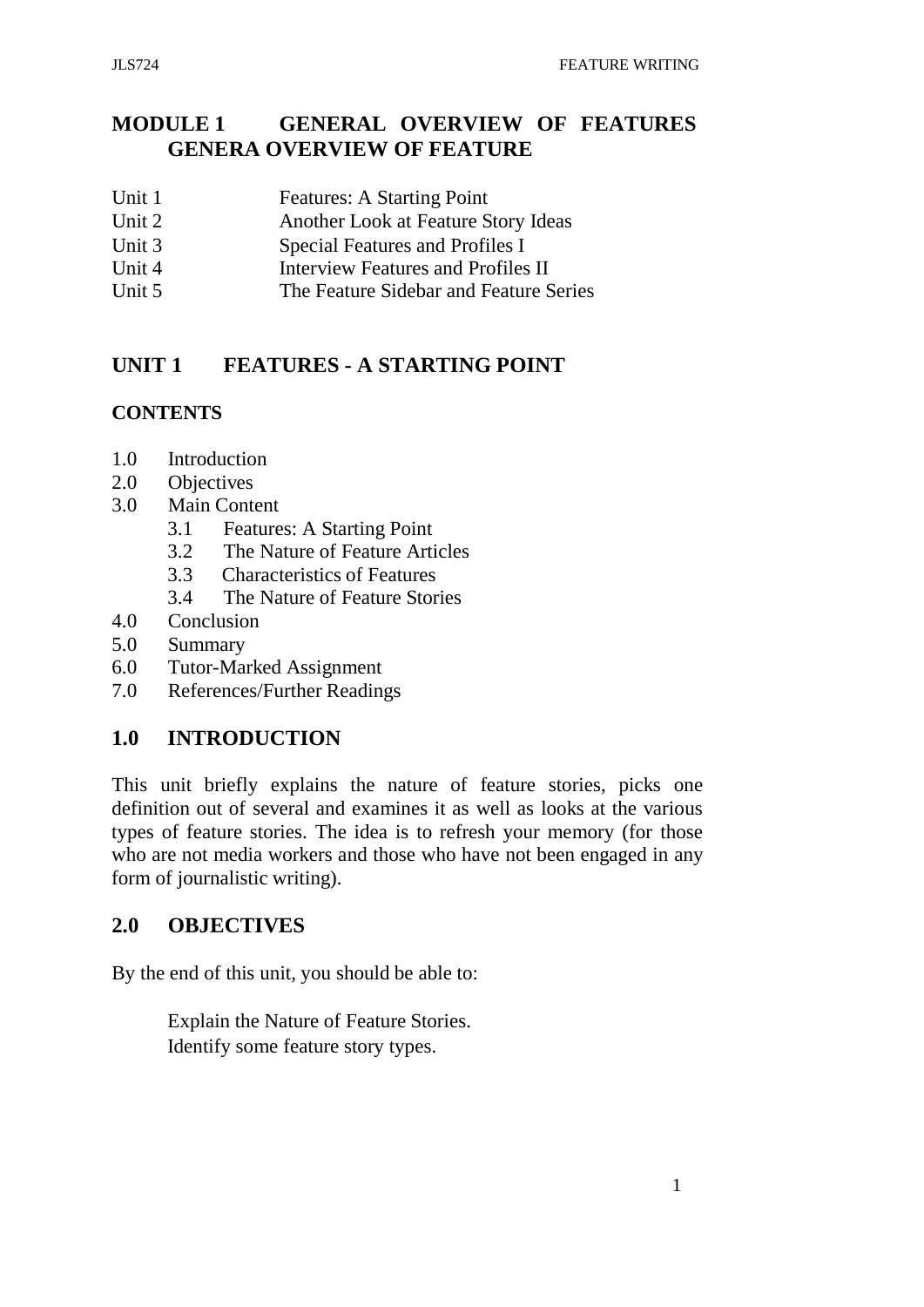## **MODULE 1 GENERAL OVERVIEW OF FEATURES GENERA OVERVIEW OF FEATURE**

- Unit 1 Features: A Starting Point
- Unit 2 Another Look at Feature Story Ideas
- Unit 3 Special Features and Profiles I
- Unit 4 Interview Features and Profiles II
- Unit 5 The Feature Sidebar and Feature Series

## **UNIT 1 FEATURES - A STARTING POINT**

### **CONTENTS**

- 1.0 Introduction
- 2.0 Objectives
- 3.0 Main Content
	- 3.1 Features: A Starting Point
	- 3.2 The Nature of Feature Articles
	- 3.3 Characteristics of Features
	- 3.4 The Nature of Feature Stories
- 4.0 Conclusion
- 5.0 Summary
- 6.0 Tutor-Marked Assignment
- 7.0 References/Further Readings

## **1.0 INTRODUCTION**

This unit briefly explains the nature of feature stories, picks one definition out of several and examines it as well as looks at the various types of feature stories. The idea is to refresh your memory (for those who are not media workers and those who have not been engaged in any form of journalistic writing).

## **2.0 OBJECTIVES**

By the end of this unit, you should be able to:

Explain the Nature of Feature Stories. Identify some feature story types.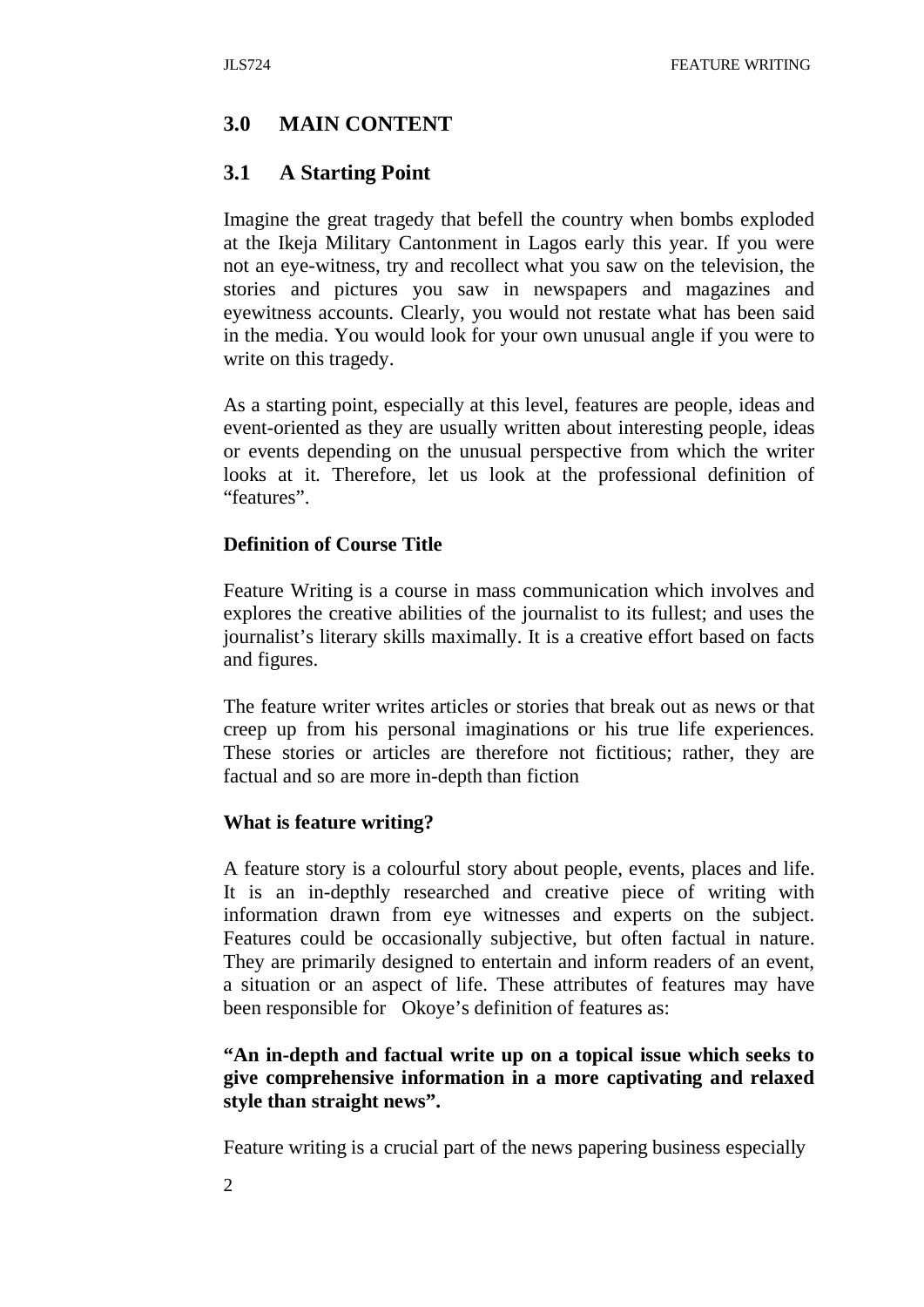#### **3.0 MAIN CONTENT**

#### **3.1 A Starting Point**

Imagine the great tragedy that befell the country when bombs exploded at the Ikeja Military Cantonment in Lagos early this year. If you were not an eye-witness, try and recollect what you saw on the television, the stories and pictures you saw in newspapers and magazines and eyewitness accounts. Clearly, you would not restate what has been said in the media. You would look for your own unusual angle if you were to write on this tragedy.

As a starting point, especially at this level, features are people, ideas and event-oriented as they are usually written about interesting people, ideas or events depending on the unusual perspective from which the writer looks at it. Therefore, let us look at the professional definition of "features".

#### **Definition of Course Title**

Feature Writing is a course in mass communication which involves and explores the creative abilities of the journalist to its fullest; and uses the journalist's literary skills maximally. It is a creative effort based on facts and figures.

The feature writer writes articles or stories that break out as news or that creep up from his personal imaginations or his true life experiences. These stories or articles are therefore not fictitious; rather, they are factual and so are more in-depth than fiction

#### **What is feature writing?**

A feature story is a colourful story about people, events, places and life. It is an in-depthly researched and creative piece of writing with information drawn from eye witnesses and experts on the subject. Features could be occasionally subjective, but often factual in nature. They are primarily designed to entertain and inform readers of an event, a situation or an aspect of life. These attributes of features may have been responsible for Okoye's definition of features as:

#### **"An in-depth and factual write up on a topical issue which seeks to give comprehensive information in a more captivating and relaxed style than straight news".**

Feature writing is a crucial part of the news papering business especially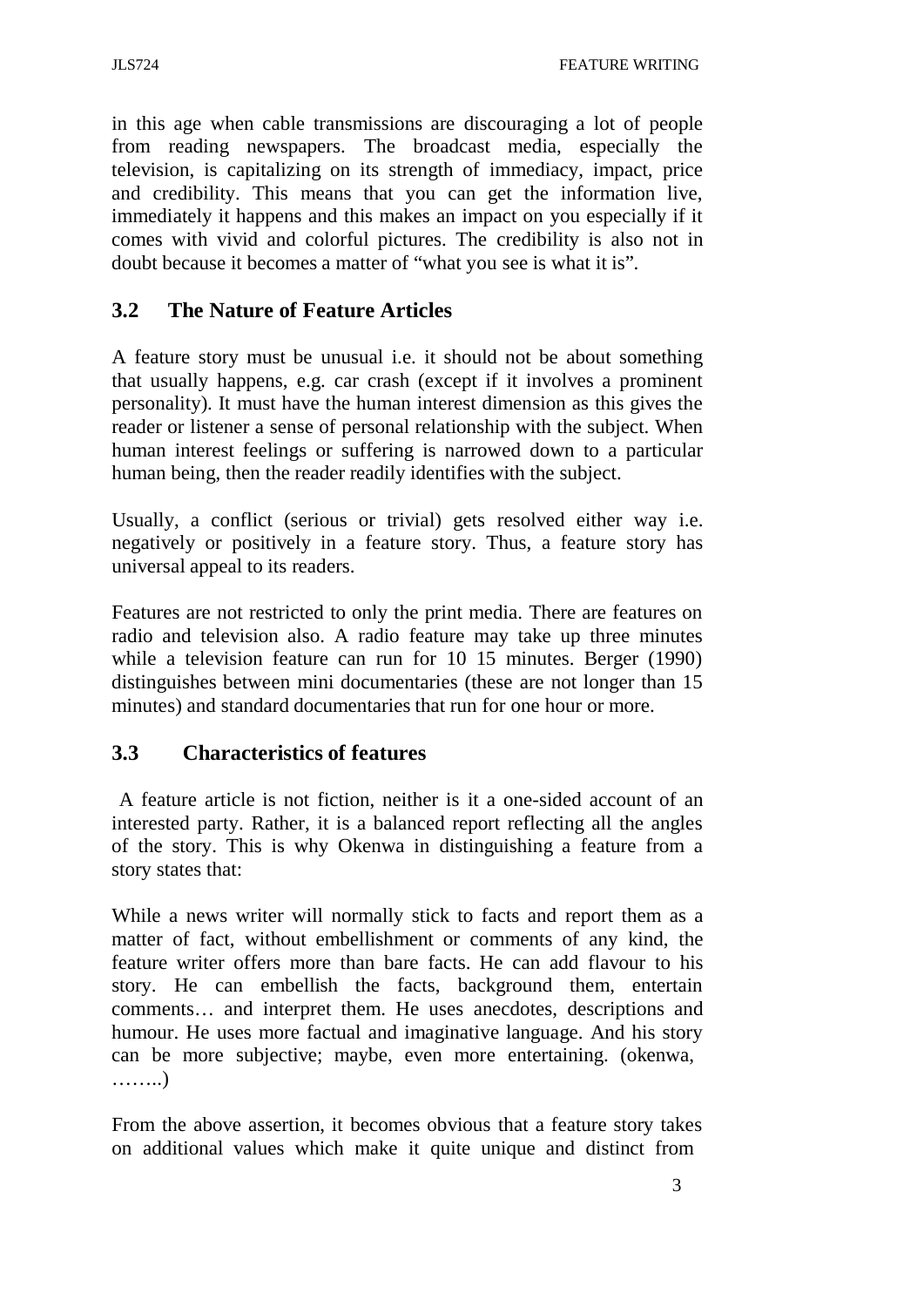in this age when cable transmissions are discouraging a lot of people from reading newspapers. The broadcast media, especially the television, is capitalizing on its strength of immediacy, impact, price and credibility. This means that you can get the information live, immediately it happens and this makes an impact on you especially if it comes with vivid and colorful pictures. The credibility is also not in doubt because it becomes a matter of "what you see is what it is".

#### **3.2 The Nature of Feature Articles**

A feature story must be unusual i.e. it should not be about something that usually happens, e.g. car crash (except if it involves a prominent personality). It must have the human interest dimension as this gives the reader or listener a sense of personal relationship with the subject. When human interest feelings or suffering is narrowed down to a particular human being, then the reader readily identifies with the subject.

Usually, a conflict (serious or trivial) gets resolved either way i.e. negatively or positively in a feature story. Thus, a feature story has universal appeal to its readers.

Features are not restricted to only the print media. There are features on radio and television also. A radio feature may take up three minutes while a television feature can run for 10 15 minutes. Berger (1990) distinguishes between mini documentaries (these are not longer than 15 minutes) and standard documentaries that run for one hour or more.

#### **3.3 Characteristics of features**

A feature article is not fiction, neither is it a one-sided account of an interested party. Rather, it is a balanced report reflecting all the angles of the story. This is why Okenwa in distinguishing a feature from a story states that:

While a news writer will normally stick to facts and report them as a matter of fact, without embellishment or comments of any kind, the feature writer offers more than bare facts. He can add flavour to his story. He can embellish the facts, background them, entertain comments… and interpret them. He uses anecdotes, descriptions and humour. He uses more factual and imaginative language. And his story can be more subjective; maybe, even more entertaining. (okenwa, ……..)

From the above assertion, it becomes obvious that a feature story takes on additional values which make it quite unique and distinct from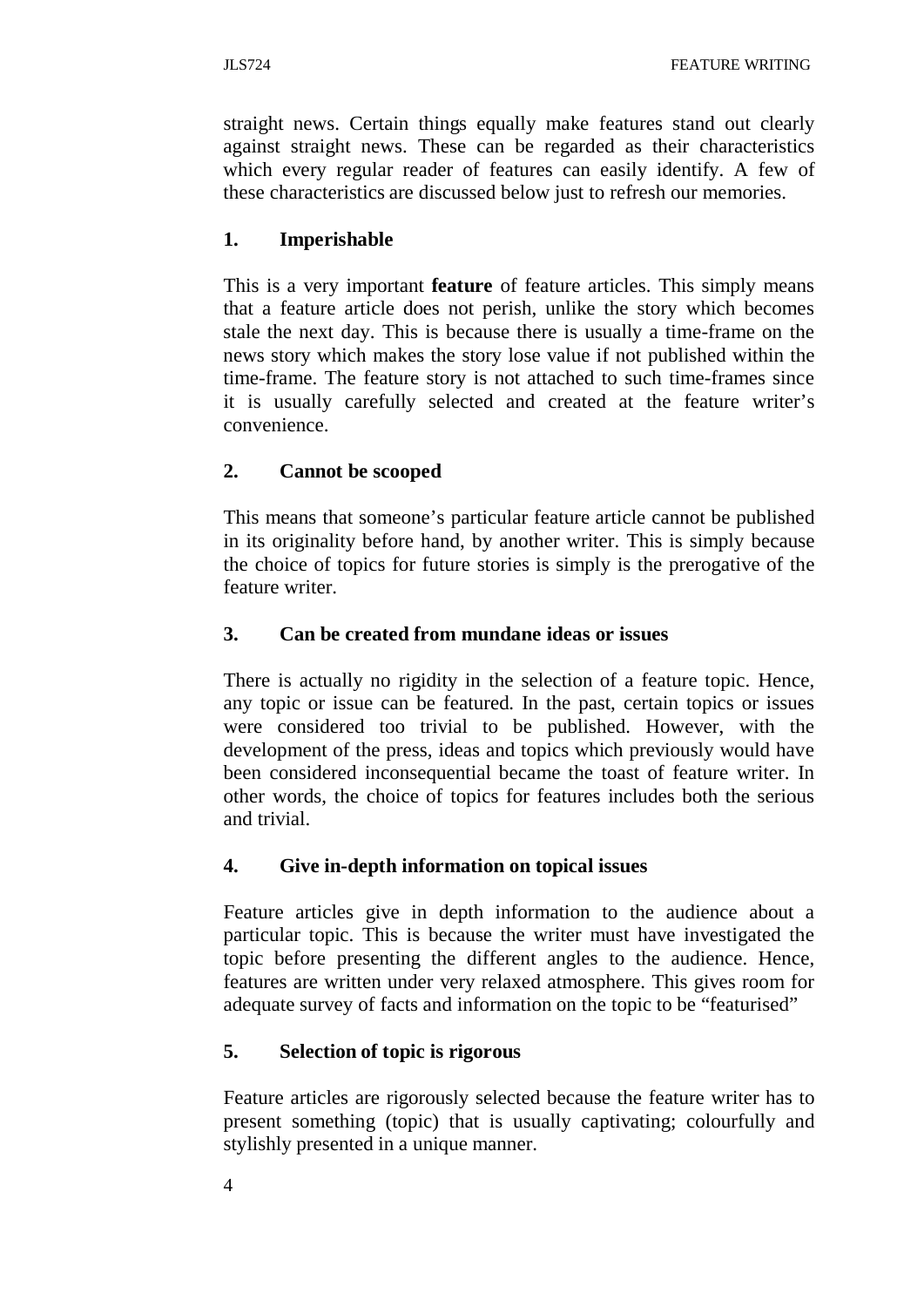straight news. Certain things equally make features stand out clearly against straight news. These can be regarded as their characteristics which every regular reader of features can easily identify. A few of these characteristics are discussed below just to refresh our memories.

#### **1. Imperishable**

This is a very important **feature** of feature articles. This simply means that a feature article does not perish, unlike the story which becomes stale the next day. This is because there is usually a time-frame on the news story which makes the story lose value if not published within the time-frame. The feature story is not attached to such time-frames since it is usually carefully selected and created at the feature writer's convenience.

### **2. Cannot be scooped**

This means that someone's particular feature article cannot be published in its originality before hand, by another writer. This is simply because the choice of topics for future stories is simply is the prerogative of the feature writer.

#### **3. Can be created from mundane ideas or issues**

There is actually no rigidity in the selection of a feature topic. Hence, any topic or issue can be featured. In the past, certain topics or issues were considered too trivial to be published. However, with the development of the press, ideas and topics which previously would have been considered inconsequential became the toast of feature writer. In other words, the choice of topics for features includes both the serious and trivial.

#### **4. Give in-depth information on topical issues**

Feature articles give in depth information to the audience about a particular topic. This is because the writer must have investigated the topic before presenting the different angles to the audience. Hence, features are written under very relaxed atmosphere. This gives room for adequate survey of facts and information on the topic to be "featurised"

## **5. Selection of topic is rigorous**

Feature articles are rigorously selected because the feature writer has to present something (topic) that is usually captivating; colourfully and stylishly presented in a unique manner.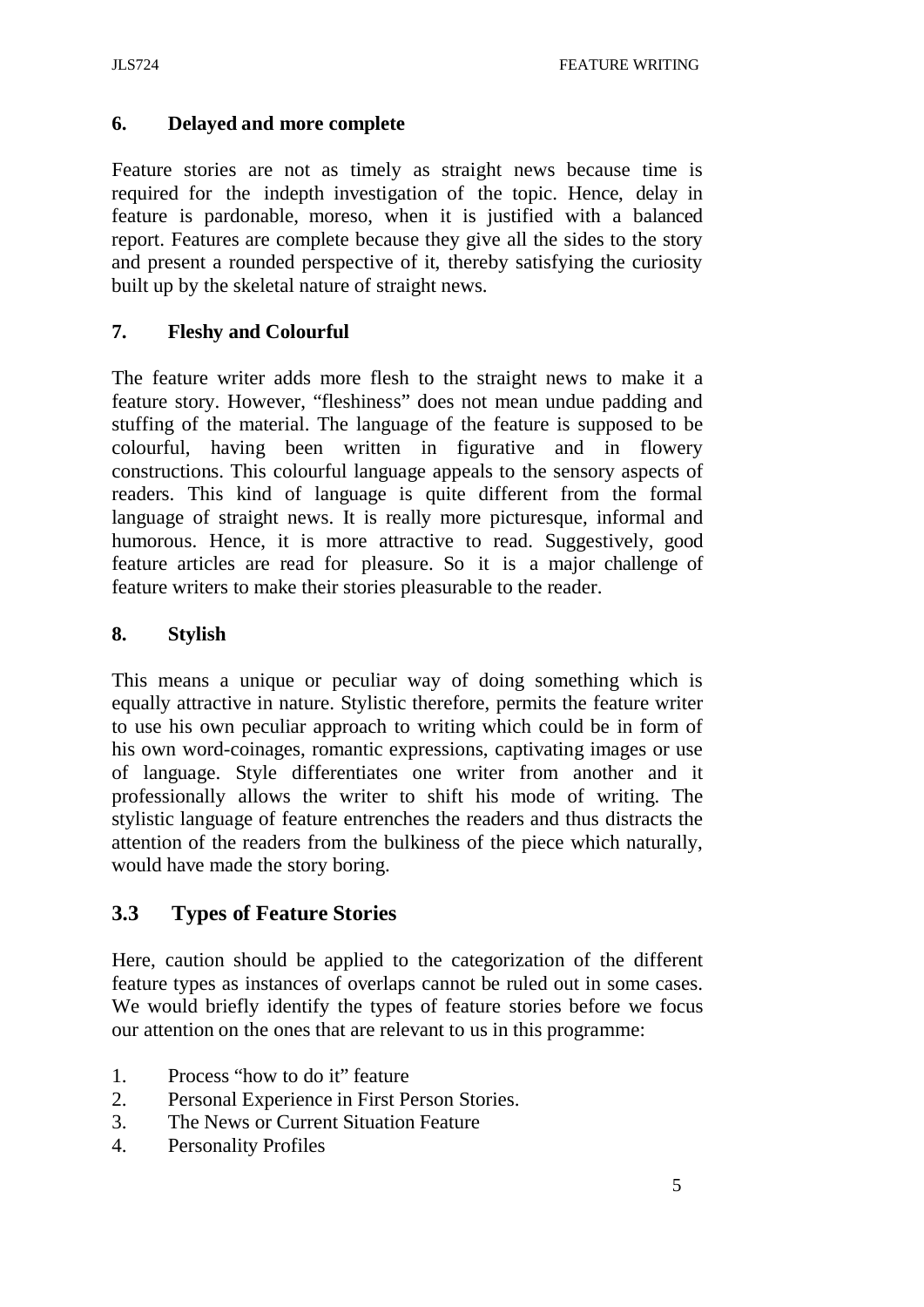#### **6. Delayed and more complete**

Feature stories are not as timely as straight news because time is required for the indepth investigation of the topic. Hence, delay in feature is pardonable, moreso, when it is justified with a balanced report. Features are complete because they give all the sides to the story and present a rounded perspective of it, thereby satisfying the curiosity built up by the skeletal nature of straight news.

### **7. Fleshy and Colourful**

The feature writer adds more flesh to the straight news to make it a feature story. However, "fleshiness" does not mean undue padding and stuffing of the material. The language of the feature is supposed to be colourful, having been written in figurative and in flowery constructions. This colourful language appeals to the sensory aspects of readers. This kind of language is quite different from the formal language of straight news. It is really more picturesque, informal and humorous. Hence, it is more attractive to read. Suggestively, good feature articles are read for pleasure. So it is a major challenge of feature writers to make their stories pleasurable to the reader.

### **8. Stylish**

This means a unique or peculiar way of doing something which is equally attractive in nature. Stylistic therefore, permits the feature writer to use his own peculiar approach to writing which could be in form of his own word-coinages, romantic expressions, captivating images or use of language. Style differentiates one writer from another and it professionally allows the writer to shift his mode of writing. The stylistic language of feature entrenches the readers and thus distracts the attention of the readers from the bulkiness of the piece which naturally, would have made the story boring.

## **3.3 Types of Feature Stories**

Here, caution should be applied to the categorization of the different feature types as instances of overlaps cannot be ruled out in some cases. We would briefly identify the types of feature stories before we focus our attention on the ones that are relevant to us in this programme:

- 1. Process "how to do it" feature
- 2. Personal Experience in First Person Stories.
- 3. The News or Current Situation Feature
- 4. Personality Profiles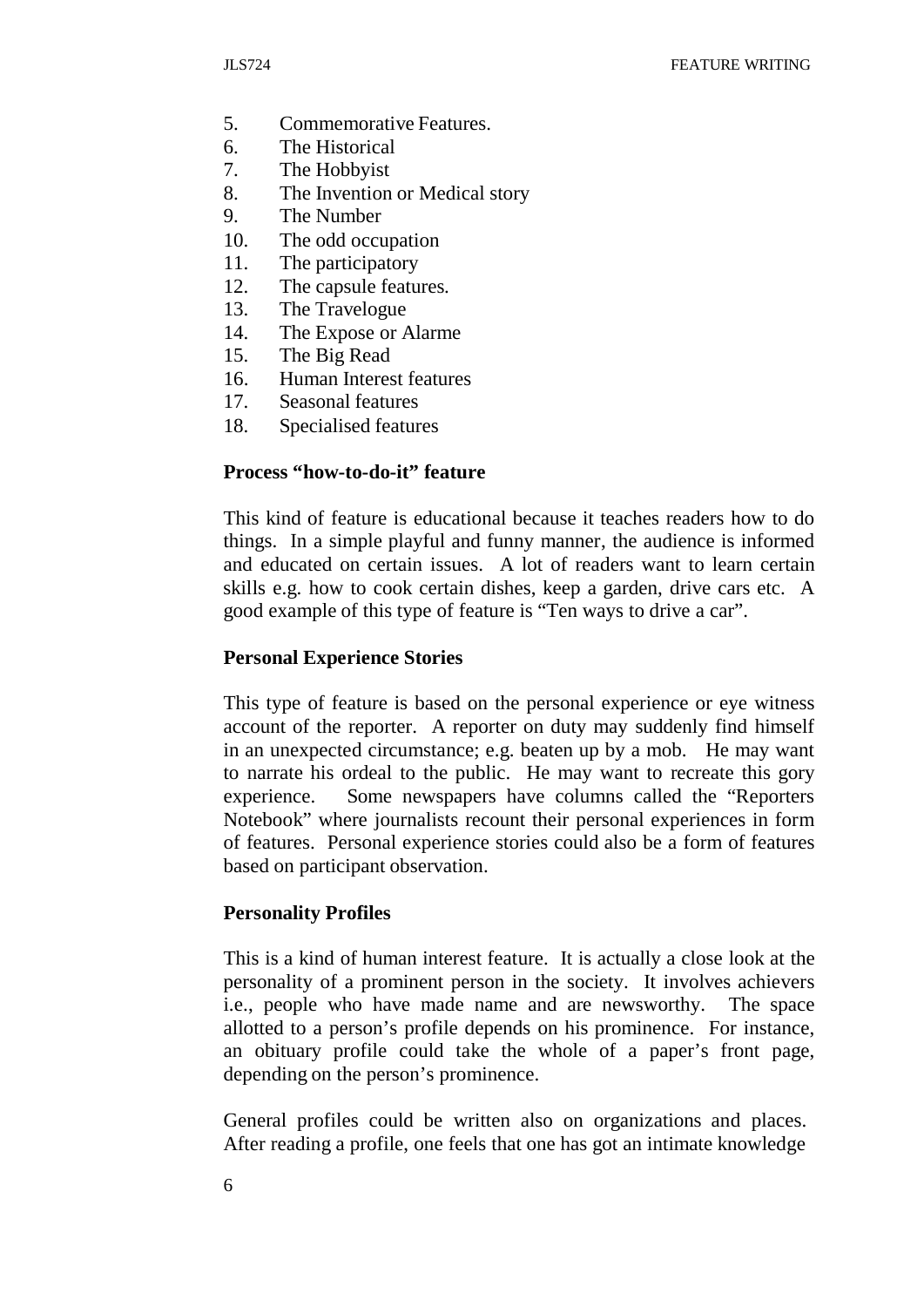- 5. Commemorative Features.
- 6. The Historical
- 7. The Hobbyist
- 8. The Invention or Medical story
- 9. The Number
- 10. The odd occupation
- 11. The participatory
- 12. The capsule features.
- 13. The Travelogue
- 14. The Expose or Alarme
- 15. The Big Read
- 16. Human Interest features
- 17. Seasonal features
- 18. Specialised features

#### **Process "how-to-do-it" feature**

This kind of feature is educational because it teaches readers how to do things. In a simple playful and funny manner, the audience is informed and educated on certain issues. A lot of readers want to learn certain skills e.g. how to cook certain dishes, keep a garden, drive cars etc. A good example of this type of feature is "Ten ways to drive a car".

#### **Personal Experience Stories**

This type of feature is based on the personal experience or eye witness account of the reporter. A reporter on duty may suddenly find himself in an unexpected circumstance; e.g. beaten up by a mob. He may want to narrate his ordeal to the public. He may want to recreate this gory experience. Some newspapers have columns called the "Reporters Notebook" where journalists recount their personal experiences in form of features. Personal experience stories could also be a form of features based on participant observation.

#### **Personality Profiles**

This is a kind of human interest feature. It is actually a close look at the personality of a prominent person in the society. It involves achievers i.e., people who have made name and are newsworthy. The space allotted to a person's profile depends on his prominence. For instance, an obituary profile could take the whole of a paper's front page, depending on the person's prominence.

General profiles could be written also on organizations and places. After reading a profile, one feels that one has got an intimate knowledge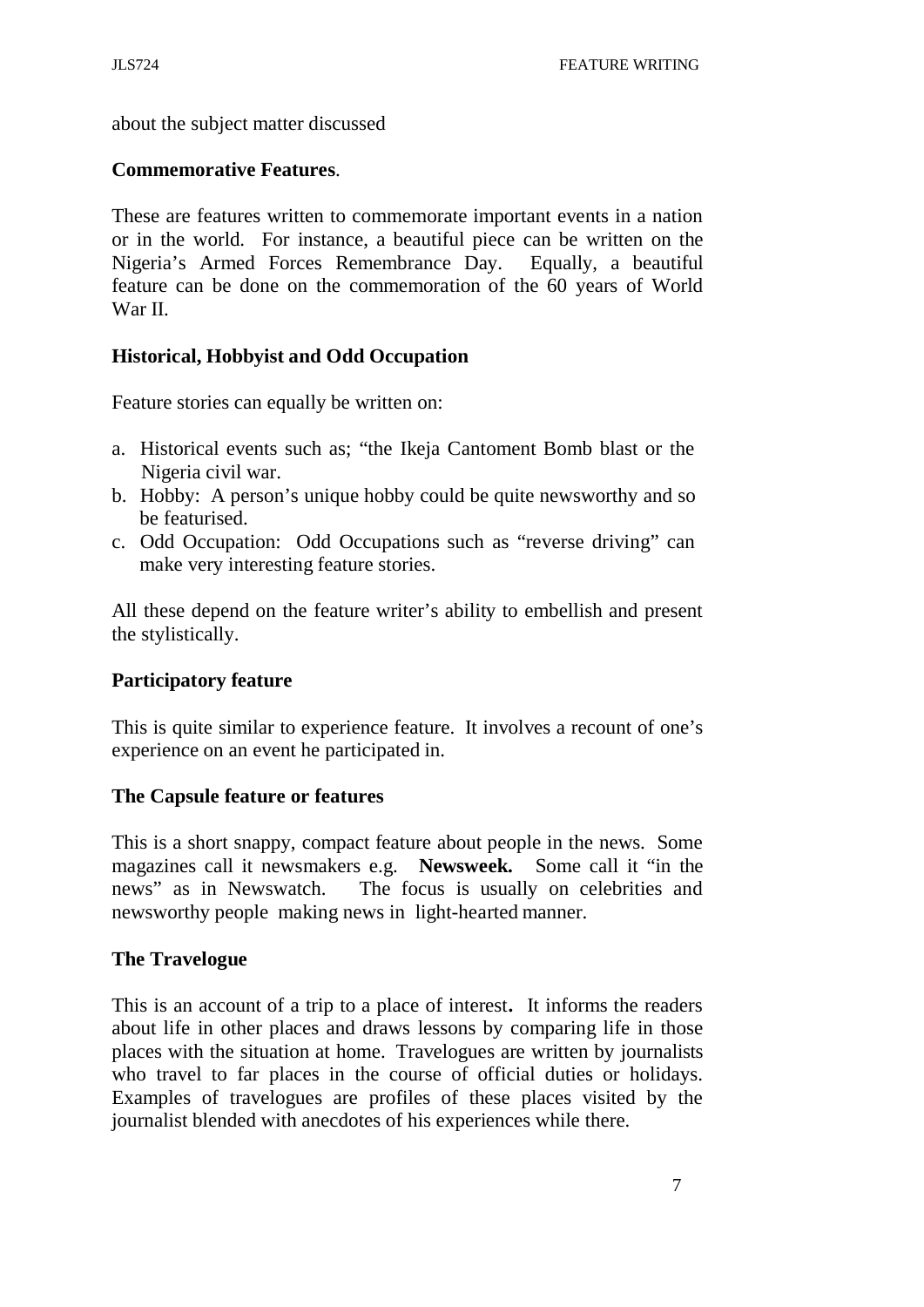about the subject matter discussed

#### **Commemorative Features**.

These are features written to commemorate important events in a nation or in the world. For instance, a beautiful piece can be written on the Nigeria's Armed Forces Remembrance Day. Equally, a beautiful feature can be done on the commemoration of the 60 years of World War II.

#### **Historical, Hobbyist and Odd Occupation**

Feature stories can equally be written on:

- a. Historical events such as; "the Ikeja Cantoment Bomb blast or the Nigeria civil war.
- b. Hobby: A person's unique hobby could be quite newsworthy and so be featurised.
- c. Odd Occupation: Odd Occupations such as "reverse driving" can make very interesting feature stories.

All these depend on the feature writer's ability to embellish and present the stylistically.

#### **Participatory feature**

This is quite similar to experience feature. It involves a recount of one's experience on an event he participated in.

#### **The Capsule feature or features**

This is a short snappy, compact feature about people in the news. Some magazines call it newsmakers e.g. **Newsweek.** Some call it "in the news" as in Newswatch. The focus is usually on celebrities and newsworthy people making news in light-hearted manner.

#### **The Travelogue**

This is an account of a trip to a place of interest**.** It informs the readers about life in other places and draws lessons by comparing life in those places with the situation at home. Travelogues are written by journalists who travel to far places in the course of official duties or holidays. Examples of travelogues are profiles of these places visited by the journalist blended with anecdotes of his experiences while there.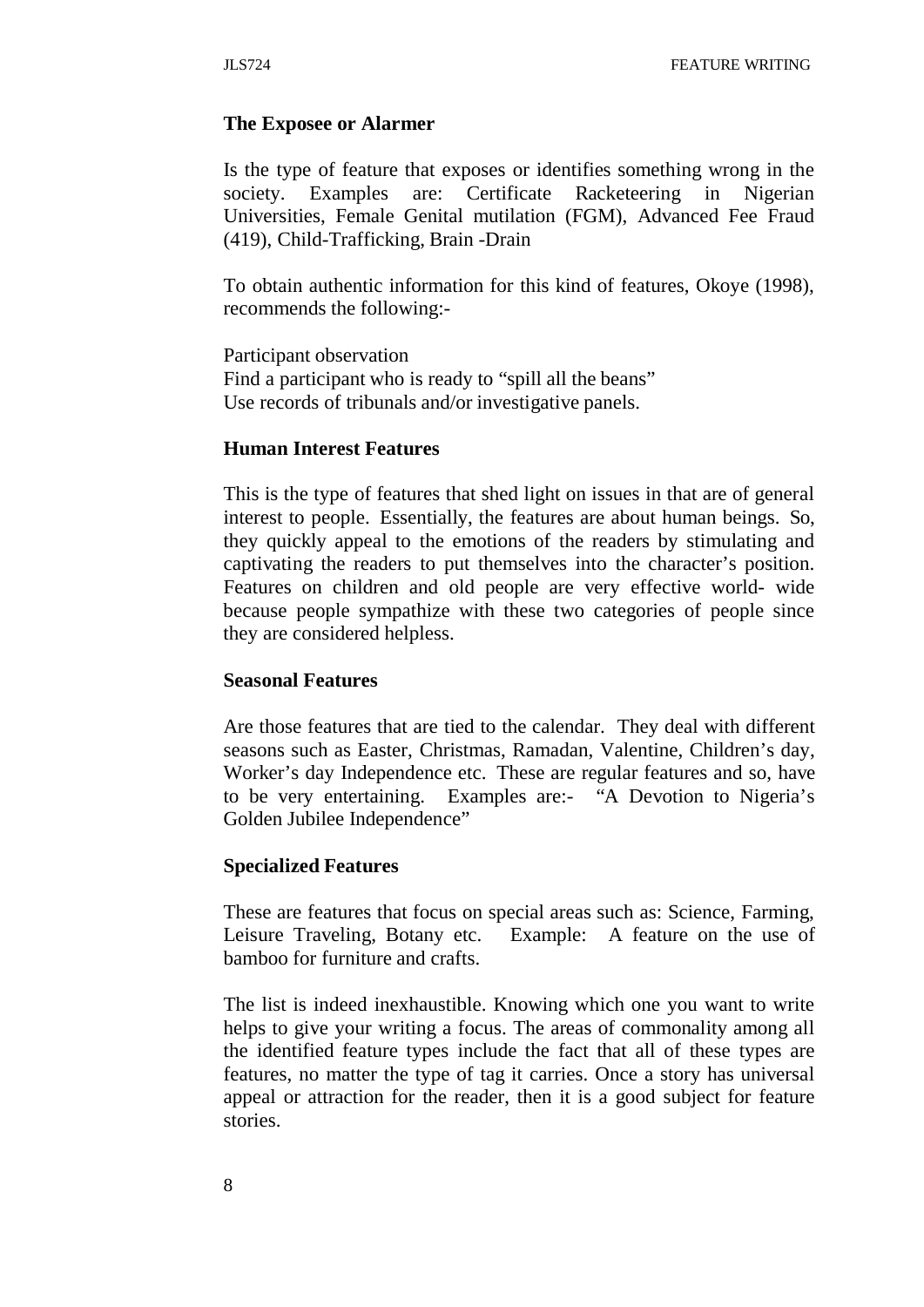#### **The Exposee or Alarmer**

Is the type of feature that exposes or identifies something wrong in the society. Examples are: Certificate Racketeering in Nigerian Universities, Female Genital mutilation (FGM), Advanced Fee Fraud (419), Child-Trafficking, Brain -Drain

To obtain authentic information for this kind of features, Okoye (1998), recommends the following:-

Participant observation Find a participant who is ready to "spill all the beans" Use records of tribunals and/or investigative panels.

#### **Human Interest Features**

This is the type of features that shed light on issues in that are of general interest to people. Essentially, the features are about human beings. So, they quickly appeal to the emotions of the readers by stimulating and captivating the readers to put themselves into the character's position. Features on children and old people are very effective world- wide because people sympathize with these two categories of people since they are considered helpless.

#### **Seasonal Features**

Are those features that are tied to the calendar. They deal with different seasons such as Easter, Christmas, Ramadan, Valentine, Children's day, Worker's day Independence etc. These are regular features and so, have to be very entertaining. Examples are:- "A Devotion to Nigeria's Golden Jubilee Independence"

#### **Specialized Features**

These are features that focus on special areas such as: Science, Farming, Leisure Traveling, Botany etc. Example: A feature on the use of bamboo for furniture and crafts.

The list is indeed inexhaustible. Knowing which one you want to write helps to give your writing a focus. The areas of commonality among all the identified feature types include the fact that all of these types are features, no matter the type of tag it carries. Once a story has universal appeal or attraction for the reader, then it is a good subject for feature stories.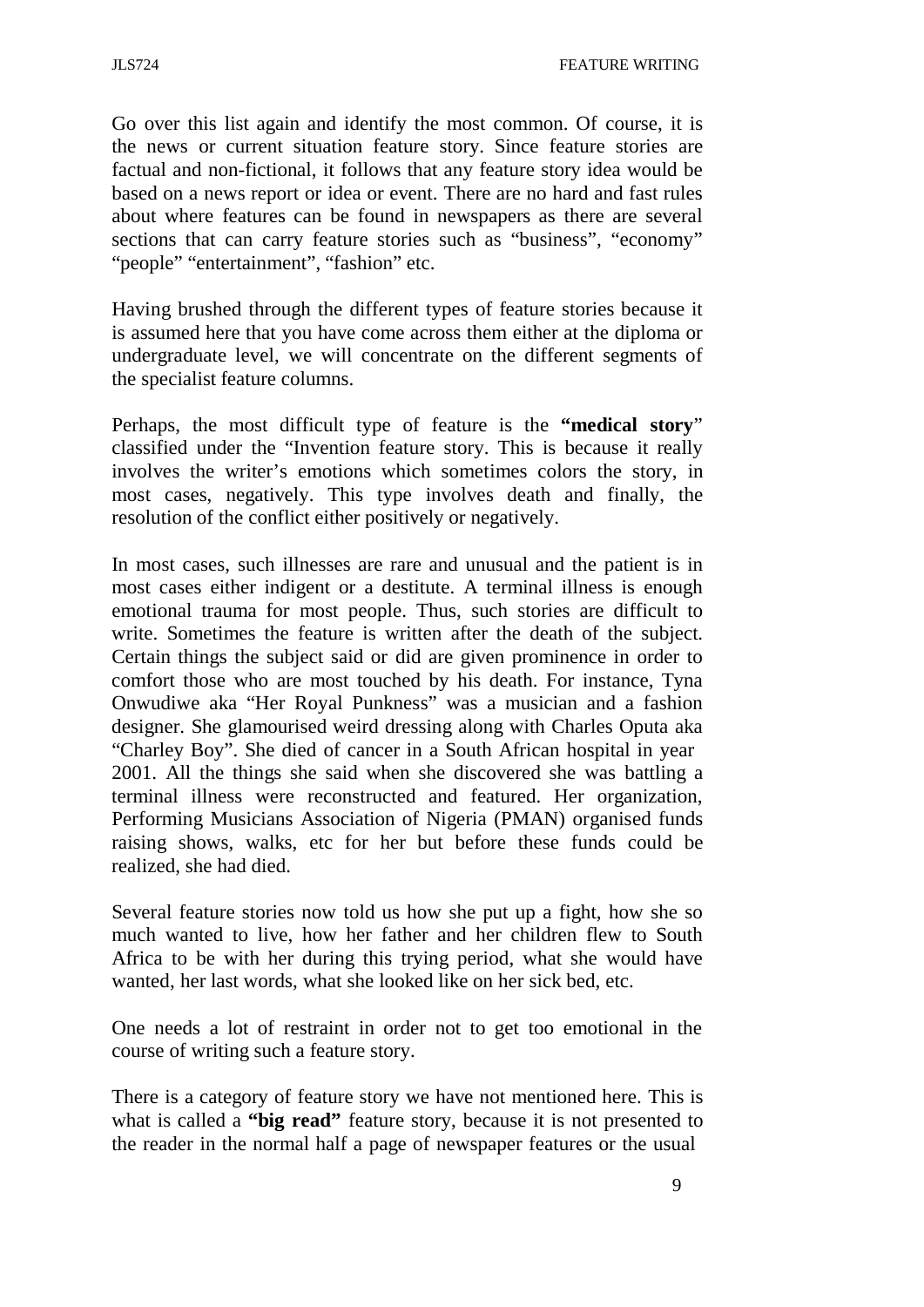JLS724 FEATURE WRITING

Go over this list again and identify the most common. Of course, it is the news or current situation feature story. Since feature stories are factual and non-fictional, it follows that any feature story idea would be based on a news report or idea or event. There are no hard and fast rules about where features can be found in newspapers as there are several sections that can carry feature stories such as "business", "economy" "people" "entertainment", "fashion" etc.

Having brushed through the different types of feature stories because it is assumed here that you have come across them either at the diploma or undergraduate level, we will concentrate on the different segments of the specialist feature columns.

Perhaps, the most difficult type of feature is the **"medical story**" classified under the "Invention feature story. This is because it really involves the writer's emotions which sometimes colors the story, in most cases, negatively. This type involves death and finally, the resolution of the conflict either positively or negatively.

In most cases, such illnesses are rare and unusual and the patient is in most cases either indigent or a destitute. A terminal illness is enough emotional trauma for most people. Thus, such stories are difficult to write. Sometimes the feature is written after the death of the subject. Certain things the subject said or did are given prominence in order to comfort those who are most touched by his death. For instance, Tyna Onwudiwe aka "Her Royal Punkness" was a musician and a fashion designer. She glamourised weird dressing along with Charles Oputa aka "Charley Boy". She died of cancer in a South African hospital in year 2001. All the things she said when she discovered she was battling a terminal illness were reconstructed and featured. Her organization, Performing Musicians Association of Nigeria (PMAN) organised funds raising shows, walks, etc for her but before these funds could be realized, she had died.

Several feature stories now told us how she put up a fight, how she so much wanted to live, how her father and her children flew to South Africa to be with her during this trying period, what she would have wanted, her last words, what she looked like on her sick bed, etc.

One needs a lot of restraint in order not to get too emotional in the course of writing such a feature story.

There is a category of feature story we have not mentioned here. This is what is called a **"big read"** feature story, because it is not presented to the reader in the normal half a page of newspaper features or the usual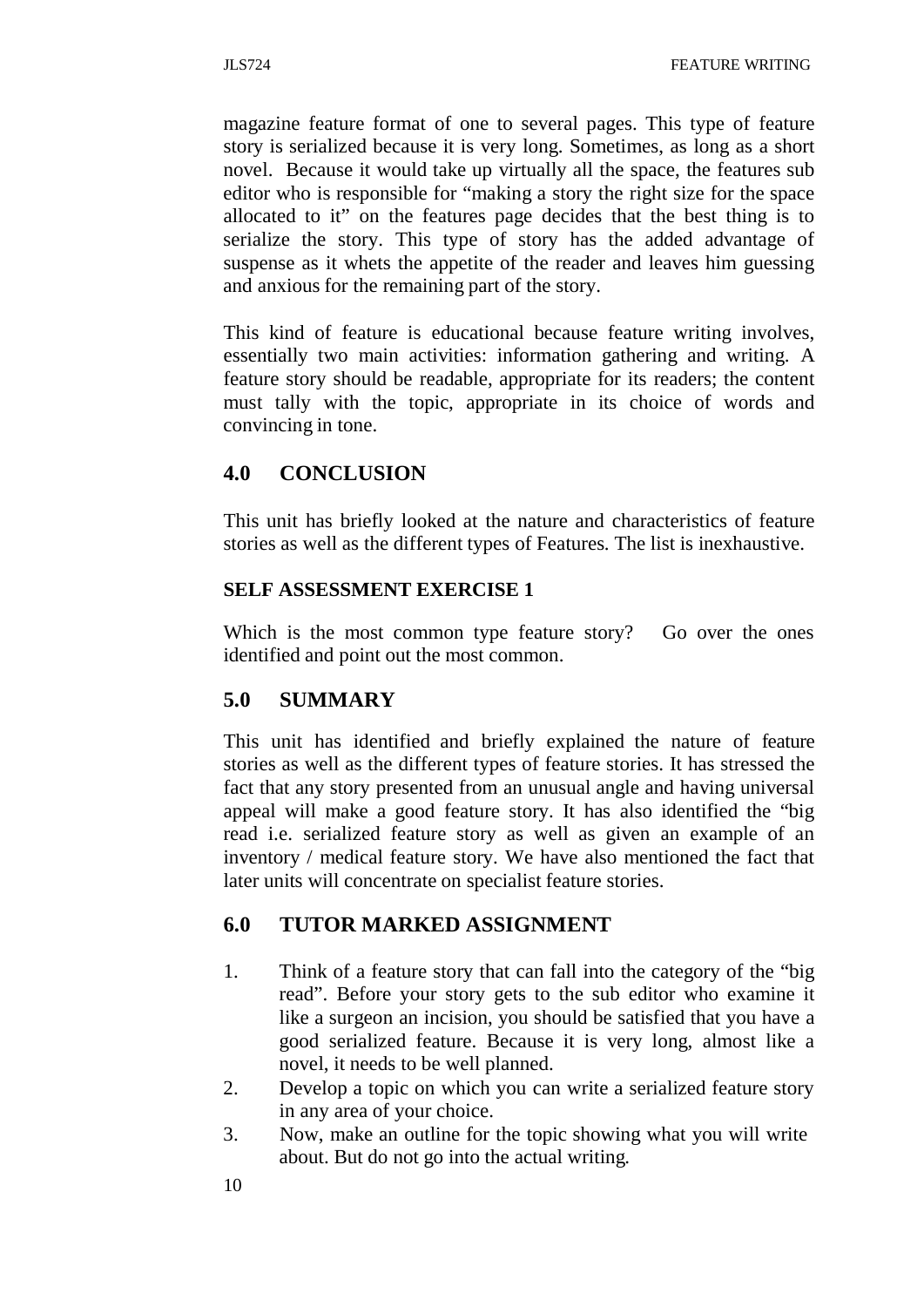magazine feature format of one to several pages. This type of feature story is serialized because it is very long. Sometimes, as long as a short novel. Because it would take up virtually all the space, the features sub editor who is responsible for "making a story the right size for the space allocated to it" on the features page decides that the best thing is to serialize the story. This type of story has the added advantage of suspense as it whets the appetite of the reader and leaves him guessing and anxious for the remaining part of the story.

This kind of feature is educational because feature writing involves, essentially two main activities: information gathering and writing. A feature story should be readable, appropriate for its readers; the content must tally with the topic, appropriate in its choice of words and convincing in tone.

#### **4.0 CONCLUSION**

This unit has briefly looked at the nature and characteristics of feature stories as well as the different types of Features. The list is inexhaustive.

#### **SELF ASSESSMENT EXERCISE 1**

Which is the most common type feature story? Go over the ones identified and point out the most common.

## **5.0 SUMMARY**

This unit has identified and briefly explained the nature of feature stories as well as the different types of feature stories. It has stressed the fact that any story presented from an unusual angle and having universal appeal will make a good feature story. It has also identified the "big read i.e. serialized feature story as well as given an example of an inventory / medical feature story. We have also mentioned the fact that later units will concentrate on specialist feature stories.

## **6.0 TUTOR MARKED ASSIGNMENT**

- 1. Think of a feature story that can fall into the category of the "big read". Before your story gets to the sub editor who examine it like a surgeon an incision, you should be satisfied that you have a good serialized feature. Because it is very long, almost like a novel, it needs to be well planned.
- 2. Develop a topic on which you can write a serialized feature story in any area of your choice.
- 3. Now, make an outline for the topic showing what you will write about. But do not go into the actual writing.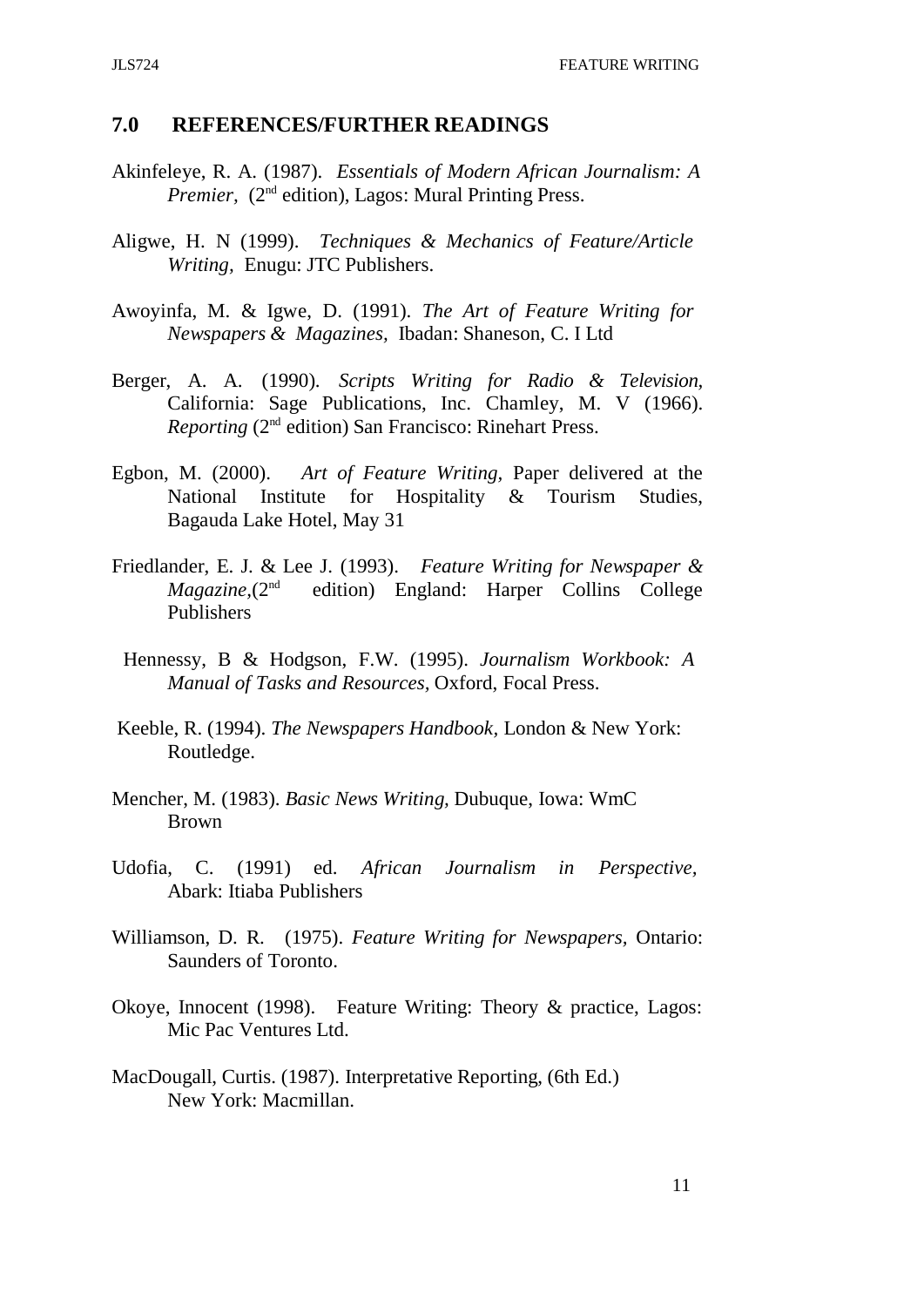#### **7.0 REFERENCES/FURTHER READINGS**

- Akinfeleye, R. A. (1987). *Essentials of Modern African Journalism: A Premier,* (2<sup>nd</sup> edition), Lagos: Mural Printing Press.
- Aligwe, H. N (1999). *Techniques & Mechanics of Feature/Article Writing,* Enugu: JTC Publishers.
- Awoyinfa, M. & Igwe, D. (1991). *The Art of Feature Writing for Newspapers & Magazines,* Ibadan: Shaneson, C. I Ltd
- Berger, A. A. (1990). *Scripts Writing for Radio & Television,*  California: Sage Publications, Inc. Chamley, M. V (1966). *Reporting* (2nd edition) San Francisco: Rinehart Press.
- Egbon, M. (2000). *Art of Feature Writing,* Paper delivered at the National Institute for Hospitality & Tourism Studies, Bagauda Lake Hotel, May 31
- Friedlander, E. J. & Lee J. (1993). *Feature Writing for Newspaper & Magazine*,  $(2<sup>nd</sup>$  edition) England: Harper Collins College Publishers
- Hennessy, B & Hodgson, F.W. (1995). *Journalism Workbook: A Manual of Tasks and Resources,* Oxford, Focal Press.
- Keeble, R. (1994). *The Newspapers Handbook,* London & New York: Routledge.
- Mencher, M. (1983). *Basic News Writing,* Dubuque, Iowa: WmC Brown
- Udofia, C. (1991) ed. *African Journalism in Perspective,* Abark: Itiaba Publishers
- Williamson, D. R. (1975). *Feature Writing for Newspapers,* Ontario: Saunders of Toronto.
- Okoye, Innocent (1998). Feature Writing: Theory & practice, Lagos: Mic Pac Ventures Ltd.
- MacDougall, Curtis. (1987). Interpretative Reporting, (6th Ed.) New York: Macmillan.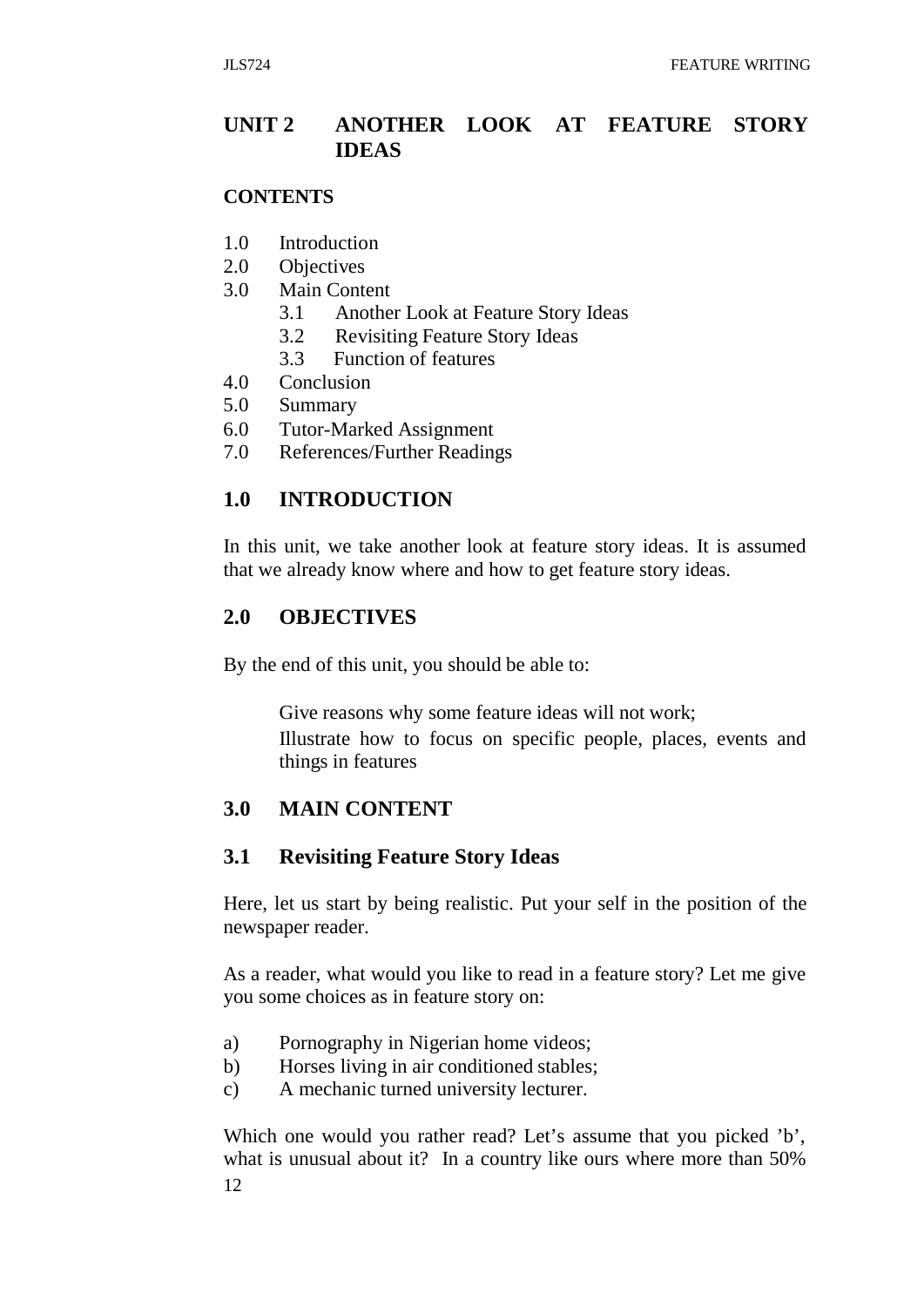### **UNIT 2 ANOTHER LOOK AT FEATURE STORY IDEAS**

#### **CONTENTS**

- 1.0 Introduction
- 2.0 Objectives
- 3.0 Main Content
	- 3.1 Another Look at Feature Story Ideas
	- 3.2 Revisiting Feature Story Ideas
	- 3.3 Function of features
- 4.0 Conclusion
- 5.0 Summary
- 6.0 Tutor-Marked Assignment
- 7.0 References/Further Readings

### **1.0 INTRODUCTION**

In this unit, we take another look at feature story ideas. It is assumed that we already know where and how to get feature story ideas.

#### **2.0 OBJECTIVES**

By the end of this unit, you should be able to:

Give reasons why some feature ideas will not work; Illustrate how to focus on specific people, places, events and things in features

#### **3.0 MAIN CONTENT**

#### **3.1 Revisiting Feature Story Ideas**

Here, let us start by being realistic. Put your self in the position of the newspaper reader.

As a reader, what would you like to read in a feature story? Let me give you some choices as in feature story on:

- a) Pornography in Nigerian home videos;
- b) Horses living in air conditioned stables;
- c) A mechanic turned university lecturer.

12 Which one would you rather read? Let's assume that you picked 'b', what is unusual about it? In a country like ours where more than 50%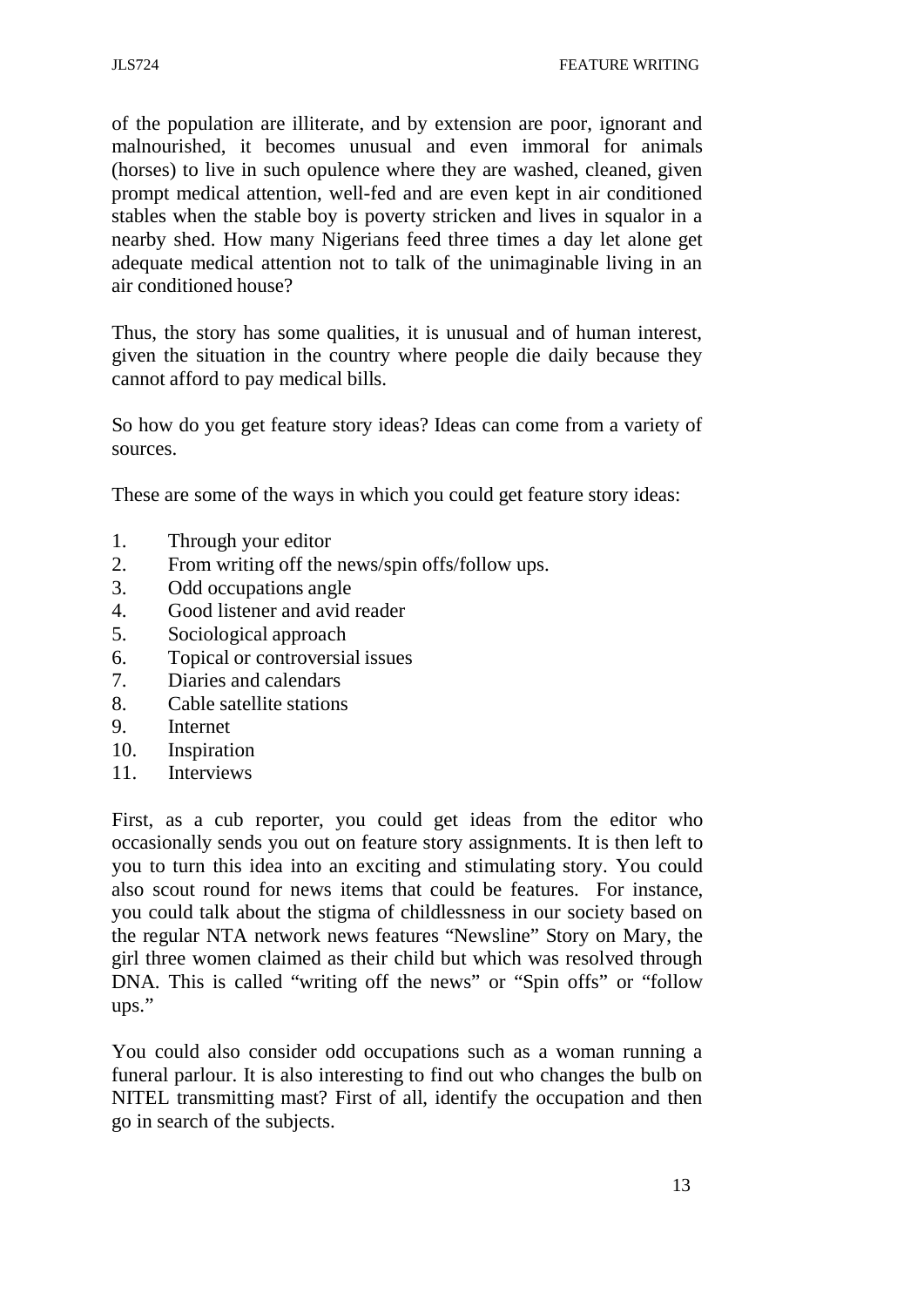of the population are illiterate, and by extension are poor, ignorant and malnourished, it becomes unusual and even immoral for animals (horses) to live in such opulence where they are washed, cleaned, given prompt medical attention, well-fed and are even kept in air conditioned stables when the stable boy is poverty stricken and lives in squalor in a nearby shed. How many Nigerians feed three times a day let alone get adequate medical attention not to talk of the unimaginable living in an air conditioned house?

Thus, the story has some qualities, it is unusual and of human interest, given the situation in the country where people die daily because they cannot afford to pay medical bills.

So how do you get feature story ideas? Ideas can come from a variety of sources.

These are some of the ways in which you could get feature story ideas:

- 1. Through your editor
- 2. From writing off the news/spin offs/follow ups.
- 3. Odd occupations angle
- 4. Good listener and avid reader
- 5. Sociological approach
- 6. Topical or controversial issues
- 7. Diaries and calendars
- 8. Cable satellite stations
- 9. Internet
- 10. Inspiration
- 11. Interviews

First, as a cub reporter, you could get ideas from the editor who occasionally sends you out on feature story assignments. It is then left to you to turn this idea into an exciting and stimulating story. You could also scout round for news items that could be features. For instance, you could talk about the stigma of childlessness in our society based on the regular NTA network news features "Newsline" Story on Mary, the girl three women claimed as their child but which was resolved through DNA. This is called "writing off the news" or "Spin offs" or "follow ups."

You could also consider odd occupations such as a woman running a funeral parlour. It is also interesting to find out who changes the bulb on NITEL transmitting mast? First of all, identify the occupation and then go in search of the subjects.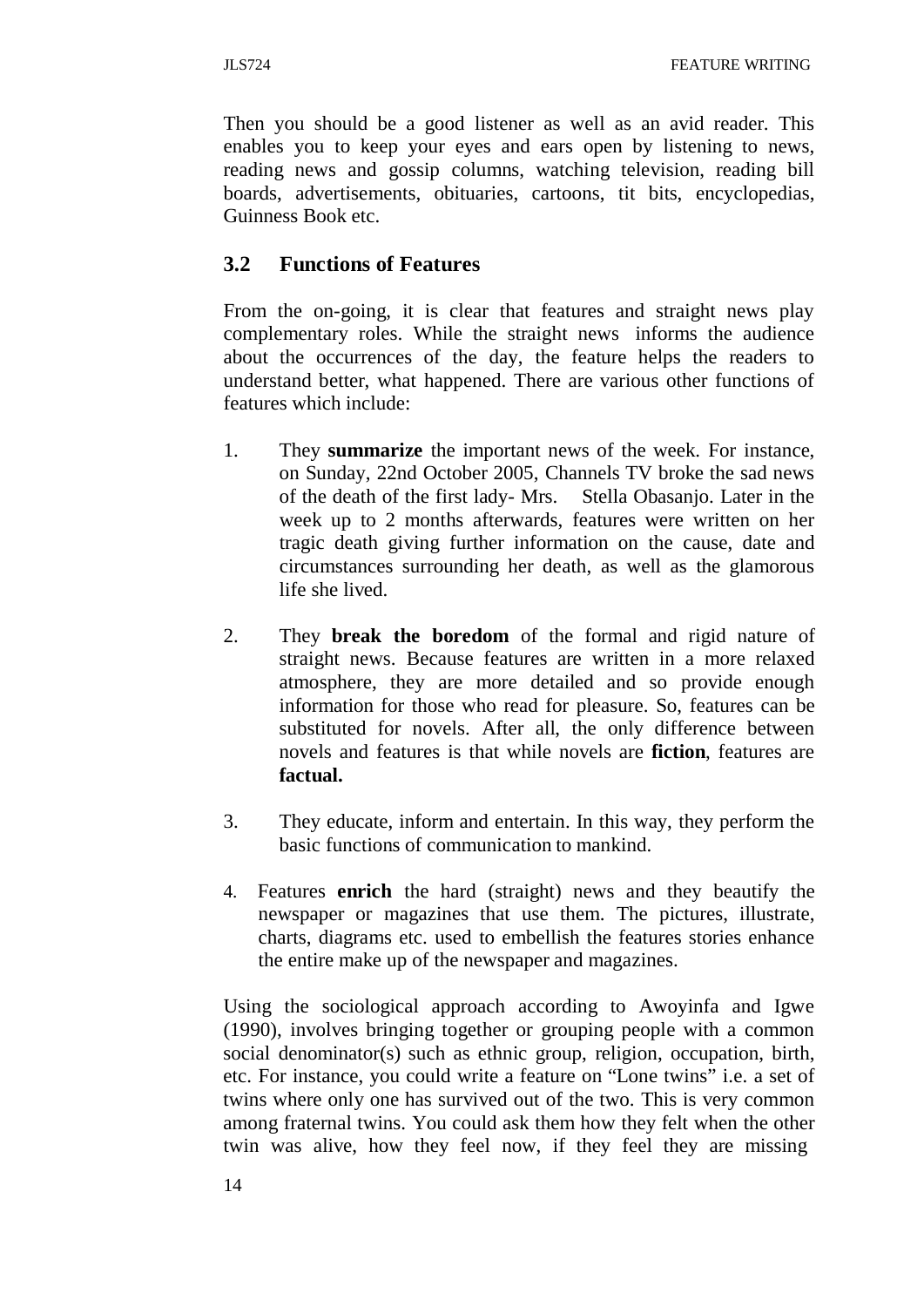JLS724 FEATURE WRITING

Then you should be a good listener as well as an avid reader. This enables you to keep your eyes and ears open by listening to news, reading news and gossip columns, watching television, reading bill boards, advertisements, obituaries, cartoons, tit bits, encyclopedias, Guinness Book etc.

## **3.2 Functions of Features**

From the on-going, it is clear that features and straight news play complementary roles. While the straight news informs the audience about the occurrences of the day, the feature helps the readers to understand better, what happened. There are various other functions of features which include:

- 1. They **summarize** the important news of the week. For instance, on Sunday, 22nd October 2005, Channels TV broke the sad news of the death of the first lady- Mrs. Stella Obasanjo. Later in the week up to 2 months afterwards, features were written on her tragic death giving further information on the cause, date and circumstances surrounding her death, as well as the glamorous life she lived.
- 2. They **break the boredom** of the formal and rigid nature of straight news. Because features are written in a more relaxed atmosphere, they are more detailed and so provide enough information for those who read for pleasure. So, features can be substituted for novels. After all, the only difference between novels and features is that while novels are **fiction**, features are **factual.**
- 3. They educate, inform and entertain. In this way, they perform the basic functions of communication to mankind.
- 4. Features **enrich** the hard (straight) news and they beautify the newspaper or magazines that use them. The pictures, illustrate, charts, diagrams etc. used to embellish the features stories enhance the entire make up of the newspaper and magazines.

Using the sociological approach according to Awoyinfa and Igwe (1990), involves bringing together or grouping people with a common social denominator(s) such as ethnic group, religion, occupation, birth, etc. For instance, you could write a feature on "Lone twins" i.e. a set of twins where only one has survived out of the two. This is very common among fraternal twins. You could ask them how they felt when the other twin was alive, how they feel now, if they feel they are missing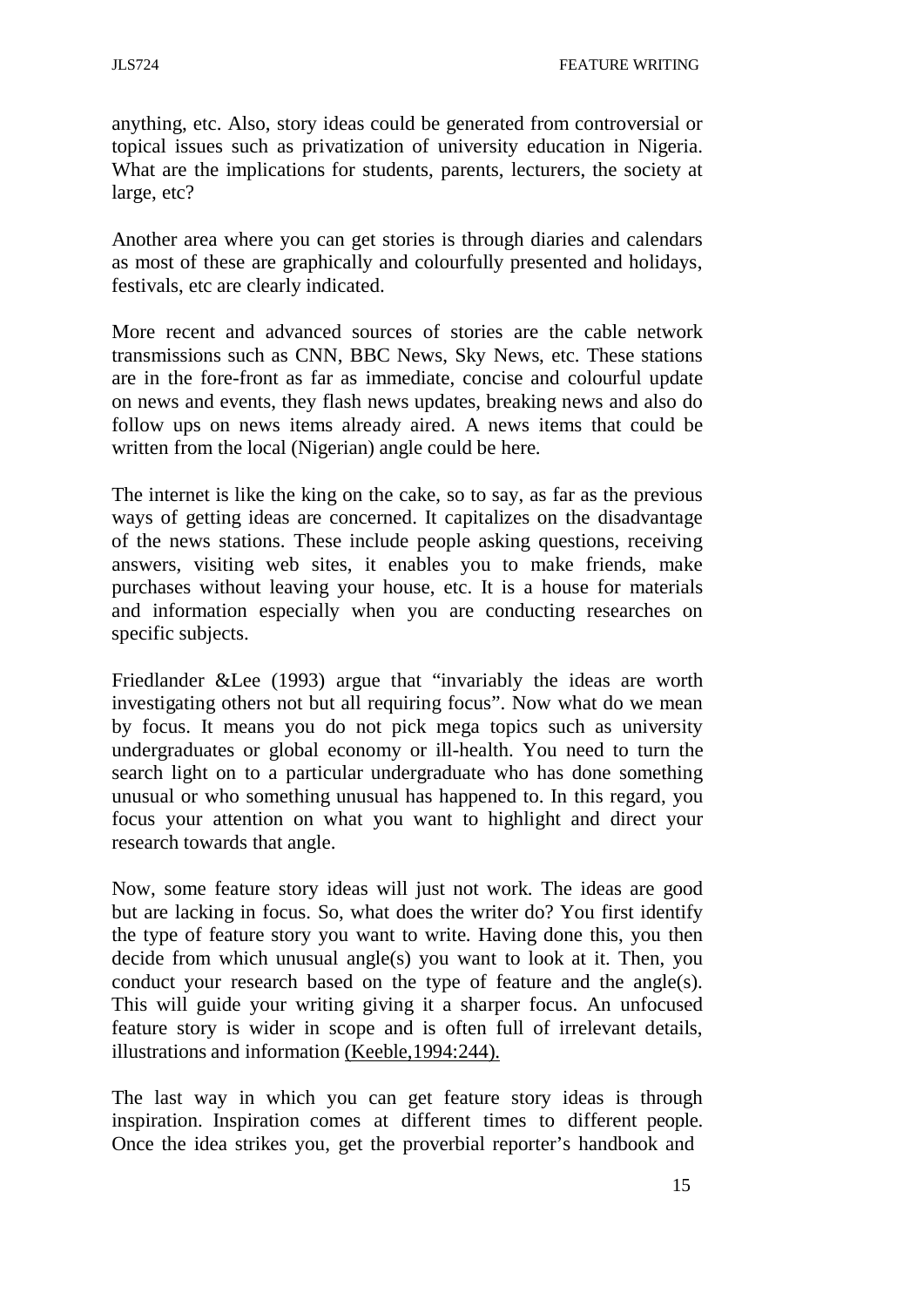JLS724 FEATURE WRITING

anything, etc. Also, story ideas could be generated from controversial or topical issues such as privatization of university education in Nigeria. What are the implications for students, parents, lecturers, the society at large, etc?

Another area where you can get stories is through diaries and calendars as most of these are graphically and colourfully presented and holidays, festivals, etc are clearly indicated.

More recent and advanced sources of stories are the cable network transmissions such as CNN, BBC News, Sky News, etc. These stations are in the fore-front as far as immediate, concise and colourful update on news and events, they flash news updates, breaking news and also do follow ups on news items already aired. A news items that could be written from the local (Nigerian) angle could be here.

The internet is like the king on the cake, so to say, as far as the previous ways of getting ideas are concerned. It capitalizes on the disadvantage of the news stations. These include people asking questions, receiving answers, visiting web sites, it enables you to make friends, make purchases without leaving your house, etc. It is a house for materials and information especially when you are conducting researches on specific subjects.

Friedlander &Lee (1993) argue that "invariably the ideas are worth investigating others not but all requiring focus". Now what do we mean by focus. It means you do not pick mega topics such as university undergraduates or global economy or ill-health. You need to turn the search light on to a particular undergraduate who has done something unusual or who something unusual has happened to. In this regard, you focus your attention on what you want to highlight and direct your research towards that angle.

Now, some feature story ideas will just not work. The ideas are good but are lacking in focus. So, what does the writer do? You first identify the type of feature story you want to write. Having done this, you then decide from which unusual angle(s) you want to look at it. Then, you conduct your research based on the type of feature and the angle(s). This will guide your writing giving it a sharper focus. An unfocused feature story is wider in scope and is often full of irrelevant details, illustrations and information (Keeble,1994:244).

The last way in which you can get feature story ideas is through inspiration. Inspiration comes at different times to different people. Once the idea strikes you, get the proverbial reporter's handbook and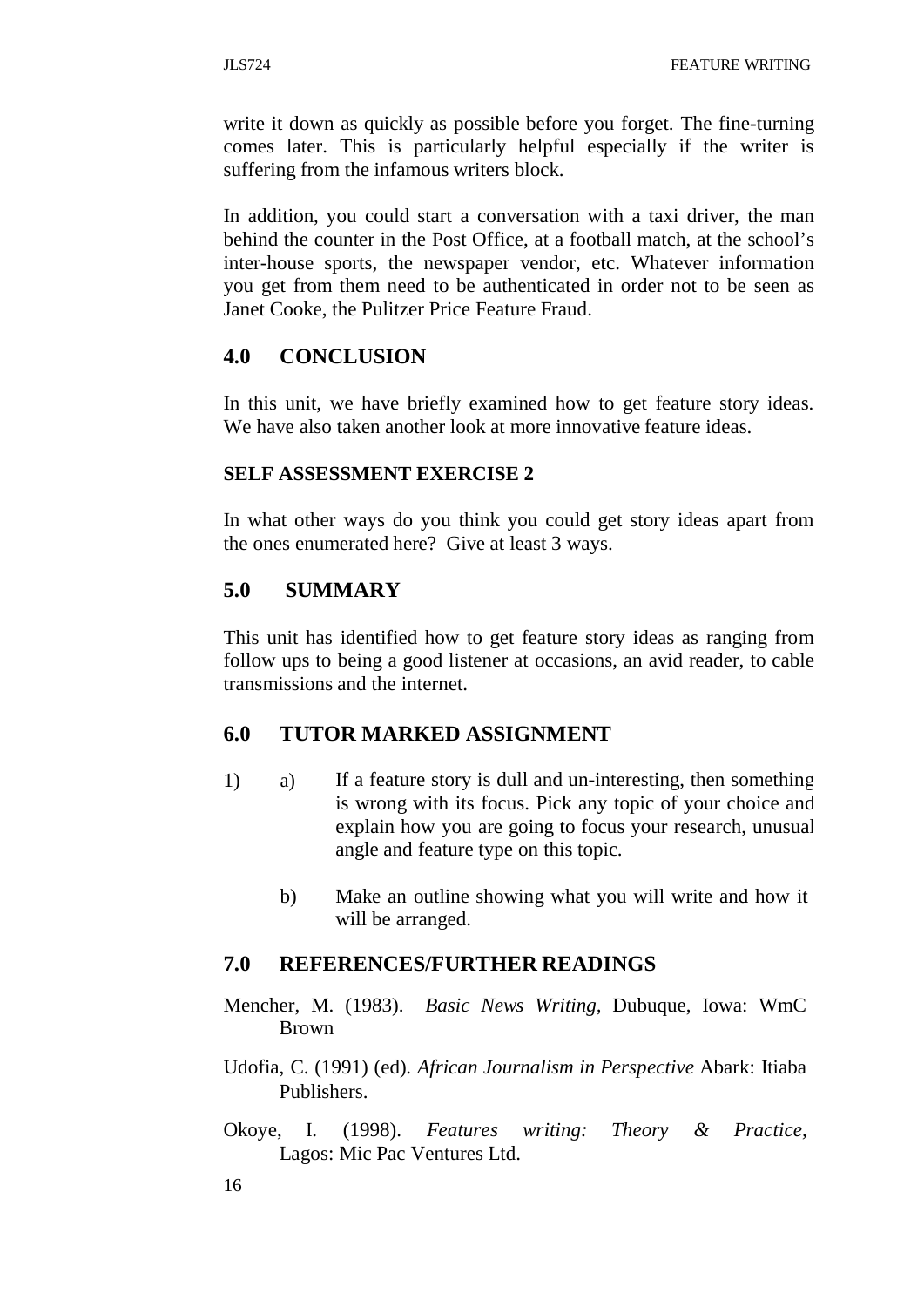write it down as quickly as possible before you forget. The fine-turning comes later. This is particularly helpful especially if the writer is suffering from the infamous writers block.

In addition, you could start a conversation with a taxi driver, the man behind the counter in the Post Office, at a football match, at the school's inter-house sports, the newspaper vendor, etc. Whatever information you get from them need to be authenticated in order not to be seen as Janet Cooke, the Pulitzer Price Feature Fraud.

## **4.0 CONCLUSION**

In this unit, we have briefly examined how to get feature story ideas. We have also taken another look at more innovative feature ideas.

### **SELF ASSESSMENT EXERCISE 2**

In what other ways do you think you could get story ideas apart from the ones enumerated here? Give at least 3 ways.

## **5.0 SUMMARY**

This unit has identified how to get feature story ideas as ranging from follow ups to being a good listener at occasions, an avid reader, to cable transmissions and the internet.

## **6.0 TUTOR MARKED ASSIGNMENT**

- 1) a) If a feature story is dull and un-interesting, then something is wrong with its focus. Pick any topic of your choice and explain how you are going to focus your research, unusual angle and feature type on this topic.
	- b) Make an outline showing what you will write and how it will be arranged.

## **7.0 REFERENCES/FURTHER READINGS**

- Mencher, M. (1983). *Basic News Writing,* Dubuque, Iowa: WmC Brown
- Udofia, C. (1991) (ed). *African Journalism in Perspective* Abark: Itiaba Publishers.
- Okoye, I. (1998). *Features writing: Theory & Practice,* Lagos: Mic Pac Ventures Ltd.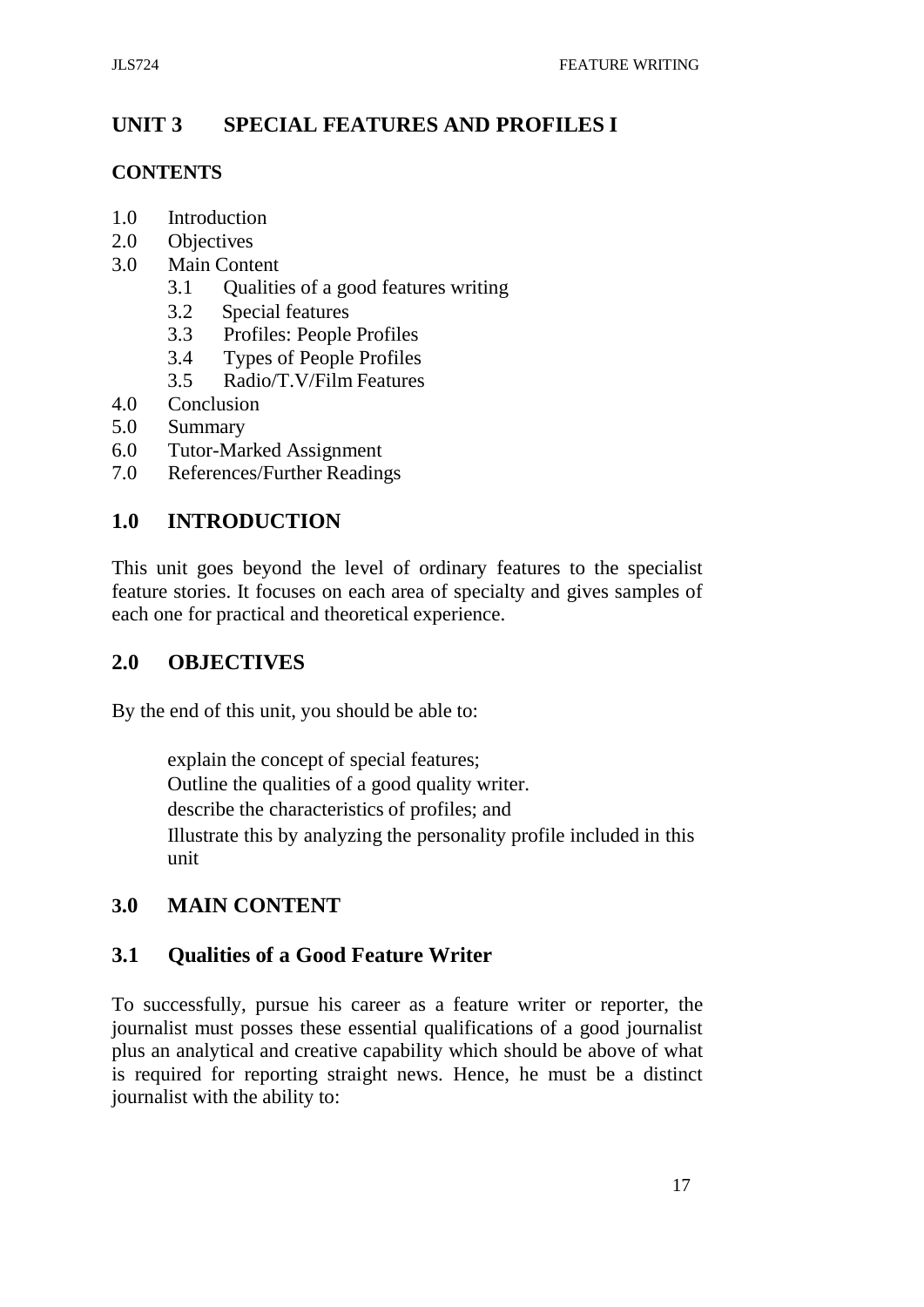# **UNIT 3 SPECIAL FEATURES AND PROFILES I**

#### **CONTENTS**

- 1.0 Introduction
- 2.0 Objectives
- 3.0 Main Content
	- 3.1 Qualities of a good features writing
	- 3.2 Special features
	- 3.3 Profiles: People Profiles
	- 3.4 Types of People Profiles
	- 3.5 Radio/T.V/Film Features
- 4.0 Conclusion
- 5.0 Summary
- 6.0 Tutor-Marked Assignment
- 7.0 References/Further Readings

## **1.0 INTRODUCTION**

This unit goes beyond the level of ordinary features to the specialist feature stories. It focuses on each area of specialty and gives samples of each one for practical and theoretical experience.

## **2.0 OBJECTIVES**

By the end of this unit, you should be able to:

explain the concept of special features; Outline the qualities of a good quality writer. describe the characteristics of profiles; and Illustrate this by analyzing the personality profile included in this unit

## **3.0 MAIN CONTENT**

## **3.1 Qualities of a Good Feature Writer**

To successfully, pursue his career as a feature writer or reporter, the journalist must posses these essential qualifications of a good journalist plus an analytical and creative capability which should be above of what is required for reporting straight news. Hence, he must be a distinct journalist with the ability to: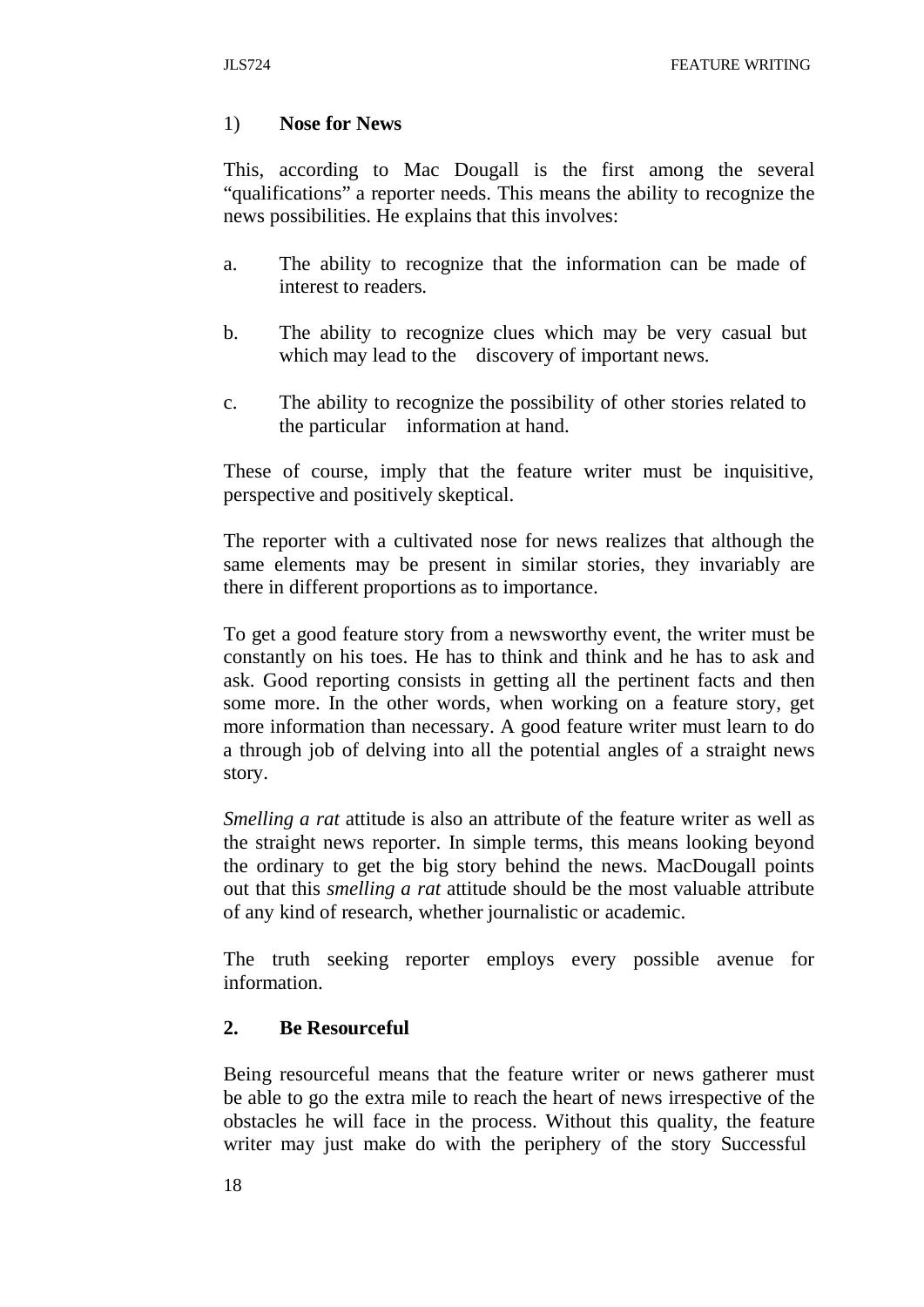#### 1) **Nose for News**

This, according to Mac Dougall is the first among the several "qualifications" a reporter needs. This means the ability to recognize the news possibilities. He explains that this involves:

- a. The ability to recognize that the information can be made of interest to readers.
- b. The ability to recognize clues which may be very casual but which may lead to the discovery of important news.
- c. The ability to recognize the possibility of other stories related to the particular information at hand.

These of course, imply that the feature writer must be inquisitive, perspective and positively skeptical.

The reporter with a cultivated nose for news realizes that although the same elements may be present in similar stories, they invariably are there in different proportions as to importance.

To get a good feature story from a newsworthy event, the writer must be constantly on his toes. He has to think and think and he has to ask and ask. Good reporting consists in getting all the pertinent facts and then some more. In the other words, when working on a feature story, get more information than necessary. A good feature writer must learn to do a through job of delving into all the potential angles of a straight news story.

*Smelling a rat* attitude is also an attribute of the feature writer as well as the straight news reporter. In simple terms, this means looking beyond the ordinary to get the big story behind the news. MacDougall points out that this *smelling a rat* attitude should be the most valuable attribute of any kind of research, whether journalistic or academic.

The truth seeking reporter employs every possible avenue for information.

## **2. Be Resourceful**

Being resourceful means that the feature writer or news gatherer must be able to go the extra mile to reach the heart of news irrespective of the obstacles he will face in the process. Without this quality, the feature writer may just make do with the periphery of the story Successful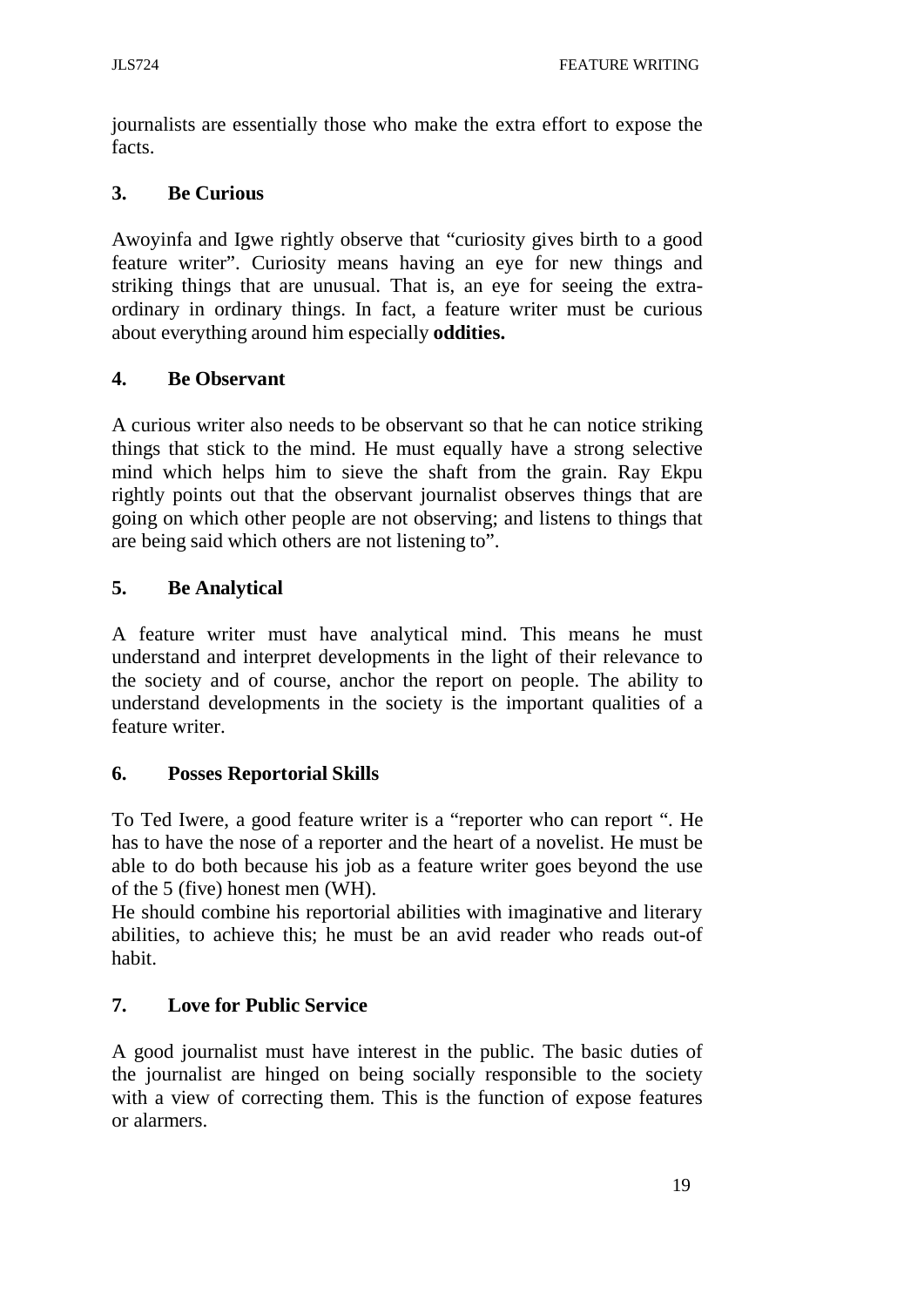journalists are essentially those who make the extra effort to expose the facts.

### **3. Be Curious**

Awoyinfa and Igwe rightly observe that "curiosity gives birth to a good feature writer". Curiosity means having an eye for new things and striking things that are unusual. That is, an eye for seeing the extraordinary in ordinary things. In fact, a feature writer must be curious about everything around him especially **oddities.**

### **4. Be Observant**

A curious writer also needs to be observant so that he can notice striking things that stick to the mind. He must equally have a strong selective mind which helps him to sieve the shaft from the grain. Ray Ekpu rightly points out that the observant journalist observes things that are going on which other people are not observing; and listens to things that are being said which others are not listening to".

### **5. Be Analytical**

A feature writer must have analytical mind. This means he must understand and interpret developments in the light of their relevance to the society and of course, anchor the report on people. The ability to understand developments in the society is the important qualities of a feature writer.

#### **6. Posses Reportorial Skills**

To Ted Iwere, a good feature writer is a "reporter who can report ". He has to have the nose of a reporter and the heart of a novelist. He must be able to do both because his job as a feature writer goes beyond the use of the 5 (five) honest men (WH).

He should combine his reportorial abilities with imaginative and literary abilities, to achieve this; he must be an avid reader who reads out-of habit.

## **7. Love for Public Service**

A good journalist must have interest in the public. The basic duties of the journalist are hinged on being socially responsible to the society with a view of correcting them. This is the function of expose features or alarmers.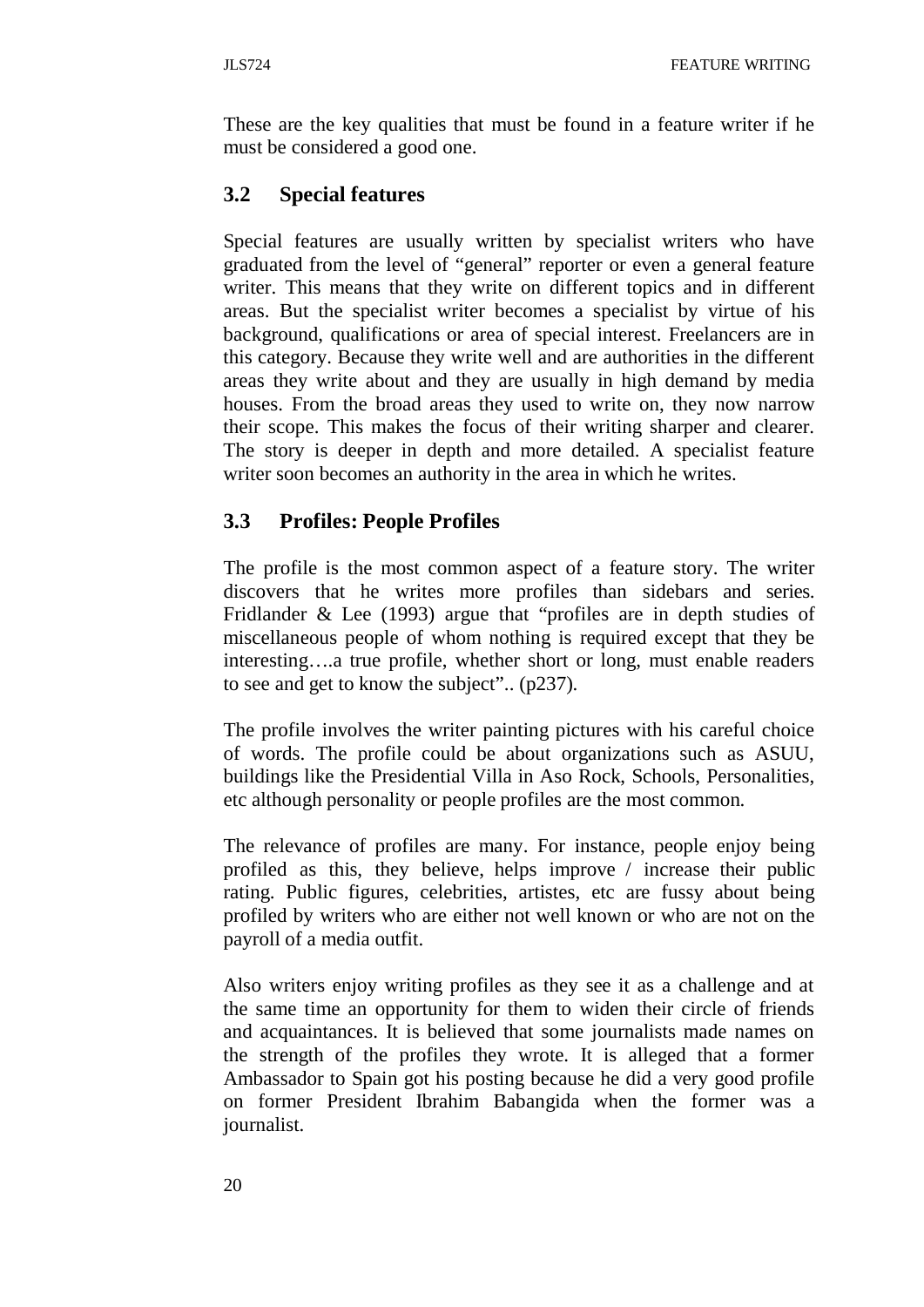These are the key qualities that must be found in a feature writer if he must be considered a good one.

## **3.2 Special features**

Special features are usually written by specialist writers who have graduated from the level of "general" reporter or even a general feature writer. This means that they write on different topics and in different areas. But the specialist writer becomes a specialist by virtue of his background, qualifications or area of special interest. Freelancers are in this category. Because they write well and are authorities in the different areas they write about and they are usually in high demand by media houses. From the broad areas they used to write on, they now narrow their scope. This makes the focus of their writing sharper and clearer. The story is deeper in depth and more detailed. A specialist feature writer soon becomes an authority in the area in which he writes.

## **3.3 Profiles: People Profiles**

The profile is the most common aspect of a feature story. The writer discovers that he writes more profiles than sidebars and series. Fridlander & Lee (1993) argue that "profiles are in depth studies of miscellaneous people of whom nothing is required except that they be interesting….a true profile, whether short or long, must enable readers to see and get to know the subject".. (p237).

The profile involves the writer painting pictures with his careful choice of words. The profile could be about organizations such as ASUU, buildings like the Presidential Villa in Aso Rock, Schools, Personalities, etc although personality or people profiles are the most common.

The relevance of profiles are many. For instance, people enjoy being profiled as this, they believe, helps improve / increase their public rating. Public figures, celebrities, artistes, etc are fussy about being profiled by writers who are either not well known or who are not on the payroll of a media outfit.

Also writers enjoy writing profiles as they see it as a challenge and at the same time an opportunity for them to widen their circle of friends and acquaintances. It is believed that some journalists made names on the strength of the profiles they wrote. It is alleged that a former Ambassador to Spain got his posting because he did a very good profile on former President Ibrahim Babangida when the former was a journalist.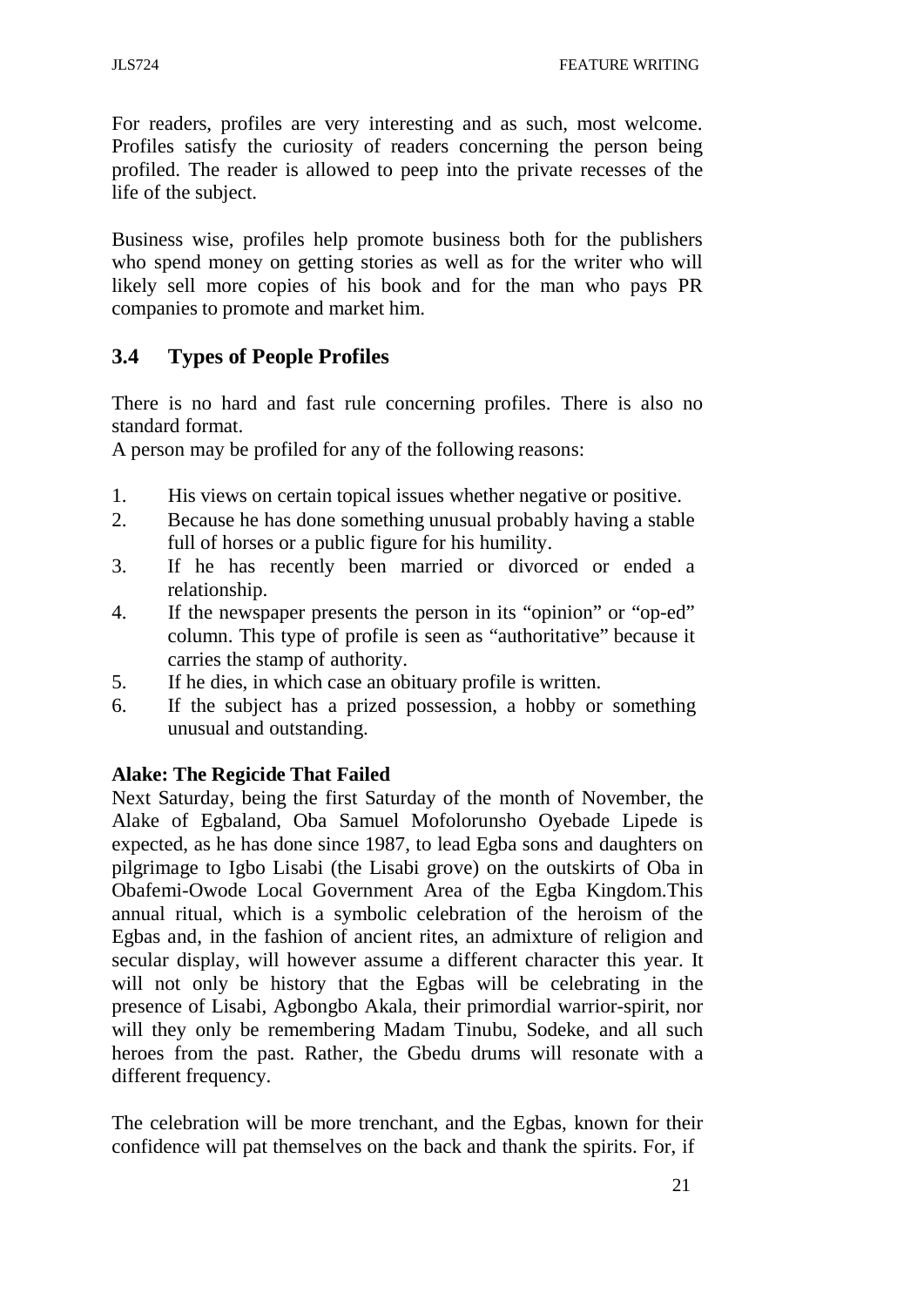For readers, profiles are very interesting and as such, most welcome. Profiles satisfy the curiosity of readers concerning the person being profiled. The reader is allowed to peep into the private recesses of the life of the subject.

Business wise, profiles help promote business both for the publishers who spend money on getting stories as well as for the writer who will likely sell more copies of his book and for the man who pays PR companies to promote and market him.

## **3.4 Types of People Profiles**

There is no hard and fast rule concerning profiles. There is also no standard format.

A person may be profiled for any of the following reasons:

- 1. His views on certain topical issues whether negative or positive.
- 2. Because he has done something unusual probably having a stable full of horses or a public figure for his humility.
- 3. If he has recently been married or divorced or ended a relationship.
- 4. If the newspaper presents the person in its "opinion" or "op-ed" column. This type of profile is seen as "authoritative" because it carries the stamp of authority.
- 5. If he dies, in which case an obituary profile is written.
- 6. If the subject has a prized possession, a hobby or something unusual and outstanding.

#### **Alake: The Regicide That Failed**

Next Saturday, being the first Saturday of the month of November, the Alake of Egbaland, Oba Samuel Mofolorunsho Oyebade Lipede is expected, as he has done since 1987, to lead Egba sons and daughters on pilgrimage to Igbo Lisabi (the Lisabi grove) on the outskirts of Oba in Obafemi-Owode Local Government Area of the Egba Kingdom.This annual ritual, which is a symbolic celebration of the heroism of the Egbas and, in the fashion of ancient rites, an admixture of religion and secular display, will however assume a different character this year. It will not only be history that the Egbas will be celebrating in the presence of Lisabi, Agbongbo Akala, their primordial warrior-spirit, nor will they only be remembering Madam Tinubu, Sodeke, and all such heroes from the past. Rather, the Gbedu drums will resonate with a different frequency.

The celebration will be more trenchant, and the Egbas, known for their confidence will pat themselves on the back and thank the spirits. For, if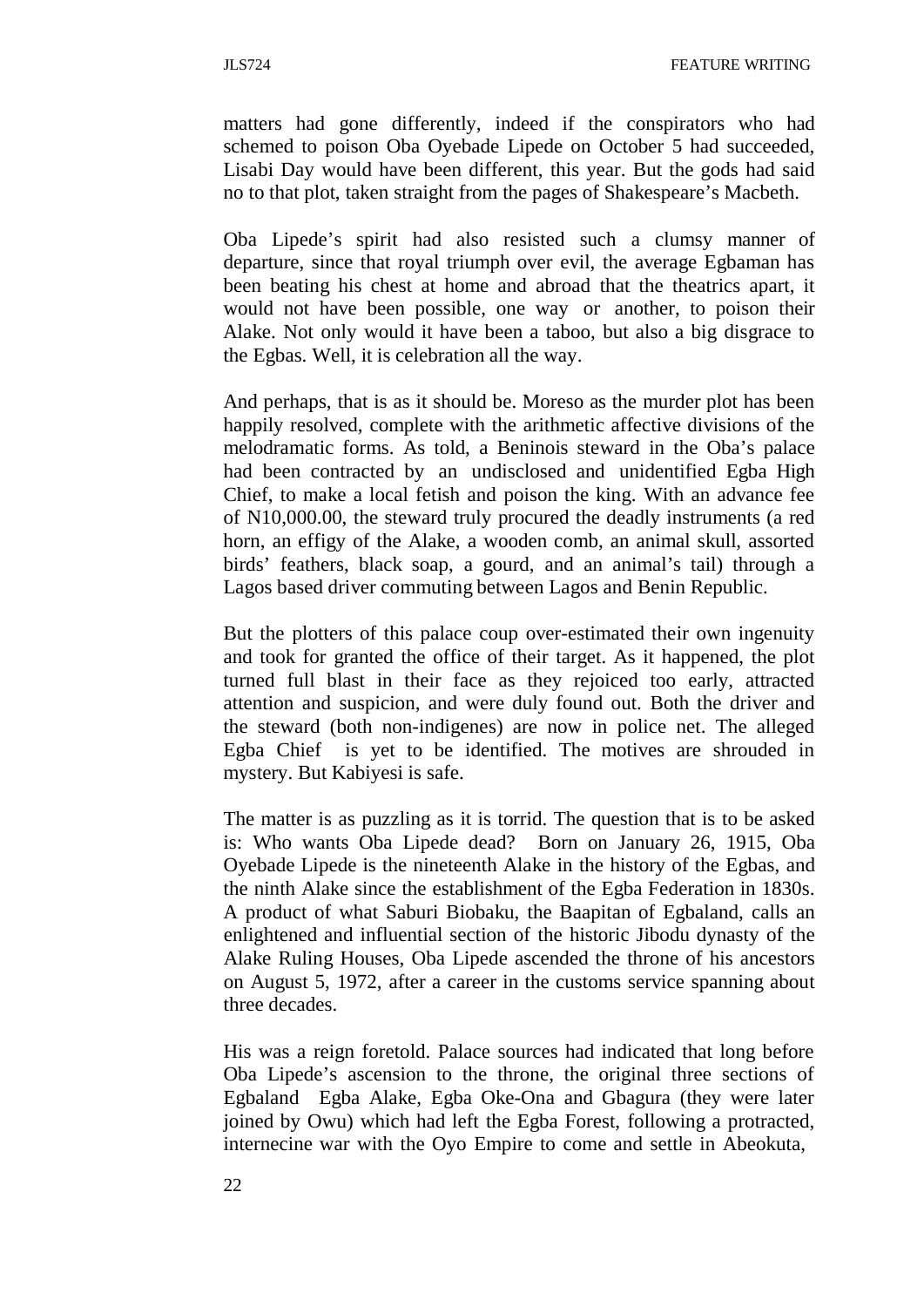matters had gone differently, indeed if the conspirators who had schemed to poison Oba Oyebade Lipede on October 5 had succeeded, Lisabi Day would have been different, this year. But the gods had said no to that plot, taken straight from the pages of Shakespeare's Macbeth.

Oba Lipede's spirit had also resisted such a clumsy manner of departure, since that royal triumph over evil, the average Egbaman has been beating his chest at home and abroad that the theatrics apart, it would not have been possible, one way or another, to poison their Alake. Not only would it have been a taboo, but also a big disgrace to the Egbas. Well, it is celebration all the way.

And perhaps, that is as it should be. Moreso as the murder plot has been happily resolved, complete with the arithmetic affective divisions of the melodramatic forms. As told, a Beninois steward in the Oba's palace had been contracted by an undisclosed and unidentified Egba High Chief, to make a local fetish and poison the king. With an advance fee of N10,000.00, the steward truly procured the deadly instruments (a red horn, an effigy of the Alake, a wooden comb, an animal skull, assorted birds' feathers, black soap, a gourd, and an animal's tail) through a Lagos based driver commuting between Lagos and Benin Republic.

But the plotters of this palace coup over-estimated their own ingenuity and took for granted the office of their target. As it happened, the plot turned full blast in their face as they rejoiced too early, attracted attention and suspicion, and were duly found out. Both the driver and the steward (both non-indigenes) are now in police net. The alleged Egba Chief is yet to be identified. The motives are shrouded in mystery. But Kabiyesi is safe.

The matter is as puzzling as it is torrid. The question that is to be asked is: Who wants Oba Lipede dead? Born on January 26, 1915, Oba Oyebade Lipede is the nineteenth Alake in the history of the Egbas, and the ninth Alake since the establishment of the Egba Federation in 1830s. A product of what Saburi Biobaku, the Baapitan of Egbaland, calls an enlightened and influential section of the historic Jibodu dynasty of the Alake Ruling Houses, Oba Lipede ascended the throne of his ancestors on August 5, 1972, after a career in the customs service spanning about three decades.

His was a reign foretold. Palace sources had indicated that long before Oba Lipede's ascension to the throne, the original three sections of Egbaland Egba Alake, Egba Oke-Ona and Gbagura (they were later joined by Owu) which had left the Egba Forest, following a protracted, internecine war with the Oyo Empire to come and settle in Abeokuta,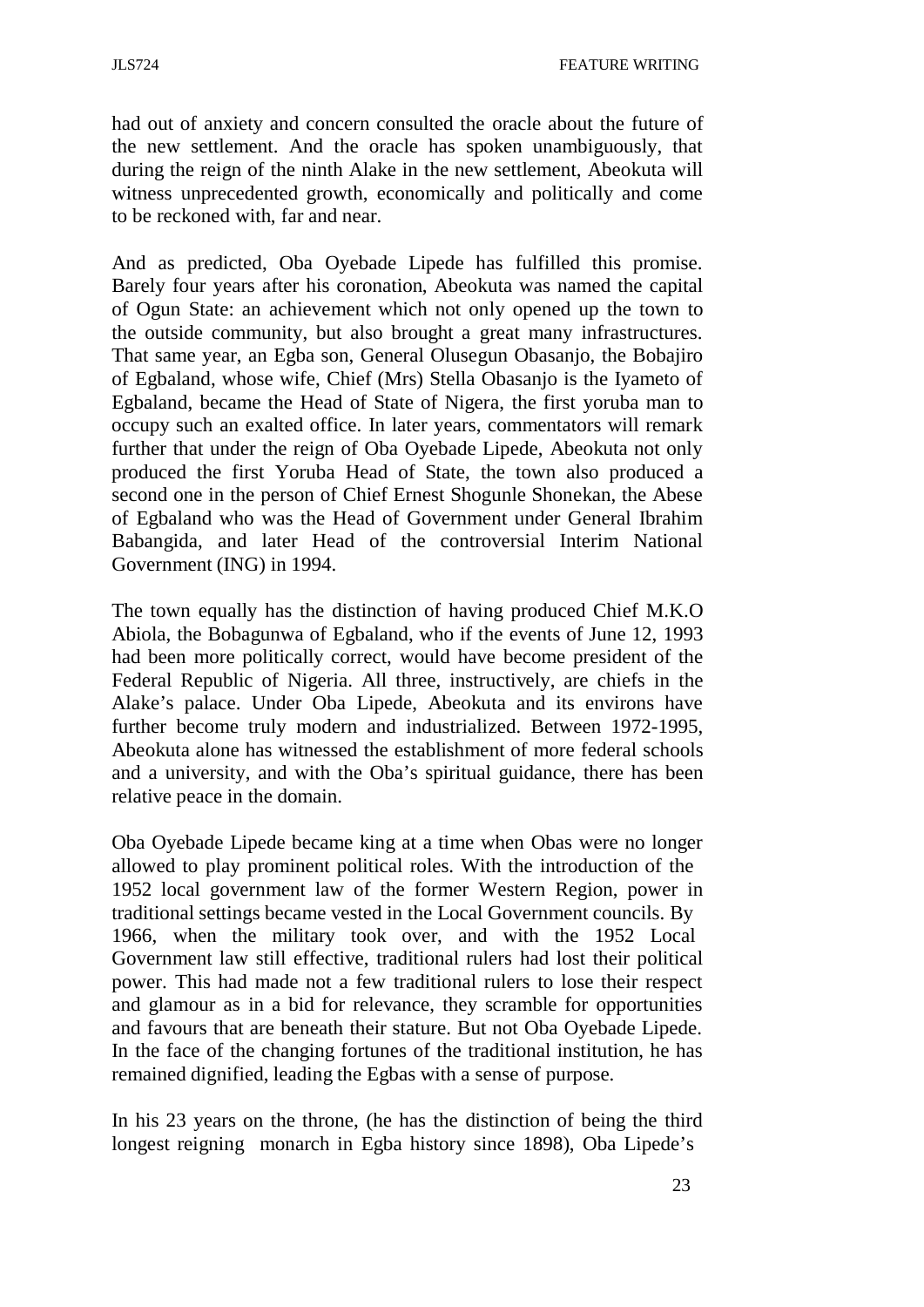JLS724 FEATURE WRITING

had out of anxiety and concern consulted the oracle about the future of the new settlement. And the oracle has spoken unambiguously, that during the reign of the ninth Alake in the new settlement, Abeokuta will witness unprecedented growth, economically and politically and come to be reckoned with, far and near.

And as predicted, Oba Oyebade Lipede has fulfilled this promise. Barely four years after his coronation, Abeokuta was named the capital of Ogun State: an achievement which not only opened up the town to the outside community, but also brought a great many infrastructures. That same year, an Egba son, General Olusegun Obasanjo, the Bobajiro of Egbaland, whose wife, Chief (Mrs) Stella Obasanjo is the Iyameto of Egbaland, became the Head of State of Nigera, the first yoruba man to occupy such an exalted office. In later years, commentators will remark further that under the reign of Oba Oyebade Lipede, Abeokuta not only produced the first Yoruba Head of State, the town also produced a second one in the person of Chief Ernest Shogunle Shonekan, the Abese of Egbaland who was the Head of Government under General Ibrahim Babangida, and later Head of the controversial Interim National Government (ING) in 1994.

The town equally has the distinction of having produced Chief M.K.O Abiola, the Bobagunwa of Egbaland, who if the events of June 12, 1993 had been more politically correct, would have become president of the Federal Republic of Nigeria. All three, instructively, are chiefs in the Alake's palace. Under Oba Lipede, Abeokuta and its environs have further become truly modern and industrialized. Between 1972-1995, Abeokuta alone has witnessed the establishment of more federal schools and a university, and with the Oba's spiritual guidance, there has been relative peace in the domain.

Oba Oyebade Lipede became king at a time when Obas were no longer allowed to play prominent political roles. With the introduction of the 1952 local government law of the former Western Region, power in traditional settings became vested in the Local Government councils. By 1966, when the military took over, and with the 1952 Local Government law still effective, traditional rulers had lost their political power. This had made not a few traditional rulers to lose their respect and glamour as in a bid for relevance, they scramble for opportunities and favours that are beneath their stature. But not Oba Oyebade Lipede. In the face of the changing fortunes of the traditional institution, he has remained dignified, leading the Egbas with a sense of purpose.

In his 23 years on the throne, (he has the distinction of being the third longest reigning monarch in Egba history since 1898), Oba Lipede's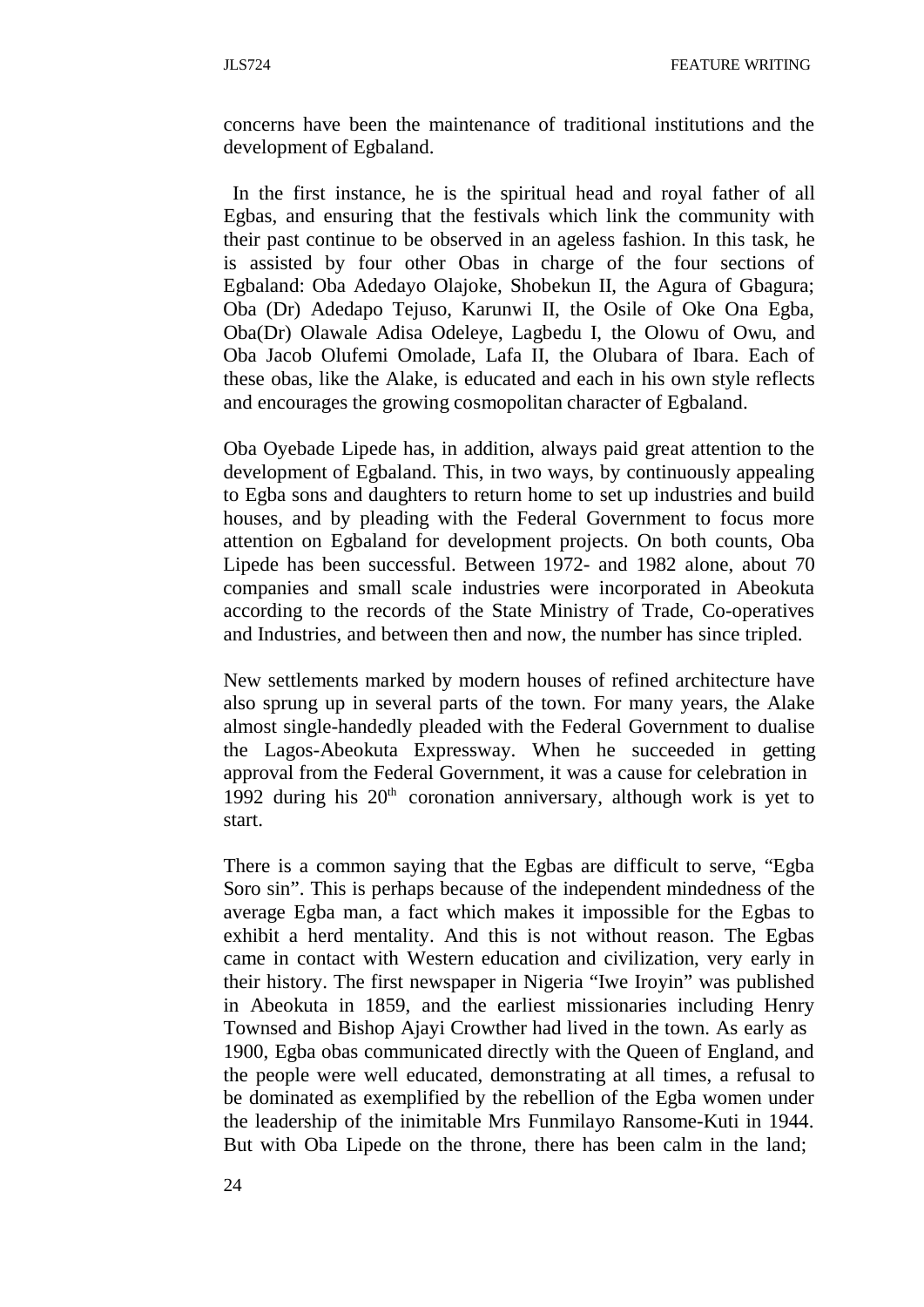concerns have been the maintenance of traditional institutions and the development of Egbaland.

In the first instance, he is the spiritual head and royal father of all Egbas, and ensuring that the festivals which link the community with their past continue to be observed in an ageless fashion. In this task, he is assisted by four other Obas in charge of the four sections of Egbaland: Oba Adedayo Olajoke, Shobekun II, the Agura of Gbagura; Oba (Dr) Adedapo Tejuso, Karunwi II, the Osile of Oke Ona Egba, Oba(Dr) Olawale Adisa Odeleye, Lagbedu I, the Olowu of Owu, and Oba Jacob Olufemi Omolade, Lafa II, the Olubara of Ibara. Each of these obas, like the Alake, is educated and each in his own style reflects and encourages the growing cosmopolitan character of Egbaland.

Oba Oyebade Lipede has, in addition, always paid great attention to the development of Egbaland. This, in two ways, by continuously appealing to Egba sons and daughters to return home to set up industries and build houses, and by pleading with the Federal Government to focus more attention on Egbaland for development projects. On both counts, Oba Lipede has been successful. Between 1972- and 1982 alone, about 70 companies and small scale industries were incorporated in Abeokuta according to the records of the State Ministry of Trade, Co-operatives and Industries, and between then and now, the number has since tripled.

New settlements marked by modern houses of refined architecture have also sprung up in several parts of the town. For many years, the Alake almost single-handedly pleaded with the Federal Government to dualise the Lagos-Abeokuta Expressway. When he succeeded in getting approval from the Federal Government, it was a cause for celebration in 1992 during his  $20<sup>th</sup>$  coronation anniversary, although work is yet to start.

There is a common saying that the Egbas are difficult to serve, "Egba Soro sin". This is perhaps because of the independent mindedness of the average Egba man, a fact which makes it impossible for the Egbas to exhibit a herd mentality. And this is not without reason. The Egbas came in contact with Western education and civilization, very early in their history. The first newspaper in Nigeria "Iwe Iroyin" was published in Abeokuta in 1859, and the earliest missionaries including Henry Townsed and Bishop Ajayi Crowther had lived in the town. As early as 1900, Egba obas communicated directly with the Queen of England, and the people were well educated, demonstrating at all times, a refusal to be dominated as exemplified by the rebellion of the Egba women under the leadership of the inimitable Mrs Funmilayo Ransome-Kuti in 1944. But with Oba Lipede on the throne, there has been calm in the land;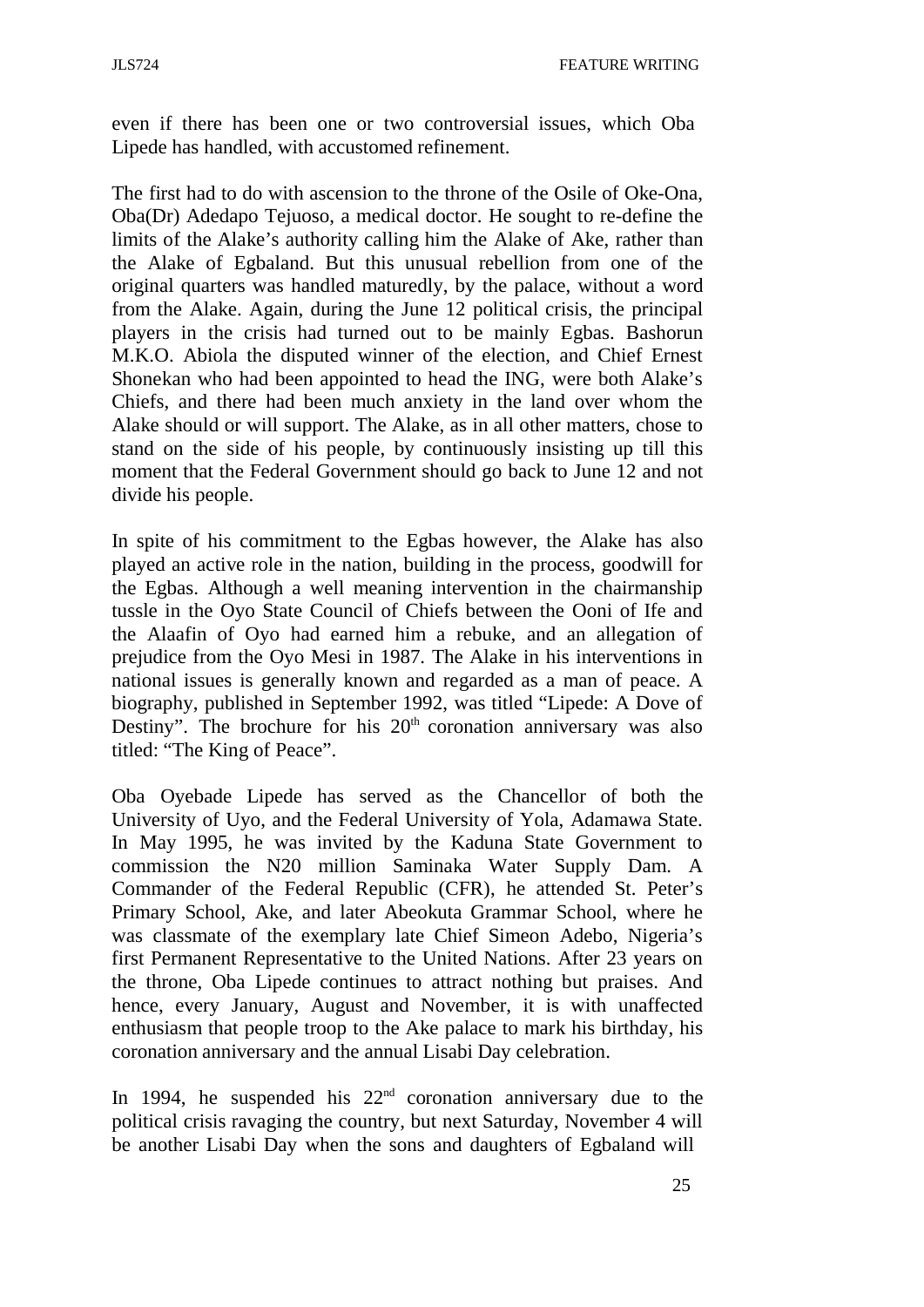even if there has been one or two controversial issues, which Oba Lipede has handled, with accustomed refinement.

The first had to do with ascension to the throne of the Osile of Oke-Ona, Oba(Dr) Adedapo Tejuoso, a medical doctor. He sought to re-define the limits of the Alake's authority calling him the Alake of Ake, rather than the Alake of Egbaland. But this unusual rebellion from one of the original quarters was handled maturedly, by the palace, without a word from the Alake. Again, during the June 12 political crisis, the principal players in the crisis had turned out to be mainly Egbas. Bashorun M.K.O. Abiola the disputed winner of the election, and Chief Ernest Shonekan who had been appointed to head the ING, were both Alake's Chiefs, and there had been much anxiety in the land over whom the Alake should or will support. The Alake, as in all other matters, chose to stand on the side of his people, by continuously insisting up till this moment that the Federal Government should go back to June 12 and not divide his people.

In spite of his commitment to the Egbas however, the Alake has also played an active role in the nation, building in the process, goodwill for the Egbas. Although a well meaning intervention in the chairmanship tussle in the Oyo State Council of Chiefs between the Ooni of Ife and the Alaafin of Oyo had earned him a rebuke, and an allegation of prejudice from the Oyo Mesi in 1987. The Alake in his interventions in national issues is generally known and regarded as a man of peace. A biography, published in September 1992, was titled "Lipede: A Dove of Destiny". The brochure for his  $20<sup>th</sup>$  coronation anniversary was also titled: "The King of Peace".

Oba Oyebade Lipede has served as the Chancellor of both the University of Uyo, and the Federal University of Yola, Adamawa State. In May 1995, he was invited by the Kaduna State Government to commission the N20 million Saminaka Water Supply Dam. A Commander of the Federal Republic (CFR), he attended St. Peter's Primary School, Ake, and later Abeokuta Grammar School, where he was classmate of the exemplary late Chief Simeon Adebo, Nigeria's first Permanent Representative to the United Nations. After 23 years on the throne, Oba Lipede continues to attract nothing but praises. And hence, every January, August and November, it is with unaffected enthusiasm that people troop to the Ake palace to mark his birthday, his coronation anniversary and the annual Lisabi Day celebration.

In 1994, he suspended his  $22<sup>nd</sup>$  coronation anniversary due to the political crisis ravaging the country, but next Saturday, November 4 will be another Lisabi Day when the sons and daughters of Egbaland will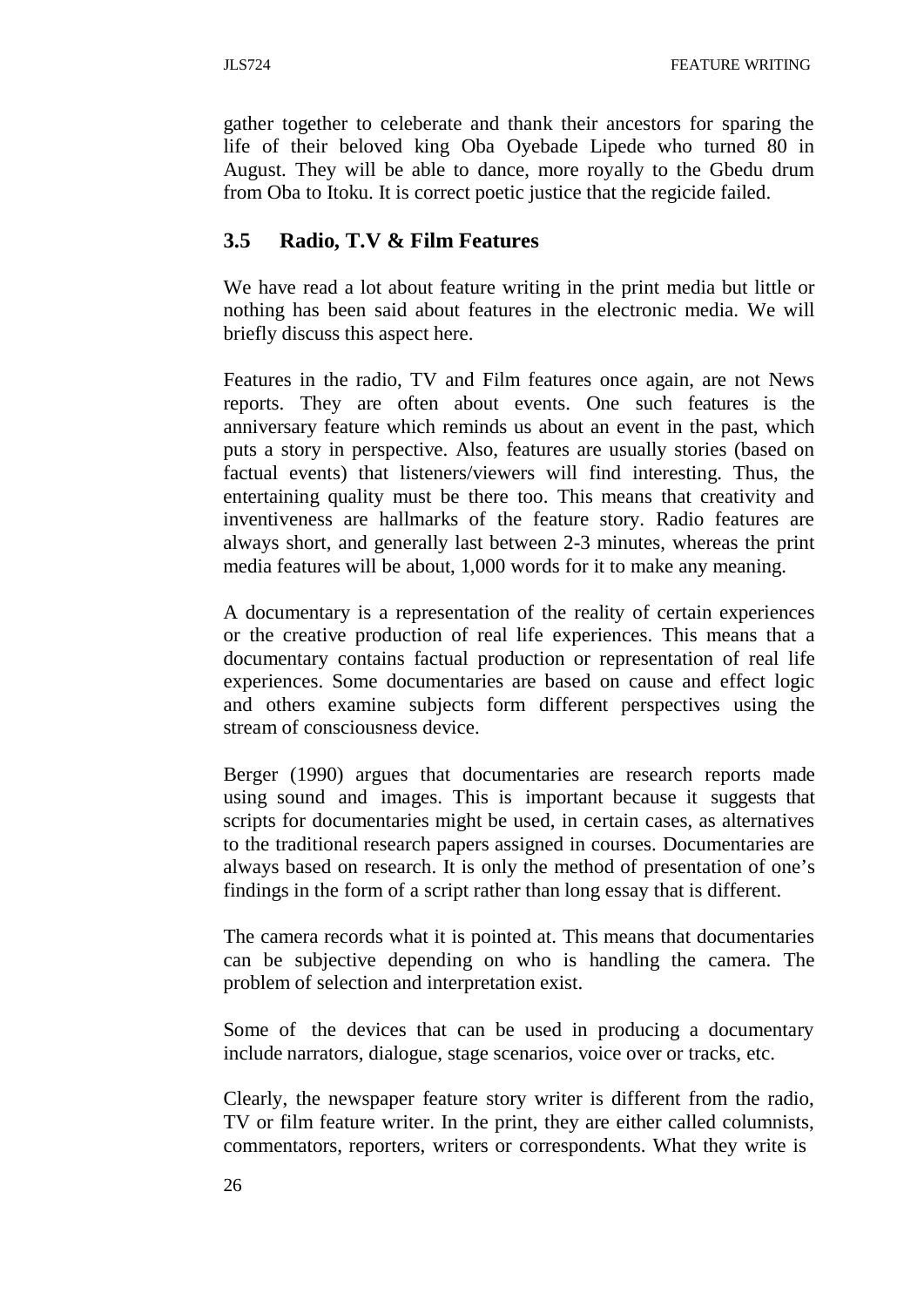gather together to celeberate and thank their ancestors for sparing the life of their beloved king Oba Oyebade Lipede who turned 80 in August. They will be able to dance, more royally to the Gbedu drum from Oba to Itoku. It is correct poetic justice that the regicide failed.

## **3.5 Radio, T.V & Film Features**

We have read a lot about feature writing in the print media but little or nothing has been said about features in the electronic media. We will briefly discuss this aspect here.

Features in the radio, TV and Film features once again, are not News reports. They are often about events. One such features is the anniversary feature which reminds us about an event in the past, which puts a story in perspective. Also, features are usually stories (based on factual events) that listeners/viewers will find interesting. Thus, the entertaining quality must be there too. This means that creativity and inventiveness are hallmarks of the feature story. Radio features are always short, and generally last between 2-3 minutes, whereas the print media features will be about, 1,000 words for it to make any meaning.

A documentary is a representation of the reality of certain experiences or the creative production of real life experiences. This means that a documentary contains factual production or representation of real life experiences. Some documentaries are based on cause and effect logic and others examine subjects form different perspectives using the stream of consciousness device.

Berger (1990) argues that documentaries are research reports made using sound and images. This is important because it suggests that scripts for documentaries might be used, in certain cases, as alternatives to the traditional research papers assigned in courses. Documentaries are always based on research. It is only the method of presentation of one's findings in the form of a script rather than long essay that is different.

The camera records what it is pointed at. This means that documentaries can be subjective depending on who is handling the camera. The problem of selection and interpretation exist.

Some of the devices that can be used in producing a documentary include narrators, dialogue, stage scenarios, voice over or tracks, etc.

Clearly, the newspaper feature story writer is different from the radio, TV or film feature writer. In the print, they are either called columnists, commentators, reporters, writers or correspondents. What they write is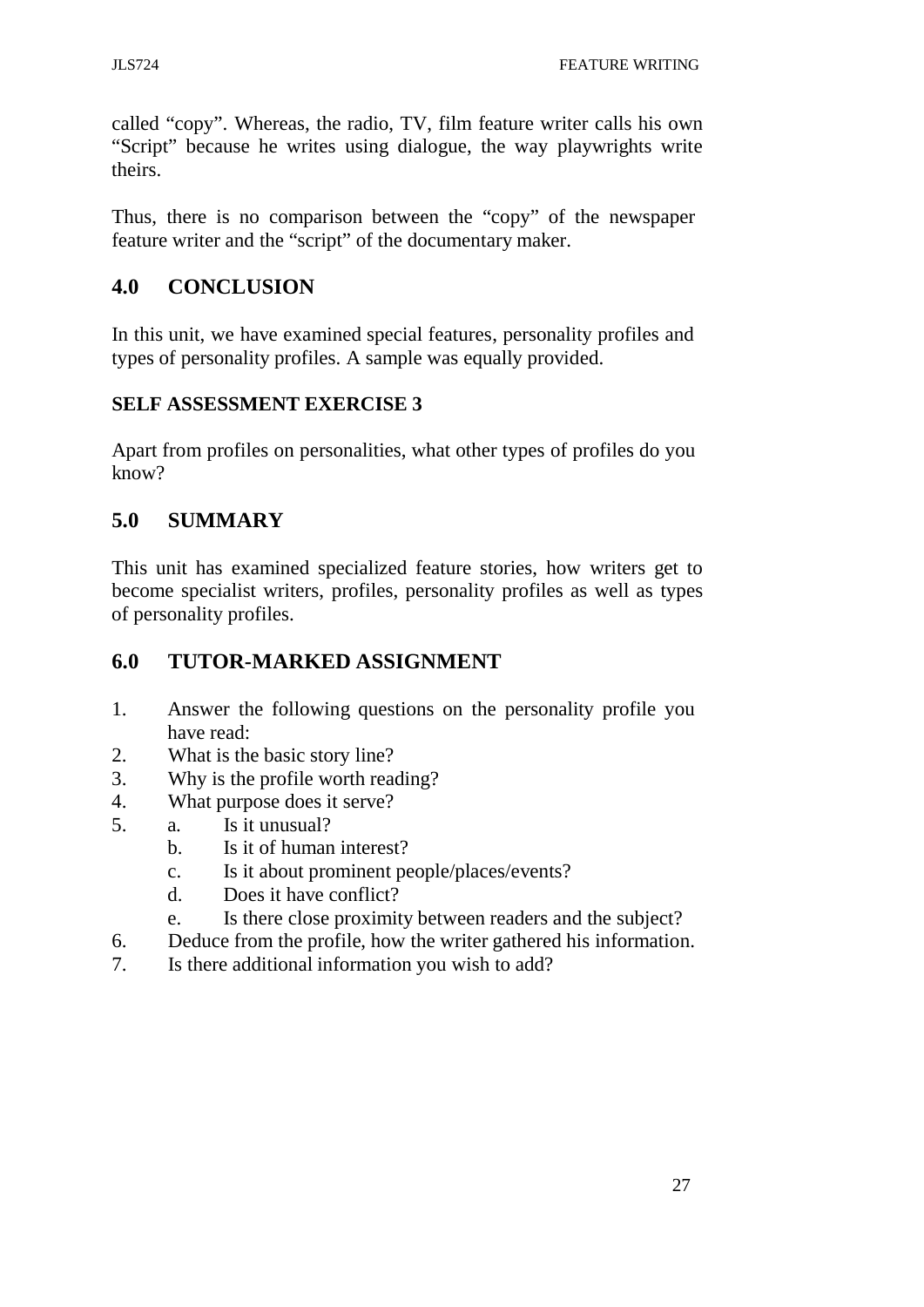called "copy". Whereas, the radio, TV, film feature writer calls his own "Script" because he writes using dialogue, the way playwrights write theirs.

Thus, there is no comparison between the "copy" of the newspaper feature writer and the "script" of the documentary maker.

## **4.0 CONCLUSION**

In this unit, we have examined special features, personality profiles and types of personality profiles. A sample was equally provided.

### **SELF ASSESSMENT EXERCISE 3**

Apart from profiles on personalities, what other types of profiles do you know?

## **5.0 SUMMARY**

This unit has examined specialized feature stories, how writers get to become specialist writers, profiles, personality profiles as well as types of personality profiles.

## **6.0 TUTOR-MARKED ASSIGNMENT**

- 1. Answer the following questions on the personality profile you have read:
- 2. What is the basic story line?
- 3. Why is the profile worth reading?
- 4. What purpose does it serve?
- 5. a. Is it unusual?
	- b. Is it of human interest?
	- c. Is it about prominent people/places/events?
	- d. Does it have conflict?
	- e. Is there close proximity between readers and the subject?
- 6. Deduce from the profile, how the writer gathered his information.
- 7. Is there additional information you wish to add?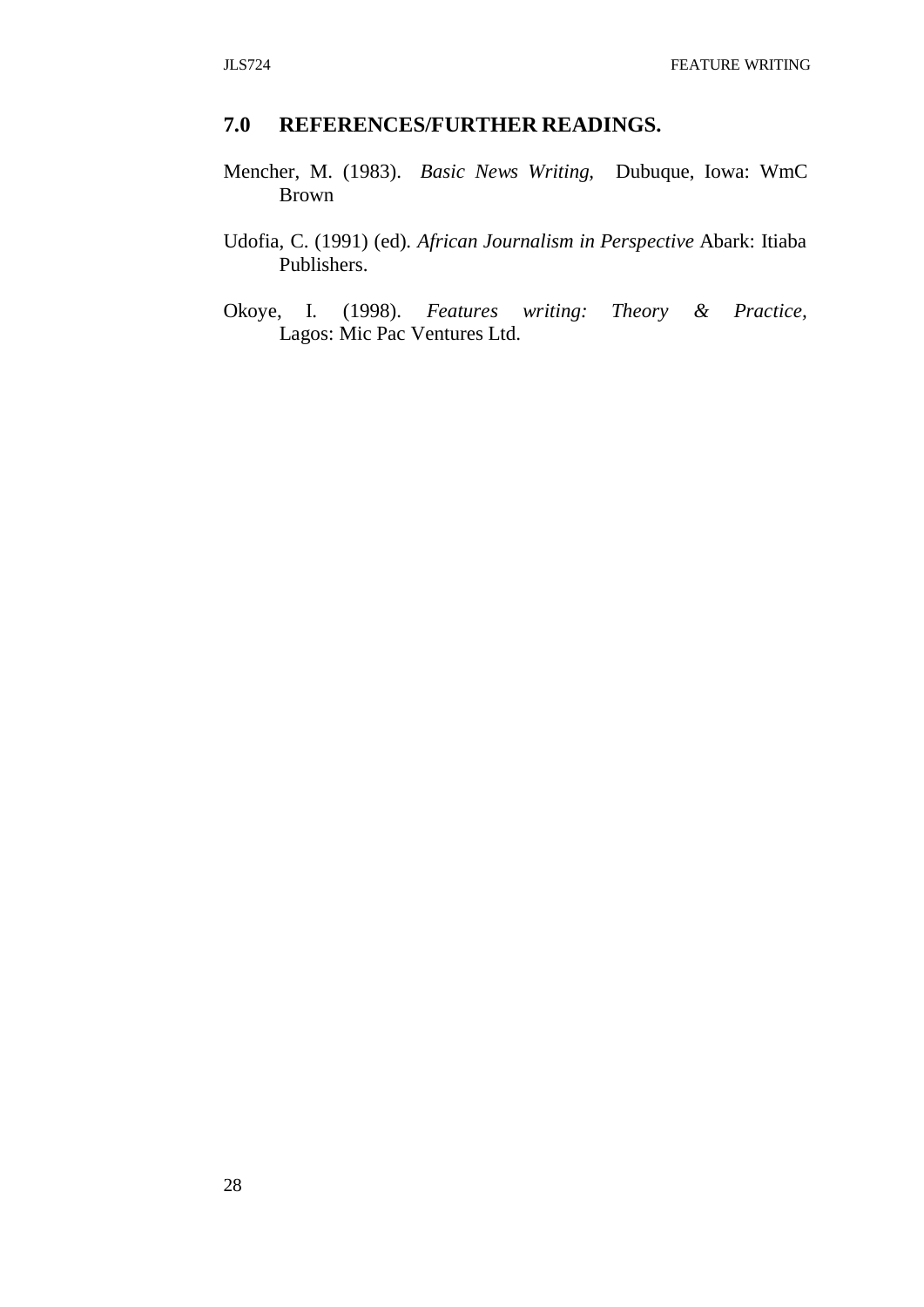#### **7.0 REFERENCES/FURTHER READINGS.**

- Mencher, M. (1983). *Basic News Writing,* Dubuque, Iowa: WmC Brown
- Udofia, C. (1991) (ed). *African Journalism in Perspective* Abark: Itiaba Publishers.
- Okoye, I. (1998). *Features writing: Theory & Practice,* Lagos: Mic Pac Ventures Ltd.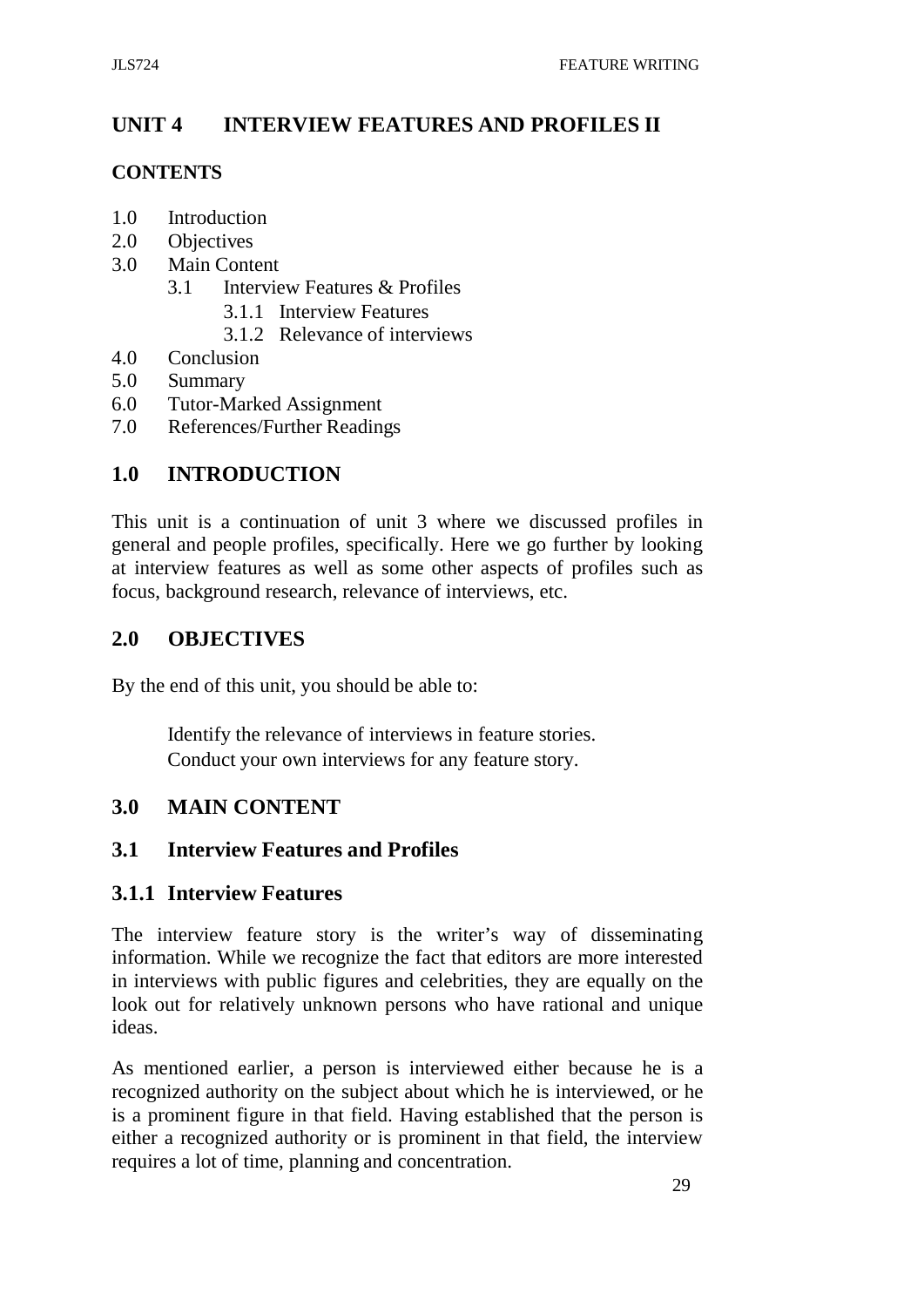## **UNIT 4 INTERVIEW FEATURES AND PROFILES II**

#### **CONTENTS**

- 1.0 Introduction
- 2.0 Objectives
- 3.0 Main Content
	- 3.1 Interview Features & Profiles
		- 3.1.1 Interview Features
		- 3.1.2 Relevance of interviews
- 4.0 Conclusion
- 5.0 Summary
- 6.0 Tutor-Marked Assignment
- 7.0 References/Further Readings

## **1.0 INTRODUCTION**

This unit is a continuation of unit 3 where we discussed profiles in general and people profiles, specifically. Here we go further by looking at interview features as well as some other aspects of profiles such as focus, background research, relevance of interviews, etc.

## **2.0 OBJECTIVES**

By the end of this unit, you should be able to:

Identify the relevance of interviews in feature stories. Conduct your own interviews for any feature story.

## **3.0 MAIN CONTENT**

## **3.1 Interview Features and Profiles**

#### **3.1.1 Interview Features**

The interview feature story is the writer's way of disseminating information. While we recognize the fact that editors are more interested in interviews with public figures and celebrities, they are equally on the look out for relatively unknown persons who have rational and unique ideas.

As mentioned earlier, a person is interviewed either because he is a recognized authority on the subject about which he is interviewed, or he is a prominent figure in that field. Having established that the person is either a recognized authority or is prominent in that field, the interview requires a lot of time, planning and concentration.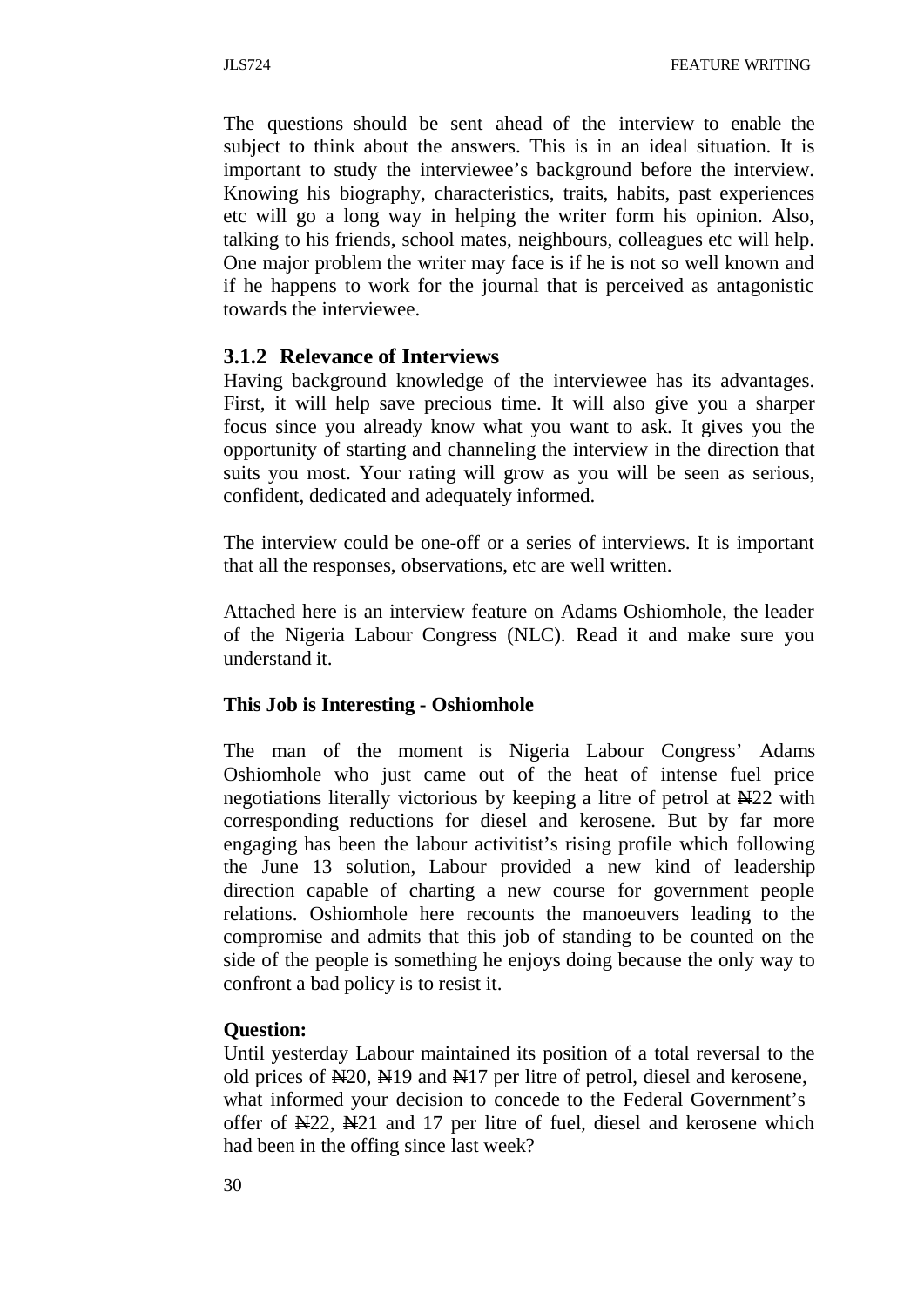The questions should be sent ahead of the interview to enable the subject to think about the answers. This is in an ideal situation. It is important to study the interviewee's background before the interview. Knowing his biography, characteristics, traits, habits, past experiences etc will go a long way in helping the writer form his opinion. Also, talking to his friends, school mates, neighbours, colleagues etc will help. One major problem the writer may face is if he is not so well known and if he happens to work for the journal that is perceived as antagonistic towards the interviewee.

#### **3.1.2 Relevance of Interviews**

Having background knowledge of the interviewee has its advantages. First, it will help save precious time. It will also give you a sharper focus since you already know what you want to ask. It gives you the opportunity of starting and channeling the interview in the direction that suits you most. Your rating will grow as you will be seen as serious, confident, dedicated and adequately informed.

The interview could be one-off or a series of interviews. It is important that all the responses, observations, etc are well written.

Attached here is an interview feature on Adams Oshiomhole, the leader of the Nigeria Labour Congress (NLC). Read it and make sure you understand it.

#### **This Job is Interesting - Oshiomhole**

The man of the moment is Nigeria Labour Congress' Adams Oshiomhole who just came out of the heat of intense fuel price negotiations literally victorious by keeping a litre of petrol at N22 with corresponding reductions for diesel and kerosene. But by far more engaging has been the labour activitist's rising profile which following the June 13 solution, Labour provided a new kind of leadership direction capable of charting a new course for government people relations. Oshiomhole here recounts the manoeuvers leading to the compromise and admits that this job of standing to be counted on the side of the people is something he enjoys doing because the only way to confront a bad policy is to resist it.

#### **Question:**

Until yesterday Labour maintained its position of a total reversal to the old prices of N20, N19 and N17 per litre of petrol, diesel and kerosene, what informed your decision to concede to the Federal Government's offer of N22, N21 and 17 per litre of fuel, diesel and kerosene which had been in the offing since last week?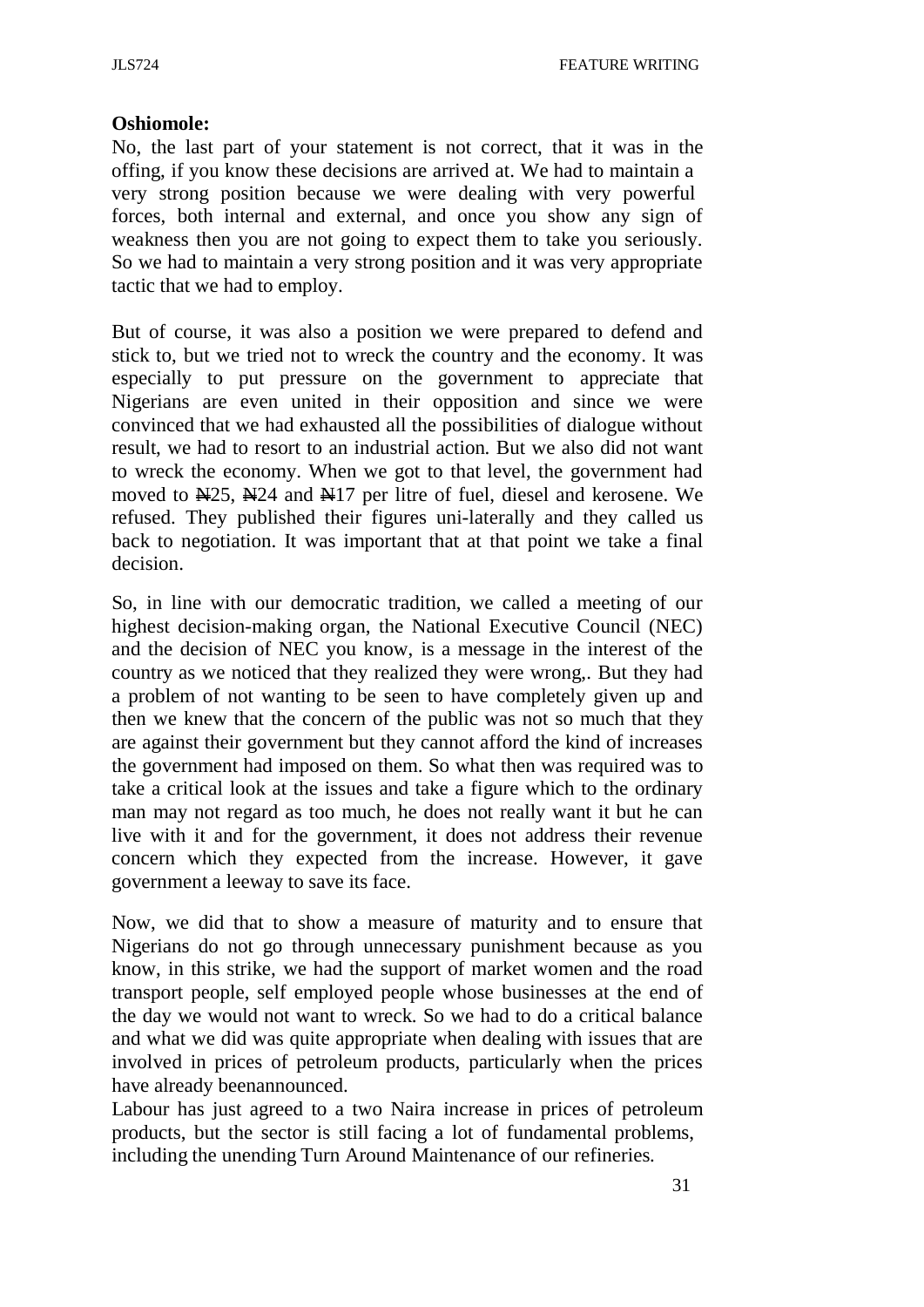#### **Oshiomole:**

No, the last part of your statement is not correct, that it was in the offing, if you know these decisions are arrived at. We had to maintain a very strong position because we were dealing with very powerful forces, both internal and external, and once you show any sign of weakness then you are not going to expect them to take you seriously. So we had to maintain a very strong position and it was very appropriate tactic that we had to employ.

But of course, it was also a position we were prepared to defend and stick to, but we tried not to wreck the country and the economy. It was especially to put pressure on the government to appreciate that Nigerians are even united in their opposition and since we were convinced that we had exhausted all the possibilities of dialogue without result, we had to resort to an industrial action. But we also did not want to wreck the economy. When we got to that level, the government had moved to  $\text{N25}$ ,  $\text{N24}$  and  $\text{N17}$  per litre of fuel, diesel and kerosene. We refused. They published their figures uni-laterally and they called us back to negotiation. It was important that at that point we take a final decision.

So, in line with our democratic tradition, we called a meeting of our highest decision-making organ, the National Executive Council (NEC) and the decision of NEC you know, is a message in the interest of the country as we noticed that they realized they were wrong,. But they had a problem of not wanting to be seen to have completely given up and then we knew that the concern of the public was not so much that they are against their government but they cannot afford the kind of increases the government had imposed on them. So what then was required was to take a critical look at the issues and take a figure which to the ordinary man may not regard as too much, he does not really want it but he can live with it and for the government, it does not address their revenue concern which they expected from the increase. However, it gave government a leeway to save its face.

Now, we did that to show a measure of maturity and to ensure that Nigerians do not go through unnecessary punishment because as you know, in this strike, we had the support of market women and the road transport people, self employed people whose businesses at the end of the day we would not want to wreck. So we had to do a critical balance and what we did was quite appropriate when dealing with issues that are involved in prices of petroleum products, particularly when the prices have already beenannounced.

Labour has just agreed to a two Naira increase in prices of petroleum products, but the sector is still facing a lot of fundamental problems, including the unending Turn Around Maintenance of our refineries.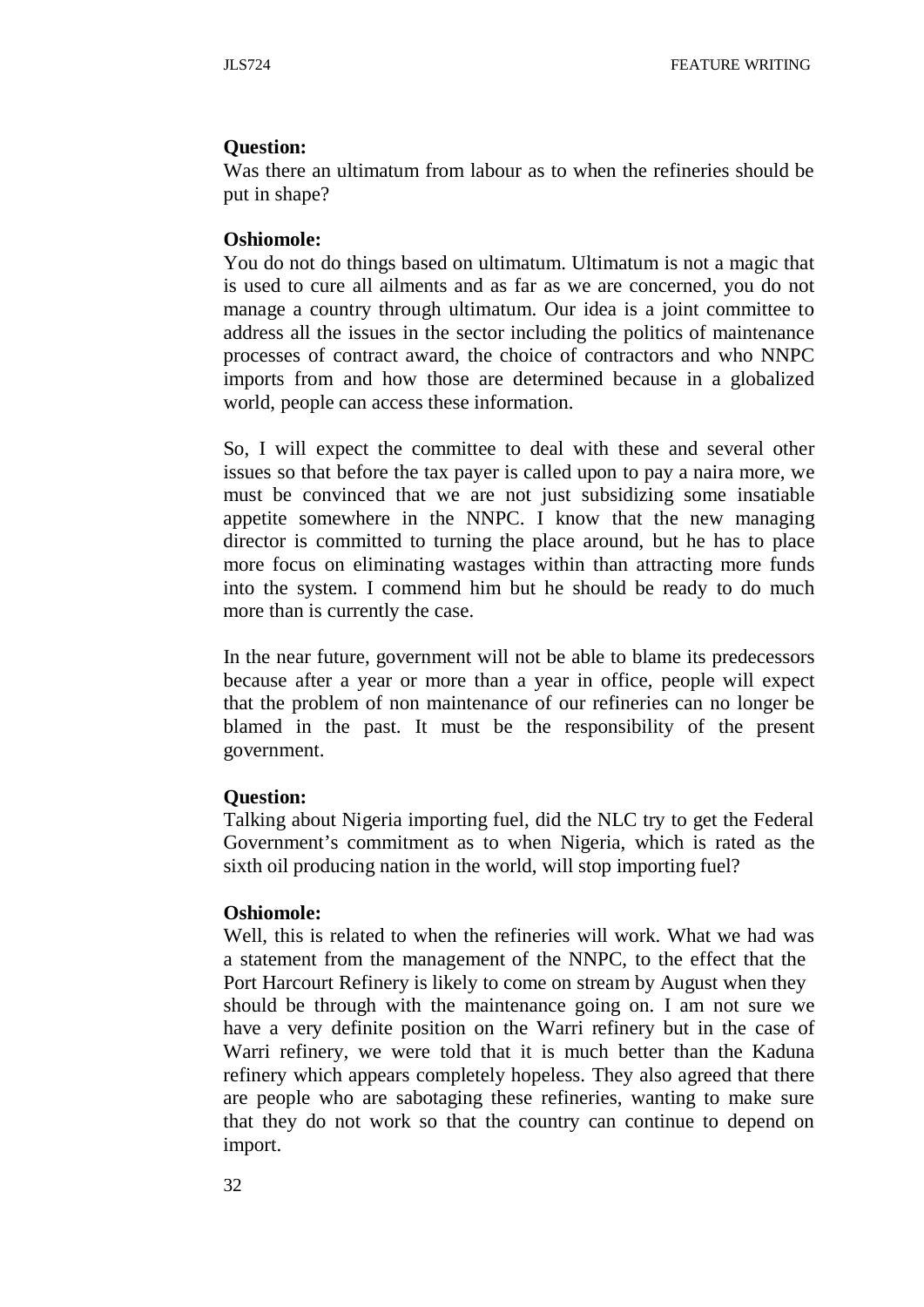#### **Question:**

Was there an ultimatum from labour as to when the refineries should be put in shape?

#### **Oshiomole:**

You do not do things based on ultimatum. Ultimatum is not a magic that is used to cure all ailments and as far as we are concerned, you do not manage a country through ultimatum. Our idea is a joint committee to address all the issues in the sector including the politics of maintenance processes of contract award, the choice of contractors and who NNPC imports from and how those are determined because in a globalized world, people can access these information.

So, I will expect the committee to deal with these and several other issues so that before the tax payer is called upon to pay a naira more, we must be convinced that we are not just subsidizing some insatiable appetite somewhere in the NNPC. I know that the new managing director is committed to turning the place around, but he has to place more focus on eliminating wastages within than attracting more funds into the system. I commend him but he should be ready to do much more than is currently the case.

In the near future, government will not be able to blame its predecessors because after a year or more than a year in office, people will expect that the problem of non maintenance of our refineries can no longer be blamed in the past. It must be the responsibility of the present government.

#### **Question:**

Talking about Nigeria importing fuel, did the NLC try to get the Federal Government's commitment as to when Nigeria, which is rated as the sixth oil producing nation in the world, will stop importing fuel?

#### **Oshiomole:**

Well, this is related to when the refineries will work. What we had was a statement from the management of the NNPC, to the effect that the Port Harcourt Refinery is likely to come on stream by August when they should be through with the maintenance going on. I am not sure we have a very definite position on the Warri refinery but in the case of Warri refinery, we were told that it is much better than the Kaduna refinery which appears completely hopeless. They also agreed that there are people who are sabotaging these refineries, wanting to make sure that they do not work so that the country can continue to depend on import.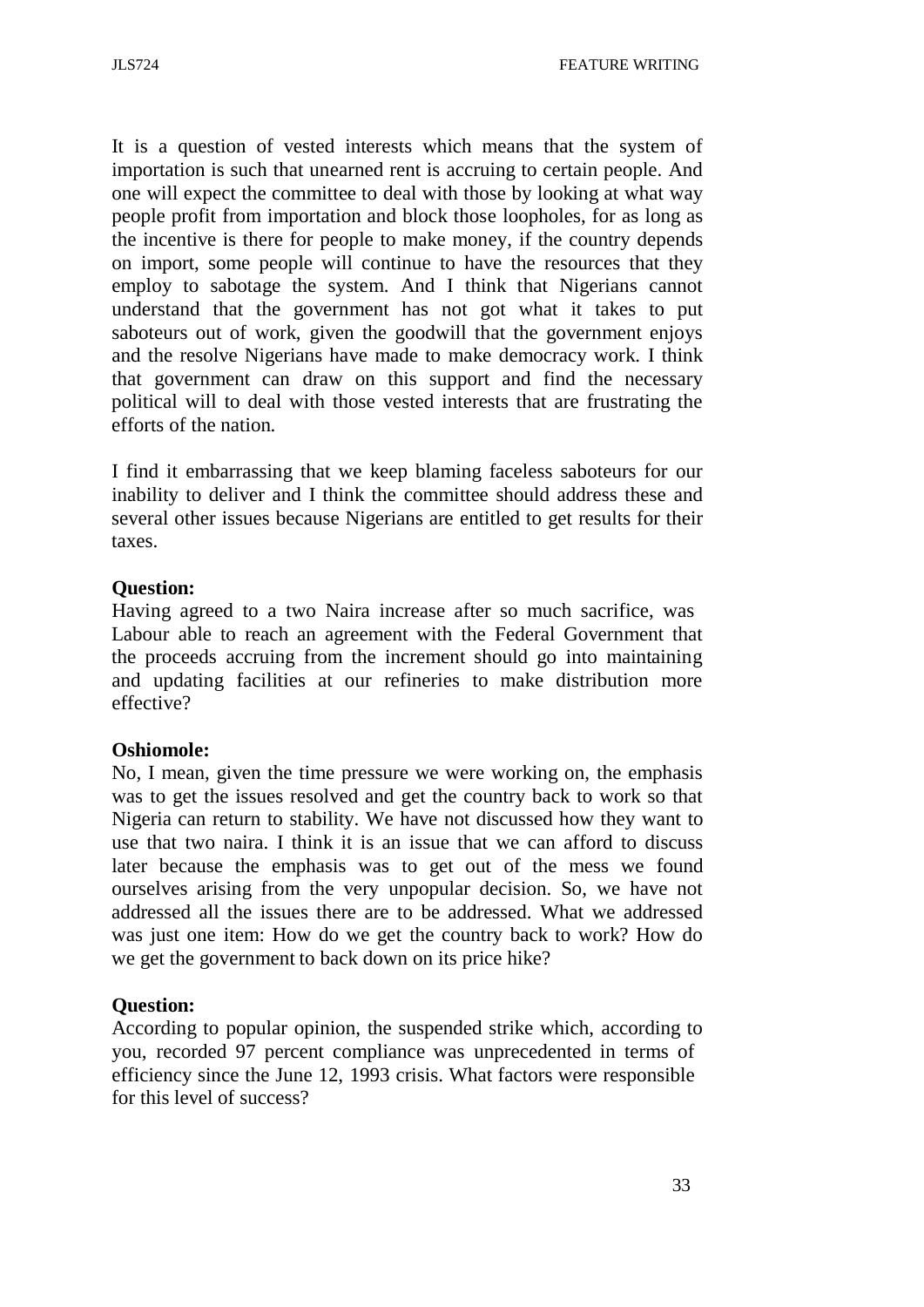It is a question of vested interests which means that the system of importation is such that unearned rent is accruing to certain people. And one will expect the committee to deal with those by looking at what way people profit from importation and block those loopholes, for as long as the incentive is there for people to make money, if the country depends on import, some people will continue to have the resources that they employ to sabotage the system. And I think that Nigerians cannot understand that the government has not got what it takes to put saboteurs out of work, given the goodwill that the government enjoys and the resolve Nigerians have made to make democracy work. I think that government can draw on this support and find the necessary political will to deal with those vested interests that are frustrating the efforts of the nation.

I find it embarrassing that we keep blaming faceless saboteurs for our inability to deliver and I think the committee should address these and several other issues because Nigerians are entitled to get results for their taxes.

#### **Question:**

Having agreed to a two Naira increase after so much sacrifice, was Labour able to reach an agreement with the Federal Government that the proceeds accruing from the increment should go into maintaining and updating facilities at our refineries to make distribution more effective?

#### **Oshiomole:**

No, I mean, given the time pressure we were working on, the emphasis was to get the issues resolved and get the country back to work so that Nigeria can return to stability. We have not discussed how they want to use that two naira. I think it is an issue that we can afford to discuss later because the emphasis was to get out of the mess we found ourselves arising from the very unpopular decision. So, we have not addressed all the issues there are to be addressed. What we addressed was just one item: How do we get the country back to work? How do we get the government to back down on its price hike?

#### **Question:**

According to popular opinion, the suspended strike which, according to you, recorded 97 percent compliance was unprecedented in terms of efficiency since the June 12, 1993 crisis. What factors were responsible for this level of success?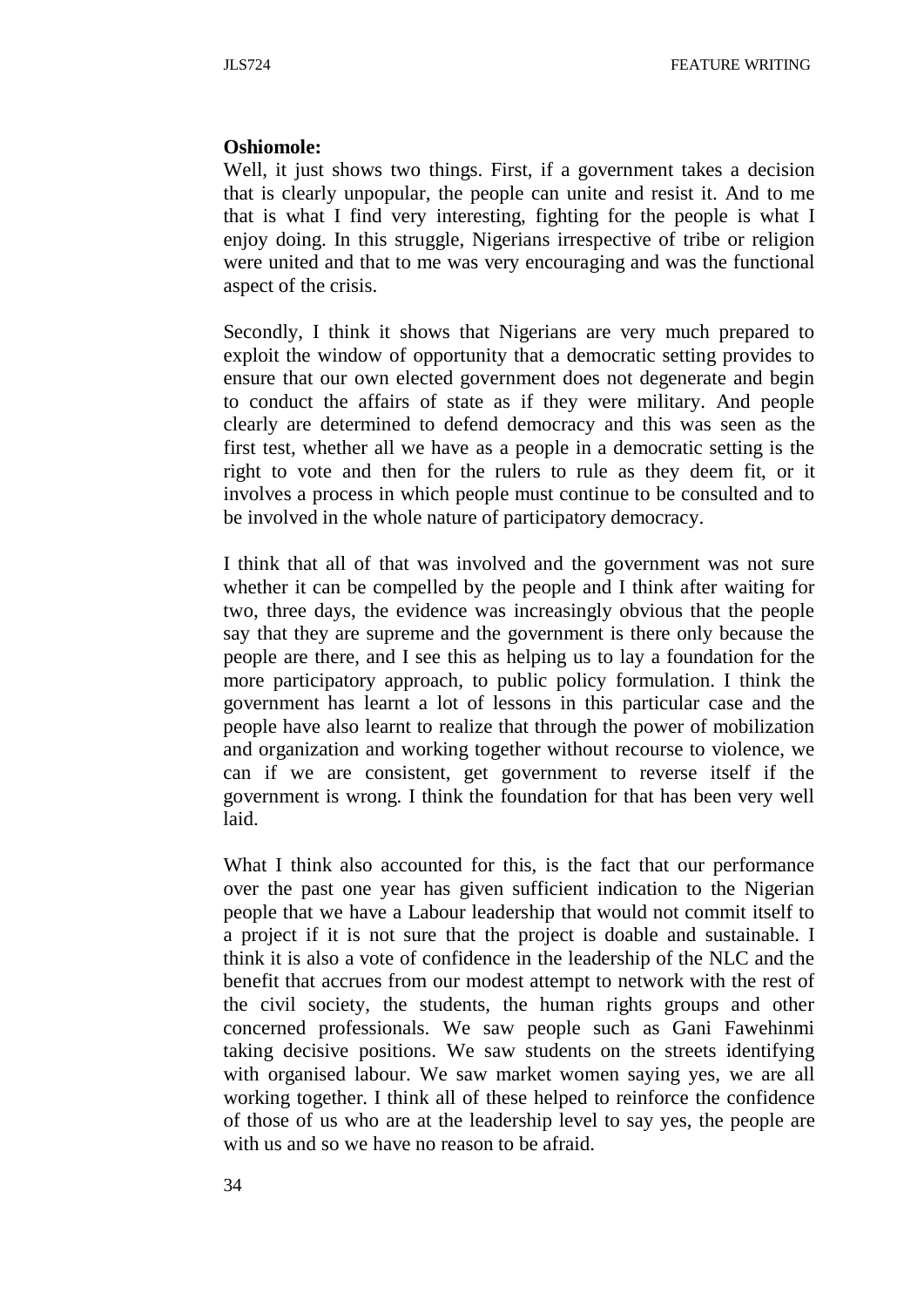#### **Oshiomole:**

Well, it just shows two things. First, if a government takes a decision that is clearly unpopular, the people can unite and resist it. And to me that is what I find very interesting, fighting for the people is what I enjoy doing. In this struggle, Nigerians irrespective of tribe or religion were united and that to me was very encouraging and was the functional aspect of the crisis.

Secondly, I think it shows that Nigerians are very much prepared to exploit the window of opportunity that a democratic setting provides to ensure that our own elected government does not degenerate and begin to conduct the affairs of state as if they were military. And people clearly are determined to defend democracy and this was seen as the first test, whether all we have as a people in a democratic setting is the right to vote and then for the rulers to rule as they deem fit, or it involves a process in which people must continue to be consulted and to be involved in the whole nature of participatory democracy.

I think that all of that was involved and the government was not sure whether it can be compelled by the people and I think after waiting for two, three days, the evidence was increasingly obvious that the people say that they are supreme and the government is there only because the people are there, and I see this as helping us to lay a foundation for the more participatory approach, to public policy formulation. I think the government has learnt a lot of lessons in this particular case and the people have also learnt to realize that through the power of mobilization and organization and working together without recourse to violence, we can if we are consistent, get government to reverse itself if the government is wrong. I think the foundation for that has been very well laid.

What I think also accounted for this, is the fact that our performance over the past one year has given sufficient indication to the Nigerian people that we have a Labour leadership that would not commit itself to a project if it is not sure that the project is doable and sustainable. I think it is also a vote of confidence in the leadership of the NLC and the benefit that accrues from our modest attempt to network with the rest of the civil society, the students, the human rights groups and other concerned professionals. We saw people such as Gani Fawehinmi taking decisive positions. We saw students on the streets identifying with organised labour. We saw market women saying yes, we are all working together. I think all of these helped to reinforce the confidence of those of us who are at the leadership level to say yes, the people are with us and so we have no reason to be afraid.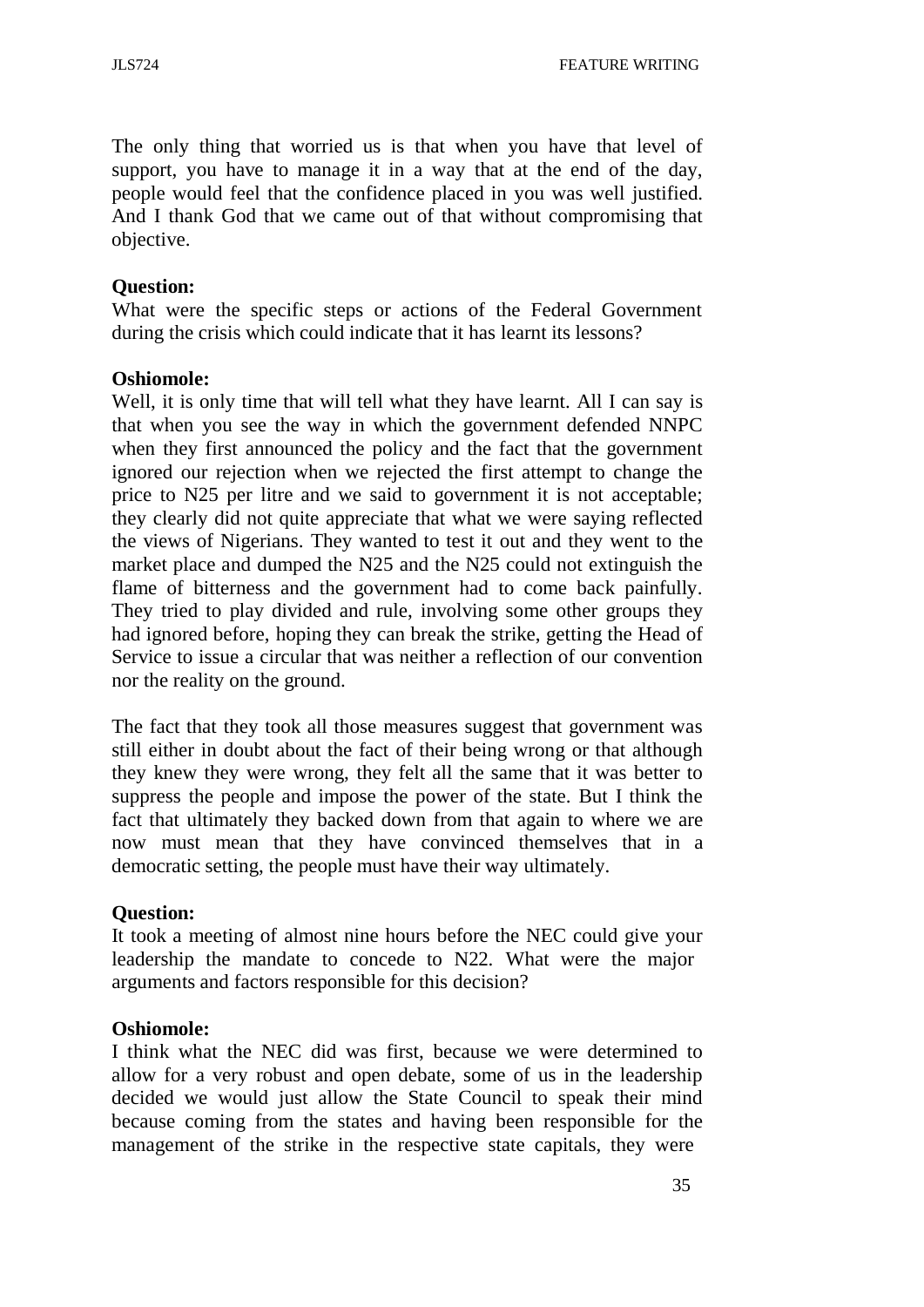The only thing that worried us is that when you have that level of support, you have to manage it in a way that at the end of the day, people would feel that the confidence placed in you was well justified. And I thank God that we came out of that without compromising that objective.

### **Question:**

What were the specific steps or actions of the Federal Government during the crisis which could indicate that it has learnt its lessons?

#### **Oshiomole:**

Well, it is only time that will tell what they have learnt. All I can say is that when you see the way in which the government defended NNPC when they first announced the policy and the fact that the government ignored our rejection when we rejected the first attempt to change the price to N25 per litre and we said to government it is not acceptable; they clearly did not quite appreciate that what we were saying reflected the views of Nigerians. They wanted to test it out and they went to the market place and dumped the N25 and the N25 could not extinguish the flame of bitterness and the government had to come back painfully. They tried to play divided and rule, involving some other groups they had ignored before, hoping they can break the strike, getting the Head of Service to issue a circular that was neither a reflection of our convention nor the reality on the ground.

The fact that they took all those measures suggest that government was still either in doubt about the fact of their being wrong or that although they knew they were wrong, they felt all the same that it was better to suppress the people and impose the power of the state. But I think the fact that ultimately they backed down from that again to where we are now must mean that they have convinced themselves that in a democratic setting, the people must have their way ultimately.

#### **Question:**

It took a meeting of almost nine hours before the NEC could give your leadership the mandate to concede to N22. What were the major arguments and factors responsible for this decision?

#### **Oshiomole:**

I think what the NEC did was first, because we were determined to allow for a very robust and open debate, some of us in the leadership decided we would just allow the State Council to speak their mind because coming from the states and having been responsible for the management of the strike in the respective state capitals, they were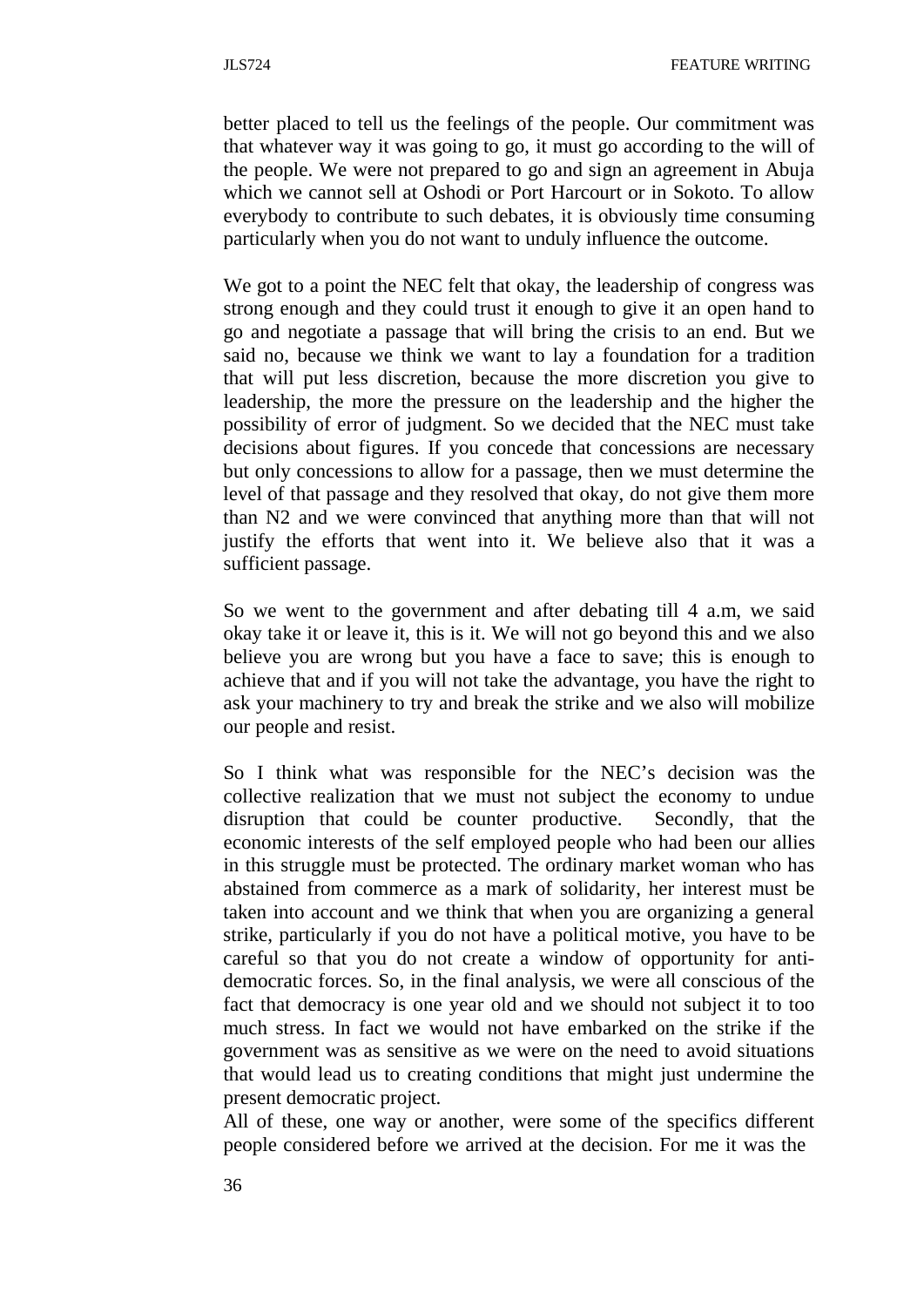better placed to tell us the feelings of the people. Our commitment was that whatever way it was going to go, it must go according to the will of the people. We were not prepared to go and sign an agreement in Abuja which we cannot sell at Oshodi or Port Harcourt or in Sokoto. To allow everybody to contribute to such debates, it is obviously time consuming particularly when you do not want to unduly influence the outcome.

We got to a point the NEC felt that okay, the leadership of congress was strong enough and they could trust it enough to give it an open hand to go and negotiate a passage that will bring the crisis to an end. But we said no, because we think we want to lay a foundation for a tradition that will put less discretion, because the more discretion you give to leadership, the more the pressure on the leadership and the higher the possibility of error of judgment. So we decided that the NEC must take decisions about figures. If you concede that concessions are necessary but only concessions to allow for a passage, then we must determine the level of that passage and they resolved that okay, do not give them more than N2 and we were convinced that anything more than that will not justify the efforts that went into it. We believe also that it was a sufficient passage.

So we went to the government and after debating till 4 a.m, we said okay take it or leave it, this is it. We will not go beyond this and we also believe you are wrong but you have a face to save; this is enough to achieve that and if you will not take the advantage, you have the right to ask your machinery to try and break the strike and we also will mobilize our people and resist.

So I think what was responsible for the NEC's decision was the collective realization that we must not subject the economy to undue disruption that could be counter productive. Secondly, that the economic interests of the self employed people who had been our allies in this struggle must be protected. The ordinary market woman who has abstained from commerce as a mark of solidarity, her interest must be taken into account and we think that when you are organizing a general strike, particularly if you do not have a political motive, you have to be careful so that you do not create a window of opportunity for antidemocratic forces. So, in the final analysis, we were all conscious of the fact that democracy is one year old and we should not subject it to too much stress. In fact we would not have embarked on the strike if the government was as sensitive as we were on the need to avoid situations that would lead us to creating conditions that might just undermine the present democratic project.

All of these, one way or another, were some of the specifics different people considered before we arrived at the decision. For me it was the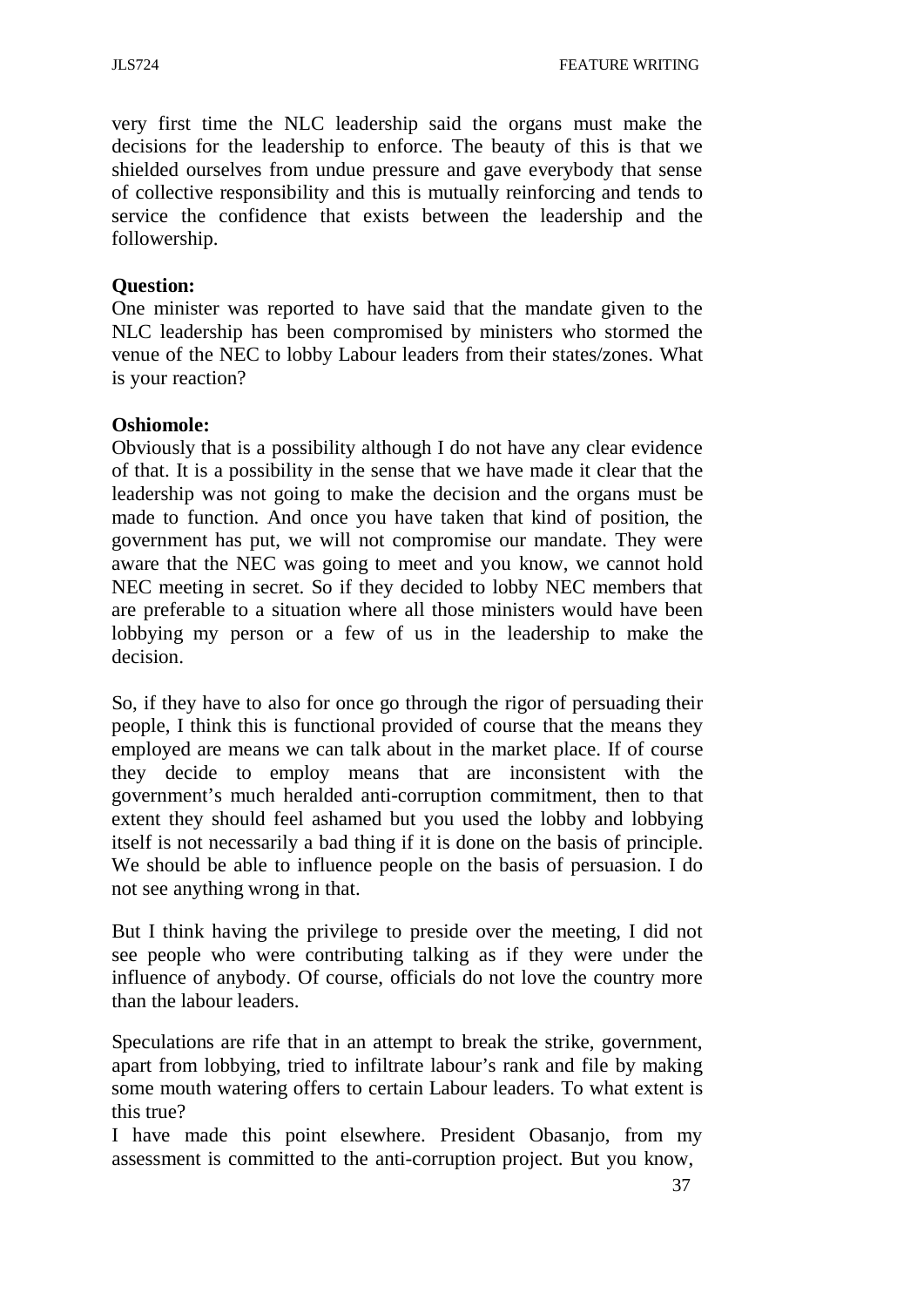very first time the NLC leadership said the organs must make the decisions for the leadership to enforce. The beauty of this is that we shielded ourselves from undue pressure and gave everybody that sense of collective responsibility and this is mutually reinforcing and tends to service the confidence that exists between the leadership and the followership.

# **Question:**

One minister was reported to have said that the mandate given to the NLC leadership has been compromised by ministers who stormed the venue of the NEC to lobby Labour leaders from their states/zones. What is your reaction?

# **Oshiomole:**

Obviously that is a possibility although I do not have any clear evidence of that. It is a possibility in the sense that we have made it clear that the leadership was not going to make the decision and the organs must be made to function. And once you have taken that kind of position, the government has put, we will not compromise our mandate. They were aware that the NEC was going to meet and you know, we cannot hold NEC meeting in secret. So if they decided to lobby NEC members that are preferable to a situation where all those ministers would have been lobbying my person or a few of us in the leadership to make the decision.

So, if they have to also for once go through the rigor of persuading their people, I think this is functional provided of course that the means they employed are means we can talk about in the market place. If of course they decide to employ means that are inconsistent with the government's much heralded anti-corruption commitment, then to that extent they should feel ashamed but you used the lobby and lobbying itself is not necessarily a bad thing if it is done on the basis of principle. We should be able to influence people on the basis of persuasion. I do not see anything wrong in that.

But I think having the privilege to preside over the meeting, I did not see people who were contributing talking as if they were under the influence of anybody. Of course, officials do not love the country more than the labour leaders.

Speculations are rife that in an attempt to break the strike, government, apart from lobbying, tried to infiltrate labour's rank and file by making some mouth watering offers to certain Labour leaders. To what extent is this true?

I have made this point elsewhere. President Obasanjo, from my assessment is committed to the anti-corruption project. But you know,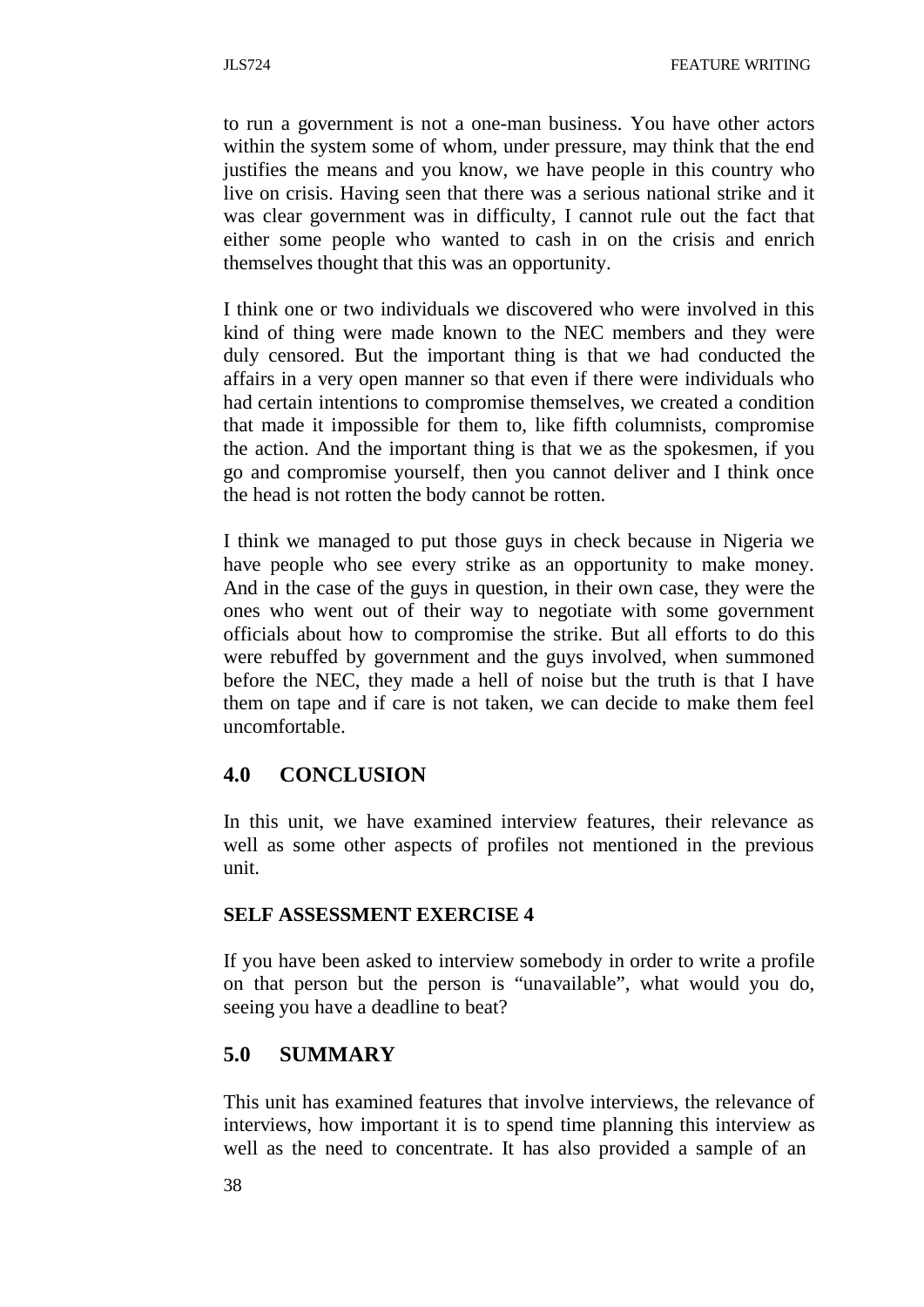to run a government is not a one-man business. You have other actors within the system some of whom, under pressure, may think that the end justifies the means and you know, we have people in this country who live on crisis. Having seen that there was a serious national strike and it was clear government was in difficulty, I cannot rule out the fact that either some people who wanted to cash in on the crisis and enrich themselves thought that this was an opportunity.

I think one or two individuals we discovered who were involved in this kind of thing were made known to the NEC members and they were duly censored. But the important thing is that we had conducted the affairs in a very open manner so that even if there were individuals who had certain intentions to compromise themselves, we created a condition that made it impossible for them to, like fifth columnists, compromise the action. And the important thing is that we as the spokesmen, if you go and compromise yourself, then you cannot deliver and I think once the head is not rotten the body cannot be rotten.

I think we managed to put those guys in check because in Nigeria we have people who see every strike as an opportunity to make money. And in the case of the guys in question, in their own case, they were the ones who went out of their way to negotiate with some government officials about how to compromise the strike. But all efforts to do this were rebuffed by government and the guys involved, when summoned before the NEC, they made a hell of noise but the truth is that I have them on tape and if care is not taken, we can decide to make them feel uncomfortable.

## **4.0 CONCLUSION**

In this unit, we have examined interview features, their relevance as well as some other aspects of profiles not mentioned in the previous unit.

#### **SELF ASSESSMENT EXERCISE 4**

If you have been asked to interview somebody in order to write a profile on that person but the person is "unavailable", what would you do, seeing you have a deadline to beat?

#### **5.0 SUMMARY**

This unit has examined features that involve interviews, the relevance of interviews, how important it is to spend time planning this interview as well as the need to concentrate. It has also provided a sample of an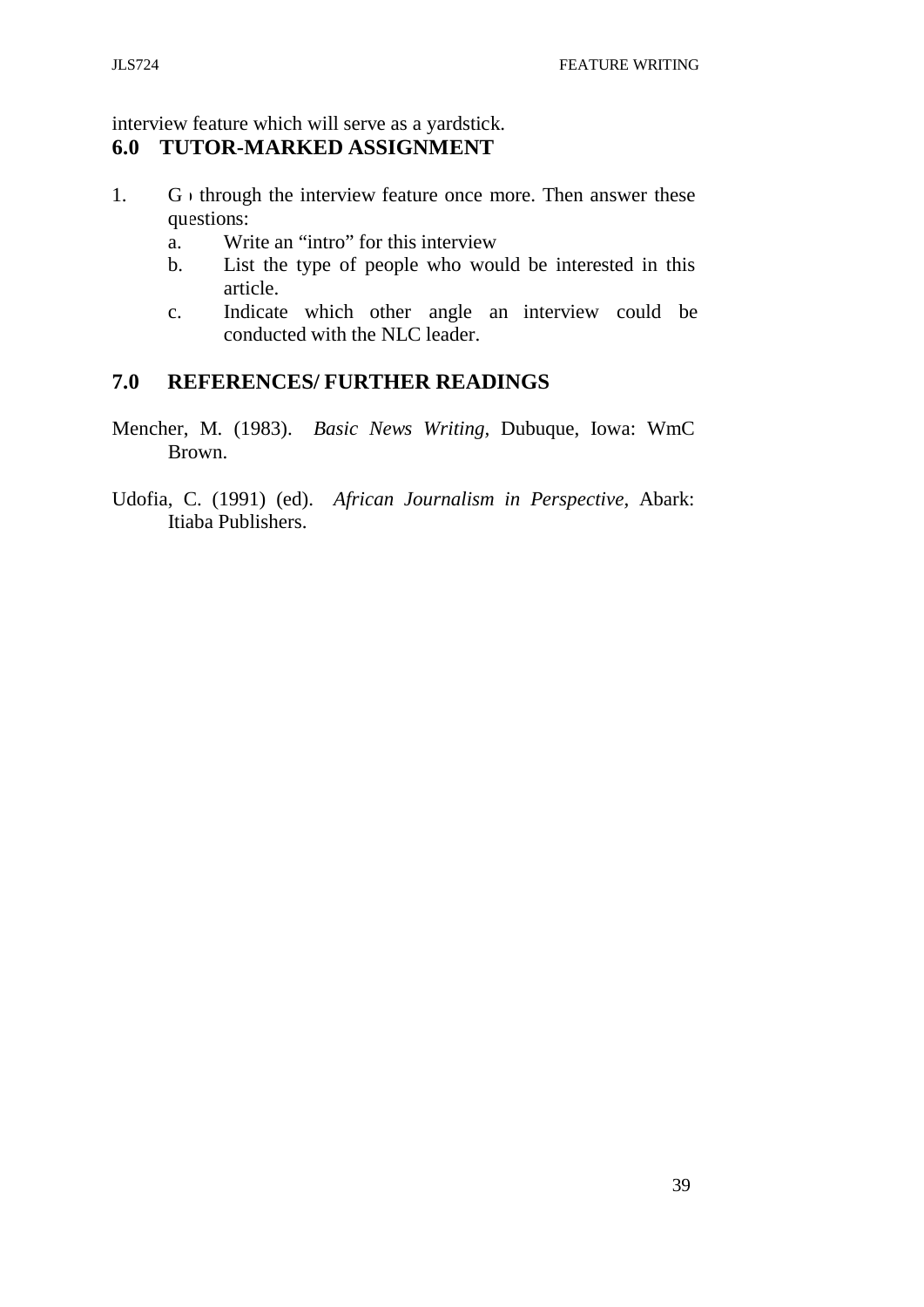# interview feature which will serve as a yardstick.

# **6.0 TUTOR-MARKED ASSIGNMENT**

- 1. G i through the interview feature once more. Then answer these questions:
	- a. Write an "intro" for this interview
	- b. List the type of people who would be interested in this article.
	- c. Indicate which other angle an interview could be conducted with the NLC leader.

# **7.0 REFERENCES/ FURTHER READINGS**

- Mencher, M. (1983). *Basic News Writing,* Dubuque, Iowa: WmC Brown.
- Udofia, C. (1991) (ed). *African Journalism in Perspective,* Abark: Itiaba Publishers.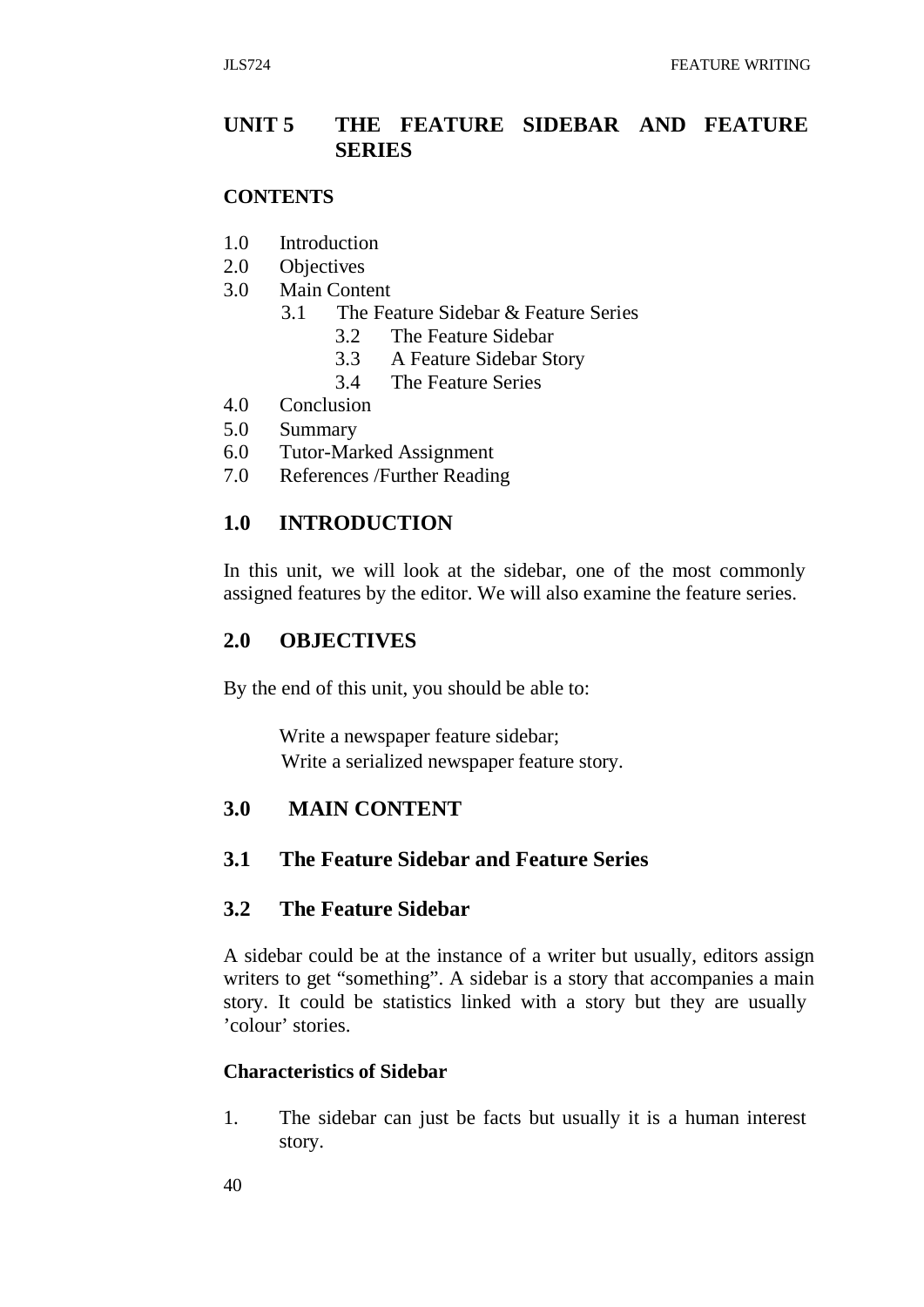# **UNIT 5 THE FEATURE SIDEBAR AND FEATURE SERIES**

#### **CONTENTS**

- 1.0 Introduction
- 2.0 Objectives
- 3.0 Main Content
	- 3.1 The Feature Sidebar & Feature Series
		- 3.2 The Feature Sidebar
		- 3.3 A Feature Sidebar Story
		- 3.4 The Feature Series
- 4.0 Conclusion
- 5.0 Summary
- 6.0 Tutor-Marked Assignment
- 7.0 References /Further Reading

# **1.0 INTRODUCTION**

In this unit, we will look at the sidebar, one of the most commonly assigned features by the editor. We will also examine the feature series.

# **2.0 OBJECTIVES**

By the end of this unit, you should be able to:

Write a newspaper feature sidebar; Write a serialized newspaper feature story.

# **3.0 MAIN CONTENT**

# **3.1 The Feature Sidebar and Feature Series**

### **3.2 The Feature Sidebar**

A sidebar could be at the instance of a writer but usually, editors assign writers to get "something". A sidebar is a story that accompanies a main story. It could be statistics linked with a story but they are usually 'colour' stories.

#### **Characteristics of Sidebar**

1. The sidebar can just be facts but usually it is a human interest story.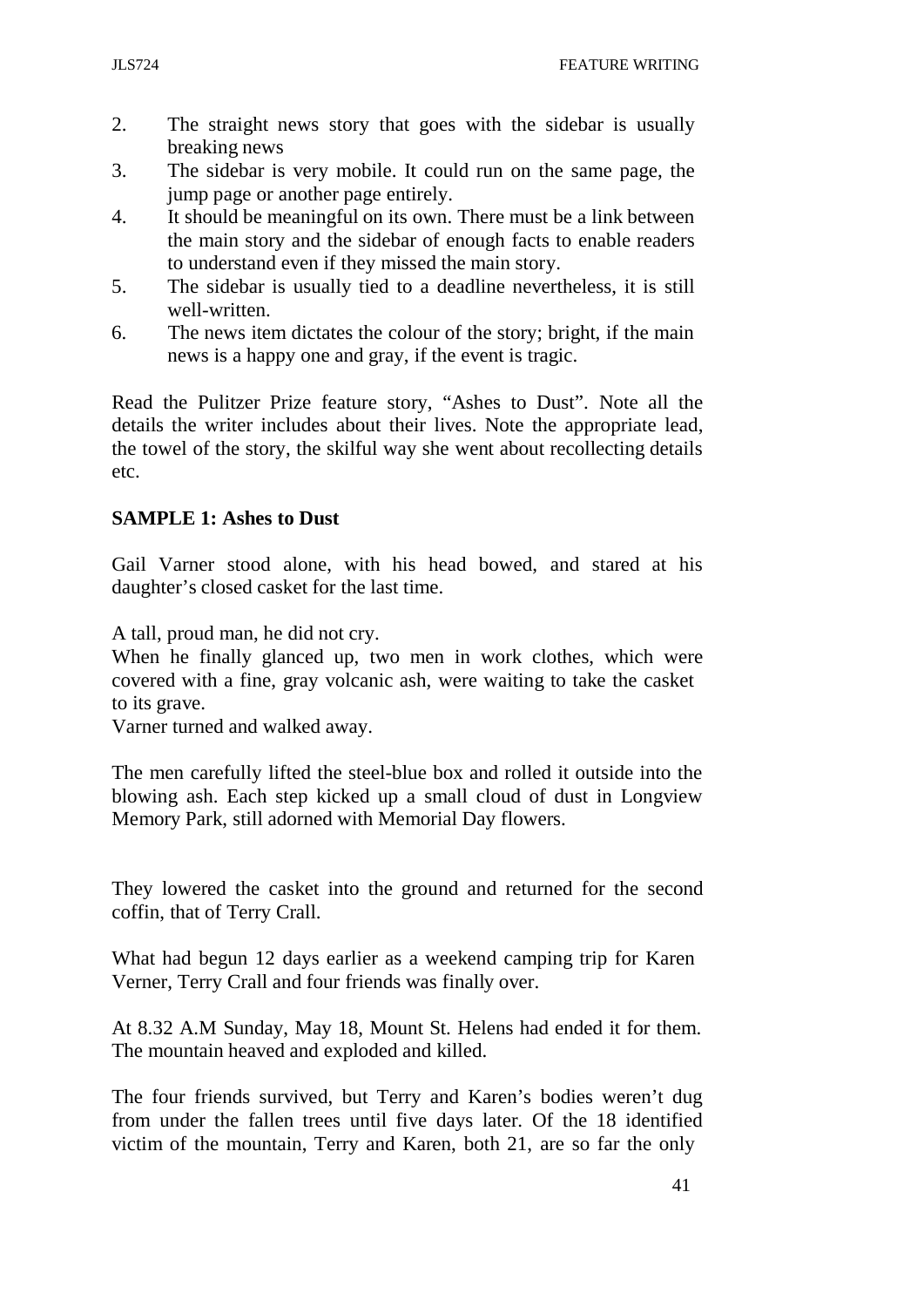- 2. The straight news story that goes with the sidebar is usually breaking news
- 3. The sidebar is very mobile. It could run on the same page, the jump page or another page entirely.
- 4. It should be meaningful on its own. There must be a link between the main story and the sidebar of enough facts to enable readers to understand even if they missed the main story.
- 5. The sidebar is usually tied to a deadline nevertheless, it is still well-written.
- 6. The news item dictates the colour of the story; bright, if the main news is a happy one and gray, if the event is tragic.

Read the Pulitzer Prize feature story, "Ashes to Dust". Note all the details the writer includes about their lives. Note the appropriate lead, the towel of the story, the skilful way she went about recollecting details etc.

# **SAMPLE 1: Ashes to Dust**

Gail Varner stood alone, with his head bowed, and stared at his daughter's closed casket for the last time.

A tall, proud man, he did not cry.

When he finally glanced up, two men in work clothes, which were covered with a fine, gray volcanic ash, were waiting to take the casket to its grave.

Varner turned and walked away.

The men carefully lifted the steel-blue box and rolled it outside into the blowing ash. Each step kicked up a small cloud of dust in Longview Memory Park, still adorned with Memorial Day flowers.

They lowered the casket into the ground and returned for the second coffin, that of Terry Crall.

What had begun 12 days earlier as a weekend camping trip for Karen Verner, Terry Crall and four friends was finally over.

At 8.32 A.M Sunday, May 18, Mount St. Helens had ended it for them. The mountain heaved and exploded and killed.

The four friends survived, but Terry and Karen's bodies weren't dug from under the fallen trees until five days later. Of the 18 identified victim of the mountain, Terry and Karen, both 21, are so far the only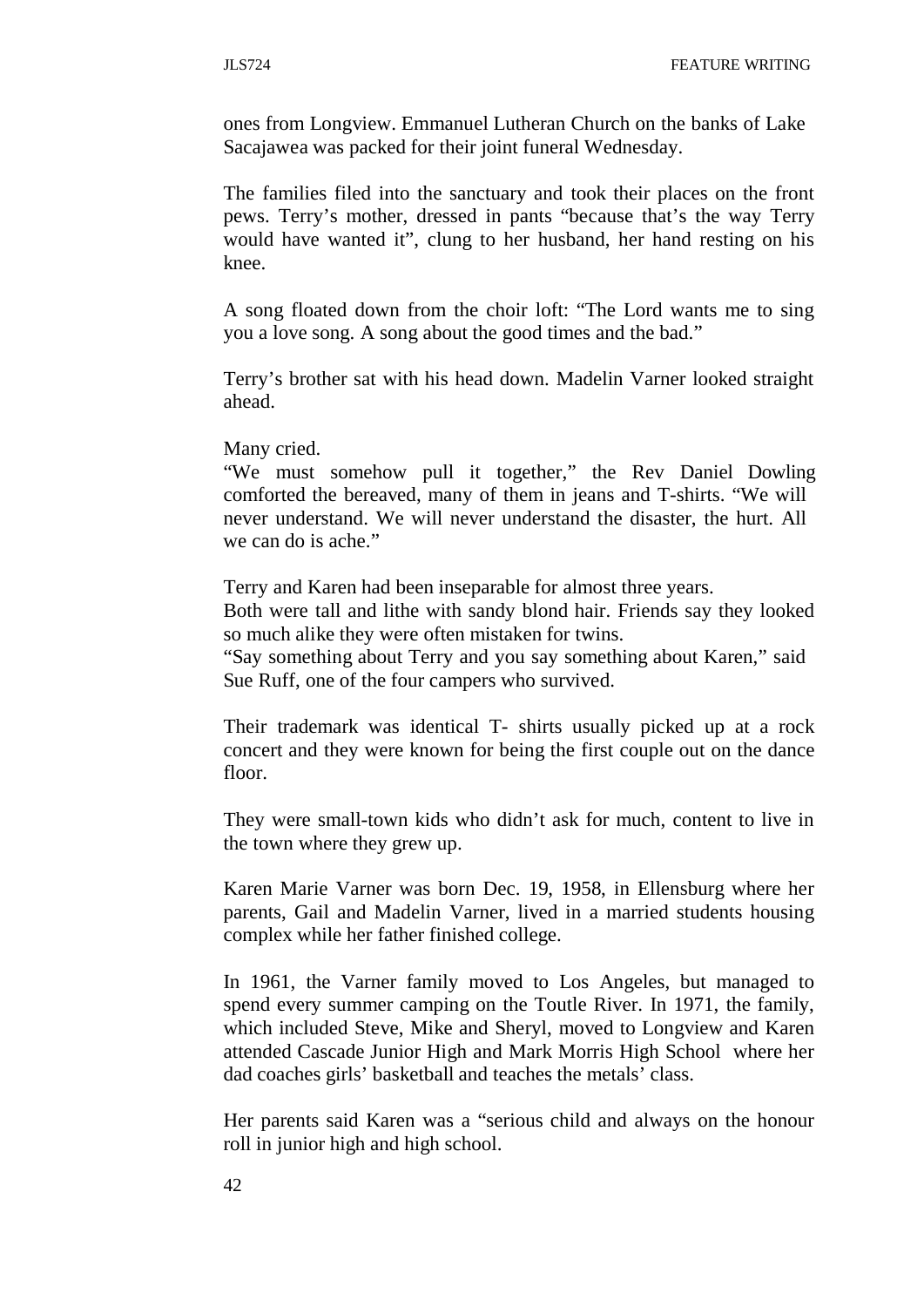ones from Longview. Emmanuel Lutheran Church on the banks of Lake Sacajawea was packed for their joint funeral Wednesday.

The families filed into the sanctuary and took their places on the front pews. Terry's mother, dressed in pants "because that's the way Terry would have wanted it", clung to her husband, her hand resting on his knee.

A song floated down from the choir loft: "The Lord wants me to sing you a love song. A song about the good times and the bad."

Terry's brother sat with his head down. Madelin Varner looked straight ahead.

Many cried.

"We must somehow pull it together," the Rev Daniel Dowling comforted the bereaved, many of them in jeans and T-shirts. "We will never understand. We will never understand the disaster, the hurt. All we can do is ache."

Terry and Karen had been inseparable for almost three years.

Both were tall and lithe with sandy blond hair. Friends say they looked so much alike they were often mistaken for twins.

"Say something about Terry and you say something about Karen," said Sue Ruff, one of the four campers who survived.

Their trademark was identical T- shirts usually picked up at a rock concert and they were known for being the first couple out on the dance floor.

They were small-town kids who didn't ask for much, content to live in the town where they grew up.

Karen Marie Varner was born Dec. 19, 1958, in Ellensburg where her parents, Gail and Madelin Varner, lived in a married students housing complex while her father finished college.

In 1961, the Varner family moved to Los Angeles, but managed to spend every summer camping on the Toutle River. In 1971, the family, which included Steve, Mike and Sheryl, moved to Longview and Karen attended Cascade Junior High and Mark Morris High School where her dad coaches girls' basketball and teaches the metals' class.

Her parents said Karen was a "serious child and always on the honour roll in junior high and high school.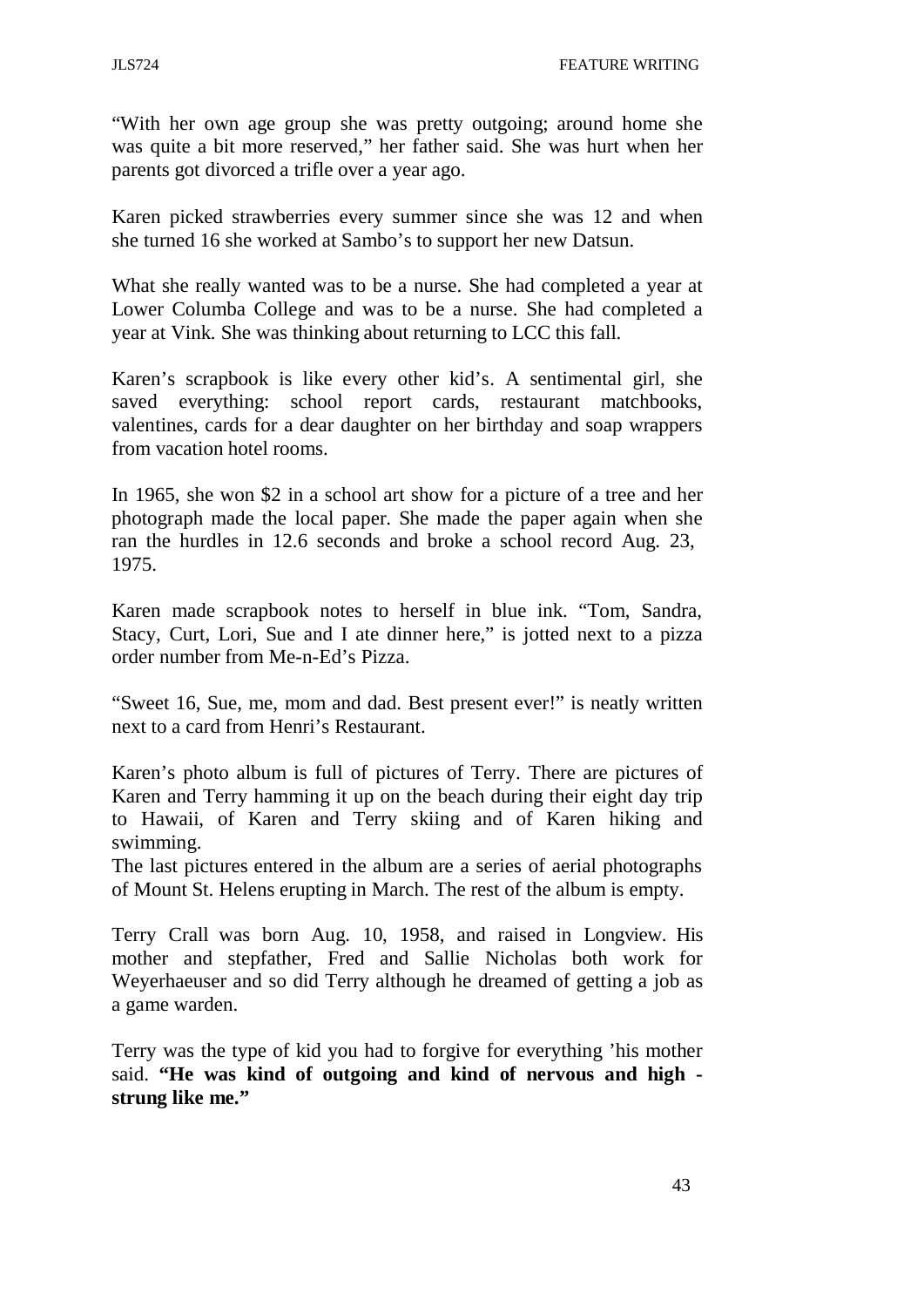"With her own age group she was pretty outgoing; around home she was quite a bit more reserved," her father said. She was hurt when her parents got divorced a trifle over a year ago.

Karen picked strawberries every summer since she was 12 and when she turned 16 she worked at Sambo's to support her new Datsun.

What she really wanted was to be a nurse. She had completed a year at Lower Columba College and was to be a nurse. She had completed a year at Vink. She was thinking about returning to LCC this fall.

Karen's scrapbook is like every other kid's. A sentimental girl, she saved everything: school report cards, restaurant matchbooks, valentines, cards for a dear daughter on her birthday and soap wrappers from vacation hotel rooms.

In 1965, she won \$2 in a school art show for a picture of a tree and her photograph made the local paper. She made the paper again when she ran the hurdles in 12.6 seconds and broke a school record Aug. 23, 1975.

Karen made scrapbook notes to herself in blue ink. "Tom, Sandra, Stacy, Curt, Lori, Sue and I ate dinner here," is jotted next to a pizza order number from Me-n-Ed's Pizza.

"Sweet 16, Sue, me, mom and dad. Best present ever!" is neatly written next to a card from Henri's Restaurant.

Karen's photo album is full of pictures of Terry. There are pictures of Karen and Terry hamming it up on the beach during their eight day trip to Hawaii, of Karen and Terry skiing and of Karen hiking and swimming.

The last pictures entered in the album are a series of aerial photographs of Mount St. Helens erupting in March. The rest of the album is empty.

Terry Crall was born Aug. 10, 1958, and raised in Longview. His mother and stepfather, Fred and Sallie Nicholas both work for Weyerhaeuser and so did Terry although he dreamed of getting a job as a game warden.

Terry was the type of kid you had to forgive for everything 'his mother said. **"He was kind of outgoing and kind of nervous and high strung like me."**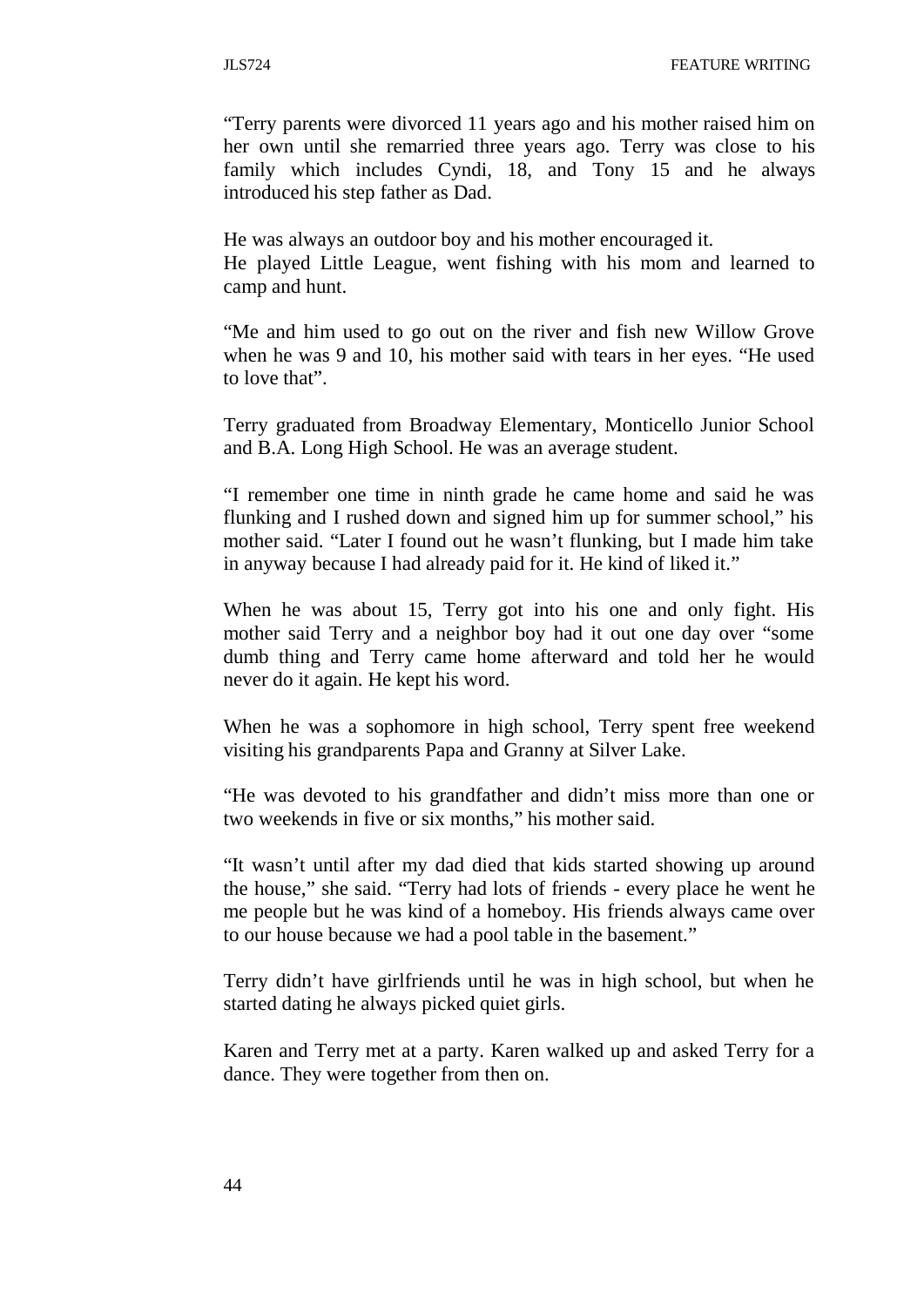"Terry parents were divorced 11 years ago and his mother raised him on her own until she remarried three years ago. Terry was close to his family which includes Cyndi, 18, and Tony 15 and he always introduced his step father as Dad.

He was always an outdoor boy and his mother encouraged it. He played Little League, went fishing with his mom and learned to camp and hunt.

"Me and him used to go out on the river and fish new Willow Grove when he was 9 and 10, his mother said with tears in her eyes. "He used to love that".

Terry graduated from Broadway Elementary, Monticello Junior School and B.A. Long High School. He was an average student.

"I remember one time in ninth grade he came home and said he was flunking and I rushed down and signed him up for summer school," his mother said. "Later I found out he wasn't flunking, but I made him take in anyway because I had already paid for it. He kind of liked it."

When he was about 15, Terry got into his one and only fight. His mother said Terry and a neighbor boy had it out one day over "some dumb thing and Terry came home afterward and told her he would never do it again. He kept his word.

When he was a sophomore in high school, Terry spent free weekend visiting his grandparents Papa and Granny at Silver Lake.

"He was devoted to his grandfather and didn't miss more than one or two weekends in five or six months," his mother said.

"It wasn't until after my dad died that kids started showing up around the house," she said. "Terry had lots of friends - every place he went he me people but he was kind of a homeboy. His friends always came over to our house because we had a pool table in the basement."

Terry didn't have girlfriends until he was in high school, but when he started dating he always picked quiet girls.

Karen and Terry met at a party. Karen walked up and asked Terry for a dance. They were together from then on.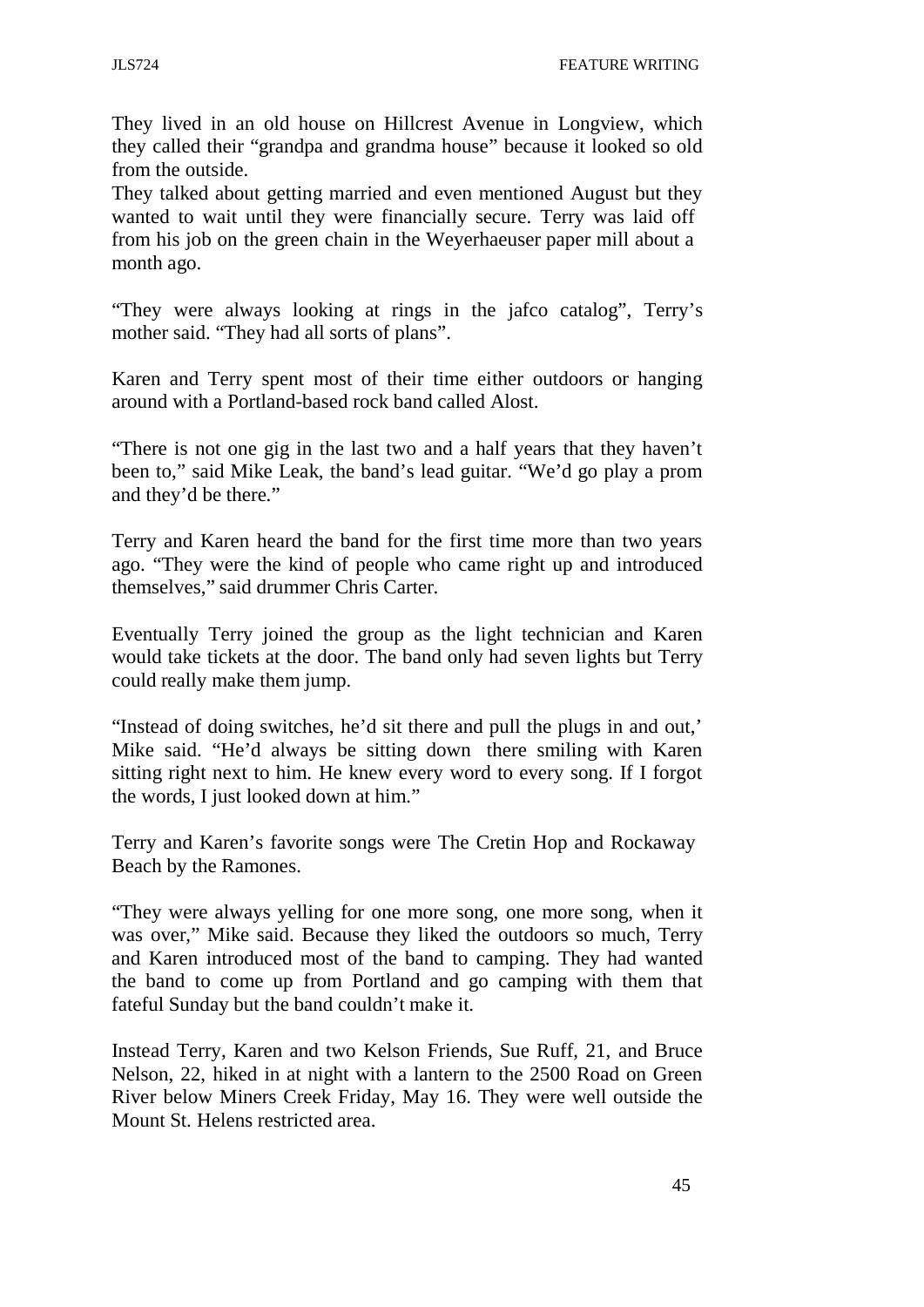They lived in an old house on Hillcrest Avenue in Longview, which they called their "grandpa and grandma house" because it looked so old from the outside.

They talked about getting married and even mentioned August but they wanted to wait until they were financially secure. Terry was laid off from his job on the green chain in the Weyerhaeuser paper mill about a month ago.

"They were always looking at rings in the jafco catalog", Terry's mother said. "They had all sorts of plans".

Karen and Terry spent most of their time either outdoors or hanging around with a Portland-based rock band called Alost.

"There is not one gig in the last two and a half years that they haven't been to," said Mike Leak, the band's lead guitar. "We'd go play a prom and they'd be there."

Terry and Karen heard the band for the first time more than two years ago. "They were the kind of people who came right up and introduced themselves," said drummer Chris Carter.

Eventually Terry joined the group as the light technician and Karen would take tickets at the door. The band only had seven lights but Terry could really make them jump.

"Instead of doing switches, he'd sit there and pull the plugs in and out,' Mike said. "He'd always be sitting down there smiling with Karen sitting right next to him. He knew every word to every song. If I forgot the words, I just looked down at him."

Terry and Karen's favorite songs were The Cretin Hop and Rockaway Beach by the Ramones.

"They were always yelling for one more song, one more song, when it was over," Mike said. Because they liked the outdoors so much, Terry and Karen introduced most of the band to camping. They had wanted the band to come up from Portland and go camping with them that fateful Sunday but the band couldn't make it.

Instead Terry, Karen and two Kelson Friends, Sue Ruff, 21, and Bruce Nelson, 22, hiked in at night with a lantern to the 2500 Road on Green River below Miners Creek Friday, May 16. They were well outside the Mount St. Helens restricted area.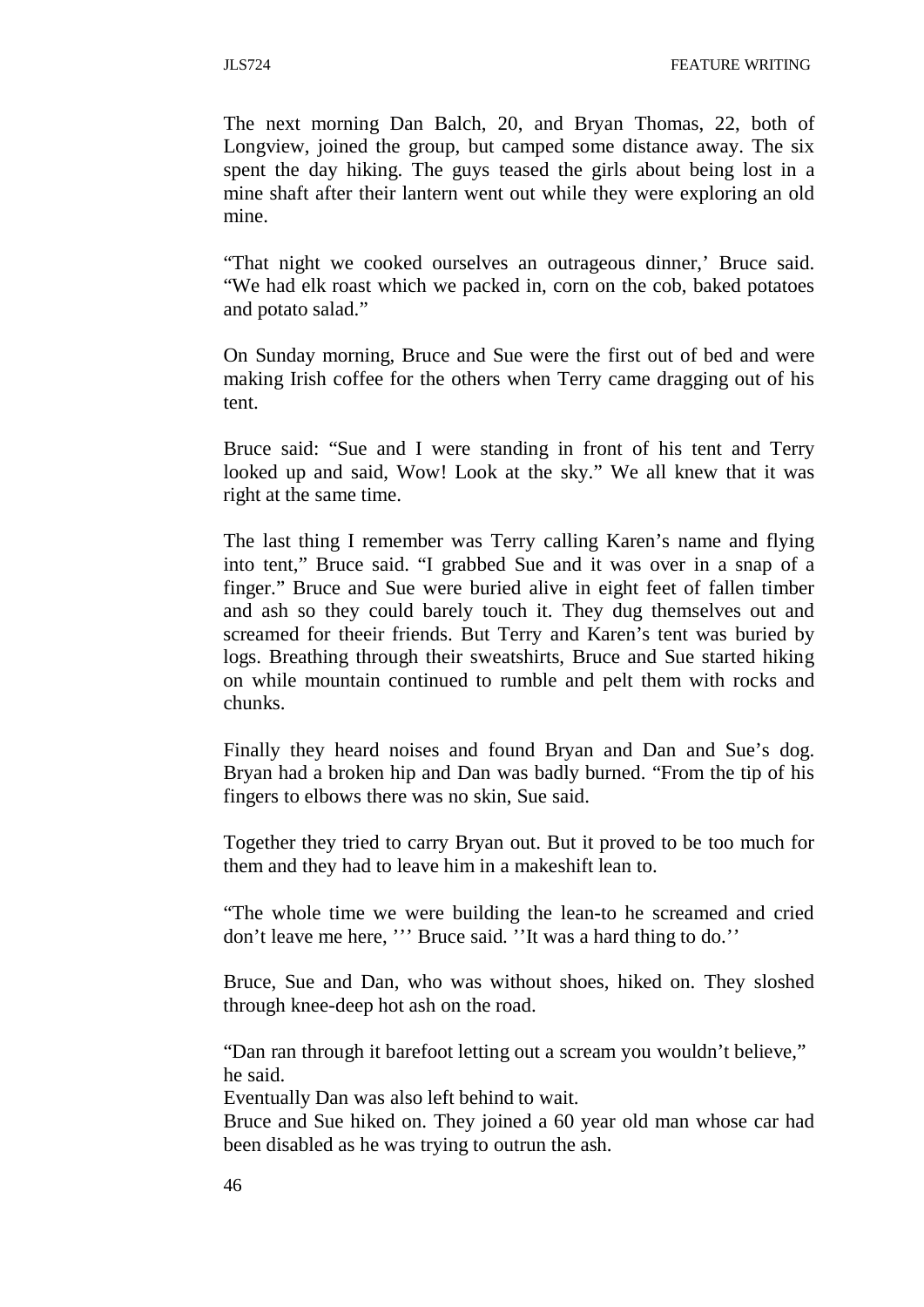The next morning Dan Balch, 20, and Bryan Thomas, 22, both of Longview, joined the group, but camped some distance away. The six spent the day hiking. The guys teased the girls about being lost in a mine shaft after their lantern went out while they were exploring an old mine.

"That night we cooked ourselves an outrageous dinner,' Bruce said. "We had elk roast which we packed in, corn on the cob, baked potatoes and potato salad."

On Sunday morning, Bruce and Sue were the first out of bed and were making Irish coffee for the others when Terry came dragging out of his tent.

Bruce said: "Sue and I were standing in front of his tent and Terry looked up and said, Wow! Look at the sky." We all knew that it was right at the same time.

The last thing I remember was Terry calling Karen's name and flying into tent," Bruce said. "I grabbed Sue and it was over in a snap of a finger." Bruce and Sue were buried alive in eight feet of fallen timber and ash so they could barely touch it. They dug themselves out and screamed for theeir friends. But Terry and Karen's tent was buried by logs. Breathing through their sweatshirts, Bruce and Sue started hiking on while mountain continued to rumble and pelt them with rocks and chunks.

Finally they heard noises and found Bryan and Dan and Sue's dog. Bryan had a broken hip and Dan was badly burned. "From the tip of his fingers to elbows there was no skin, Sue said.

Together they tried to carry Bryan out. But it proved to be too much for them and they had to leave him in a makeshift lean to.

"The whole time we were building the lean-to he screamed and cried don't leave me here, ''' Bruce said. ''It was a hard thing to do.''

Bruce, Sue and Dan, who was without shoes, hiked on. They sloshed through knee-deep hot ash on the road.

"Dan ran through it barefoot letting out a scream you wouldn't believe," he said.

Eventually Dan was also left behind to wait.

Bruce and Sue hiked on. They joined a 60 year old man whose car had been disabled as he was trying to outrun the ash.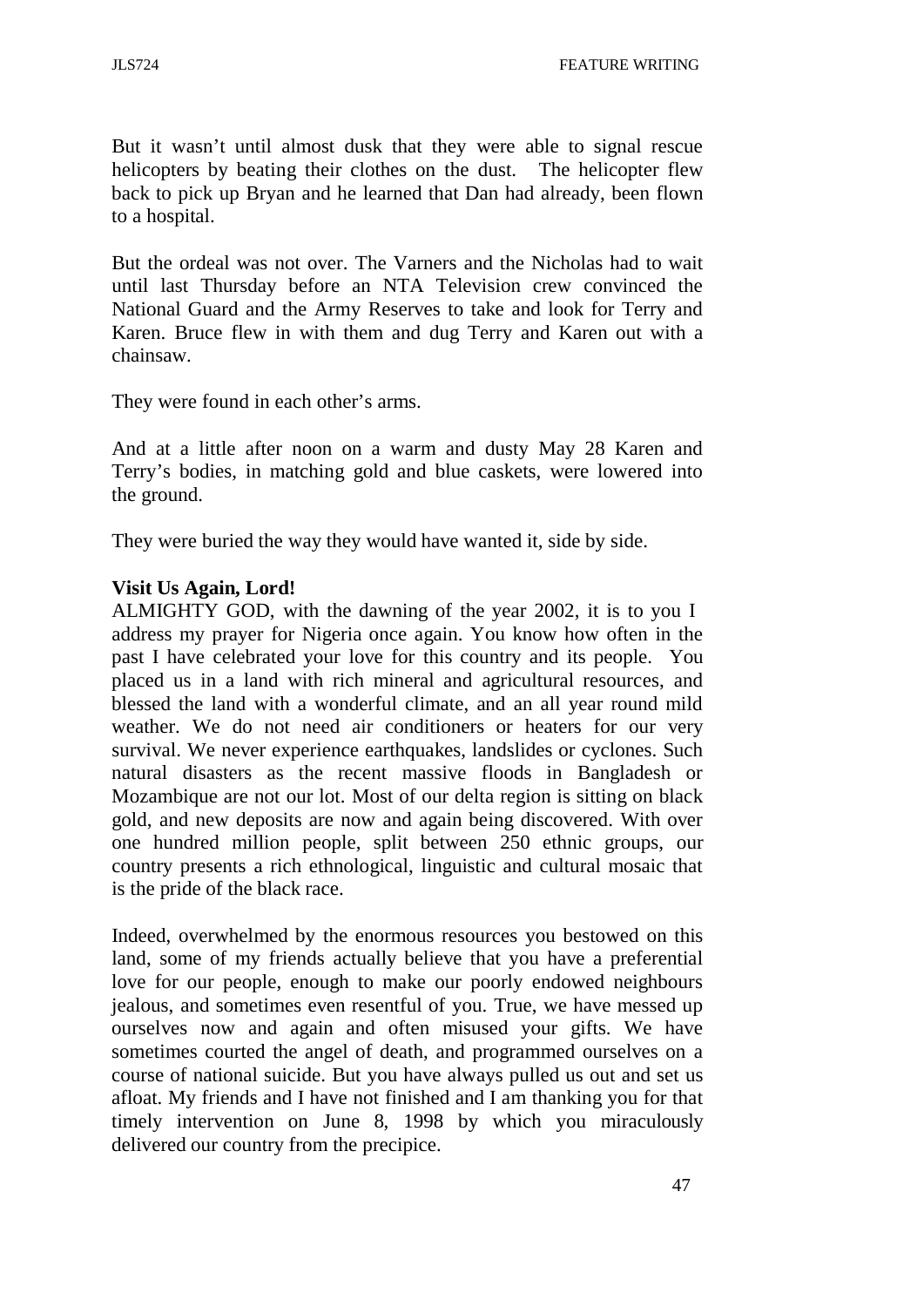But it wasn't until almost dusk that they were able to signal rescue helicopters by beating their clothes on the dust. The helicopter flew back to pick up Bryan and he learned that Dan had already, been flown to a hospital.

But the ordeal was not over. The Varners and the Nicholas had to wait until last Thursday before an NTA Television crew convinced the National Guard and the Army Reserves to take and look for Terry and Karen. Bruce flew in with them and dug Terry and Karen out with a chainsaw.

They were found in each other's arms.

And at a little after noon on a warm and dusty May 28 Karen and Terry's bodies, in matching gold and blue caskets, were lowered into the ground.

They were buried the way they would have wanted it, side by side.

### **Visit Us Again, Lord!**

ALMIGHTY GOD, with the dawning of the year 2002, it is to you I address my prayer for Nigeria once again. You know how often in the past I have celebrated your love for this country and its people. You placed us in a land with rich mineral and agricultural resources, and blessed the land with a wonderful climate, and an all year round mild weather. We do not need air conditioners or heaters for our very survival. We never experience earthquakes, landslides or cyclones. Such natural disasters as the recent massive floods in Bangladesh or Mozambique are not our lot. Most of our delta region is sitting on black gold, and new deposits are now and again being discovered. With over one hundred million people, split between 250 ethnic groups, our country presents a rich ethnological, linguistic and cultural mosaic that is the pride of the black race.

Indeed, overwhelmed by the enormous resources you bestowed on this land, some of my friends actually believe that you have a preferential love for our people, enough to make our poorly endowed neighbours jealous, and sometimes even resentful of you. True, we have messed up ourselves now and again and often misused your gifts. We have sometimes courted the angel of death, and programmed ourselves on a course of national suicide. But you have always pulled us out and set us afloat. My friends and I have not finished and I am thanking you for that timely intervention on June 8, 1998 by which you miraculously delivered our country from the precipice.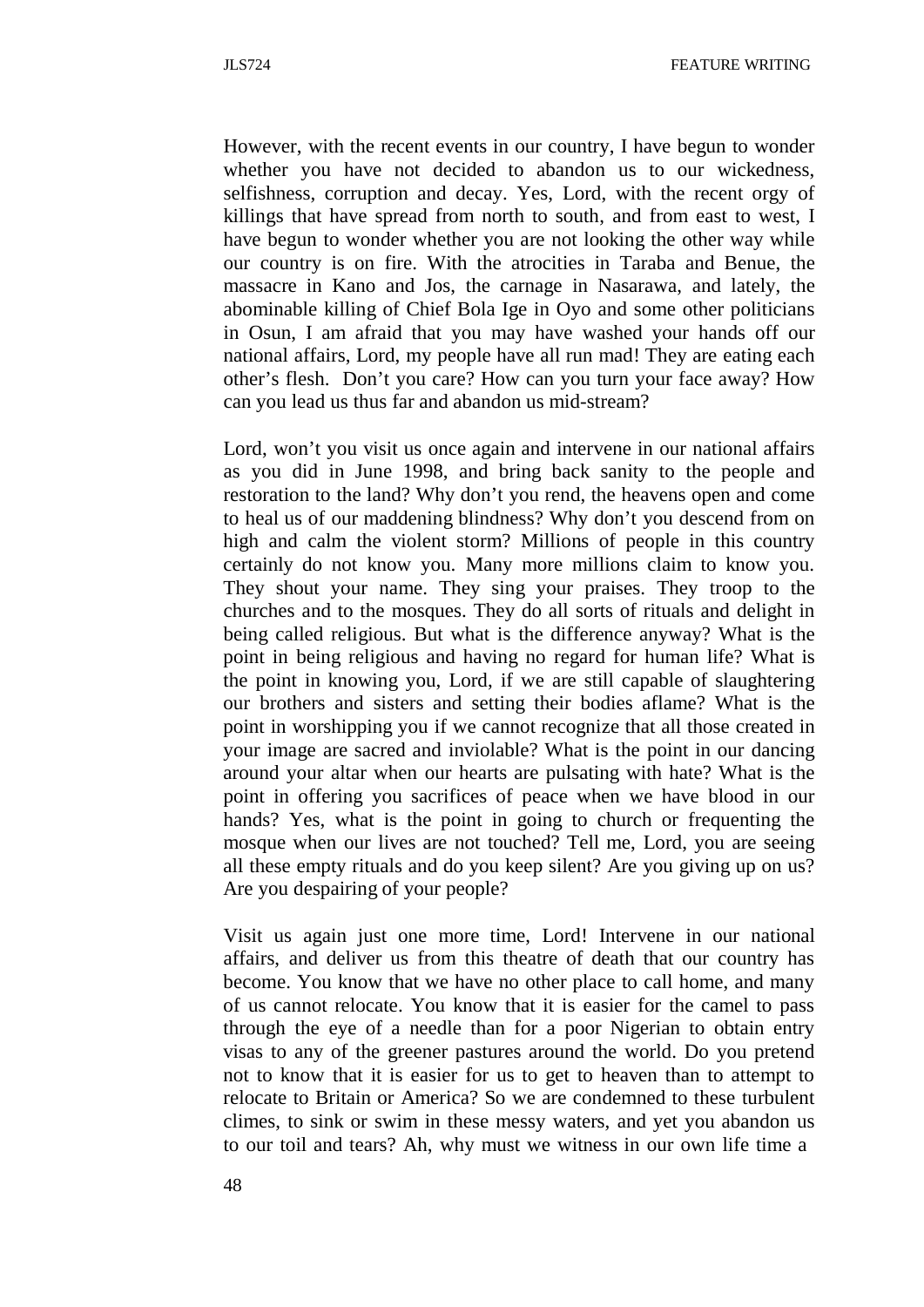However, with the recent events in our country, I have begun to wonder whether you have not decided to abandon us to our wickedness, selfishness, corruption and decay. Yes, Lord, with the recent orgy of killings that have spread from north to south, and from east to west, I have begun to wonder whether you are not looking the other way while our country is on fire. With the atrocities in Taraba and Benue, the massacre in Kano and Jos, the carnage in Nasarawa, and lately, the abominable killing of Chief Bola Ige in Oyo and some other politicians in Osun, I am afraid that you may have washed your hands off our national affairs, Lord, my people have all run mad! They are eating each other's flesh. Don't you care? How can you turn your face away? How can you lead us thus far and abandon us mid-stream?

Lord, won't you visit us once again and intervene in our national affairs as you did in June 1998, and bring back sanity to the people and restoration to the land? Why don't you rend, the heavens open and come to heal us of our maddening blindness? Why don't you descend from on high and calm the violent storm? Millions of people in this country certainly do not know you. Many more millions claim to know you. They shout your name. They sing your praises. They troop to the churches and to the mosques. They do all sorts of rituals and delight in being called religious. But what is the difference anyway? What is the point in being religious and having no regard for human life? What is the point in knowing you, Lord, if we are still capable of slaughtering our brothers and sisters and setting their bodies aflame? What is the point in worshipping you if we cannot recognize that all those created in your image are sacred and inviolable? What is the point in our dancing around your altar when our hearts are pulsating with hate? What is the point in offering you sacrifices of peace when we have blood in our hands? Yes, what is the point in going to church or frequenting the mosque when our lives are not touched? Tell me, Lord, you are seeing all these empty rituals and do you keep silent? Are you giving up on us? Are you despairing of your people?

Visit us again just one more time, Lord! Intervene in our national affairs, and deliver us from this theatre of death that our country has become. You know that we have no other place to call home, and many of us cannot relocate. You know that it is easier for the camel to pass through the eye of a needle than for a poor Nigerian to obtain entry visas to any of the greener pastures around the world. Do you pretend not to know that it is easier for us to get to heaven than to attempt to relocate to Britain or America? So we are condemned to these turbulent climes, to sink or swim in these messy waters, and yet you abandon us to our toil and tears? Ah, why must we witness in our own life time a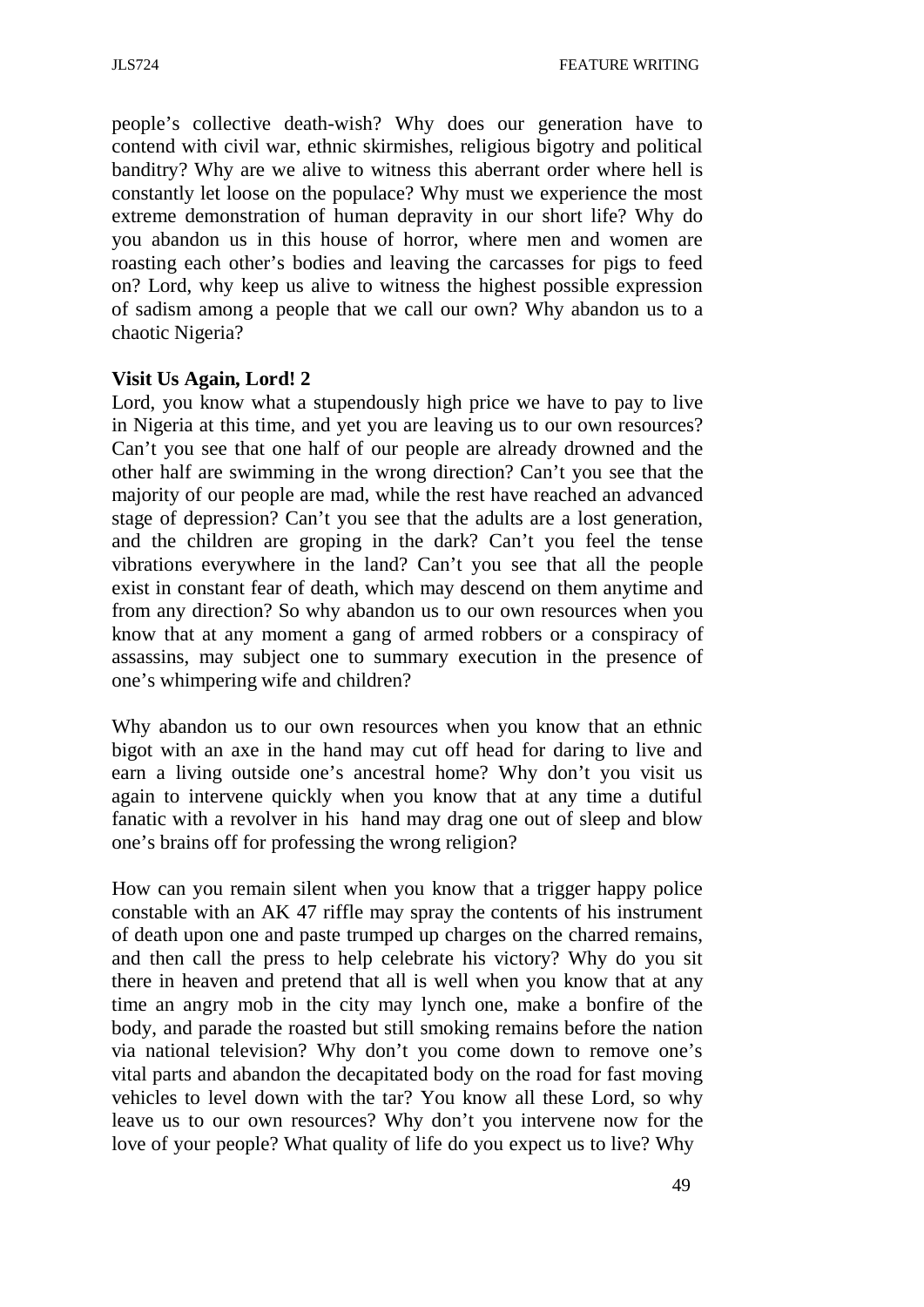people's collective death-wish? Why does our generation have to contend with civil war, ethnic skirmishes, religious bigotry and political banditry? Why are we alive to witness this aberrant order where hell is constantly let loose on the populace? Why must we experience the most extreme demonstration of human depravity in our short life? Why do you abandon us in this house of horror, where men and women are roasting each other's bodies and leaving the carcasses for pigs to feed on? Lord, why keep us alive to witness the highest possible expression of sadism among a people that we call our own? Why abandon us to a chaotic Nigeria?

# **Visit Us Again, Lord! 2**

Lord, you know what a stupendously high price we have to pay to live in Nigeria at this time, and yet you are leaving us to our own resources? Can't you see that one half of our people are already drowned and the other half are swimming in the wrong direction? Can't you see that the majority of our people are mad, while the rest have reached an advanced stage of depression? Can't you see that the adults are a lost generation, and the children are groping in the dark? Can't you feel the tense vibrations everywhere in the land? Can't you see that all the people exist in constant fear of death, which may descend on them anytime and from any direction? So why abandon us to our own resources when you know that at any moment a gang of armed robbers or a conspiracy of assassins, may subject one to summary execution in the presence of one's whimpering wife and children?

Why abandon us to our own resources when you know that an ethnic bigot with an axe in the hand may cut off head for daring to live and earn a living outside one's ancestral home? Why don't you visit us again to intervene quickly when you know that at any time a dutiful fanatic with a revolver in his hand may drag one out of sleep and blow one's brains off for professing the wrong religion?

How can you remain silent when you know that a trigger happy police constable with an AK 47 riffle may spray the contents of his instrument of death upon one and paste trumped up charges on the charred remains, and then call the press to help celebrate his victory? Why do you sit there in heaven and pretend that all is well when you know that at any time an angry mob in the city may lynch one, make a bonfire of the body, and parade the roasted but still smoking remains before the nation via national television? Why don't you come down to remove one's vital parts and abandon the decapitated body on the road for fast moving vehicles to level down with the tar? You know all these Lord, so why leave us to our own resources? Why don't you intervene now for the love of your people? What quality of life do you expect us to live? Why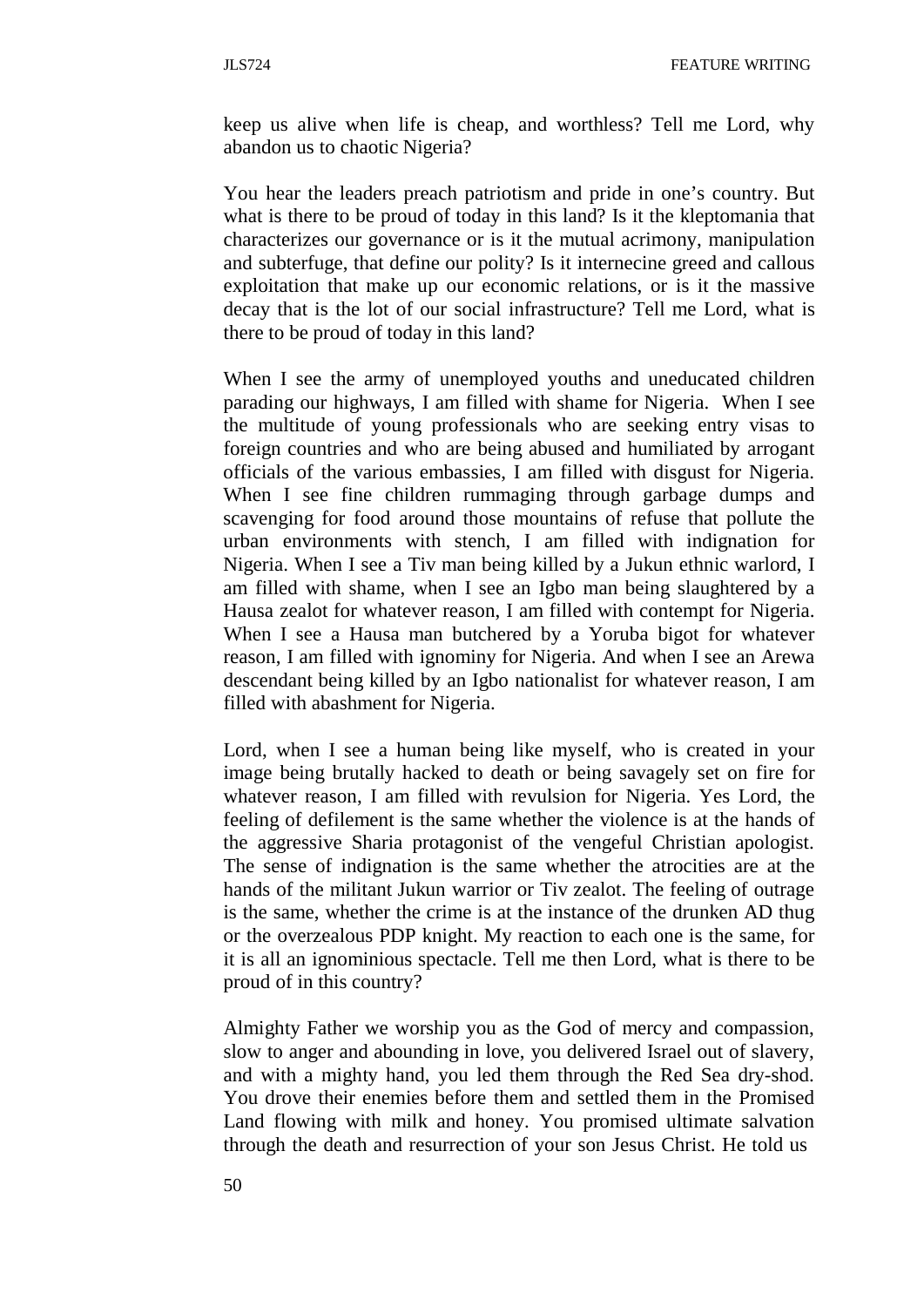keep us alive when life is cheap, and worthless? Tell me Lord, why abandon us to chaotic Nigeria?

You hear the leaders preach patriotism and pride in one's country. But what is there to be proud of today in this land? Is it the kleptomania that characterizes our governance or is it the mutual acrimony, manipulation and subterfuge, that define our polity? Is it internecine greed and callous exploitation that make up our economic relations, or is it the massive decay that is the lot of our social infrastructure? Tell me Lord, what is there to be proud of today in this land?

When I see the army of unemployed youths and uneducated children parading our highways, I am filled with shame for Nigeria. When I see the multitude of young professionals who are seeking entry visas to foreign countries and who are being abused and humiliated by arrogant officials of the various embassies, I am filled with disgust for Nigeria. When I see fine children rummaging through garbage dumps and scavenging for food around those mountains of refuse that pollute the urban environments with stench, I am filled with indignation for Nigeria. When I see a Tiv man being killed by a Jukun ethnic warlord, I am filled with shame, when I see an Igbo man being slaughtered by a Hausa zealot for whatever reason, I am filled with contempt for Nigeria. When I see a Hausa man butchered by a Yoruba bigot for whatever reason, I am filled with ignominy for Nigeria. And when I see an Arewa descendant being killed by an Igbo nationalist for whatever reason, I am filled with abashment for Nigeria.

Lord, when I see a human being like myself, who is created in your image being brutally hacked to death or being savagely set on fire for whatever reason, I am filled with revulsion for Nigeria. Yes Lord, the feeling of defilement is the same whether the violence is at the hands of the aggressive Sharia protagonist of the vengeful Christian apologist. The sense of indignation is the same whether the atrocities are at the hands of the militant Jukun warrior or Tiv zealot. The feeling of outrage is the same, whether the crime is at the instance of the drunken AD thug or the overzealous PDP knight. My reaction to each one is the same, for it is all an ignominious spectacle. Tell me then Lord, what is there to be proud of in this country?

Almighty Father we worship you as the God of mercy and compassion, slow to anger and abounding in love, you delivered Israel out of slavery, and with a mighty hand, you led them through the Red Sea dry-shod. You drove their enemies before them and settled them in the Promised Land flowing with milk and honey. You promised ultimate salvation through the death and resurrection of your son Jesus Christ. He told us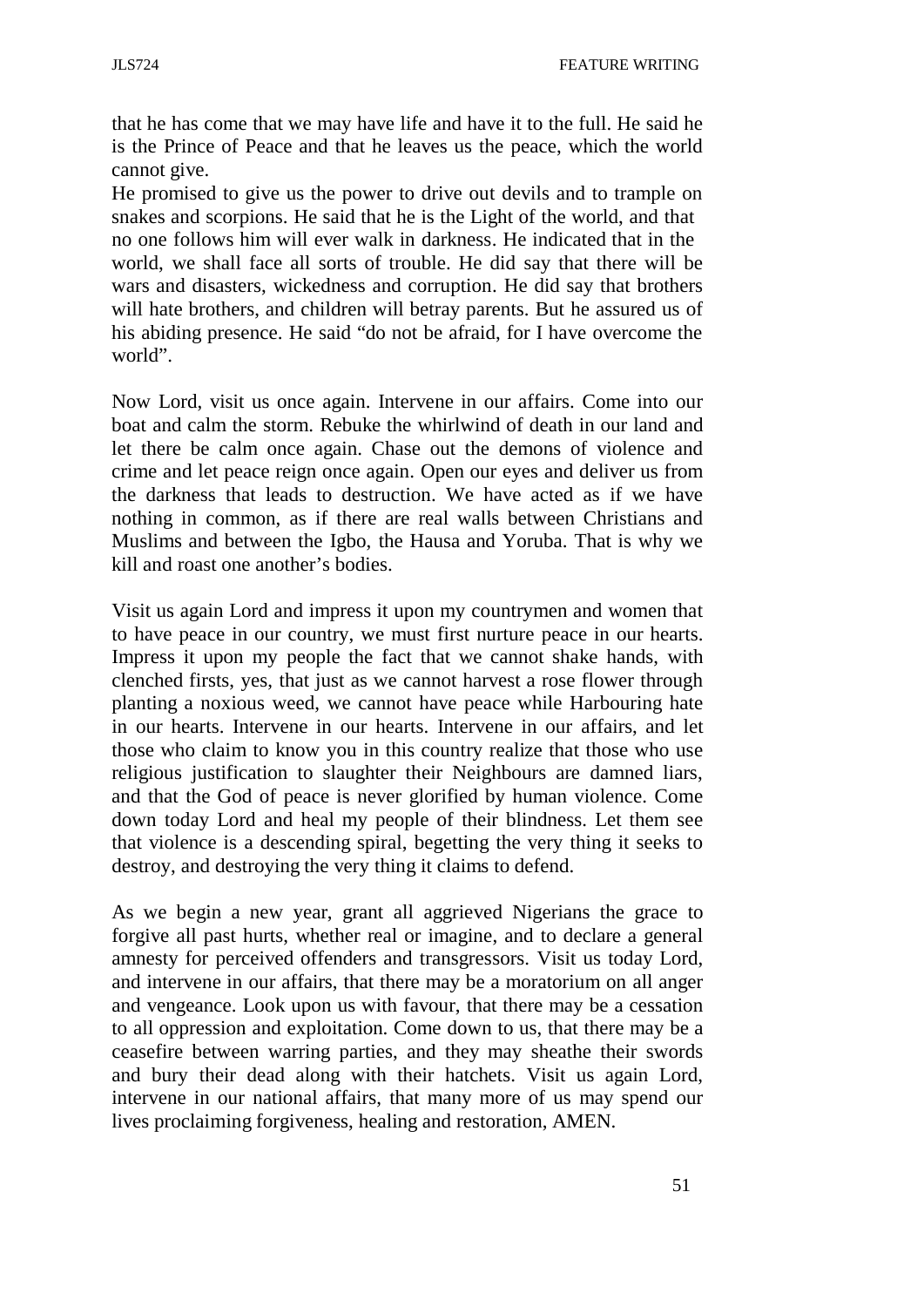that he has come that we may have life and have it to the full. He said he is the Prince of Peace and that he leaves us the peace, which the world cannot give.

He promised to give us the power to drive out devils and to trample on snakes and scorpions. He said that he is the Light of the world, and that no one follows him will ever walk in darkness. He indicated that in the world, we shall face all sorts of trouble. He did say that there will be wars and disasters, wickedness and corruption. He did say that brothers will hate brothers, and children will betray parents. But he assured us of his abiding presence. He said "do not be afraid, for I have overcome the world".

Now Lord, visit us once again. Intervene in our affairs. Come into our boat and calm the storm. Rebuke the whirlwind of death in our land and let there be calm once again. Chase out the demons of violence and crime and let peace reign once again. Open our eyes and deliver us from the darkness that leads to destruction. We have acted as if we have nothing in common, as if there are real walls between Christians and Muslims and between the Igbo, the Hausa and Yoruba. That is why we kill and roast one another's bodies.

Visit us again Lord and impress it upon my countrymen and women that to have peace in our country, we must first nurture peace in our hearts. Impress it upon my people the fact that we cannot shake hands, with clenched firsts, yes, that just as we cannot harvest a rose flower through planting a noxious weed, we cannot have peace while Harbouring hate in our hearts. Intervene in our hearts. Intervene in our affairs, and let those who claim to know you in this country realize that those who use religious justification to slaughter their Neighbours are damned liars, and that the God of peace is never glorified by human violence. Come down today Lord and heal my people of their blindness. Let them see that violence is a descending spiral, begetting the very thing it seeks to destroy, and destroying the very thing it claims to defend.

As we begin a new year, grant all aggrieved Nigerians the grace to forgive all past hurts, whether real or imagine, and to declare a general amnesty for perceived offenders and transgressors. Visit us today Lord, and intervene in our affairs, that there may be a moratorium on all anger and vengeance. Look upon us with favour, that there may be a cessation to all oppression and exploitation. Come down to us, that there may be a ceasefire between warring parties, and they may sheathe their swords and bury their dead along with their hatchets. Visit us again Lord, intervene in our national affairs, that many more of us may spend our lives proclaiming forgiveness, healing and restoration, AMEN.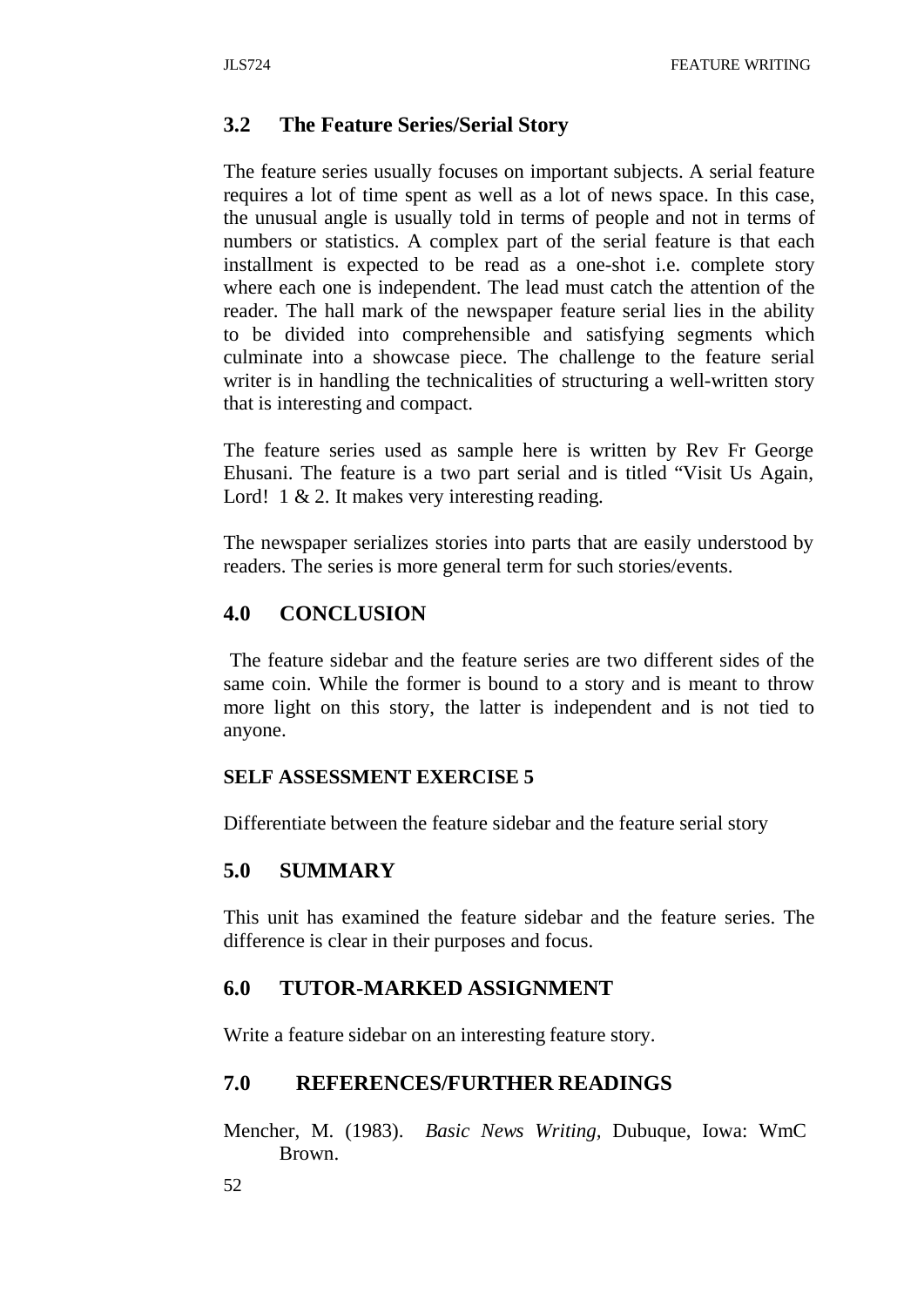## **3.2 The Feature Series/Serial Story**

The feature series usually focuses on important subjects. A serial feature requires a lot of time spent as well as a lot of news space. In this case, the unusual angle is usually told in terms of people and not in terms of numbers or statistics. A complex part of the serial feature is that each installment is expected to be read as a one-shot i.e. complete story where each one is independent. The lead must catch the attention of the reader. The hall mark of the newspaper feature serial lies in the ability to be divided into comprehensible and satisfying segments which culminate into a showcase piece. The challenge to the feature serial writer is in handling the technicalities of structuring a well-written story that is interesting and compact.

The feature series used as sample here is written by Rev Fr George Ehusani. The feature is a two part serial and is titled "Visit Us Again, Lord!  $1 \& 2$ . It makes very interesting reading.

The newspaper serializes stories into parts that are easily understood by readers. The series is more general term for such stories/events.

#### **4.0 CONCLUSION**

The feature sidebar and the feature series are two different sides of the same coin. While the former is bound to a story and is meant to throw more light on this story, the latter is independent and is not tied to anyone.

#### **SELF ASSESSMENT EXERCISE 5**

Differentiate between the feature sidebar and the feature serial story

# **5.0 SUMMARY**

This unit has examined the feature sidebar and the feature series. The difference is clear in their purposes and focus.

### **6.0 TUTOR-MARKED ASSIGNMENT**

Write a feature sidebar on an interesting feature story.

### **7.0 REFERENCES/FURTHER READINGS**

Mencher, M. (1983). *Basic News Writing,* Dubuque, Iowa: WmC Brown.

52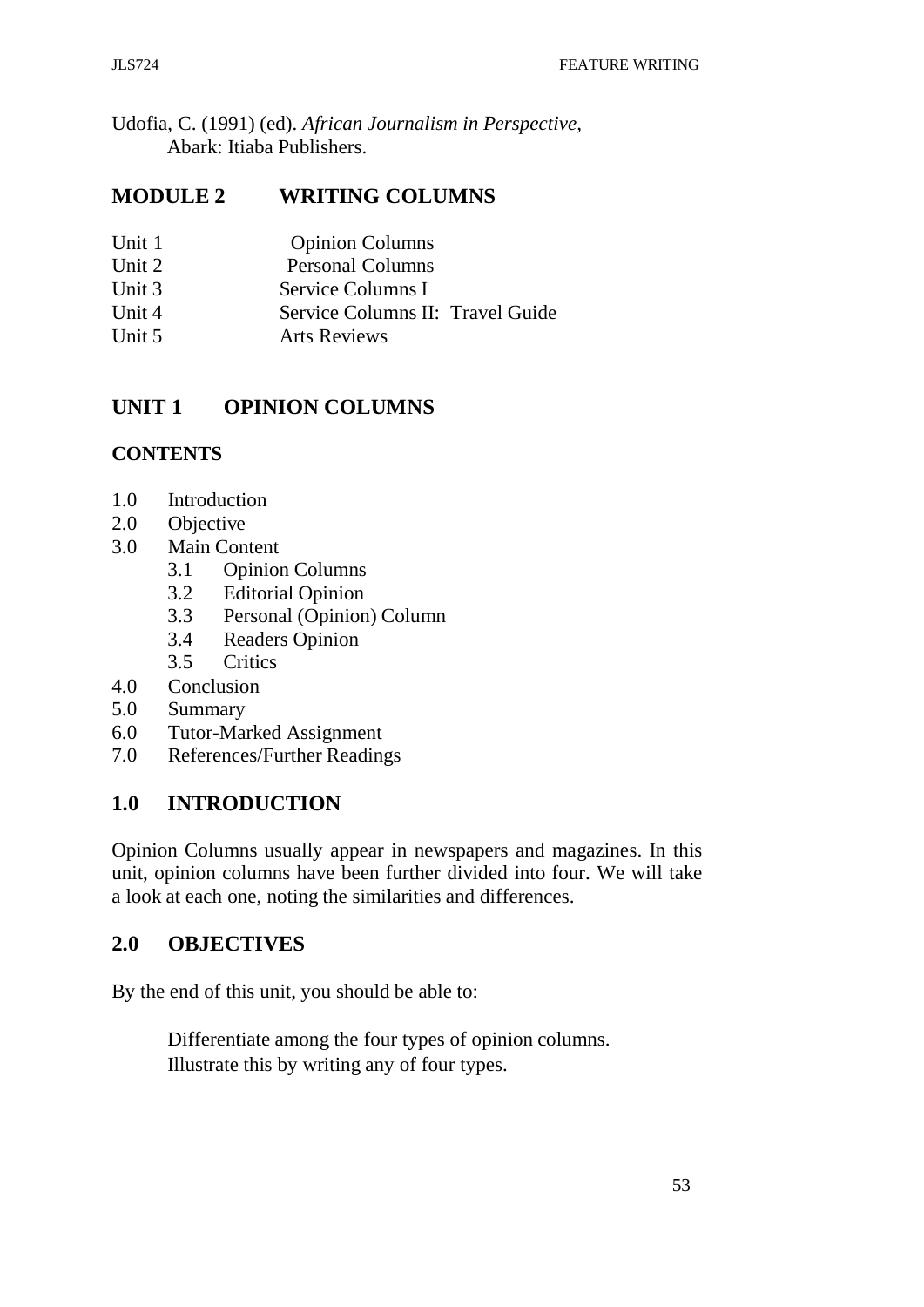Udofia, C. (1991) (ed). *African Journalism in Perspective,* Abark: Itiaba Publishers.

# **MODULE 2 WRITING COLUMNS**

| Unit 1 | <b>Opinion Columns</b>  |
|--------|-------------------------|
| Unit 2 | <b>Personal Columns</b> |

- Unit 3 Service Columns I
- Unit 4 Service Columns II: Travel Guide
- Unit 5 Arts Reviews

# **UNIT 1 OPINION COLUMNS**

# **CONTENTS**

- 1.0 Introduction
- 2.0 Objective
- 3.0 Main Content
	- 3.1 Opinion Columns
	- 3.2 Editorial Opinion
	- 3.3 Personal (Opinion) Column
	- 3.4 Readers Opinion
	- 3.5 Critics
- 4.0 Conclusion
- 5.0 Summary
- 6.0 Tutor-Marked Assignment
- 7.0 References/Further Readings

# **1.0 INTRODUCTION**

Opinion Columns usually appear in newspapers and magazines. In this unit, opinion columns have been further divided into four. We will take a look at each one, noting the similarities and differences.

# **2.0 OBJECTIVES**

By the end of this unit, you should be able to:

Differentiate among the four types of opinion columns. Illustrate this by writing any of four types.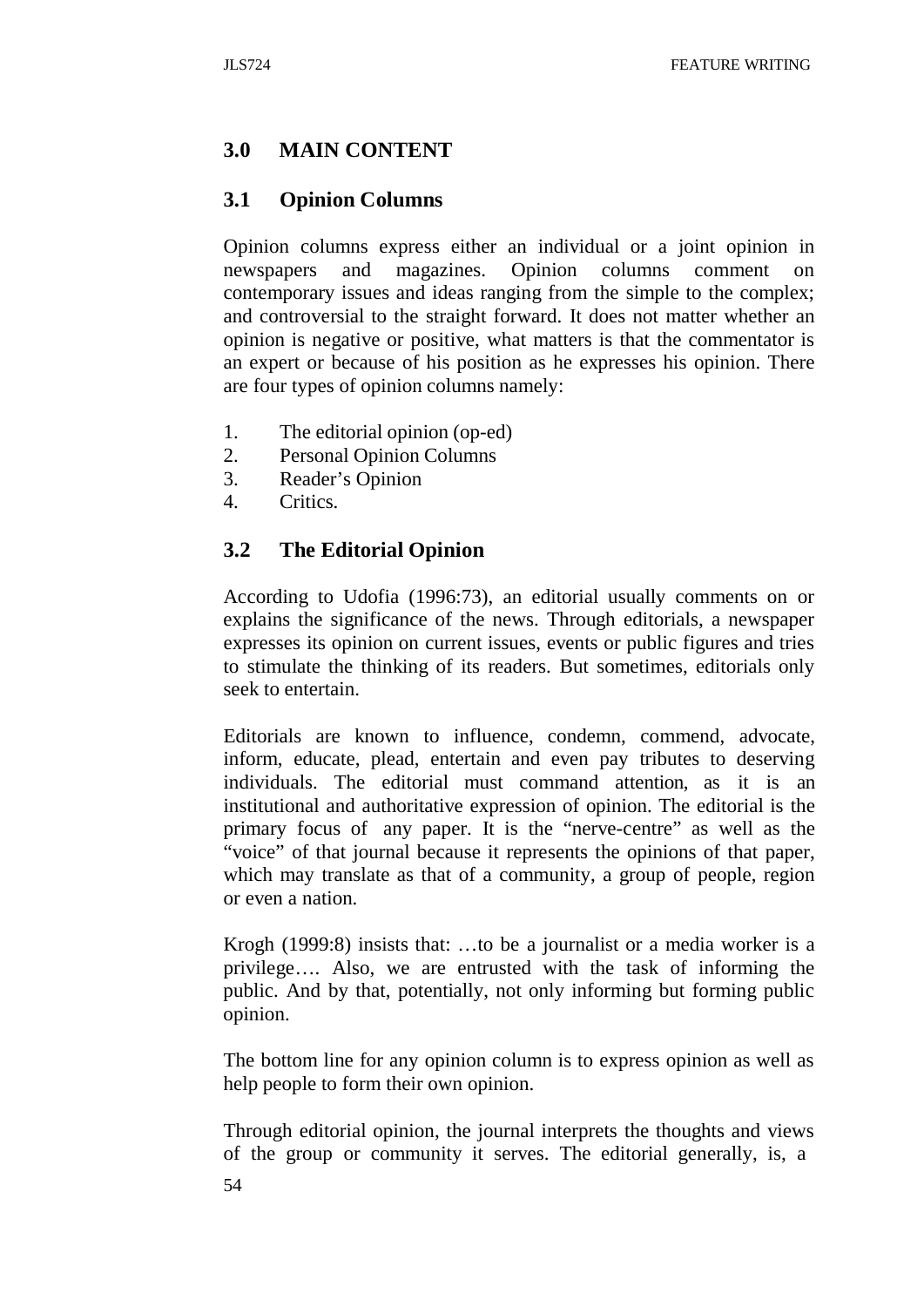# **3.0 MAIN CONTENT**

### **3.1 Opinion Columns**

Opinion columns express either an individual or a joint opinion in newspapers and magazines. Opinion columns comment on contemporary issues and ideas ranging from the simple to the complex; and controversial to the straight forward. It does not matter whether an opinion is negative or positive, what matters is that the commentator is an expert or because of his position as he expresses his opinion. There are four types of opinion columns namely:

- 1. The editorial opinion (op-ed)
- 2. Personal Opinion Columns
- 3. Reader's Opinion
- 4. Critics.

### **3.2 The Editorial Opinion**

According to Udofia (1996:73), an editorial usually comments on or explains the significance of the news. Through editorials, a newspaper expresses its opinion on current issues, events or public figures and tries to stimulate the thinking of its readers. But sometimes, editorials only seek to entertain.

Editorials are known to influence, condemn, commend, advocate, inform, educate, plead, entertain and even pay tributes to deserving individuals. The editorial must command attention, as it is an institutional and authoritative expression of opinion. The editorial is the primary focus of any paper. It is the "nerve-centre" as well as the "voice" of that journal because it represents the opinions of that paper, which may translate as that of a community, a group of people, region or even a nation.

Krogh (1999:8) insists that: …to be a journalist or a media worker is a privilege…. Also, we are entrusted with the task of informing the public. And by that, potentially, not only informing but forming public opinion.

The bottom line for any opinion column is to express opinion as well as help people to form their own opinion.

Through editorial opinion, the journal interprets the thoughts and views of the group or community it serves. The editorial generally, is, a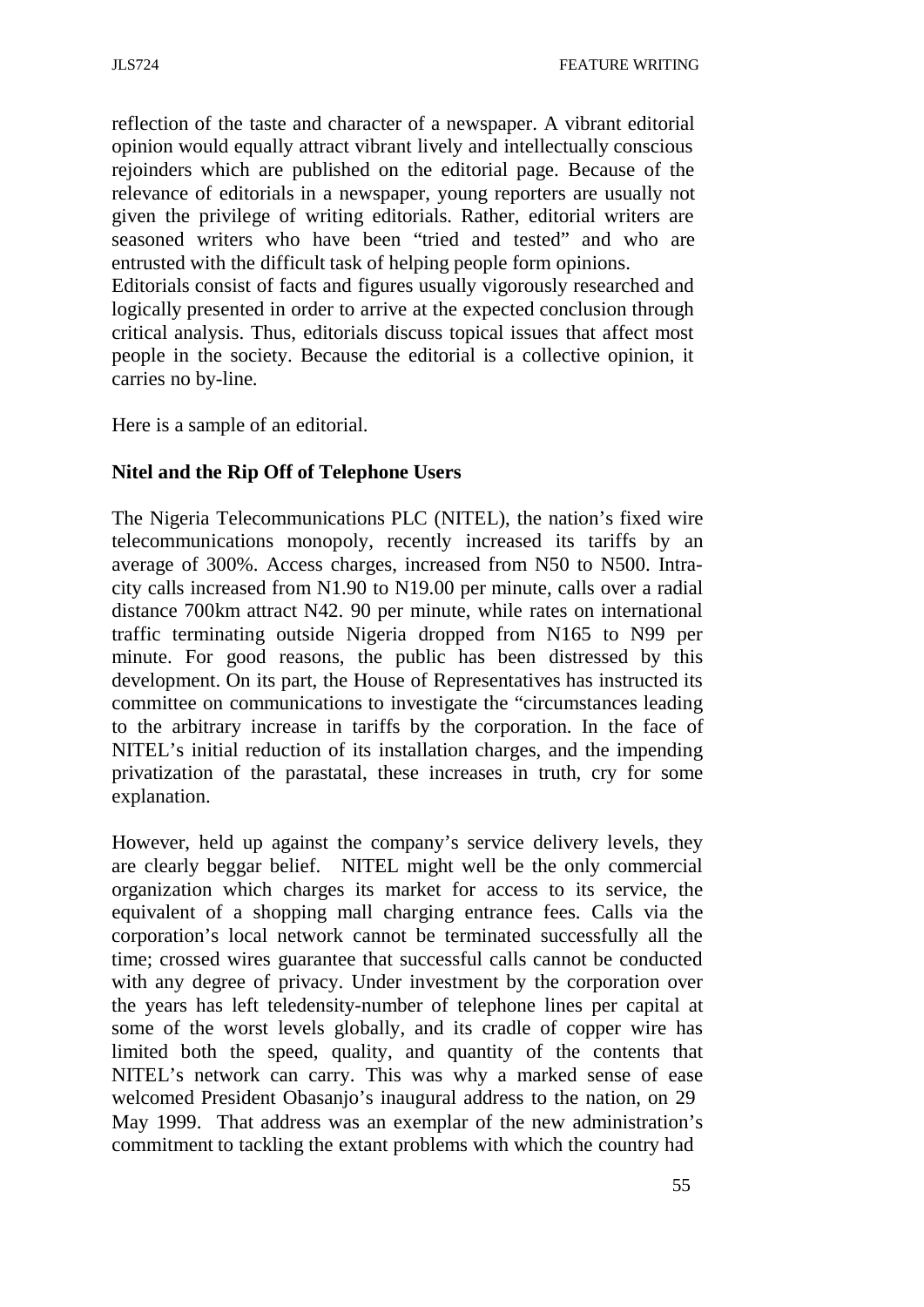reflection of the taste and character of a newspaper. A vibrant editorial opinion would equally attract vibrant lively and intellectually conscious rejoinders which are published on the editorial page. Because of the relevance of editorials in a newspaper, young reporters are usually not given the privilege of writing editorials. Rather, editorial writers are seasoned writers who have been "tried and tested" and who are entrusted with the difficult task of helping people form opinions.

Editorials consist of facts and figures usually vigorously researched and logically presented in order to arrive at the expected conclusion through critical analysis. Thus, editorials discuss topical issues that affect most people in the society. Because the editorial is a collective opinion, it carries no by-line.

Here is a sample of an editorial.

# **Nitel and the Rip Off of Telephone Users**

The Nigeria Telecommunications PLC (NITEL), the nation's fixed wire telecommunications monopoly, recently increased its tariffs by an average of 300%. Access charges, increased from N50 to N500. Intracity calls increased from N1.90 to N19.00 per minute, calls over a radial distance 700km attract N42. 90 per minute, while rates on international traffic terminating outside Nigeria dropped from N165 to N99 per minute. For good reasons, the public has been distressed by this development. On its part, the House of Representatives has instructed its committee on communications to investigate the "circumstances leading to the arbitrary increase in tariffs by the corporation. In the face of NITEL's initial reduction of its installation charges, and the impending privatization of the parastatal, these increases in truth, cry for some explanation.

However, held up against the company's service delivery levels, they are clearly beggar belief. NITEL might well be the only commercial organization which charges its market for access to its service, the equivalent of a shopping mall charging entrance fees. Calls via the corporation's local network cannot be terminated successfully all the time; crossed wires guarantee that successful calls cannot be conducted with any degree of privacy. Under investment by the corporation over the years has left teledensity-number of telephone lines per capital at some of the worst levels globally, and its cradle of copper wire has limited both the speed, quality, and quantity of the contents that NITEL's network can carry. This was why a marked sense of ease welcomed President Obasanjo's inaugural address to the nation, on 29 May 1999. That address was an exemplar of the new administration's commitment to tackling the extant problems with which the country had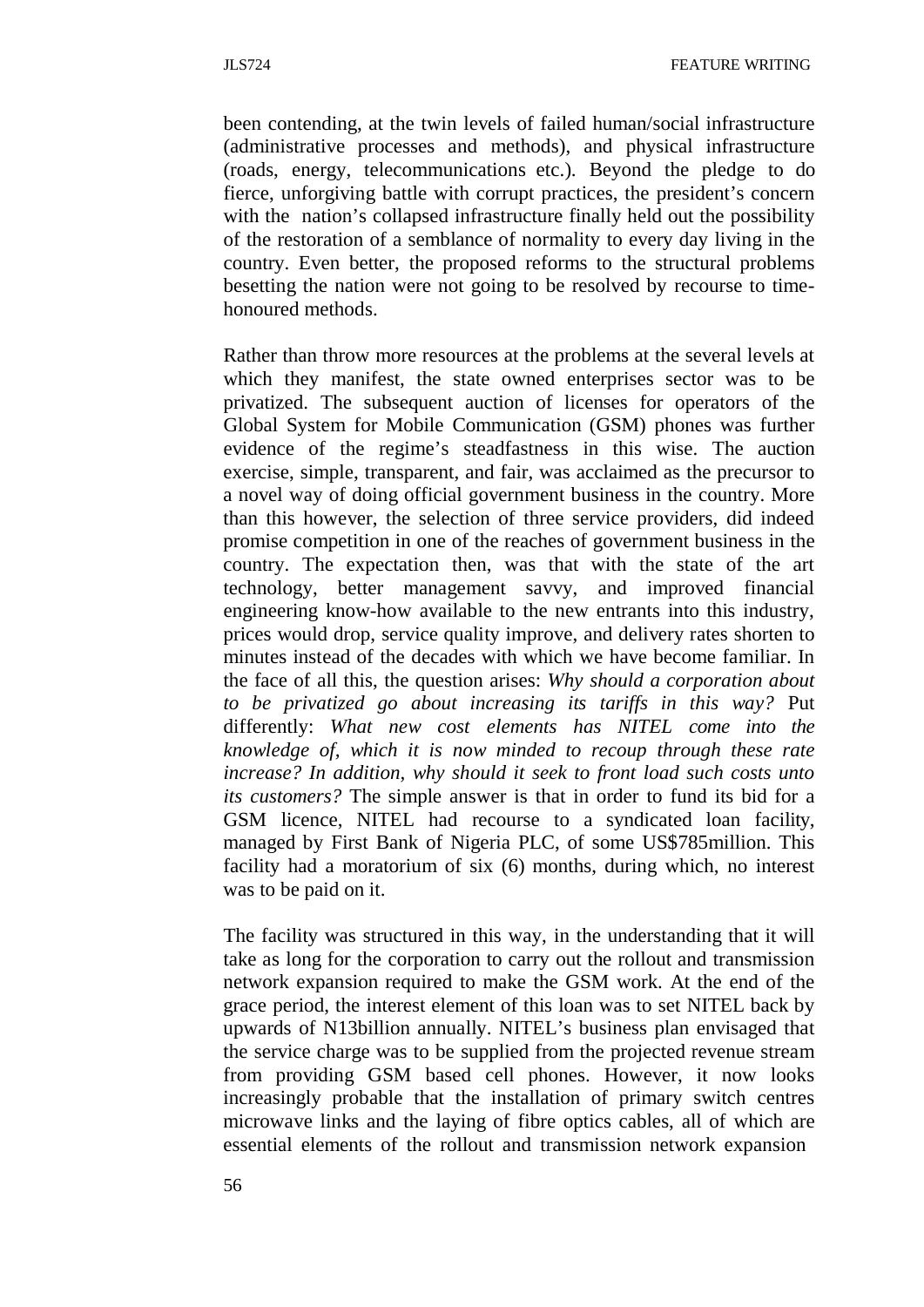been contending, at the twin levels of failed human/social infrastructure (administrative processes and methods), and physical infrastructure (roads, energy, telecommunications etc.). Beyond the pledge to do fierce, unforgiving battle with corrupt practices, the president's concern with the nation's collapsed infrastructure finally held out the possibility of the restoration of a semblance of normality to every day living in the country. Even better, the proposed reforms to the structural problems besetting the nation were not going to be resolved by recourse to timehonoured methods.

Rather than throw more resources at the problems at the several levels at which they manifest, the state owned enterprises sector was to be privatized. The subsequent auction of licenses for operators of the Global System for Mobile Communication (GSM) phones was further evidence of the regime's steadfastness in this wise. The auction exercise, simple, transparent, and fair, was acclaimed as the precursor to a novel way of doing official government business in the country. More than this however, the selection of three service providers, did indeed promise competition in one of the reaches of government business in the country. The expectation then, was that with the state of the art technology, better management savvy, and improved financial engineering know-how available to the new entrants into this industry, prices would drop, service quality improve, and delivery rates shorten to minutes instead of the decades with which we have become familiar. In the face of all this, the question arises: *Why should a corporation about to be privatized go about increasing its tariffs in this way?* Put differently: *What new cost elements has NITEL come into the knowledge of, which it is now minded to recoup through these rate increase? In addition, why should it seek to front load such costs unto its customers?* The simple answer is that in order to fund its bid for a GSM licence, NITEL had recourse to a syndicated loan facility, managed by First Bank of Nigeria PLC, of some US\$785million. This facility had a moratorium of six (6) months, during which, no interest was to be paid on it.

The facility was structured in this way, in the understanding that it will take as long for the corporation to carry out the rollout and transmission network expansion required to make the GSM work. At the end of the grace period, the interest element of this loan was to set NITEL back by upwards of N13billion annually. NITEL's business plan envisaged that the service charge was to be supplied from the projected revenue stream from providing GSM based cell phones. However, it now looks increasingly probable that the installation of primary switch centres microwave links and the laying of fibre optics cables, all of which are essential elements of the rollout and transmission network expansion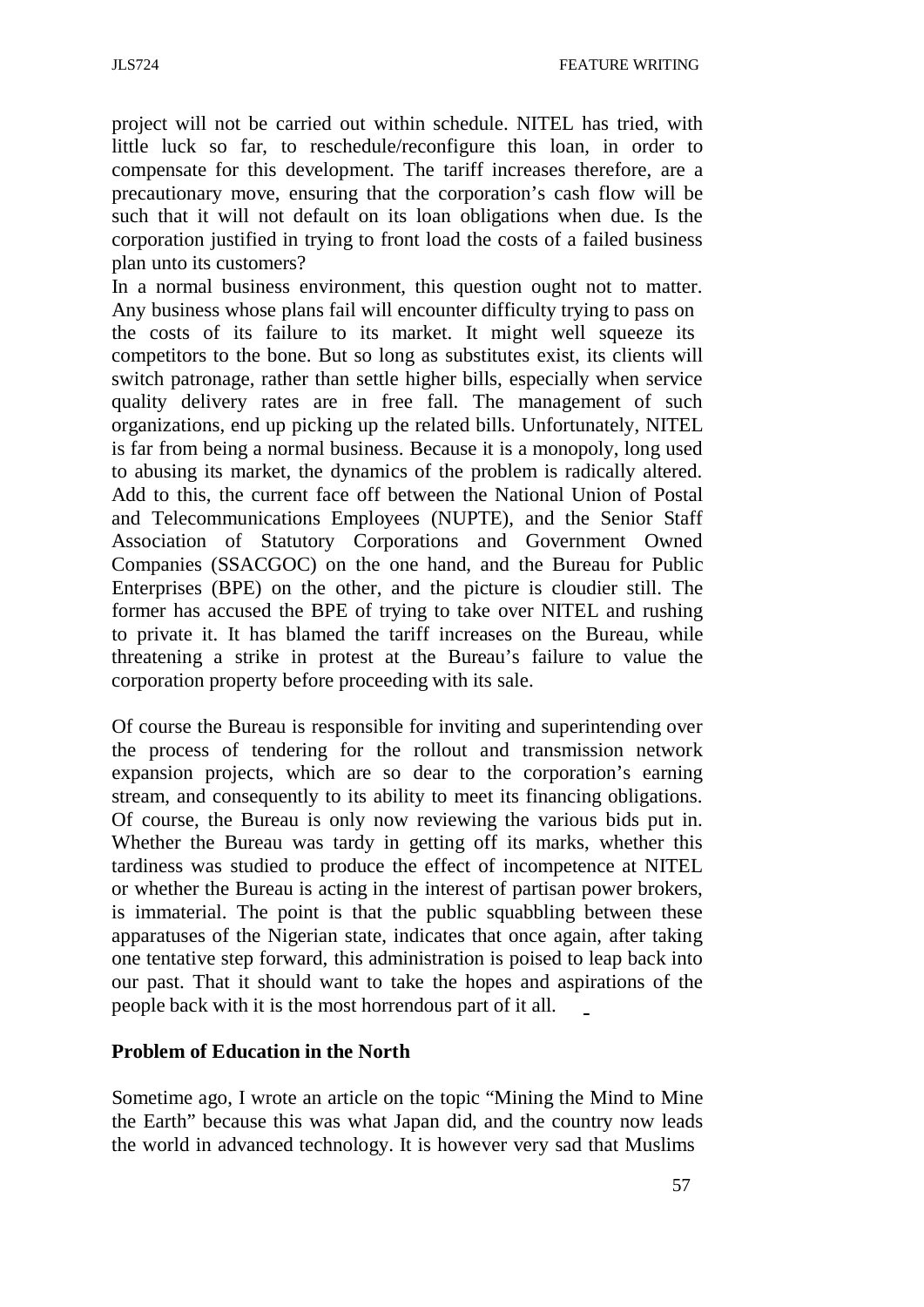project will not be carried out within schedule. NITEL has tried, with little luck so far, to reschedule/reconfigure this loan, in order to compensate for this development. The tariff increases therefore, are a precautionary move, ensuring that the corporation's cash flow will be such that it will not default on its loan obligations when due. Is the corporation justified in trying to front load the costs of a failed business plan unto its customers?

In a normal business environment, this question ought not to matter. Any business whose plans fail will encounter difficulty trying to pass on the costs of its failure to its market. It might well squeeze its competitors to the bone. But so long as substitutes exist, its clients will switch patronage, rather than settle higher bills, especially when service quality delivery rates are in free fall. The management of such organizations, end up picking up the related bills. Unfortunately, NITEL is far from being a normal business. Because it is a monopoly, long used to abusing its market, the dynamics of the problem is radically altered. Add to this, the current face off between the National Union of Postal and Telecommunications Employees (NUPTE), and the Senior Staff Association of Statutory Corporations and Government Owned Companies (SSACGOC) on the one hand, and the Bureau for Public Enterprises (BPE) on the other, and the picture is cloudier still. The former has accused the BPE of trying to take over NITEL and rushing to private it. It has blamed the tariff increases on the Bureau, while threatening a strike in protest at the Bureau's failure to value the corporation property before proceeding with its sale.

Of course the Bureau is responsible for inviting and superintending over the process of tendering for the rollout and transmission network expansion projects, which are so dear to the corporation's earning stream, and consequently to its ability to meet its financing obligations. Of course, the Bureau is only now reviewing the various bids put in. Whether the Bureau was tardy in getting off its marks, whether this tardiness was studied to produce the effect of incompetence at NITEL or whether the Bureau is acting in the interest of partisan power brokers, is immaterial. The point is that the public squabbling between these apparatuses of the Nigerian state, indicates that once again, after taking one tentative step forward, this administration is poised to leap back into our past. That it should want to take the hopes and aspirations of the people back with it is the most horrendous part of it all.

# **Problem of Education in the North**

Sometime ago, I wrote an article on the topic "Mining the Mind to Mine the Earth" because this was what Japan did, and the country now leads the world in advanced technology. It is however very sad that Muslims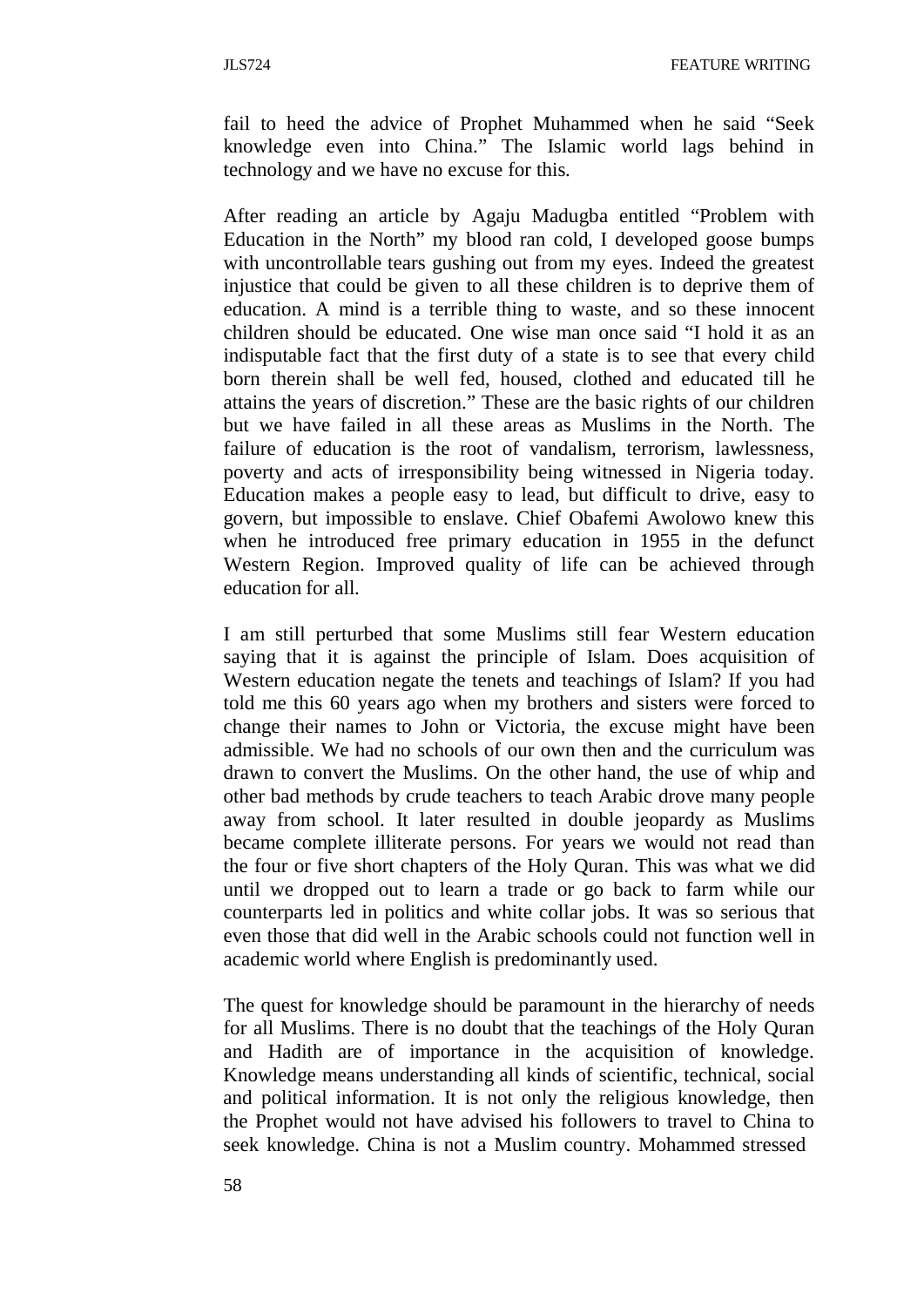fail to heed the advice of Prophet Muhammed when he said "Seek knowledge even into China." The Islamic world lags behind in technology and we have no excuse for this.

After reading an article by Agaju Madugba entitled "Problem with Education in the North" my blood ran cold, I developed goose bumps with uncontrollable tears gushing out from my eyes. Indeed the greatest injustice that could be given to all these children is to deprive them of education. A mind is a terrible thing to waste, and so these innocent children should be educated. One wise man once said "I hold it as an indisputable fact that the first duty of a state is to see that every child born therein shall be well fed, housed, clothed and educated till he attains the years of discretion." These are the basic rights of our children but we have failed in all these areas as Muslims in the North. The failure of education is the root of vandalism, terrorism, lawlessness, poverty and acts of irresponsibility being witnessed in Nigeria today. Education makes a people easy to lead, but difficult to drive, easy to govern, but impossible to enslave. Chief Obafemi Awolowo knew this when he introduced free primary education in 1955 in the defunct Western Region. Improved quality of life can be achieved through education for all.

I am still perturbed that some Muslims still fear Western education saying that it is against the principle of Islam. Does acquisition of Western education negate the tenets and teachings of Islam? If you had told me this 60 years ago when my brothers and sisters were forced to change their names to John or Victoria, the excuse might have been admissible. We had no schools of our own then and the curriculum was drawn to convert the Muslims. On the other hand, the use of whip and other bad methods by crude teachers to teach Arabic drove many people away from school. It later resulted in double jeopardy as Muslims became complete illiterate persons. For years we would not read than the four or five short chapters of the Holy Quran. This was what we did until we dropped out to learn a trade or go back to farm while our counterparts led in politics and white collar jobs. It was so serious that even those that did well in the Arabic schools could not function well in academic world where English is predominantly used.

The quest for knowledge should be paramount in the hierarchy of needs for all Muslims. There is no doubt that the teachings of the Holy Quran and Hadith are of importance in the acquisition of knowledge. Knowledge means understanding all kinds of scientific, technical, social and political information. It is not only the religious knowledge, then the Prophet would not have advised his followers to travel to China to seek knowledge. China is not a Muslim country. Mohammed stressed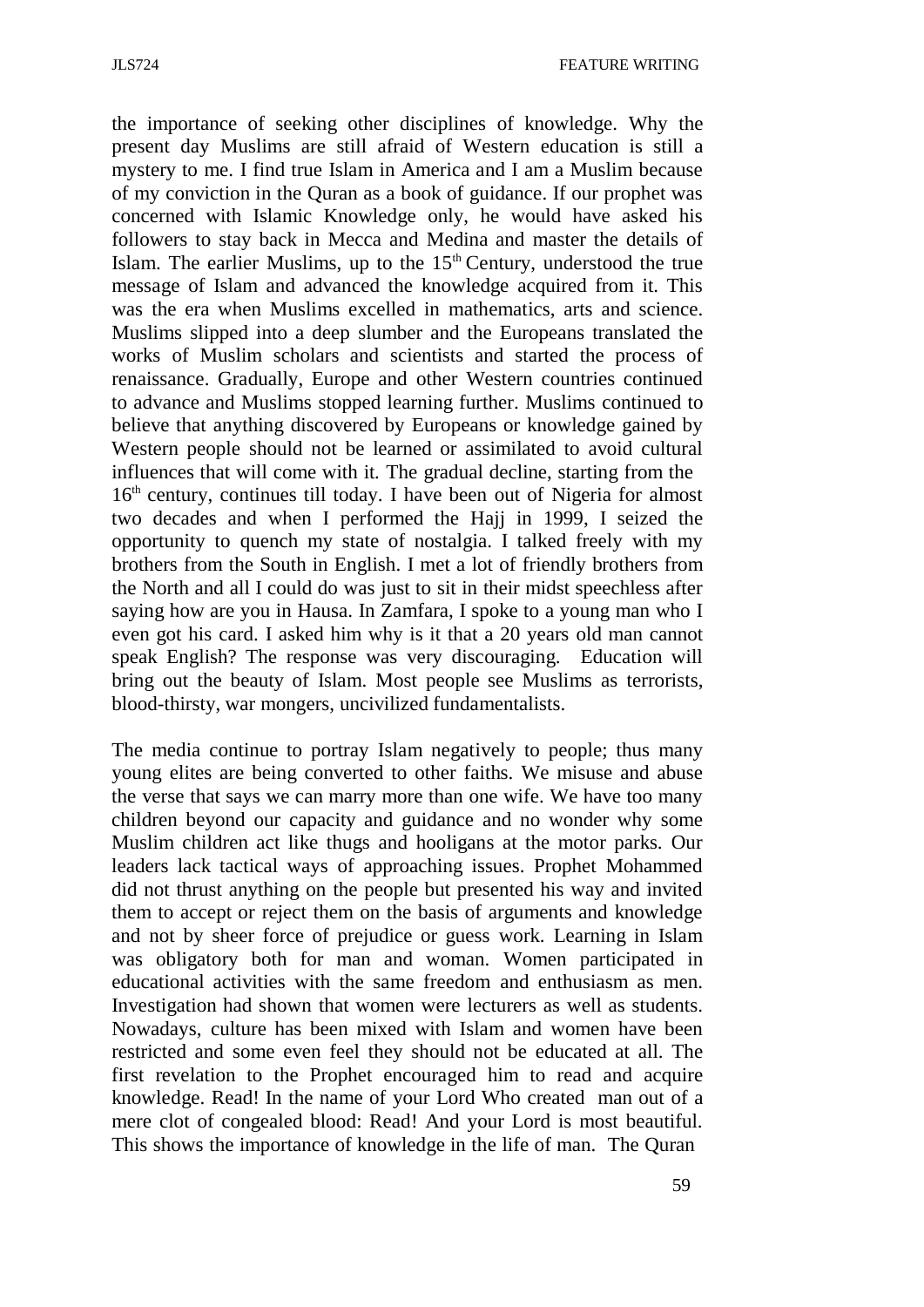the importance of seeking other disciplines of knowledge. Why the present day Muslims are still afraid of Western education is still a mystery to me. I find true Islam in America and I am a Muslim because of my conviction in the Quran as a book of guidance. If our prophet was concerned with Islamic Knowledge only, he would have asked his followers to stay back in Mecca and Medina and master the details of Islam. The earlier Muslims, up to the  $15<sup>th</sup>$  Century, understood the true message of Islam and advanced the knowledge acquired from it. This was the era when Muslims excelled in mathematics, arts and science. Muslims slipped into a deep slumber and the Europeans translated the works of Muslim scholars and scientists and started the process of renaissance. Gradually, Europe and other Western countries continued to advance and Muslims stopped learning further. Muslims continued to believe that anything discovered by Europeans or knowledge gained by Western people should not be learned or assimilated to avoid cultural influences that will come with it. The gradual decline, starting from the 16<sup>th</sup> century, continues till today. I have been out of Nigeria for almost two decades and when I performed the Hajj in 1999, I seized the opportunity to quench my state of nostalgia. I talked freely with my brothers from the South in English. I met a lot of friendly brothers from the North and all I could do was just to sit in their midst speechless after saying how are you in Hausa. In Zamfara, I spoke to a young man who I even got his card. I asked him why is it that a 20 years old man cannot speak English? The response was very discouraging. Education will bring out the beauty of Islam. Most people see Muslims as terrorists, blood-thirsty, war mongers, uncivilized fundamentalists.

The media continue to portray Islam negatively to people; thus many young elites are being converted to other faiths. We misuse and abuse the verse that says we can marry more than one wife. We have too many children beyond our capacity and guidance and no wonder why some Muslim children act like thugs and hooligans at the motor parks. Our leaders lack tactical ways of approaching issues. Prophet Mohammed did not thrust anything on the people but presented his way and invited them to accept or reject them on the basis of arguments and knowledge and not by sheer force of prejudice or guess work. Learning in Islam was obligatory both for man and woman. Women participated in educational activities with the same freedom and enthusiasm as men. Investigation had shown that women were lecturers as well as students. Nowadays, culture has been mixed with Islam and women have been restricted and some even feel they should not be educated at all. The first revelation to the Prophet encouraged him to read and acquire knowledge. Read! In the name of your Lord Who created man out of a mere clot of congealed blood: Read! And your Lord is most beautiful. This shows the importance of knowledge in the life of man. The Quran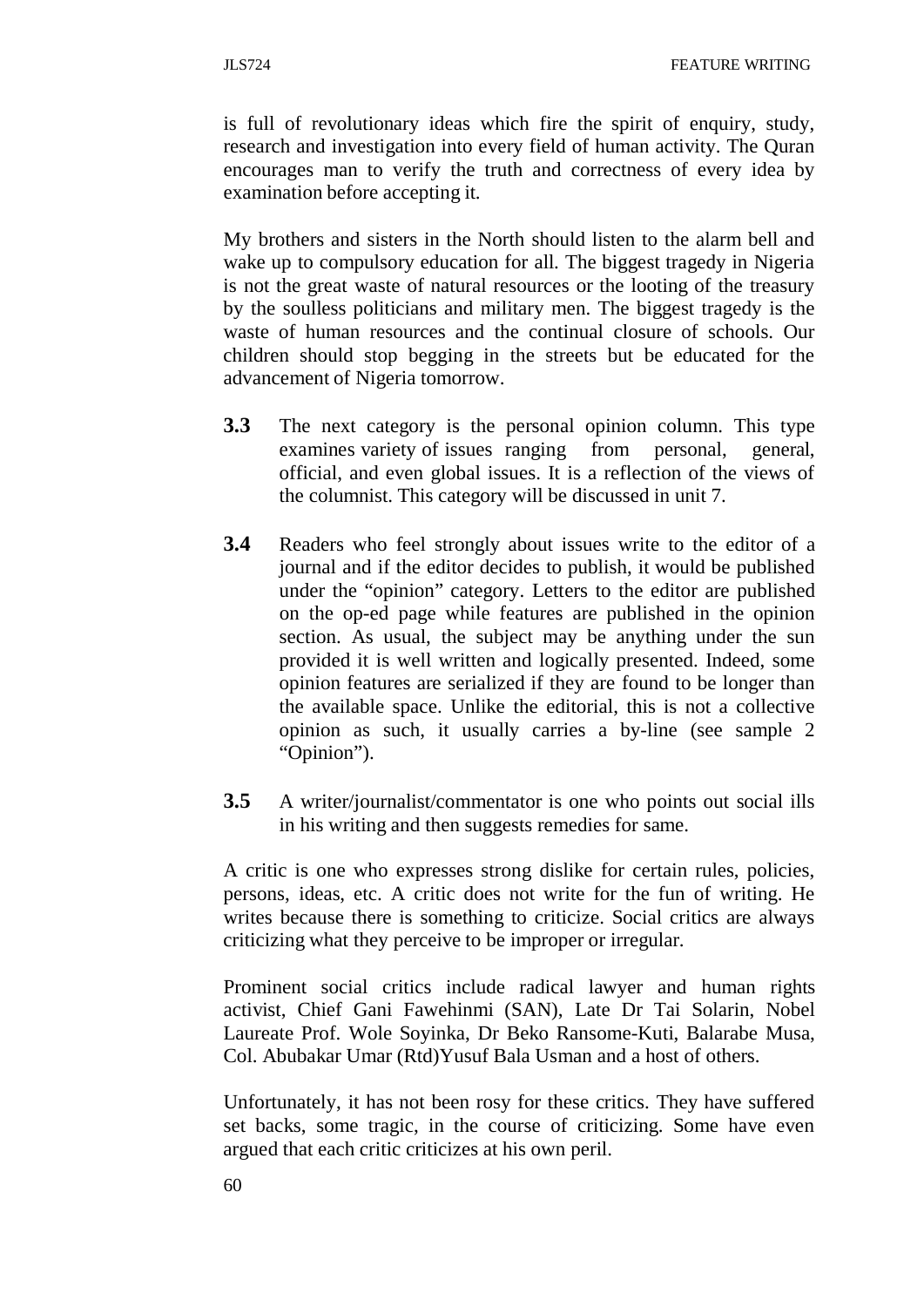is full of revolutionary ideas which fire the spirit of enquiry, study, research and investigation into every field of human activity. The Quran encourages man to verify the truth and correctness of every idea by examination before accepting it.

My brothers and sisters in the North should listen to the alarm bell and wake up to compulsory education for all. The biggest tragedy in Nigeria is not the great waste of natural resources or the looting of the treasury by the soulless politicians and military men. The biggest tragedy is the waste of human resources and the continual closure of schools. Our children should stop begging in the streets but be educated for the advancement of Nigeria tomorrow.

- **3.3** The next category is the personal opinion column. This type examines variety of issues ranging from personal, general, official, and even global issues. It is a reflection of the views of the columnist. This category will be discussed in unit 7.
- **3.4** Readers who feel strongly about issues write to the editor of a journal and if the editor decides to publish, it would be published under the "opinion" category. Letters to the editor are published on the op-ed page while features are published in the opinion section. As usual, the subject may be anything under the sun provided it is well written and logically presented. Indeed, some opinion features are serialized if they are found to be longer than the available space. Unlike the editorial, this is not a collective opinion as such, it usually carries a by-line (see sample 2 "Opinion").
- **3.5** A writer/journalist/commentator is one who points out social ills in his writing and then suggests remedies for same.

A critic is one who expresses strong dislike for certain rules, policies, persons, ideas, etc. A critic does not write for the fun of writing. He writes because there is something to criticize. Social critics are always criticizing what they perceive to be improper or irregular.

Prominent social critics include radical lawyer and human rights activist, Chief Gani Fawehinmi (SAN), Late Dr Tai Solarin, Nobel Laureate Prof. Wole Soyinka, Dr Beko Ransome-Kuti, Balarabe Musa, Col. Abubakar Umar (Rtd)Yusuf Bala Usman and a host of others.

Unfortunately, it has not been rosy for these critics. They have suffered set backs, some tragic, in the course of criticizing. Some have even argued that each critic criticizes at his own peril.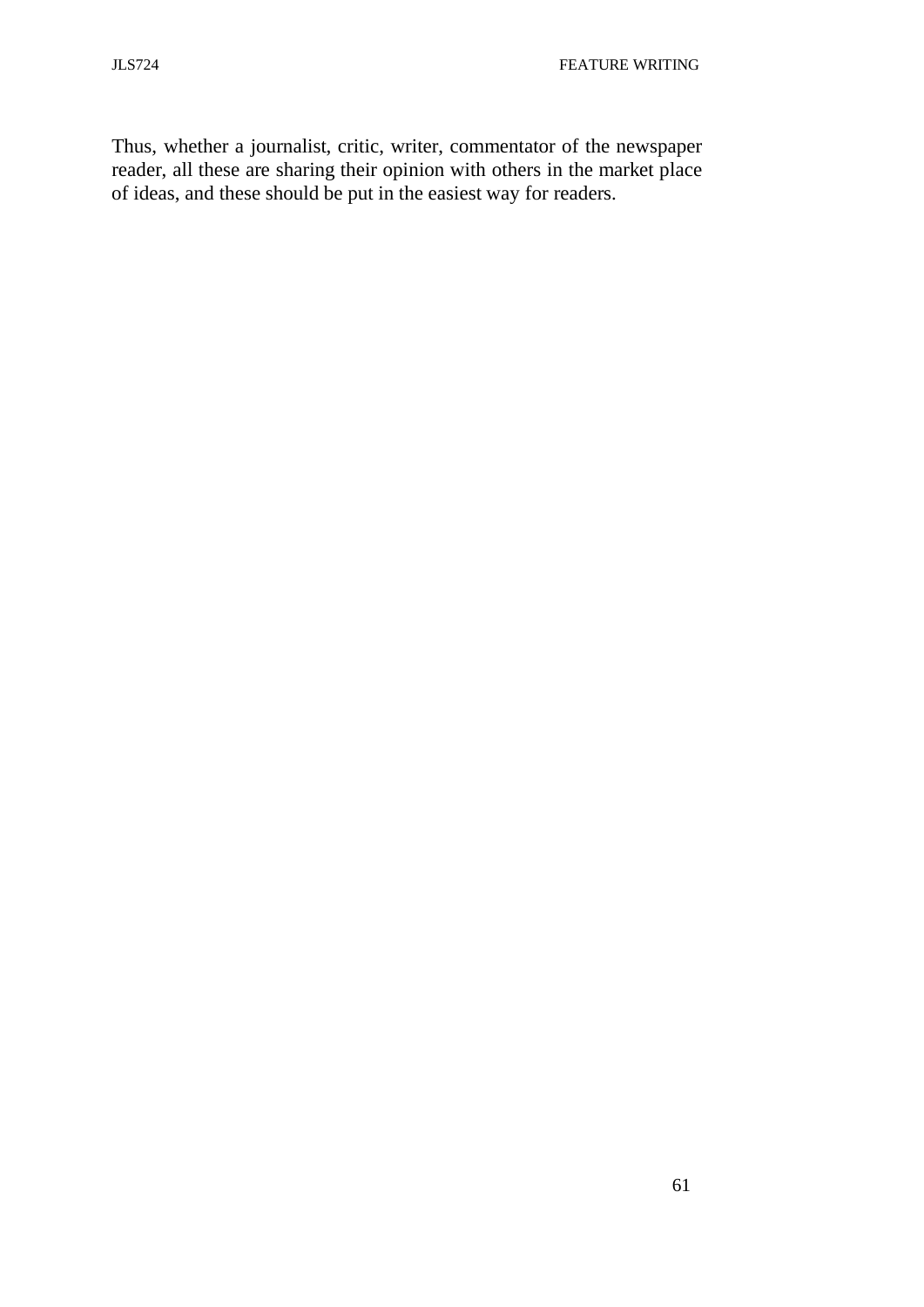Thus, whether a journalist, critic, writer, commentator of the newspaper reader, all these are sharing their opinion with others in the market place of ideas, and these should be put in the easiest way for readers.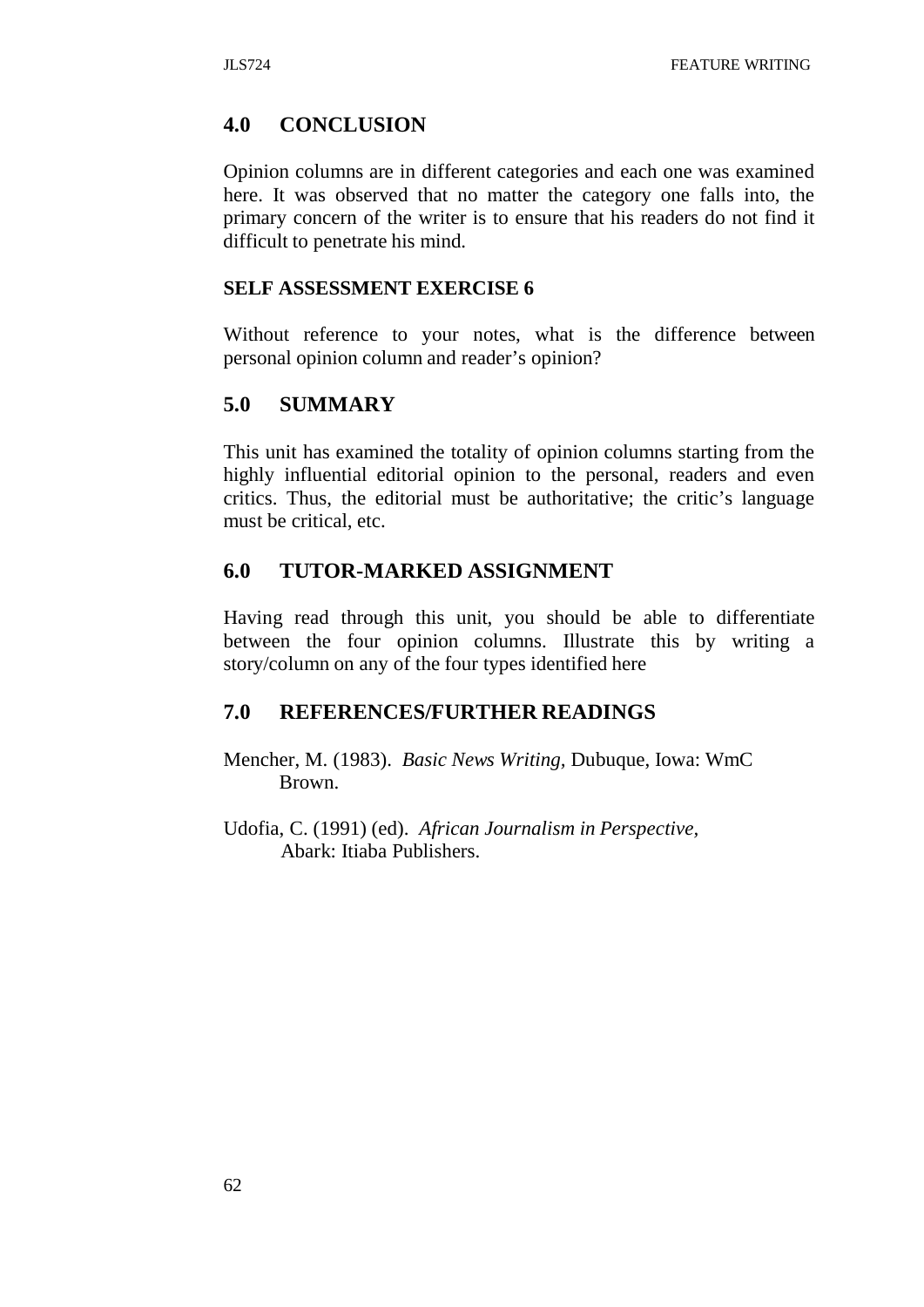## **4.0 CONCLUSION**

Opinion columns are in different categories and each one was examined here. It was observed that no matter the category one falls into, the primary concern of the writer is to ensure that his readers do not find it difficult to penetrate his mind.

#### **SELF ASSESSMENT EXERCISE 6**

Without reference to your notes, what is the difference between personal opinion column and reader's opinion?

#### **5.0 SUMMARY**

This unit has examined the totality of opinion columns starting from the highly influential editorial opinion to the personal, readers and even critics. Thus, the editorial must be authoritative; the critic's language must be critical, etc.

# **6.0 TUTOR-MARKED ASSIGNMENT**

Having read through this unit, you should be able to differentiate between the four opinion columns. Illustrate this by writing a story/column on any of the four types identified here

#### **7.0 REFERENCES/FURTHER READINGS**

Mencher, M. (1983). *Basic News Writing,* Dubuque, Iowa: WmC Brown.

Udofia, C. (1991) (ed). *African Journalism in Perspective,* Abark: Itiaba Publishers.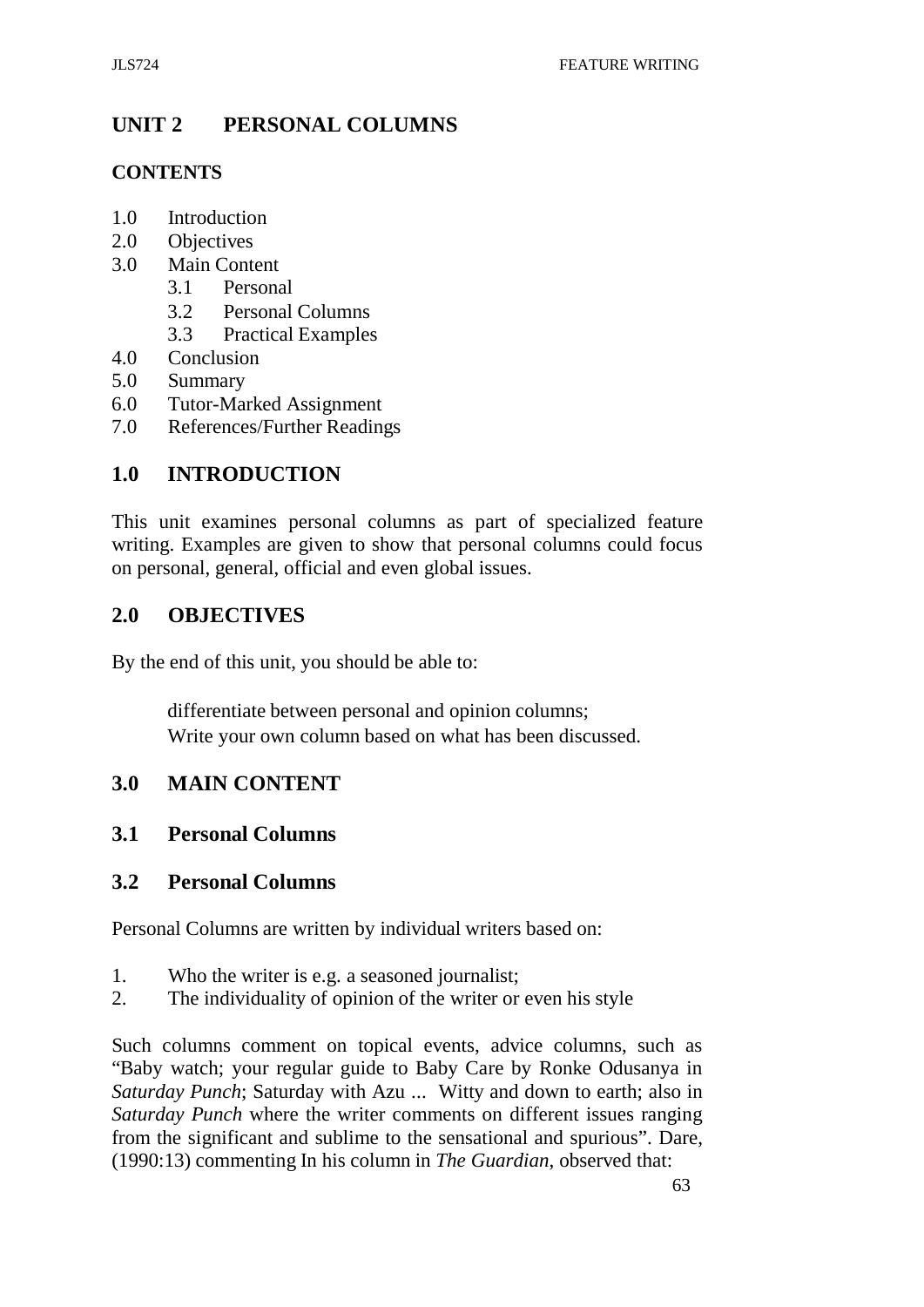# **UNIT 2 PERSONAL COLUMNS**

# **CONTENTS**

- 1.0 Introduction
- 2.0 Objectives
- 3.0 Main Content
	- 3.1 Personal
	- 3.2 Personal Columns
	- 3.3 Practical Examples
- 4.0 Conclusion
- 5.0 Summary
- 6.0 Tutor-Marked Assignment
- 7.0 References/Further Readings

# **1.0 INTRODUCTION**

This unit examines personal columns as part of specialized feature writing. Examples are given to show that personal columns could focus on personal, general, official and even global issues.

# **2.0 OBJECTIVES**

By the end of this unit, you should be able to:

differentiate between personal and opinion columns; Write your own column based on what has been discussed.

# **3.0 MAIN CONTENT**

# **3.1 Personal Columns**

# **3.2 Personal Columns**

Personal Columns are written by individual writers based on:

- 1. Who the writer is e.g. a seasoned journalist;
- 2. The individuality of opinion of the writer or even his style

Such columns comment on topical events, advice columns, such as "Baby watch; your regular guide to Baby Care by Ronke Odusanya in *Saturday Punch*; Saturday with Azu ... Witty and down to earth; also in *Saturday Punch* where the writer comments on different issues ranging from the significant and sublime to the sensational and spurious". Dare, (1990:13) commenting In his column in *The Guardian*, observed that: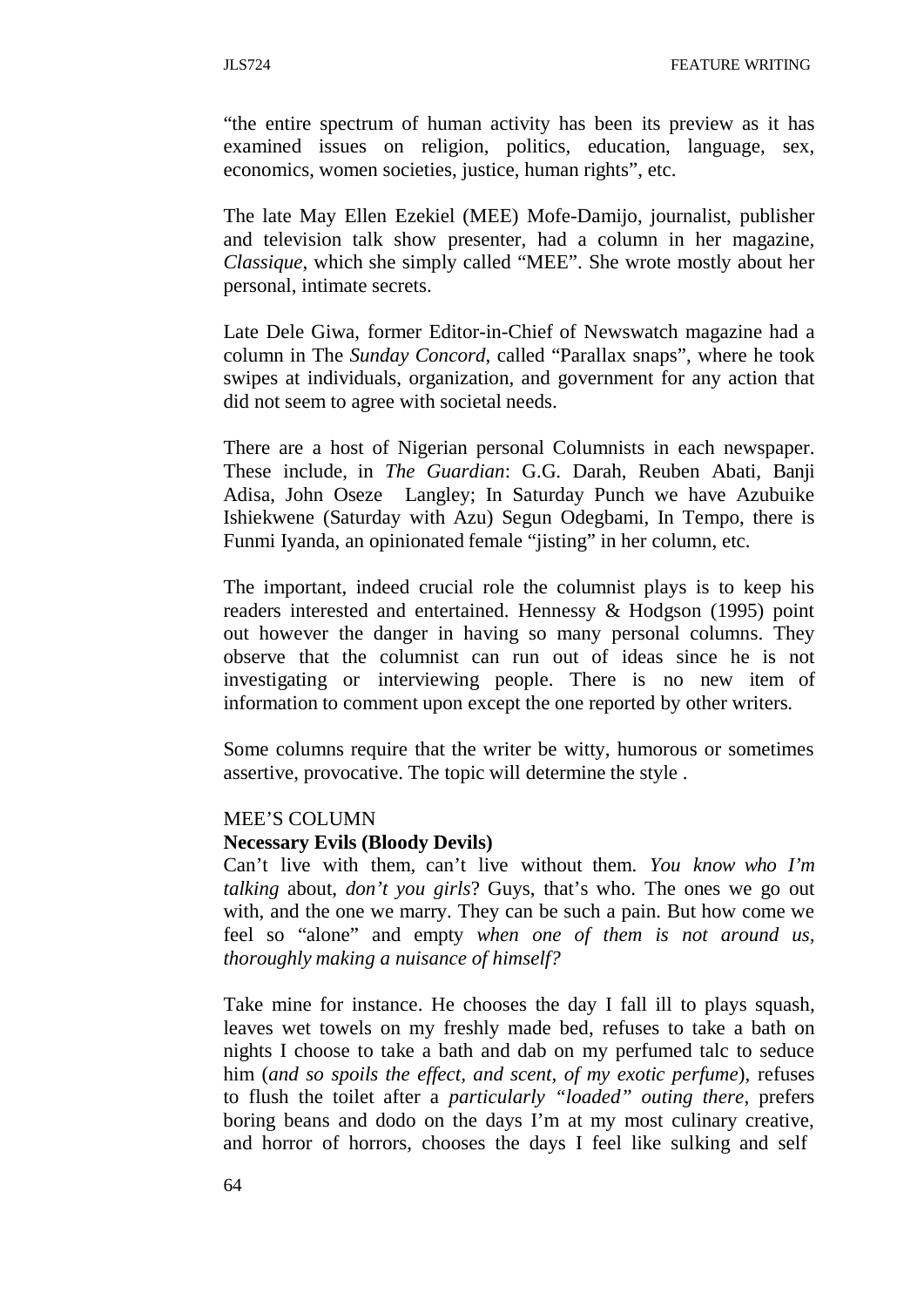"the entire spectrum of human activity has been its preview as it has examined issues on religion, politics, education, language, sex, economics, women societies, justice, human rights", etc.

The late May Ellen Ezekiel (MEE) Mofe-Damijo, journalist, publisher and television talk show presenter, had a column in her magazine, *Classique*, which she simply called "MEE". She wrote mostly about her personal, intimate secrets.

Late Dele Giwa, former Editor-in-Chief of Newswatch magazine had a column in The *Sunday Concord*, called "Parallax snaps", where he took swipes at individuals, organization, and government for any action that did not seem to agree with societal needs.

There are a host of Nigerian personal Columnists in each newspaper. These include, in *The Guardian*: G.G. Darah, Reuben Abati, Banji Adisa, John Oseze Langley; In Saturday Punch we have Azubuike Ishiekwene (Saturday with Azu) Segun Odegbami, In Tempo, there is Funmi Iyanda, an opinionated female "jisting" in her column, etc.

The important, indeed crucial role the columnist plays is to keep his readers interested and entertained. Hennessy & Hodgson (1995) point out however the danger in having so many personal columns. They observe that the columnist can run out of ideas since he is not investigating or interviewing people. There is no new item of information to comment upon except the one reported by other writers.

Some columns require that the writer be witty, humorous or sometimes assertive, provocative. The topic will determine the style .

#### MEE'S COLUMN

#### **Necessary Evils (Bloody Devils)**

Can't live with them, can't live without them. *You know who I'm talking* about, *don't you girls*? Guys, that's who. The ones we go out with, and the one we marry. They can be such a pain. But how come we feel so "alone" and empty *when one of them is not around us, thoroughly making a nuisance of himself?*

Take mine for instance. He chooses the day I fall ill to plays squash, leaves wet towels on my freshly made bed, refuses to take a bath on nights I choose to take a bath and dab on my perfumed talc to seduce him (*and so spoils the effect, and scent, of my exotic perfume*), refuses to flush the toilet after a *particularly "loaded" outing there*, prefers boring beans and dodo on the days I'm at my most culinary creative, and horror of horrors, chooses the days I feel like sulking and self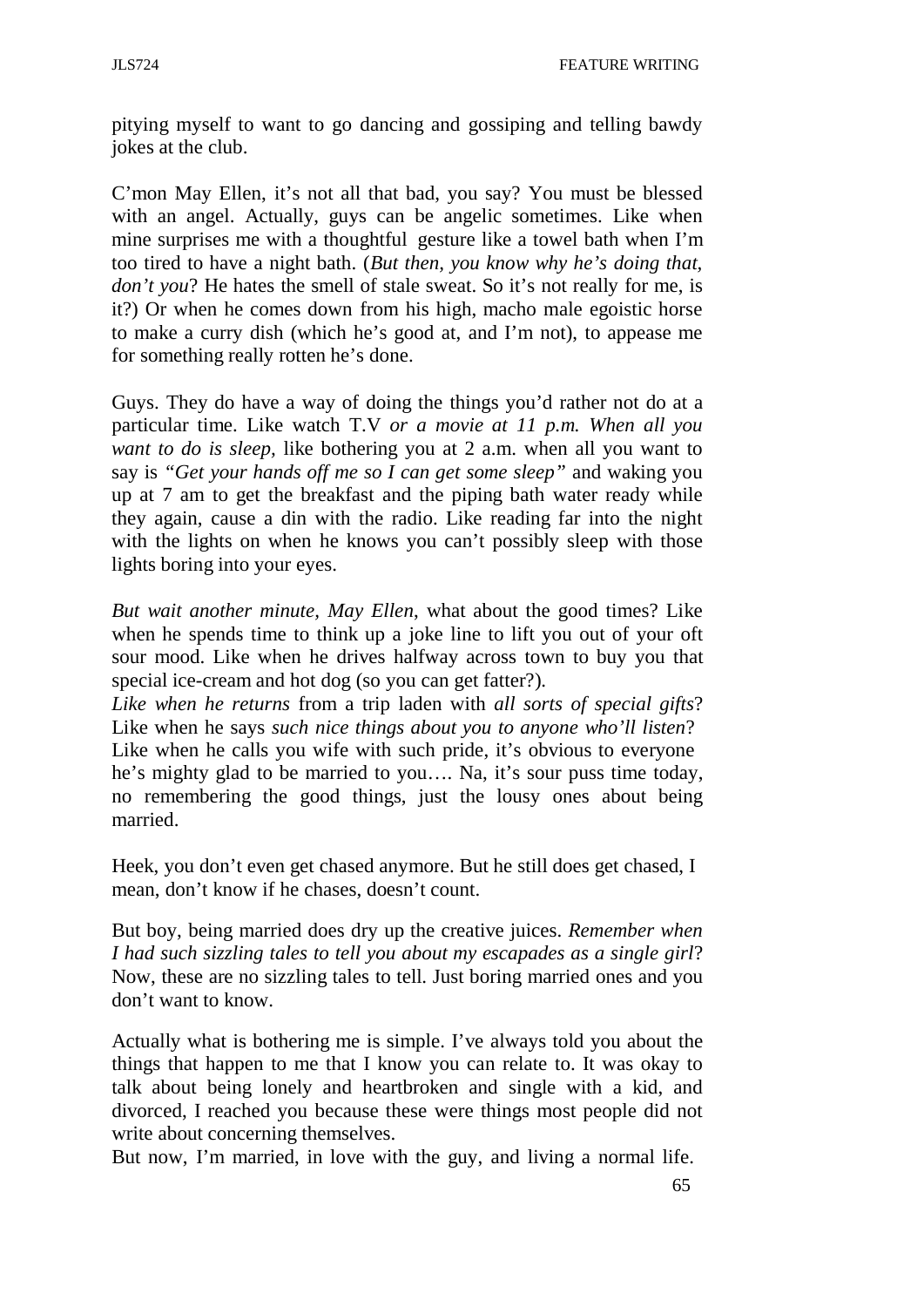pitying myself to want to go dancing and gossiping and telling bawdy jokes at the club.

C'mon May Ellen, it's not all that bad, you say? You must be blessed with an angel. Actually, guys can be angelic sometimes. Like when mine surprises me with a thoughtful gesture like a towel bath when I'm too tired to have a night bath. (*But then, you know why he's doing that, don't* you? He hates the smell of stale sweat. So it's not really for me, is it?) Or when he comes down from his high, macho male egoistic horse to make a curry dish (which he's good at, and I'm not), to appease me for something really rotten he's done.

Guys. They do have a way of doing the things you'd rather not do at a particular time. Like watch T.V *or a movie at 11 p.m. When all you want to do is sleep,* like bothering you at 2 a.m. when all you want to say is *"Get your hands off me so I can get some sleep"* and waking you up at 7 am to get the breakfast and the piping bath water ready while they again, cause a din with the radio. Like reading far into the night with the lights on when he knows you can't possibly sleep with those lights boring into your eyes.

*But wait another minute, May Ellen*, what about the good times? Like when he spends time to think up a joke line to lift you out of your oft sour mood. Like when he drives halfway across town to buy you that special ice-cream and hot dog (so you can get fatter?).

*Like when he returns* from a trip laden with *all sorts of special gifts*? Like when he says *such nice things about you to anyone who'll listen*? Like when he calls you wife with such pride, it's obvious to everyone he's mighty glad to be married to you…. Na, it's sour puss time today, no remembering the good things, just the lousy ones about being married.

Heek, you don't even get chased anymore. But he still does get chased, I mean, don't know if he chases, doesn't count.

But boy, being married does dry up the creative juices. *Remember when I had such sizzling tales to tell you about my escapades as a single girl*? Now, these are no sizzling tales to tell. Just boring married ones and you don't want to know.

Actually what is bothering me is simple. I've always told you about the things that happen to me that I know you can relate to. It was okay to talk about being lonely and heartbroken and single with a kid, and divorced, I reached you because these were things most people did not write about concerning themselves.

But now, I'm married, in love with the guy, and living a normal life.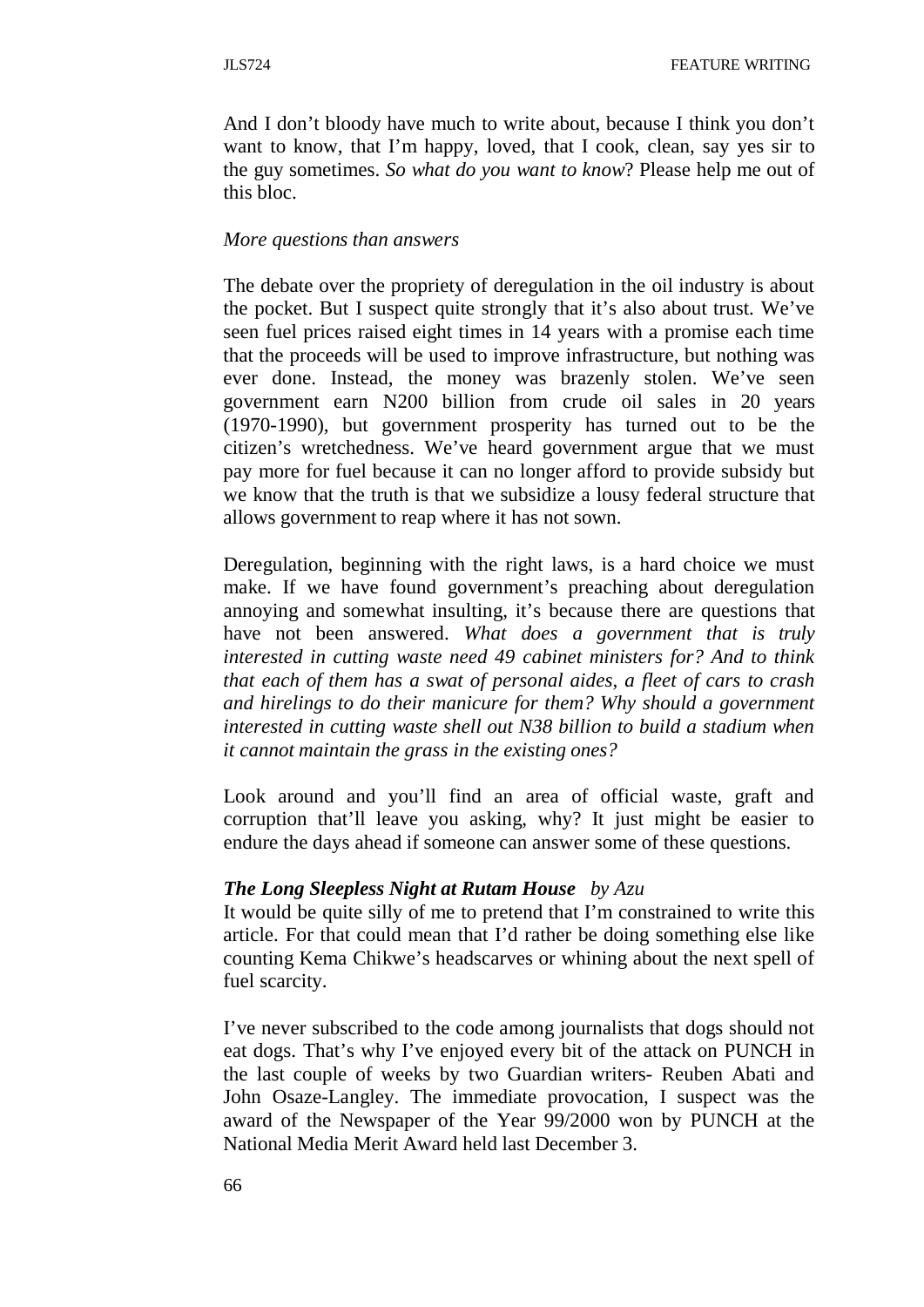And I don't bloody have much to write about, because I think you don't want to know, that I'm happy, loved, that I cook, clean, say yes sir to the guy sometimes. *So what do you want to know*? Please help me out of this bloc.

#### *More questions than answers*

The debate over the propriety of deregulation in the oil industry is about the pocket. But I suspect quite strongly that it's also about trust. We've seen fuel prices raised eight times in 14 years with a promise each time that the proceeds will be used to improve infrastructure, but nothing was ever done. Instead, the money was brazenly stolen. We've seen government earn N200 billion from crude oil sales in 20 years (1970-1990), but government prosperity has turned out to be the citizen's wretchedness. We've heard government argue that we must pay more for fuel because it can no longer afford to provide subsidy but we know that the truth is that we subsidize a lousy federal structure that allows government to reap where it has not sown.

Deregulation, beginning with the right laws, is a hard choice we must make. If we have found government's preaching about deregulation annoying and somewhat insulting, it's because there are questions that have not been answered. *What does a government that is truly interested in cutting waste need 49 cabinet ministers for? And to think that each of them has a swat of personal aides, a fleet of cars to crash and hirelings to do their manicure for them? Why should a government interested in cutting waste shell out N38 billion to build a stadium when it cannot maintain the grass in the existing ones?*

Look around and you'll find an area of official waste, graft and corruption that'll leave you asking, why? It just might be easier to endure the days ahead if someone can answer some of these questions.

#### *The Long Sleepless Night at Rutam House by Azu*

It would be quite silly of me to pretend that I'm constrained to write this article. For that could mean that I'd rather be doing something else like counting Kema Chikwe's headscarves or whining about the next spell of fuel scarcity.

I've never subscribed to the code among journalists that dogs should not eat dogs. That's why I've enjoyed every bit of the attack on PUNCH in the last couple of weeks by two Guardian writers- Reuben Abati and John Osaze-Langley. The immediate provocation, I suspect was the award of the Newspaper of the Year 99/2000 won by PUNCH at the National Media Merit Award held last December 3.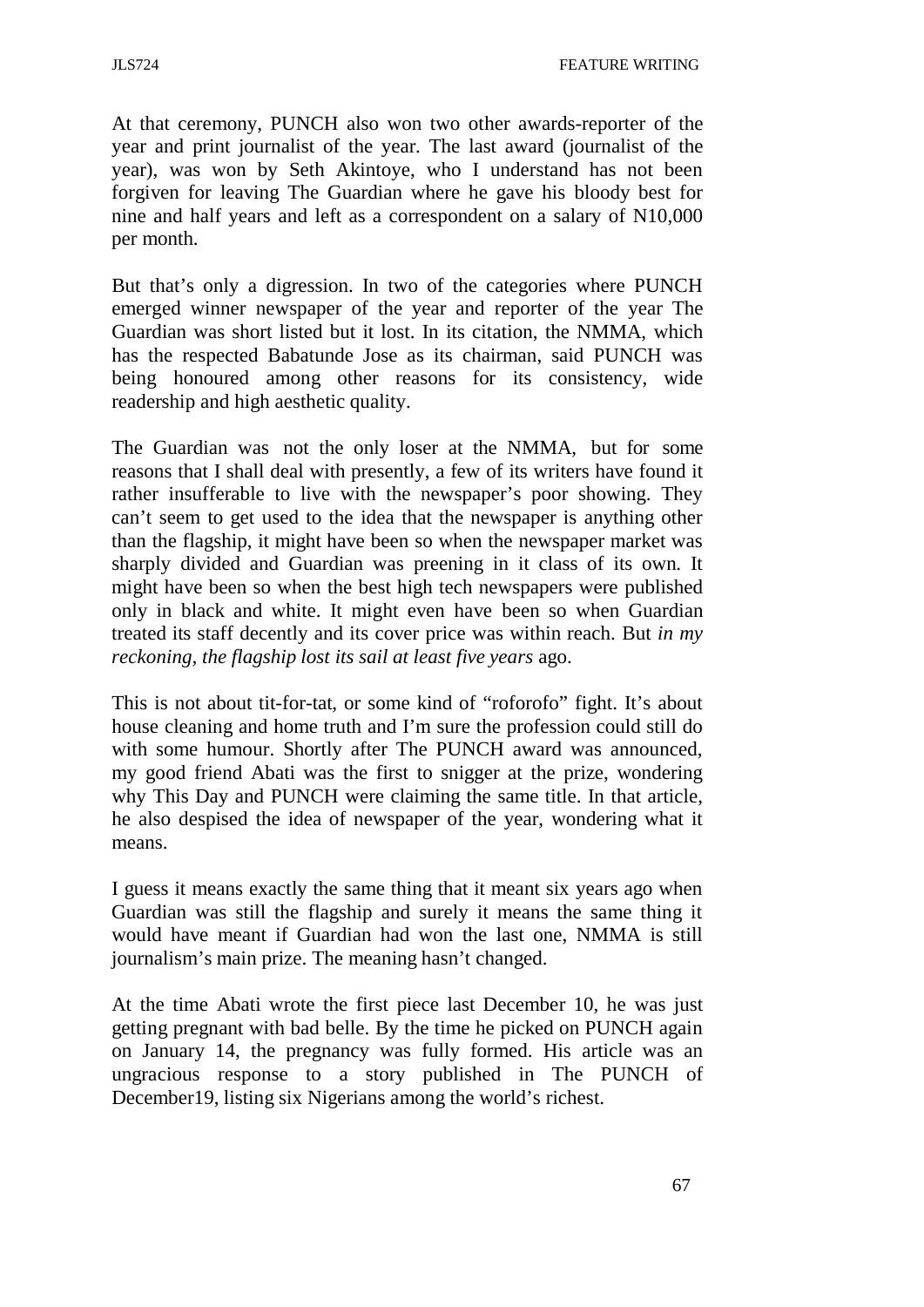At that ceremony, PUNCH also won two other awards-reporter of the year and print journalist of the year. The last award (journalist of the year), was won by Seth Akintoye, who I understand has not been forgiven for leaving The Guardian where he gave his bloody best for nine and half years and left as a correspondent on a salary of N10,000 per month.

But that's only a digression. In two of the categories where PUNCH emerged winner newspaper of the year and reporter of the year The Guardian was short listed but it lost. In its citation, the NMMA, which has the respected Babatunde Jose as its chairman, said PUNCH was being honoured among other reasons for its consistency, wide readership and high aesthetic quality.

The Guardian was not the only loser at the NMMA, but for some reasons that I shall deal with presently, a few of its writers have found it rather insufferable to live with the newspaper's poor showing. They can't seem to get used to the idea that the newspaper is anything other than the flagship, it might have been so when the newspaper market was sharply divided and Guardian was preening in it class of its own. It might have been so when the best high tech newspapers were published only in black and white. It might even have been so when Guardian treated its staff decently and its cover price was within reach. But *in my reckoning, the flagship lost its sail at least five years* ago.

This is not about tit-for-tat, or some kind of "roforofo" fight. It's about house cleaning and home truth and I'm sure the profession could still do with some humour. Shortly after The PUNCH award was announced, my good friend Abati was the first to snigger at the prize, wondering why This Day and PUNCH were claiming the same title. In that article, he also despised the idea of newspaper of the year, wondering what it means.

I guess it means exactly the same thing that it meant six years ago when Guardian was still the flagship and surely it means the same thing it would have meant if Guardian had won the last one, NMMA is still journalism's main prize. The meaning hasn't changed.

At the time Abati wrote the first piece last December 10, he was just getting pregnant with bad belle. By the time he picked on PUNCH again on January 14, the pregnancy was fully formed. His article was an ungracious response to a story published in The PUNCH of December19, listing six Nigerians among the world's richest.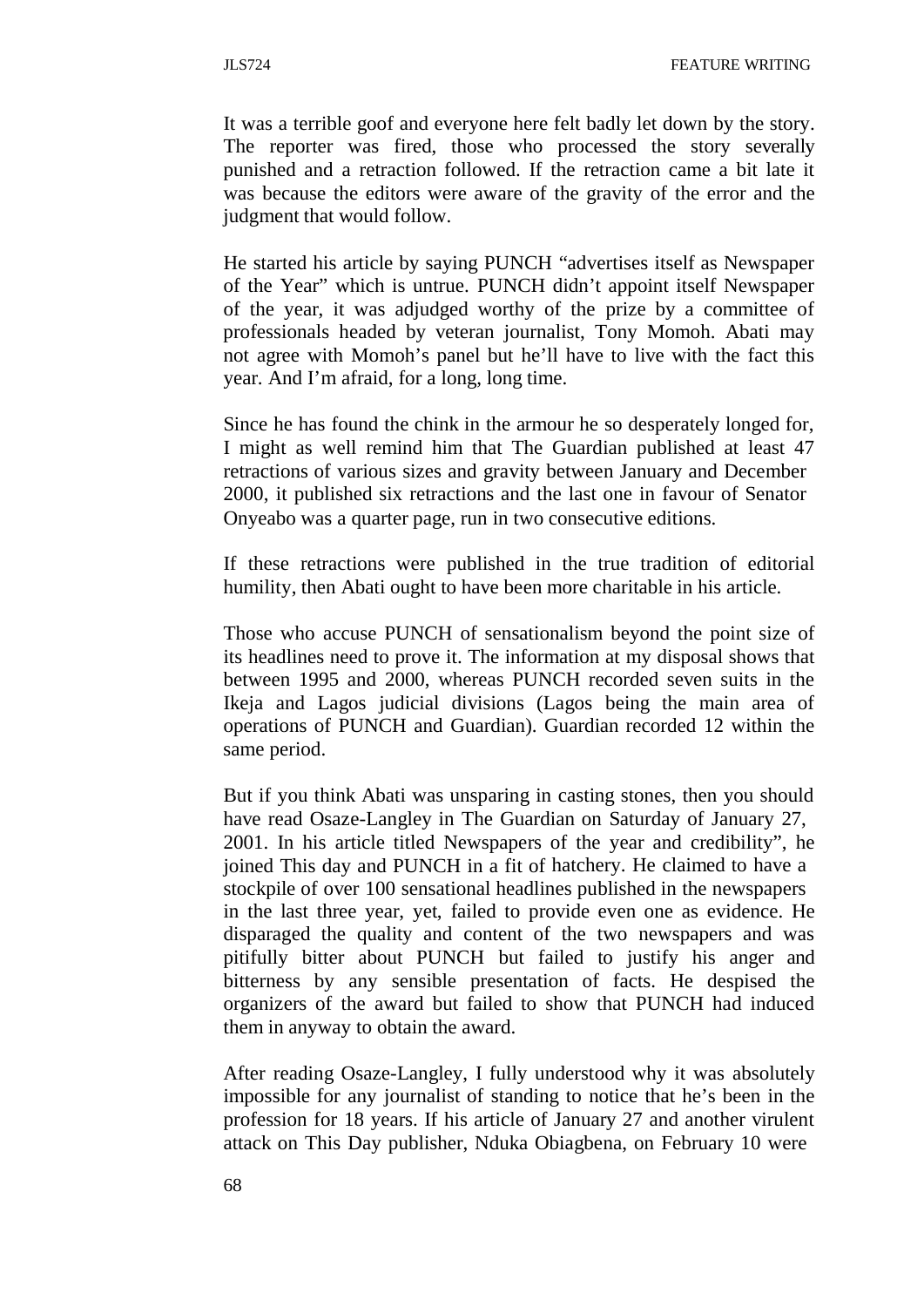It was a terrible goof and everyone here felt badly let down by the story. The reporter was fired, those who processed the story severally punished and a retraction followed. If the retraction came a bit late it was because the editors were aware of the gravity of the error and the judgment that would follow.

He started his article by saying PUNCH "advertises itself as Newspaper of the Year" which is untrue. PUNCH didn't appoint itself Newspaper of the year, it was adjudged worthy of the prize by a committee of professionals headed by veteran journalist, Tony Momoh. Abati may not agree with Momoh's panel but he'll have to live with the fact this year. And I'm afraid, for a long, long time.

Since he has found the chink in the armour he so desperately longed for, I might as well remind him that The Guardian published at least 47 retractions of various sizes and gravity between January and December 2000, it published six retractions and the last one in favour of Senator Onyeabo was a quarter page, run in two consecutive editions.

If these retractions were published in the true tradition of editorial humility, then Abati ought to have been more charitable in his article.

Those who accuse PUNCH of sensationalism beyond the point size of its headlines need to prove it. The information at my disposal shows that between 1995 and 2000, whereas PUNCH recorded seven suits in the Ikeja and Lagos judicial divisions (Lagos being the main area of operations of PUNCH and Guardian). Guardian recorded 12 within the same period.

But if you think Abati was unsparing in casting stones, then you should have read Osaze-Langley in The Guardian on Saturday of January 27, 2001. In his article titled Newspapers of the year and credibility", he joined This day and PUNCH in a fit of hatchery. He claimed to have a stockpile of over 100 sensational headlines published in the newspapers in the last three year, yet, failed to provide even one as evidence. He disparaged the quality and content of the two newspapers and was pitifully bitter about PUNCH but failed to justify his anger and bitterness by any sensible presentation of facts. He despised the organizers of the award but failed to show that PUNCH had induced them in anyway to obtain the award.

After reading Osaze-Langley, I fully understood why it was absolutely impossible for any journalist of standing to notice that he's been in the profession for 18 years. If his article of January 27 and another virulent attack on This Day publisher, Nduka Obiagbena, on February 10 were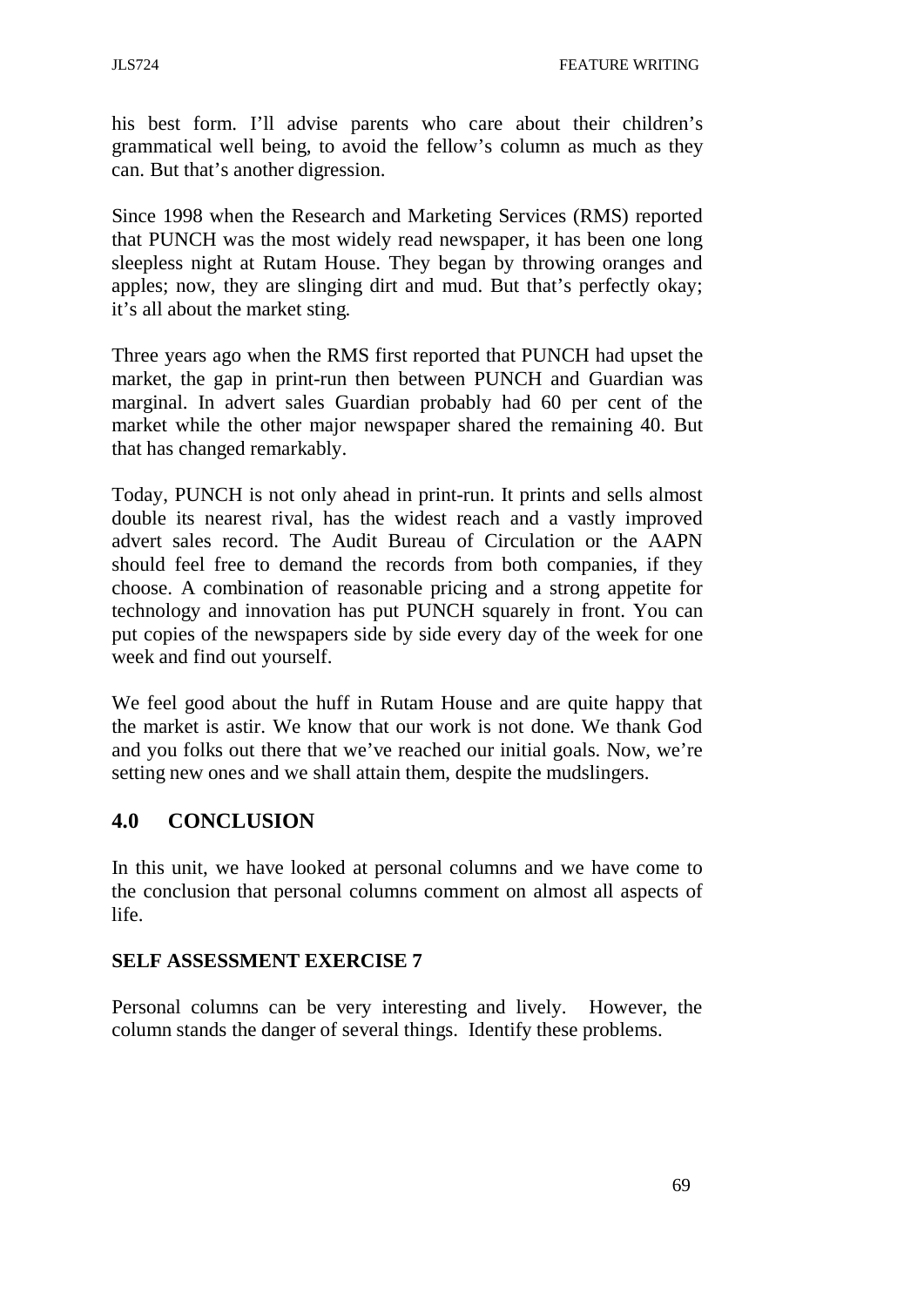his best form. I'll advise parents who care about their children's grammatical well being, to avoid the fellow's column as much as they can. But that's another digression.

Since 1998 when the Research and Marketing Services (RMS) reported that PUNCH was the most widely read newspaper, it has been one long sleepless night at Rutam House. They began by throwing oranges and apples; now, they are slinging dirt and mud. But that's perfectly okay; it's all about the market sting.

Three years ago when the RMS first reported that PUNCH had upset the market, the gap in print-run then between PUNCH and Guardian was marginal. In advert sales Guardian probably had 60 per cent of the market while the other major newspaper shared the remaining 40. But that has changed remarkably.

Today, PUNCH is not only ahead in print-run. It prints and sells almost double its nearest rival, has the widest reach and a vastly improved advert sales record. The Audit Bureau of Circulation or the AAPN should feel free to demand the records from both companies, if they choose. A combination of reasonable pricing and a strong appetite for technology and innovation has put PUNCH squarely in front. You can put copies of the newspapers side by side every day of the week for one week and find out yourself.

We feel good about the huff in Rutam House and are quite happy that the market is astir. We know that our work is not done. We thank God and you folks out there that we've reached our initial goals. Now, we're setting new ones and we shall attain them, despite the mudslingers.

## **4.0 CONCLUSION**

In this unit, we have looked at personal columns and we have come to the conclusion that personal columns comment on almost all aspects of life.

### **SELF ASSESSMENT EXERCISE 7**

Personal columns can be very interesting and lively. However, the column stands the danger of several things. Identify these problems.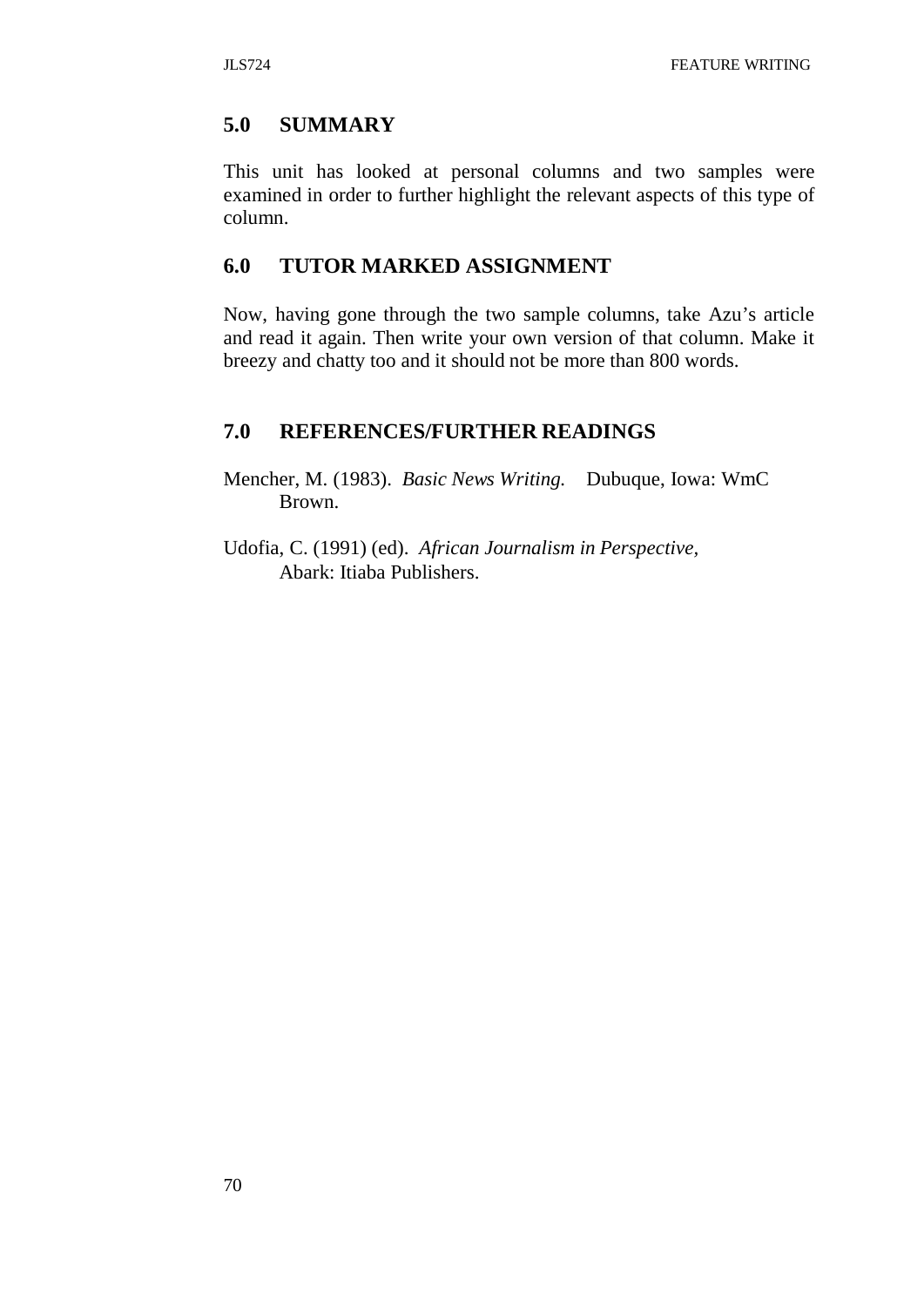### **5.0 SUMMARY**

This unit has looked at personal columns and two samples were examined in order to further highlight the relevant aspects of this type of column.

## **6.0 TUTOR MARKED ASSIGNMENT**

Now, having gone through the two sample columns, take Azu's article and read it again. Then write your own version of that column. Make it breezy and chatty too and it should not be more than 800 words.

### **7.0 REFERENCES/FURTHER READINGS**

Mencher, M. (1983). *Basic News Writing.* Dubuque, Iowa: WmC Brown.

Udofia, C. (1991) (ed). *African Journalism in Perspective,* Abark: Itiaba Publishers.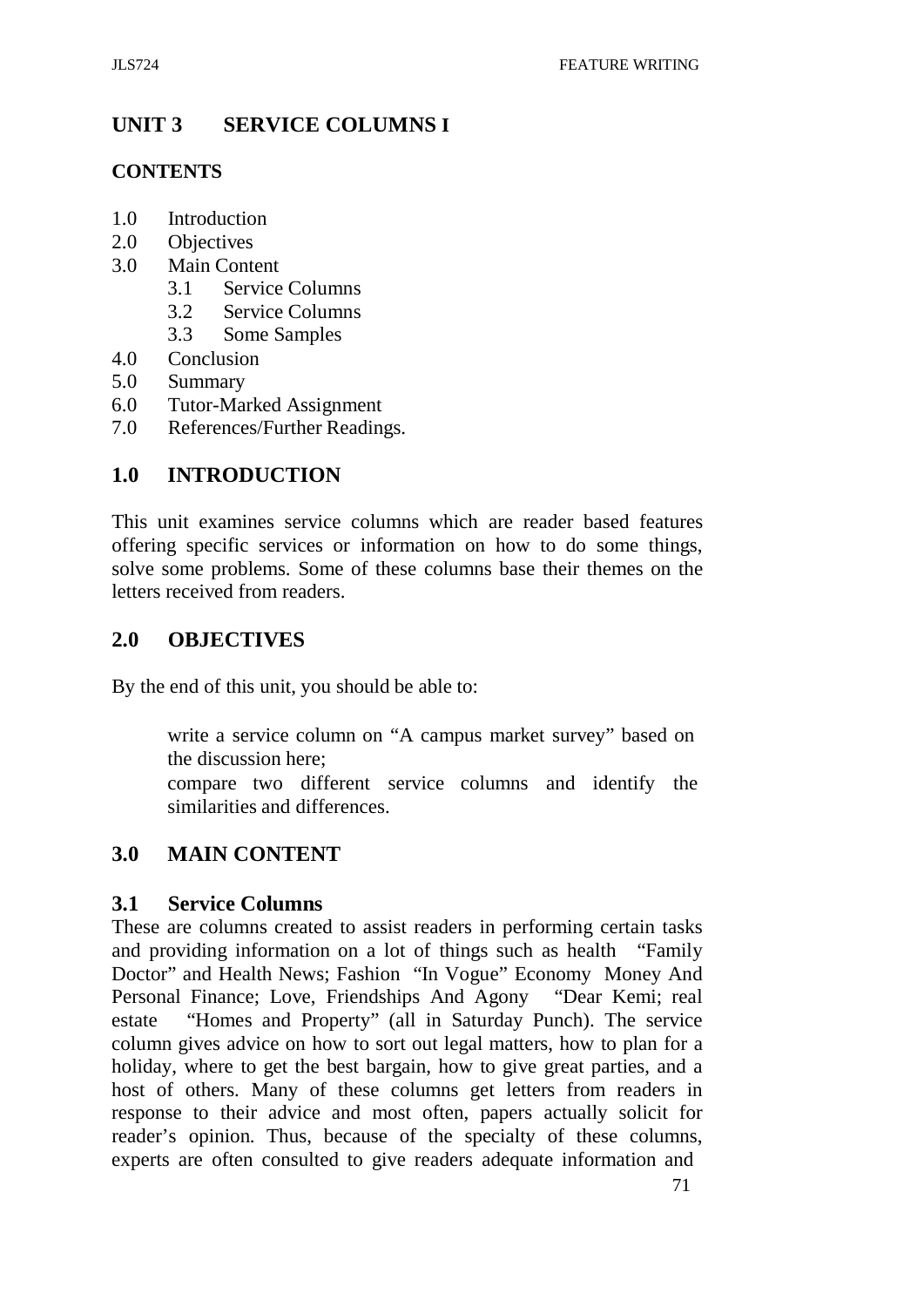# **UNIT 3 SERVICE COLUMNS I**

### **CONTENTS**

- 1.0 Introduction
- 2.0 Objectives
- 3.0 Main Content
	- 3.1 Service Columns
	- 3.2 Service Columns
	- 3.3 Some Samples
- 4.0 Conclusion
- 5.0 Summary
- 6.0 Tutor-Marked Assignment
- 7.0 References/Further Readings.

## **1.0 INTRODUCTION**

This unit examines service columns which are reader based features offering specific services or information on how to do some things, solve some problems. Some of these columns base their themes on the letters received from readers.

### **2.0 OBJECTIVES**

By the end of this unit, you should be able to:

write a service column on "A campus market survey" based on the discussion here;

compare two different service columns and identify the similarities and differences.

## **3.0 MAIN CONTENT**

### **3.1 Service Columns**

These are columns created to assist readers in performing certain tasks and providing information on a lot of things such as health "Family Doctor" and Health News; Fashion "In Vogue" Economy Money And Personal Finance; Love, Friendships And Agony "Dear Kemi; real estate "Homes and Property" (all in Saturday Punch). The service column gives advice on how to sort out legal matters, how to plan for a holiday, where to get the best bargain, how to give great parties, and a host of others. Many of these columns get letters from readers in response to their advice and most often, papers actually solicit for reader's opinion. Thus, because of the specialty of these columns, experts are often consulted to give readers adequate information and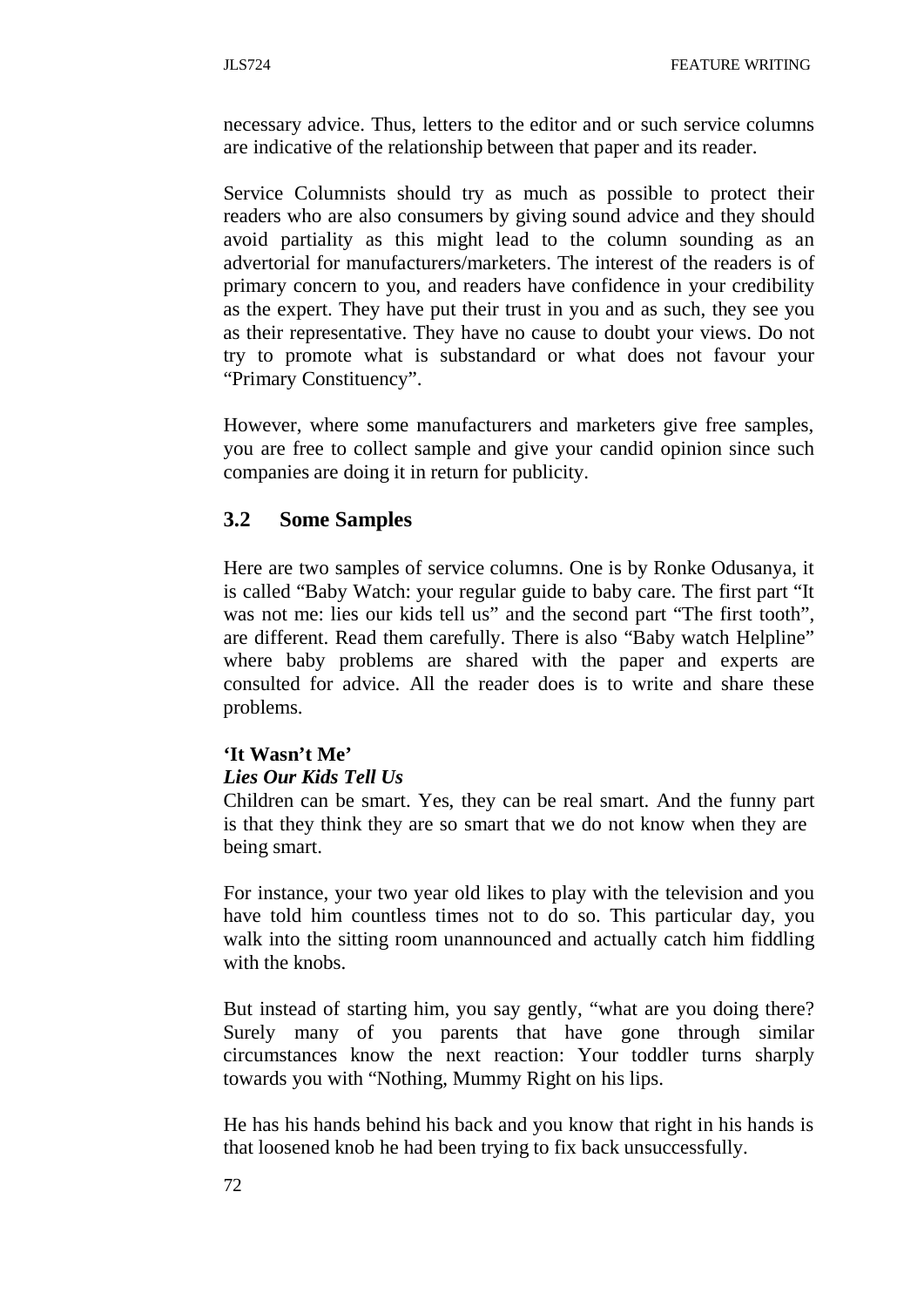necessary advice. Thus, letters to the editor and or such service columns are indicative of the relationship between that paper and its reader.

Service Columnists should try as much as possible to protect their readers who are also consumers by giving sound advice and they should avoid partiality as this might lead to the column sounding as an advertorial for manufacturers/marketers. The interest of the readers is of primary concern to you, and readers have confidence in your credibility as the expert. They have put their trust in you and as such, they see you as their representative. They have no cause to doubt your views. Do not try to promote what is substandard or what does not favour your "Primary Constituency".

However, where some manufacturers and marketers give free samples, you are free to collect sample and give your candid opinion since such companies are doing it in return for publicity.

### **3.2 Some Samples**

Here are two samples of service columns. One is by Ronke Odusanya, it is called "Baby Watch: your regular guide to baby care. The first part "It was not me: lies our kids tell us" and the second part "The first tooth", are different. Read them carefully. There is also "Baby watch Helpline" where baby problems are shared with the paper and experts are consulted for advice. All the reader does is to write and share these problems.

### **'It Wasn't Me'**

#### *Lies Our Kids Tell Us*

Children can be smart. Yes, they can be real smart. And the funny part is that they think they are so smart that we do not know when they are being smart.

For instance, your two year old likes to play with the television and you have told him countless times not to do so. This particular day, you walk into the sitting room unannounced and actually catch him fiddling with the knobs.

But instead of starting him, you say gently, "what are you doing there? Surely many of you parents that have gone through similar circumstances know the next reaction: Your toddler turns sharply towards you with "Nothing, Mummy Right on his lips.

He has his hands behind his back and you know that right in his hands is that loosened knob he had been trying to fix back unsuccessfully.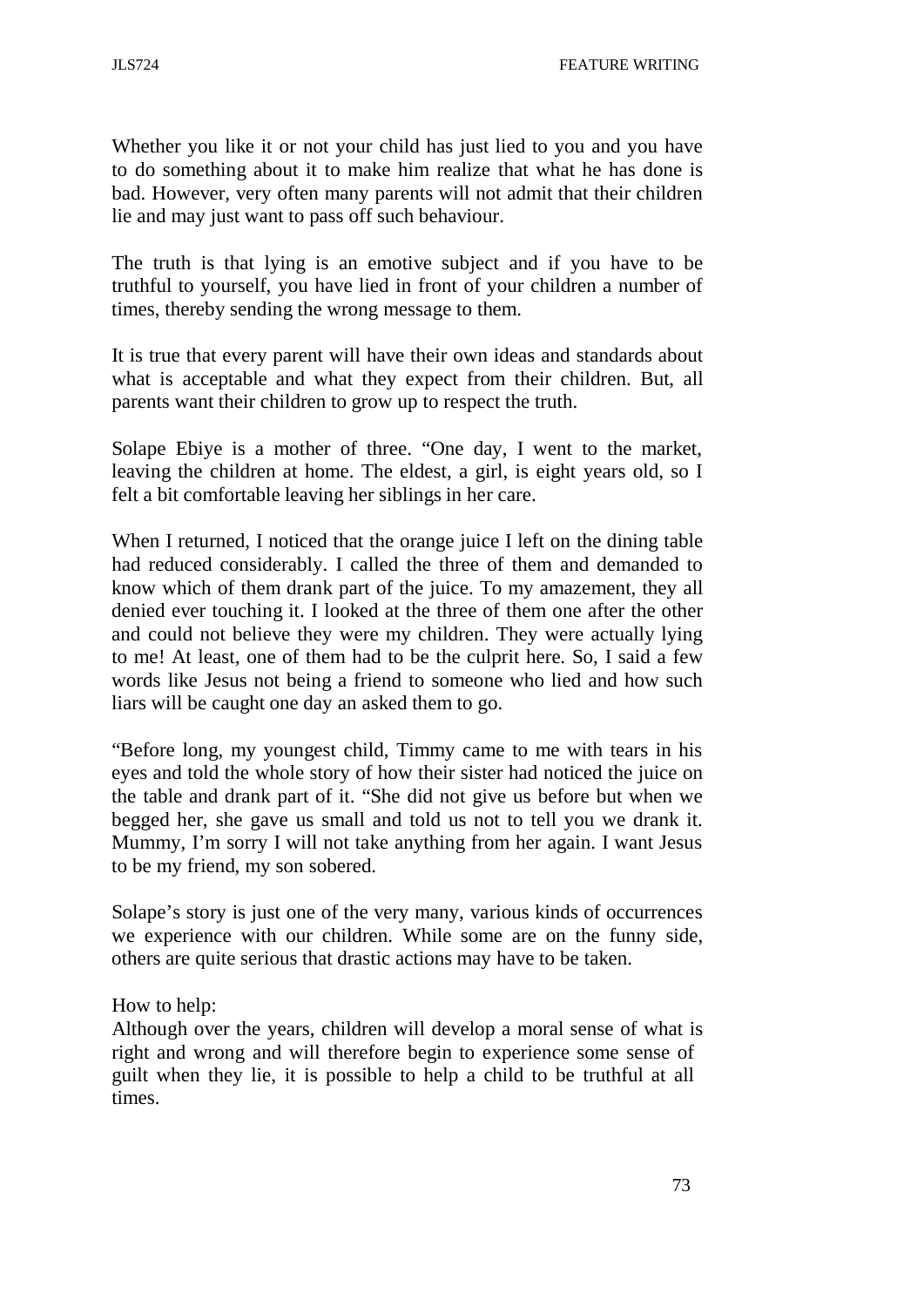Whether you like it or not your child has just lied to you and you have to do something about it to make him realize that what he has done is bad. However, very often many parents will not admit that their children lie and may just want to pass off such behaviour.

The truth is that lying is an emotive subject and if you have to be truthful to yourself, you have lied in front of your children a number of times, thereby sending the wrong message to them.

It is true that every parent will have their own ideas and standards about what is acceptable and what they expect from their children. But, all parents want their children to grow up to respect the truth.

Solape Ebiye is a mother of three. "One day, I went to the market, leaving the children at home. The eldest, a girl, is eight years old, so I felt a bit comfortable leaving her siblings in her care.

When I returned, I noticed that the orange juice I left on the dining table had reduced considerably. I called the three of them and demanded to know which of them drank part of the juice. To my amazement, they all denied ever touching it. I looked at the three of them one after the other and could not believe they were my children. They were actually lying to me! At least, one of them had to be the culprit here. So, I said a few words like Jesus not being a friend to someone who lied and how such liars will be caught one day an asked them to go.

"Before long, my youngest child, Timmy came to me with tears in his eyes and told the whole story of how their sister had noticed the juice on the table and drank part of it. "She did not give us before but when we begged her, she gave us small and told us not to tell you we drank it. Mummy, I'm sorry I will not take anything from her again. I want Jesus to be my friend, my son sobered.

Solape's story is just one of the very many, various kinds of occurrences we experience with our children. While some are on the funny side, others are quite serious that drastic actions may have to be taken.

How to help:

Although over the years, children will develop a moral sense of what is right and wrong and will therefore begin to experience some sense of guilt when they lie, it is possible to help a child to be truthful at all times.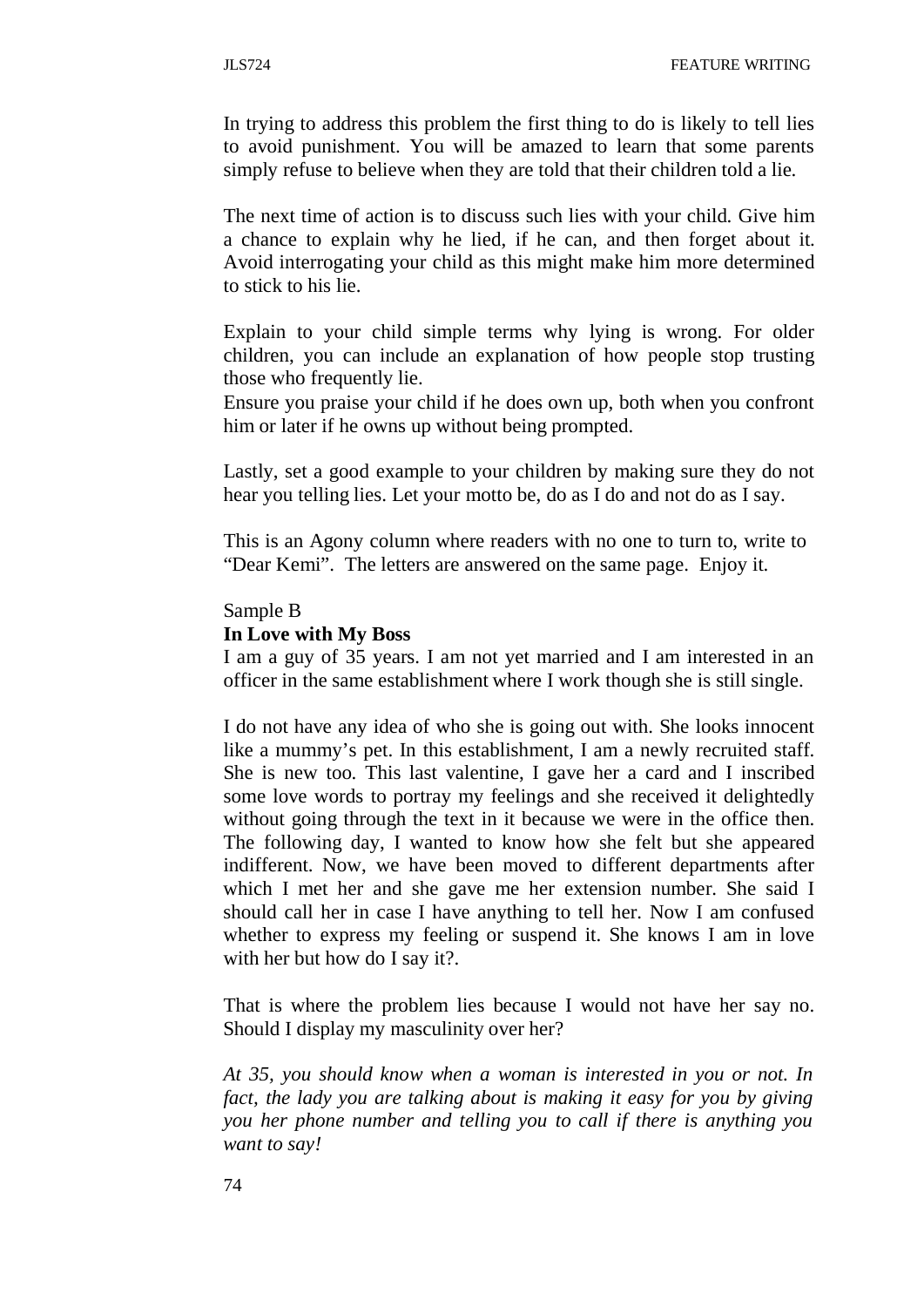In trying to address this problem the first thing to do is likely to tell lies to avoid punishment. You will be amazed to learn that some parents simply refuse to believe when they are told that their children told a lie.

The next time of action is to discuss such lies with your child. Give him a chance to explain why he lied, if he can, and then forget about it. Avoid interrogating your child as this might make him more determined to stick to his lie.

Explain to your child simple terms why lying is wrong. For older children, you can include an explanation of how people stop trusting those who frequently lie.

Ensure you praise your child if he does own up, both when you confront him or later if he owns up without being prompted.

Lastly, set a good example to your children by making sure they do not hear you telling lies. Let your motto be, do as I do and not do as I say.

This is an Agony column where readers with no one to turn to, write to "Dear Kemi". The letters are answered on the same page. Enjoy it.

#### Sample B

#### **In Love with My Boss**

I am a guy of 35 years. I am not yet married and I am interested in an officer in the same establishment where I work though she is still single.

I do not have any idea of who she is going out with. She looks innocent like a mummy's pet. In this establishment, I am a newly recruited staff. She is new too. This last valentine, I gave her a card and I inscribed some love words to portray my feelings and she received it delightedly without going through the text in it because we were in the office then. The following day, I wanted to know how she felt but she appeared indifferent. Now, we have been moved to different departments after which I met her and she gave me her extension number. She said I should call her in case I have anything to tell her. Now I am confused whether to express my feeling or suspend it. She knows I am in love with her but how do I say it?.

That is where the problem lies because I would not have her say no. Should I display my masculinity over her?

*At 35, you should know when a woman is interested in you or not. In fact, the lady you are talking about is making it easy for you by giving you her phone number and telling you to call if there is anything you want to say!*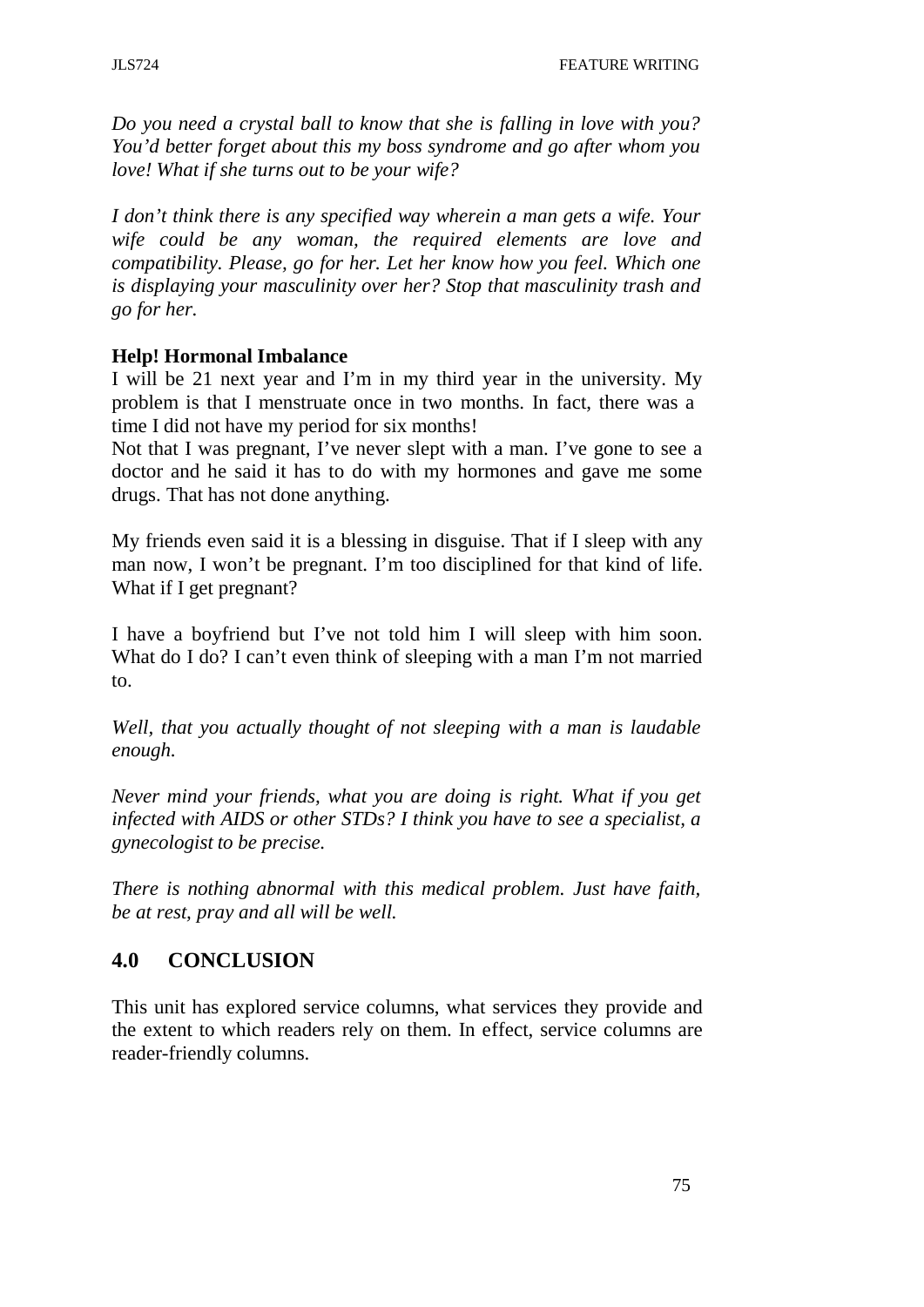*Do you need a crystal ball to know that she is falling in love with you? You'd better forget about this my boss syndrome and go after whom you love! What if she turns out to be your wife?*

*I don't think there is any specified way wherein a man gets a wife. Your wife could be any woman, the required elements are love and compatibility. Please, go for her. Let her know how you feel. Which one is displaying your masculinity over her? Stop that masculinity trash and go for her.*

## **Help! Hormonal Imbalance**

I will be 21 next year and I'm in my third year in the university. My problem is that I menstruate once in two months. In fact, there was a time I did not have my period for six months!

Not that I was pregnant, I've never slept with a man. I've gone to see a doctor and he said it has to do with my hormones and gave me some drugs. That has not done anything.

My friends even said it is a blessing in disguise. That if I sleep with any man now, I won't be pregnant. I'm too disciplined for that kind of life. What if I get pregnant?

I have a boyfriend but I've not told him I will sleep with him soon. What do I do? I can't even think of sleeping with a man I'm not married to.

*Well, that you actually thought of not sleeping with a man is laudable enough.*

*Never mind your friends, what you are doing is right. What if you get infected with AIDS or other STDs? I think you have to see a specialist, a gynecologist to be precise.*

*There is nothing abnormal with this medical problem. Just have faith, be at rest, pray and all will be well.*

# **4.0 CONCLUSION**

This unit has explored service columns, what services they provide and the extent to which readers rely on them. In effect, service columns are reader-friendly columns.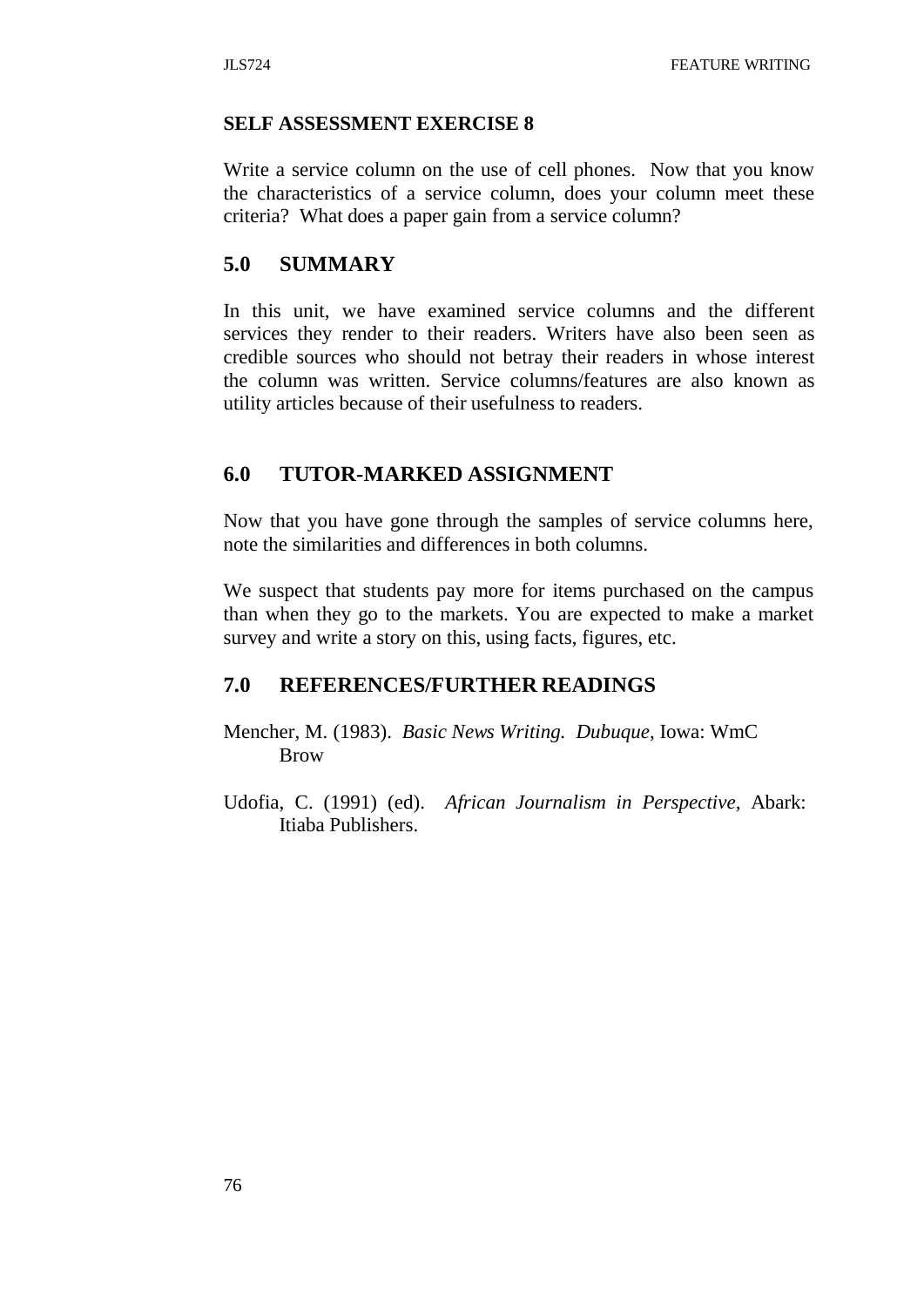#### **SELF ASSESSMENT EXERCISE 8**

Write a service column on the use of cell phones. Now that you know the characteristics of a service column, does your column meet these criteria? What does a paper gain from a service column?

## **5.0 SUMMARY**

In this unit, we have examined service columns and the different services they render to their readers. Writers have also been seen as credible sources who should not betray their readers in whose interest the column was written. Service columns/features are also known as utility articles because of their usefulness to readers.

## **6.0 TUTOR-MARKED ASSIGNMENT**

Now that you have gone through the samples of service columns here, note the similarities and differences in both columns.

We suspect that students pay more for items purchased on the campus than when they go to the markets. You are expected to make a market survey and write a story on this, using facts, figures, etc.

### **7.0 REFERENCES/FURTHER READINGS**

- Mencher, M. (1983). *Basic News Writing. Dubuque,* Iowa: WmC Brow
- Udofia, C. (1991) (ed). *African Journalism in Perspective,* Abark: Itiaba Publishers.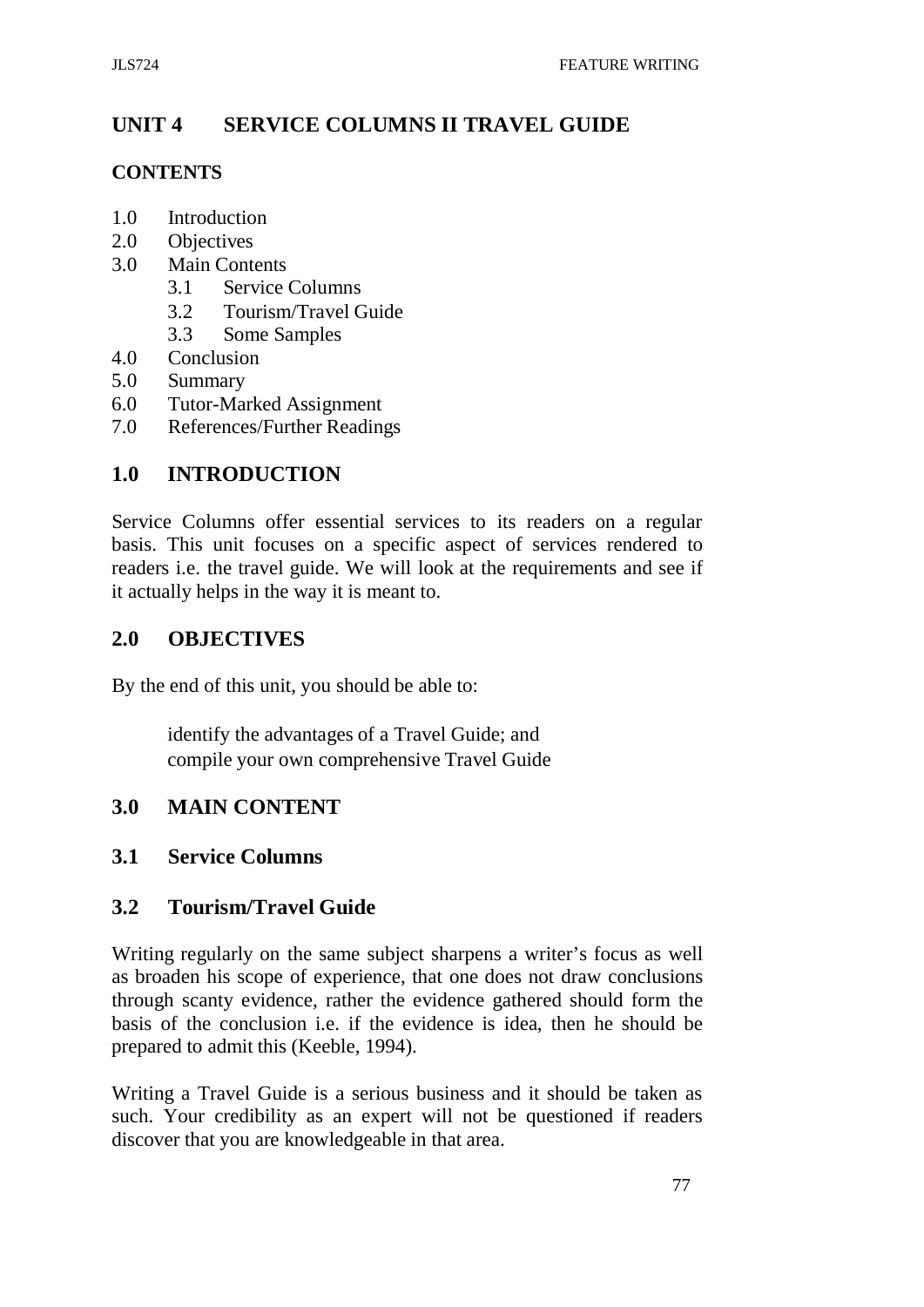## **UNIT 4 SERVICE COLUMNS II TRAVEL GUIDE**

### **CONTENTS**

- 1.0 Introduction
- 2.0 Objectives
- 3.0 Main Contents
	- 3.1 Service Columns
	- 3.2 Tourism/Travel Guide
	- 3.3 Some Samples
- 4.0 Conclusion
- 5.0 Summary
- 6.0 Tutor-Marked Assignment
- 7.0 References/Further Readings

## **1.0 INTRODUCTION**

Service Columns offer essential services to its readers on a regular basis. This unit focuses on a specific aspect of services rendered to readers i.e. the travel guide. We will look at the requirements and see if it actually helps in the way it is meant to.

### **2.0 OBJECTIVES**

By the end of this unit, you should be able to:

identify the advantages of a Travel Guide; and compile your own comprehensive Travel Guide

### **3.0 MAIN CONTENT**

### **3.1 Service Columns**

### **3.2 Tourism/Travel Guide**

Writing regularly on the same subject sharpens a writer's focus as well as broaden his scope of experience, that one does not draw conclusions through scanty evidence, rather the evidence gathered should form the basis of the conclusion i.e. if the evidence is idea, then he should be prepared to admit this (Keeble, 1994).

Writing a Travel Guide is a serious business and it should be taken as such. Your credibility as an expert will not be questioned if readers discover that you are knowledgeable in that area.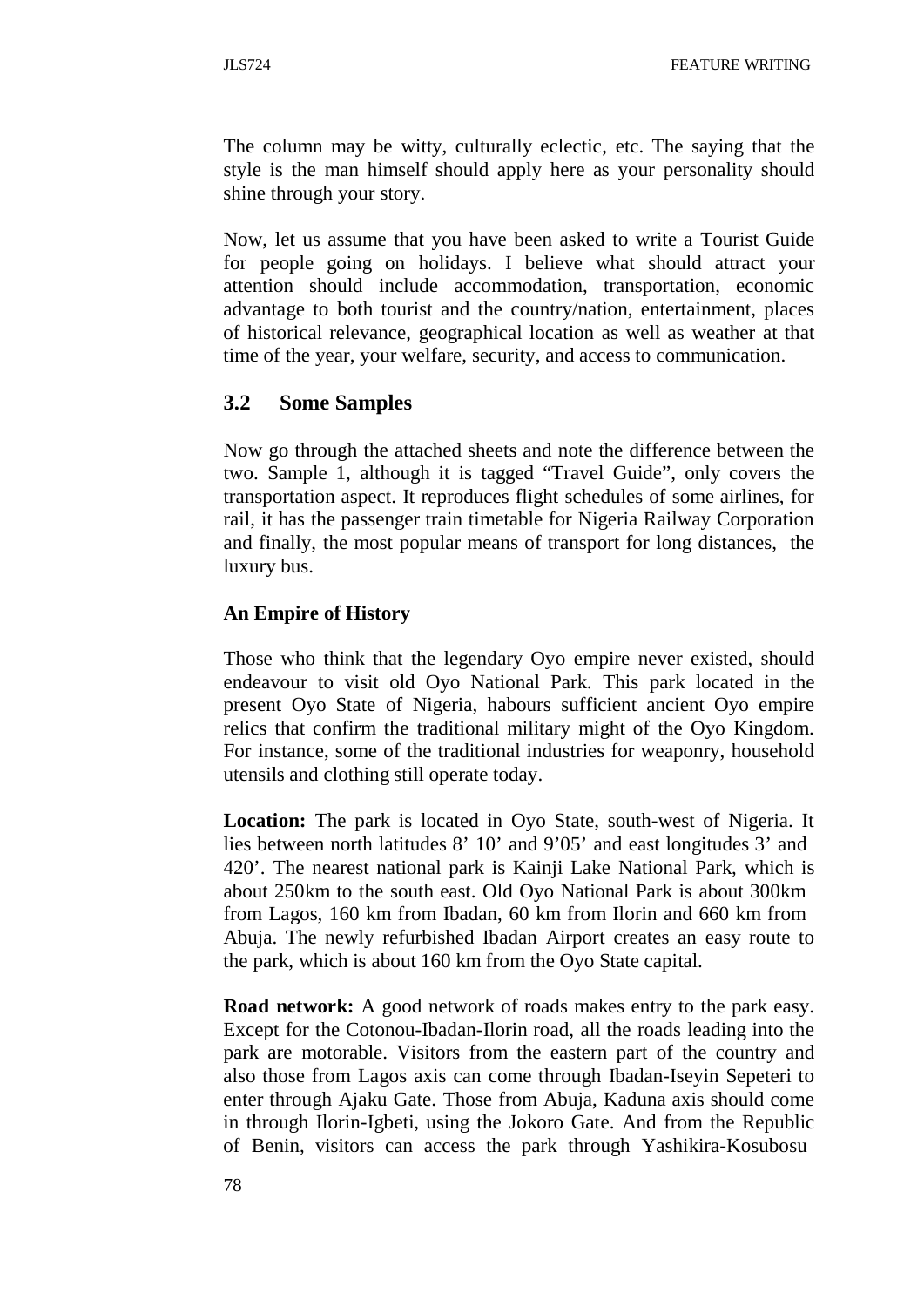The column may be witty, culturally eclectic, etc. The saying that the style is the man himself should apply here as your personality should shine through your story.

Now, let us assume that you have been asked to write a Tourist Guide for people going on holidays. I believe what should attract your attention should include accommodation, transportation, economic advantage to both tourist and the country/nation, entertainment, places of historical relevance, geographical location as well as weather at that time of the year, your welfare, security, and access to communication.

### **3.2 Some Samples**

Now go through the attached sheets and note the difference between the two. Sample 1, although it is tagged "Travel Guide", only covers the transportation aspect. It reproduces flight schedules of some airlines, for rail, it has the passenger train timetable for Nigeria Railway Corporation and finally, the most popular means of transport for long distances, the luxury bus.

### **An Empire of History**

Those who think that the legendary Oyo empire never existed, should endeavour to visit old Oyo National Park. This park located in the present Oyo State of Nigeria, habours sufficient ancient Oyo empire relics that confirm the traditional military might of the Oyo Kingdom. For instance, some of the traditional industries for weaponry, household utensils and clothing still operate today.

**Location:** The park is located in Oyo State, south-west of Nigeria. It lies between north latitudes 8' 10' and 9'05' and east longitudes 3' and 420'. The nearest national park is Kainji Lake National Park, which is about 250km to the south east. Old Oyo National Park is about 300km from Lagos, 160 km from Ibadan, 60 km from Ilorin and 660 km from Abuja. The newly refurbished Ibadan Airport creates an easy route to the park, which is about 160 km from the Oyo State capital.

**Road network:** A good network of roads makes entry to the park easy. Except for the Cotonou-Ibadan-Ilorin road, all the roads leading into the park are motorable. Visitors from the eastern part of the country and also those from Lagos axis can come through Ibadan-Iseyin Sepeteri to enter through Ajaku Gate. Those from Abuja, Kaduna axis should come in through Ilorin-Igbeti, using the Jokoro Gate. And from the Republic of Benin, visitors can access the park through Yashikira-Kosubosu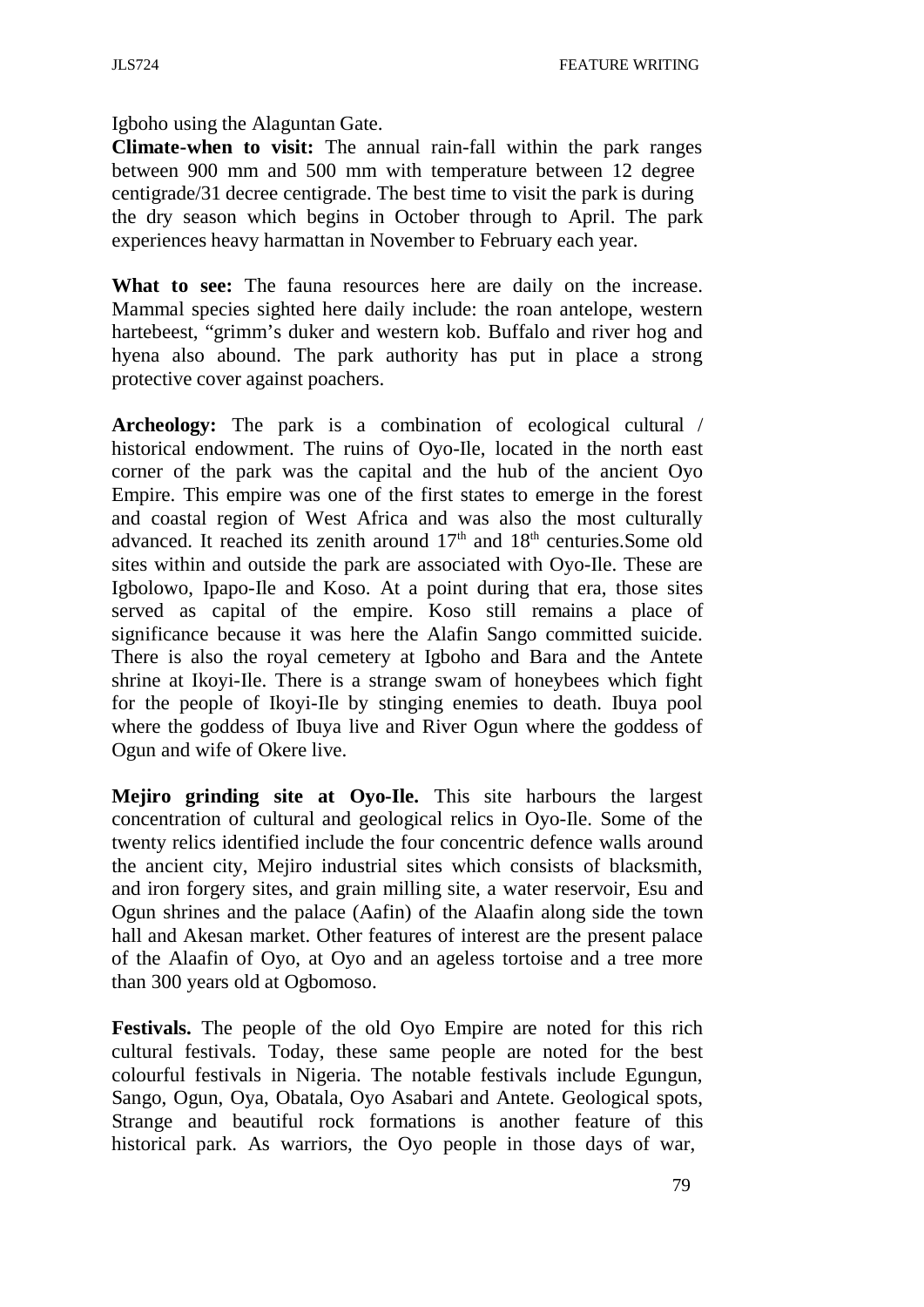#### Igboho using the Alaguntan Gate.

**Climate-when to visit:** The annual rain-fall within the park ranges between 900 mm and 500 mm with temperature between 12 degree centigrade/31 decree centigrade. The best time to visit the park is during the dry season which begins in October through to April. The park experiences heavy harmattan in November to February each year.

**What to see:** The fauna resources here are daily on the increase. Mammal species sighted here daily include: the roan antelope, western hartebeest, "grimm's duker and western kob. Buffalo and river hog and hyena also abound. The park authority has put in place a strong protective cover against poachers.

**Archeology:** The park is a combination of ecological cultural / historical endowment. The ruins of Oyo-Ile, located in the north east corner of the park was the capital and the hub of the ancient Oyo Empire. This empire was one of the first states to emerge in the forest and coastal region of West Africa and was also the most culturally advanced. It reached its zenith around  $17<sup>th</sup>$  and  $18<sup>th</sup>$  centuries. Some old sites within and outside the park are associated with Oyo-Ile. These are Igbolowo, Ipapo-Ile and Koso. At a point during that era, those sites served as capital of the empire. Koso still remains a place of significance because it was here the Alafin Sango committed suicide. There is also the royal cemetery at Igboho and Bara and the Antete shrine at Ikoyi-Ile. There is a strange swam of honeybees which fight for the people of Ikoyi-Ile by stinging enemies to death. Ibuya pool where the goddess of Ibuya live and River Ogun where the goddess of Ogun and wife of Okere live.

**Mejiro grinding site at Oyo-Ile.** This site harbours the largest concentration of cultural and geological relics in Oyo-Ile. Some of the twenty relics identified include the four concentric defence walls around the ancient city, Mejiro industrial sites which consists of blacksmith, and iron forgery sites, and grain milling site, a water reservoir, Esu and Ogun shrines and the palace (Aafin) of the Alaafin along side the town hall and Akesan market. Other features of interest are the present palace of the Alaafin of Oyo, at Oyo and an ageless tortoise and a tree more than 300 years old at Ogbomoso.

**Festivals.** The people of the old Oyo Empire are noted for this rich cultural festivals. Today, these same people are noted for the best colourful festivals in Nigeria. The notable festivals include Egungun, Sango, Ogun, Oya, Obatala, Oyo Asabari and Antete. Geological spots, Strange and beautiful rock formations is another feature of this historical park. As warriors, the Oyo people in those days of war,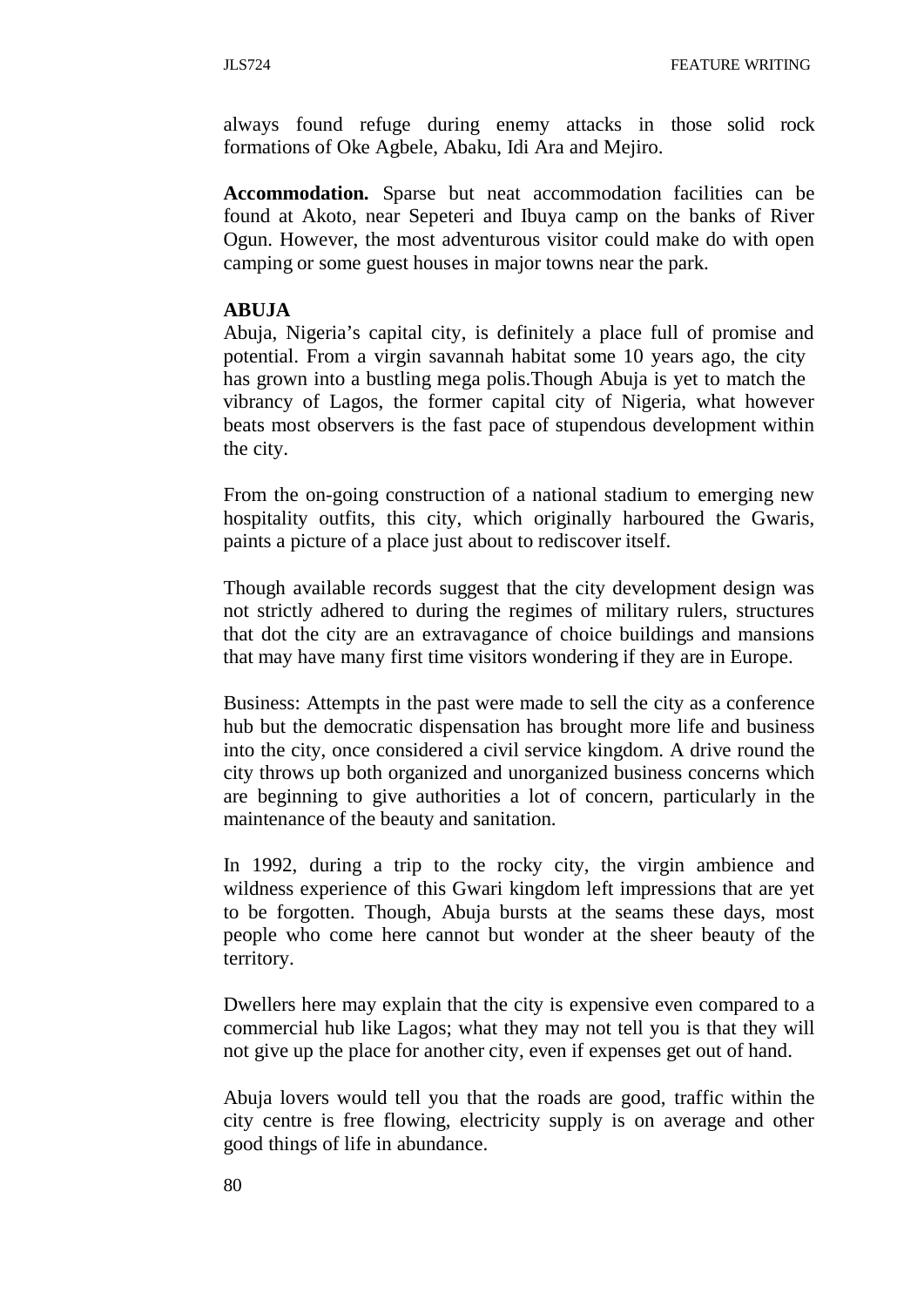always found refuge during enemy attacks in those solid rock formations of Oke Agbele, Abaku, Idi Ara and Mejiro.

**Accommodation.** Sparse but neat accommodation facilities can be found at Akoto, near Sepeteri and Ibuya camp on the banks of River Ogun. However, the most adventurous visitor could make do with open camping or some guest houses in major towns near the park.

#### **ABUJA**

Abuja, Nigeria's capital city, is definitely a place full of promise and potential. From a virgin savannah habitat some 10 years ago, the city has grown into a bustling mega polis.Though Abuja is yet to match the vibrancy of Lagos, the former capital city of Nigeria, what however beats most observers is the fast pace of stupendous development within the city.

From the on-going construction of a national stadium to emerging new hospitality outfits, this city, which originally harboured the Gwaris, paints a picture of a place just about to rediscover itself.

Though available records suggest that the city development design was not strictly adhered to during the regimes of military rulers, structures that dot the city are an extravagance of choice buildings and mansions that may have many first time visitors wondering if they are in Europe.

Business: Attempts in the past were made to sell the city as a conference hub but the democratic dispensation has brought more life and business into the city, once considered a civil service kingdom. A drive round the city throws up both organized and unorganized business concerns which are beginning to give authorities a lot of concern, particularly in the maintenance of the beauty and sanitation.

In 1992, during a trip to the rocky city, the virgin ambience and wildness experience of this Gwari kingdom left impressions that are yet to be forgotten. Though, Abuja bursts at the seams these days, most people who come here cannot but wonder at the sheer beauty of the territory.

Dwellers here may explain that the city is expensive even compared to a commercial hub like Lagos; what they may not tell you is that they will not give up the place for another city, even if expenses get out of hand.

Abuja lovers would tell you that the roads are good, traffic within the city centre is free flowing, electricity supply is on average and other good things of life in abundance.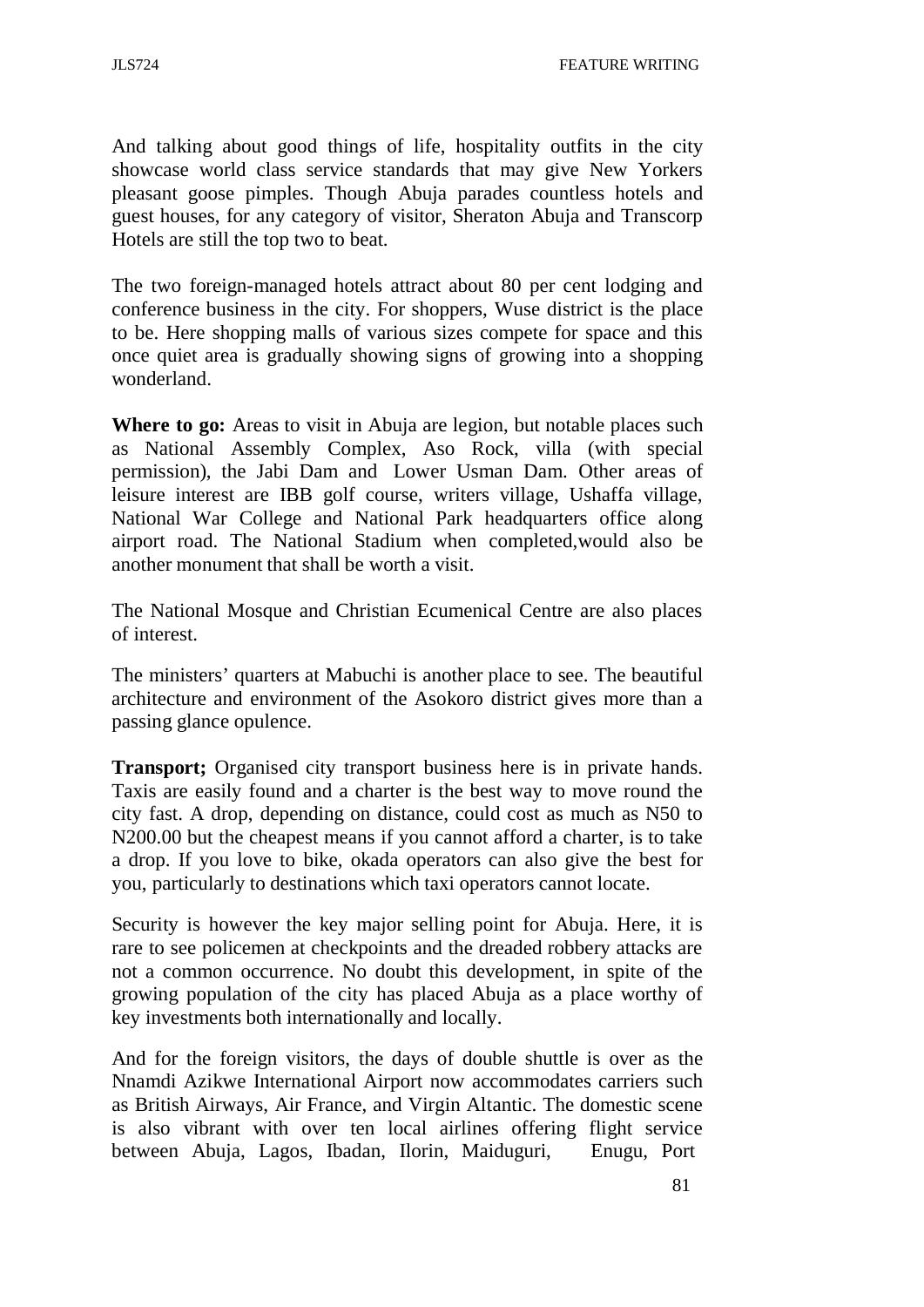And talking about good things of life, hospitality outfits in the city showcase world class service standards that may give New Yorkers pleasant goose pimples. Though Abuja parades countless hotels and guest houses, for any category of visitor, Sheraton Abuja and Transcorp Hotels are still the top two to beat.

The two foreign-managed hotels attract about 80 per cent lodging and conference business in the city. For shoppers, Wuse district is the place to be. Here shopping malls of various sizes compete for space and this once quiet area is gradually showing signs of growing into a shopping wonderland.

**Where to go:** Areas to visit in Abuja are legion, but notable places such as National Assembly Complex, Aso Rock, villa (with special permission), the Jabi Dam and Lower Usman Dam. Other areas of leisure interest are IBB golf course, writers village, Ushaffa village, National War College and National Park headquarters office along airport road. The National Stadium when completed,would also be another monument that shall be worth a visit.

The National Mosque and Christian Ecumenical Centre are also places of interest.

The ministers' quarters at Mabuchi is another place to see. The beautiful architecture and environment of the Asokoro district gives more than a passing glance opulence.

**Transport;** Organised city transport business here is in private hands. Taxis are easily found and a charter is the best way to move round the city fast. A drop, depending on distance, could cost as much as N50 to N200.00 but the cheapest means if you cannot afford a charter, is to take a drop. If you love to bike, okada operators can also give the best for you, particularly to destinations which taxi operators cannot locate.

Security is however the key major selling point for Abuja. Here, it is rare to see policemen at checkpoints and the dreaded robbery attacks are not a common occurrence. No doubt this development, in spite of the growing population of the city has placed Abuja as a place worthy of key investments both internationally and locally.

And for the foreign visitors, the days of double shuttle is over as the Nnamdi Azikwe International Airport now accommodates carriers such as British Airways, Air France, and Virgin Altantic. The domestic scene is also vibrant with over ten local airlines offering flight service between Abuja, Lagos, Ibadan, Ilorin, Maiduguri, Enugu, Port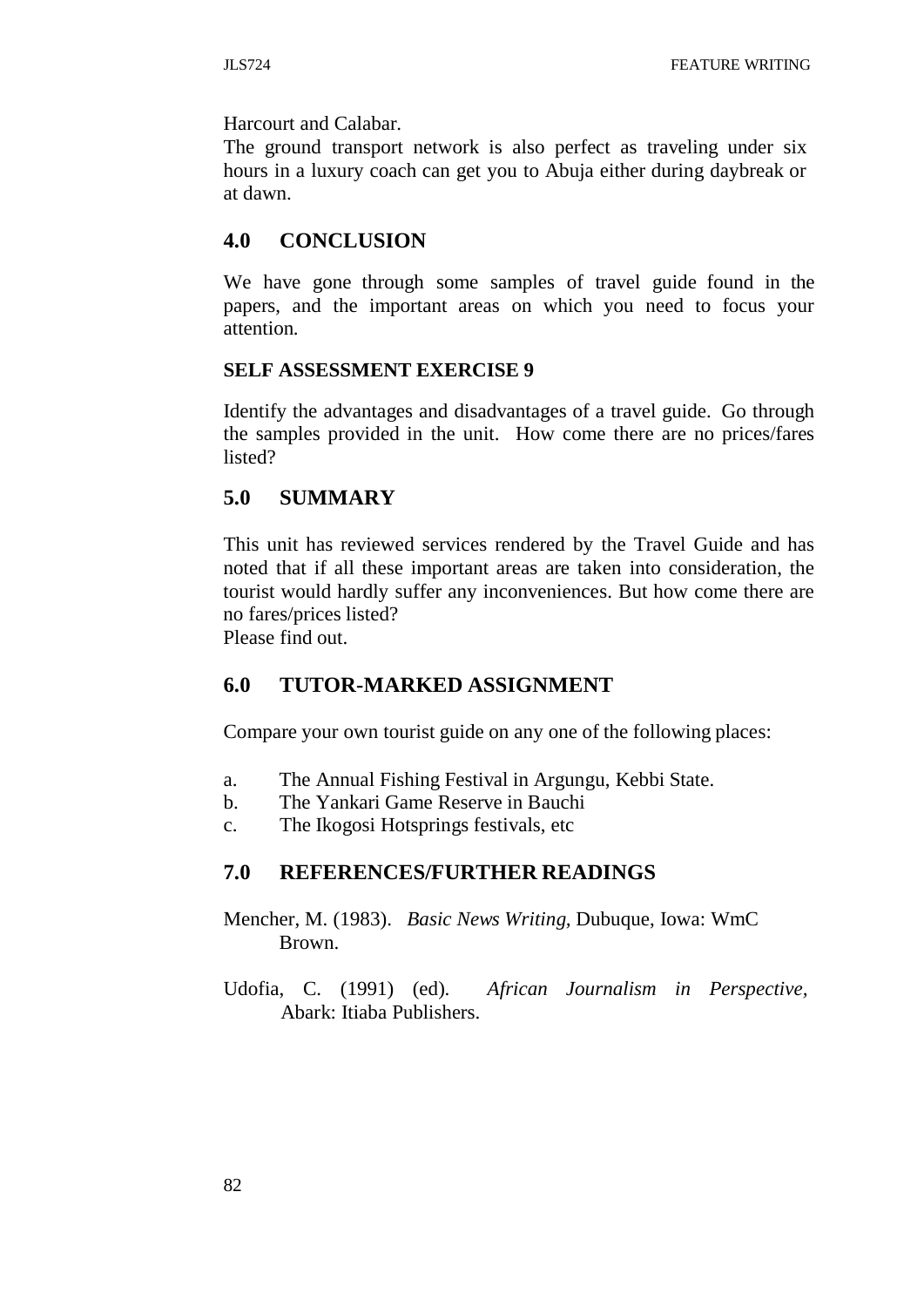#### Harcourt and Calabar.

The ground transport network is also perfect as traveling under six hours in a luxury coach can get you to Abuja either during daybreak or at dawn.

### **4.0 CONCLUSION**

We have gone through some samples of travel guide found in the papers, and the important areas on which you need to focus your attention.

#### **SELF ASSESSMENT EXERCISE 9**

Identify the advantages and disadvantages of a travel guide. Go through the samples provided in the unit. How come there are no prices/fares listed?

### **5.0 SUMMARY**

This unit has reviewed services rendered by the Travel Guide and has noted that if all these important areas are taken into consideration, the tourist would hardly suffer any inconveniences. But how come there are no fares/prices listed?

Please find out.

### **6.0 TUTOR-MARKED ASSIGNMENT**

Compare your own tourist guide on any one of the following places:

- a. The Annual Fishing Festival in Argungu, Kebbi State.
- b. The Yankari Game Reserve in Bauchi
- c. The Ikogosi Hotsprings festivals, etc

### **7.0 REFERENCES/FURTHER READINGS**

Mencher, M. (1983). *Basic News Writing,* Dubuque, Iowa: WmC Brown.

Udofia, C. (1991) (ed). *African Journalism in Perspective,* Abark: Itiaba Publishers.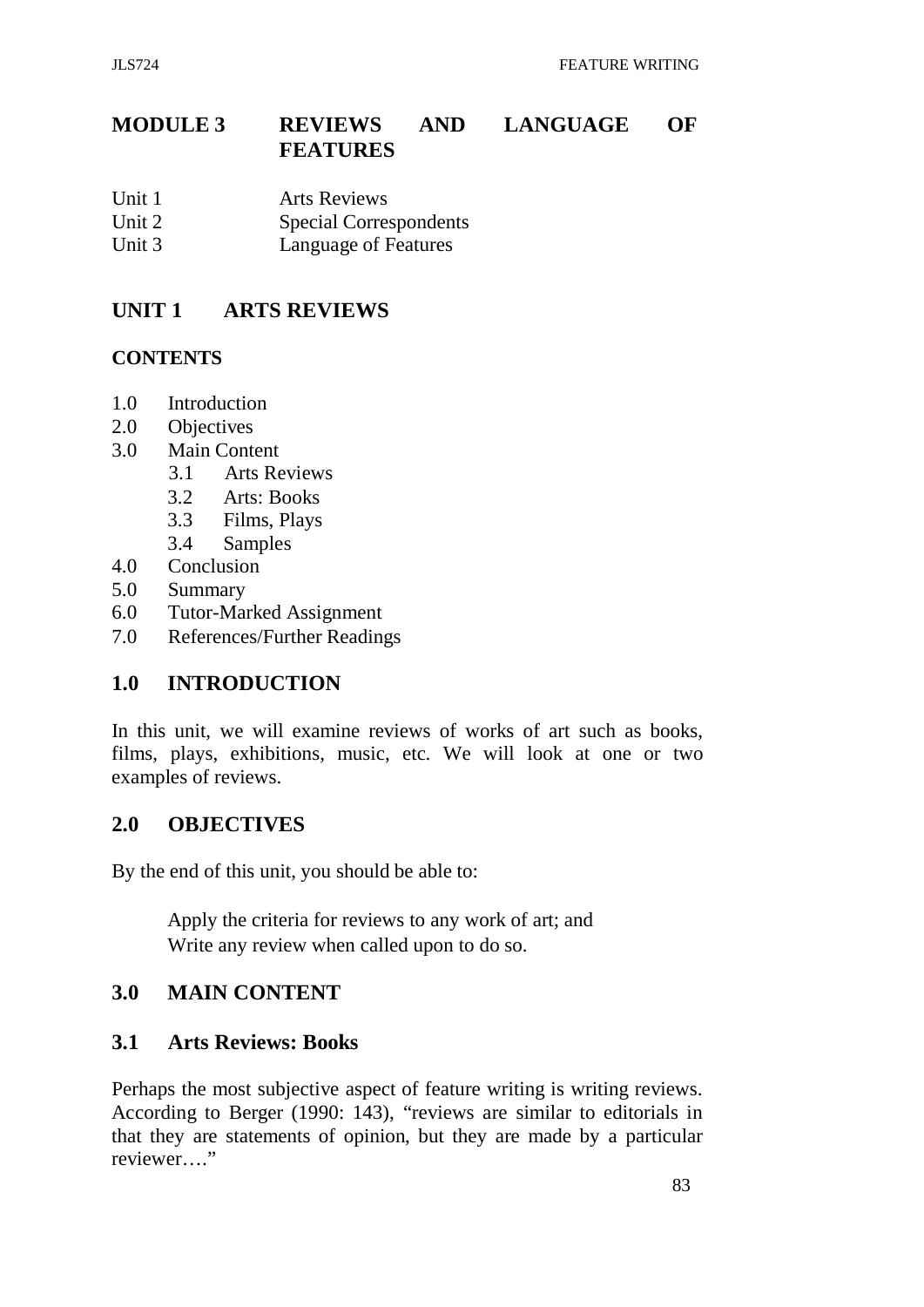# **MODULE 3 REVIEWS AND LANGUAGE OF FEATURES**

- Unit 1 Arts Reviews
- Unit 2 Special Correspondents
- Unit 3 Language of Features

# **UNIT 1 ARTS REVIEWS**

## **CONTENTS**

- 1.0 Introduction
- 2.0 Objectives
- 3.0 Main Content
	- 3.1 Arts Reviews
	- 3.2 Arts: Books
	- 3.3 Films, Plays
	- 3.4 Samples
- 4.0 Conclusion
- 5.0 Summary
- 6.0 Tutor-Marked Assignment
- 7.0 References/Further Readings

# **1.0 INTRODUCTION**

In this unit, we will examine reviews of works of art such as books, films, plays, exhibitions, music, etc. We will look at one or two examples of reviews.

# **2.0 OBJECTIVES**

By the end of this unit, you should be able to:

Apply the criteria for reviews to any work of art; and Write any review when called upon to do so.

# **3.0 MAIN CONTENT**

## **3.1 Arts Reviews: Books**

Perhaps the most subjective aspect of feature writing is writing reviews. According to Berger (1990: 143), "reviews are similar to editorials in that they are statements of opinion, but they are made by a particular reviewer…."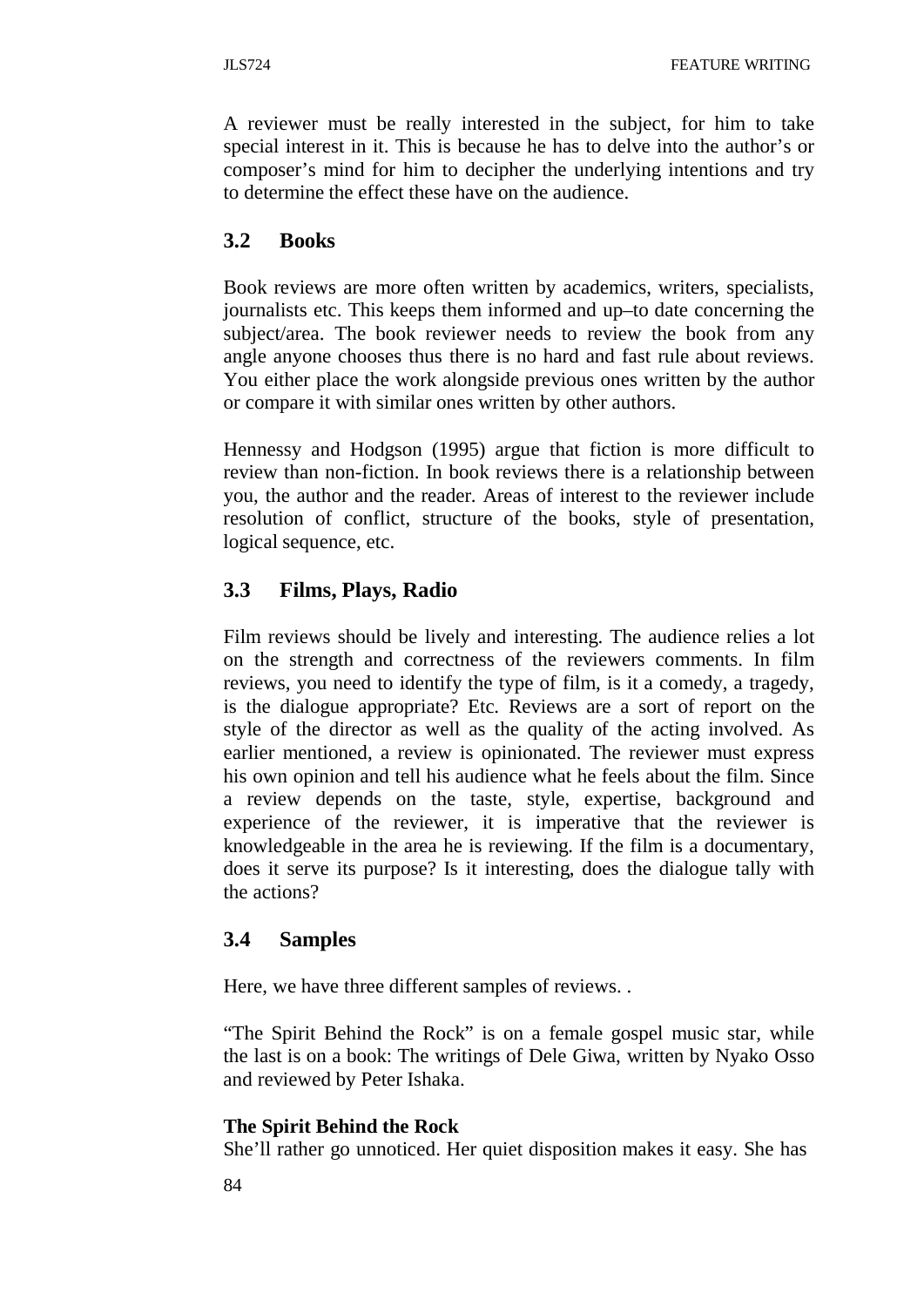A reviewer must be really interested in the subject, for him to take special interest in it. This is because he has to delve into the author's or composer's mind for him to decipher the underlying intentions and try to determine the effect these have on the audience.

## **3.2 Books**

Book reviews are more often written by academics, writers, specialists, journalists etc. This keeps them informed and up–to date concerning the subject/area. The book reviewer needs to review the book from any angle anyone chooses thus there is no hard and fast rule about reviews. You either place the work alongside previous ones written by the author or compare it with similar ones written by other authors.

Hennessy and Hodgson (1995) argue that fiction is more difficult to review than non-fiction. In book reviews there is a relationship between you, the author and the reader. Areas of interest to the reviewer include resolution of conflict, structure of the books, style of presentation, logical sequence, etc.

## **3.3 Films, Plays, Radio**

Film reviews should be lively and interesting. The audience relies a lot on the strength and correctness of the reviewers comments. In film reviews, you need to identify the type of film, is it a comedy, a tragedy, is the dialogue appropriate? Etc. Reviews are a sort of report on the style of the director as well as the quality of the acting involved. As earlier mentioned, a review is opinionated. The reviewer must express his own opinion and tell his audience what he feels about the film. Since a review depends on the taste, style, expertise, background and experience of the reviewer, it is imperative that the reviewer is knowledgeable in the area he is reviewing. If the film is a documentary, does it serve its purpose? Is it interesting, does the dialogue tally with the actions?

## **3.4 Samples**

Here, we have three different samples of reviews. .

"The Spirit Behind the Rock" is on a female gospel music star, while the last is on a book: The writings of Dele Giwa, written by Nyako Osso and reviewed by Peter Ishaka.

### **The Spirit Behind the Rock**

She'll rather go unnoticed. Her quiet disposition makes it easy. She has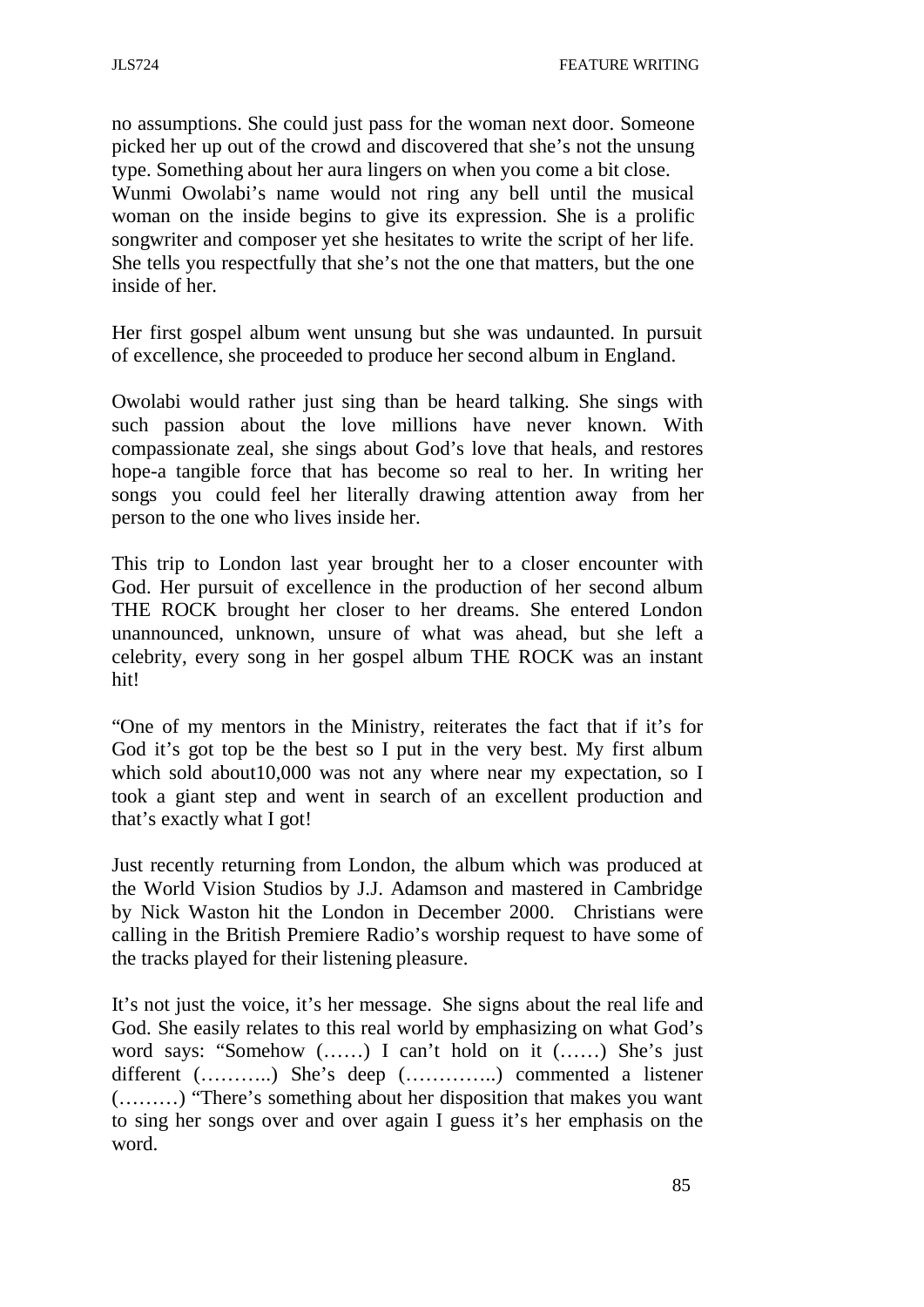no assumptions. She could just pass for the woman next door. Someone picked her up out of the crowd and discovered that she's not the unsung type. Something about her aura lingers on when you come a bit close.

Wunmi Owolabi's name would not ring any bell until the musical woman on the inside begins to give its expression. She is a prolific songwriter and composer yet she hesitates to write the script of her life. She tells you respectfully that she's not the one that matters, but the one inside of her.

Her first gospel album went unsung but she was undaunted. In pursuit of excellence, she proceeded to produce her second album in England.

Owolabi would rather just sing than be heard talking. She sings with such passion about the love millions have never known. With compassionate zeal, she sings about God's love that heals, and restores hope-a tangible force that has become so real to her. In writing her songs you could feel her literally drawing attention away from her person to the one who lives inside her.

This trip to London last year brought her to a closer encounter with God. Her pursuit of excellence in the production of her second album THE ROCK brought her closer to her dreams. She entered London unannounced, unknown, unsure of what was ahead, but she left a celebrity, every song in her gospel album THE ROCK was an instant hit!

"One of my mentors in the Ministry, reiterates the fact that if it's for God it's got top be the best so I put in the very best. My first album which sold about 10,000 was not any where near my expectation, so I took a giant step and went in search of an excellent production and that's exactly what I got!

Just recently returning from London, the album which was produced at the World Vision Studios by J.J. Adamson and mastered in Cambridge by Nick Waston hit the London in December 2000. Christians were calling in the British Premiere Radio's worship request to have some of the tracks played for their listening pleasure.

It's not just the voice, it's her message. She signs about the real life and God. She easily relates to this real world by emphasizing on what God's word says: "Somehow (……) I can't hold on it (……) She's just different (………..) She's deep (…………..) commented a listener (………) "There's something about her disposition that makes you want to sing her songs over and over again I guess it's her emphasis on the word.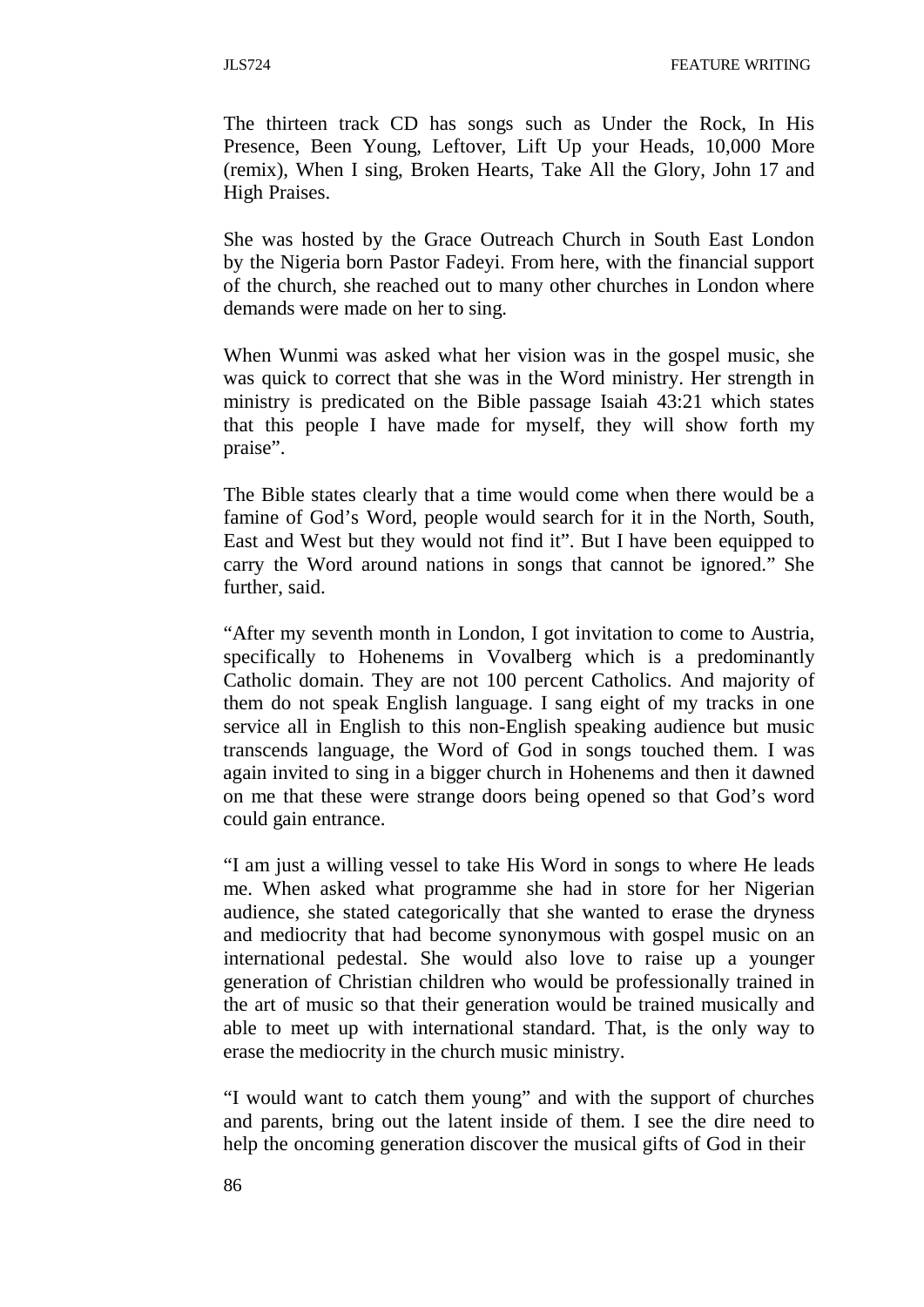The thirteen track CD has songs such as Under the Rock, In His Presence, Been Young, Leftover, Lift Up your Heads, 10,000 More (remix), When I sing, Broken Hearts, Take All the Glory, John 17 and High Praises.

She was hosted by the Grace Outreach Church in South East London by the Nigeria born Pastor Fadeyi. From here, with the financial support of the church, she reached out to many other churches in London where demands were made on her to sing.

When Wunmi was asked what her vision was in the gospel music, she was quick to correct that she was in the Word ministry. Her strength in ministry is predicated on the Bible passage Isaiah 43:21 which states that this people I have made for myself, they will show forth my praise".

The Bible states clearly that a time would come when there would be a famine of God's Word, people would search for it in the North, South, East and West but they would not find it". But I have been equipped to carry the Word around nations in songs that cannot be ignored." She further, said.

"After my seventh month in London, I got invitation to come to Austria, specifically to Hohenems in Vovalberg which is a predominantly Catholic domain. They are not 100 percent Catholics. And majority of them do not speak English language. I sang eight of my tracks in one service all in English to this non-English speaking audience but music transcends language, the Word of God in songs touched them. I was again invited to sing in a bigger church in Hohenems and then it dawned on me that these were strange doors being opened so that God's word could gain entrance.

"I am just a willing vessel to take His Word in songs to where He leads me. When asked what programme she had in store for her Nigerian audience, she stated categorically that she wanted to erase the dryness and mediocrity that had become synonymous with gospel music on an international pedestal. She would also love to raise up a younger generation of Christian children who would be professionally trained in the art of music so that their generation would be trained musically and able to meet up with international standard. That, is the only way to erase the mediocrity in the church music ministry.

"I would want to catch them young" and with the support of churches and parents, bring out the latent inside of them. I see the dire need to help the oncoming generation discover the musical gifts of God in their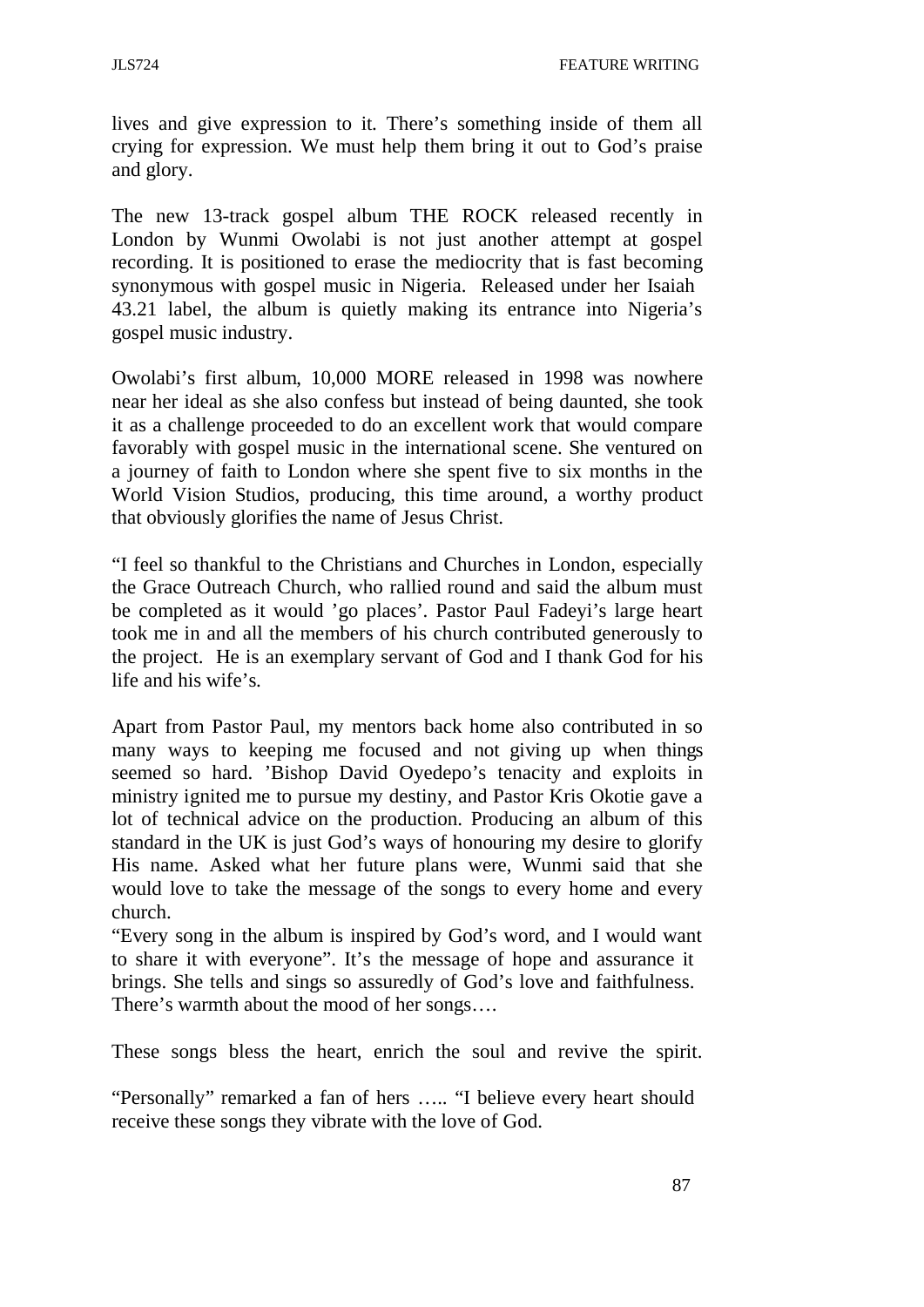lives and give expression to it. There's something inside of them all crying for expression. We must help them bring it out to God's praise and glory.

The new 13-track gospel album THE ROCK released recently in London by Wunmi Owolabi is not just another attempt at gospel recording. It is positioned to erase the mediocrity that is fast becoming synonymous with gospel music in Nigeria. Released under her Isaiah 43.21 label, the album is quietly making its entrance into Nigeria's gospel music industry.

Owolabi's first album, 10,000 MORE released in 1998 was nowhere near her ideal as she also confess but instead of being daunted, she took it as a challenge proceeded to do an excellent work that would compare favorably with gospel music in the international scene. She ventured on a journey of faith to London where she spent five to six months in the World Vision Studios, producing, this time around, a worthy product that obviously glorifies the name of Jesus Christ.

"I feel so thankful to the Christians and Churches in London, especially the Grace Outreach Church, who rallied round and said the album must be completed as it would 'go places'. Pastor Paul Fadeyi's large heart took me in and all the members of his church contributed generously to the project. He is an exemplary servant of God and I thank God for his life and his wife's.

Apart from Pastor Paul, my mentors back home also contributed in so many ways to keeping me focused and not giving up when things seemed so hard. 'Bishop David Oyedepo's tenacity and exploits in ministry ignited me to pursue my destiny, and Pastor Kris Okotie gave a lot of technical advice on the production. Producing an album of this standard in the UK is just God's ways of honouring my desire to glorify His name. Asked what her future plans were, Wunmi said that she would love to take the message of the songs to every home and every church.

"Every song in the album is inspired by God's word, and I would want to share it with everyone". It's the message of hope and assurance it brings. She tells and sings so assuredly of God's love and faithfulness. There's warmth about the mood of her songs….

These songs bless the heart, enrich the soul and revive the spirit.

"Personally" remarked a fan of hers ….. "I believe every heart should receive these songs they vibrate with the love of God.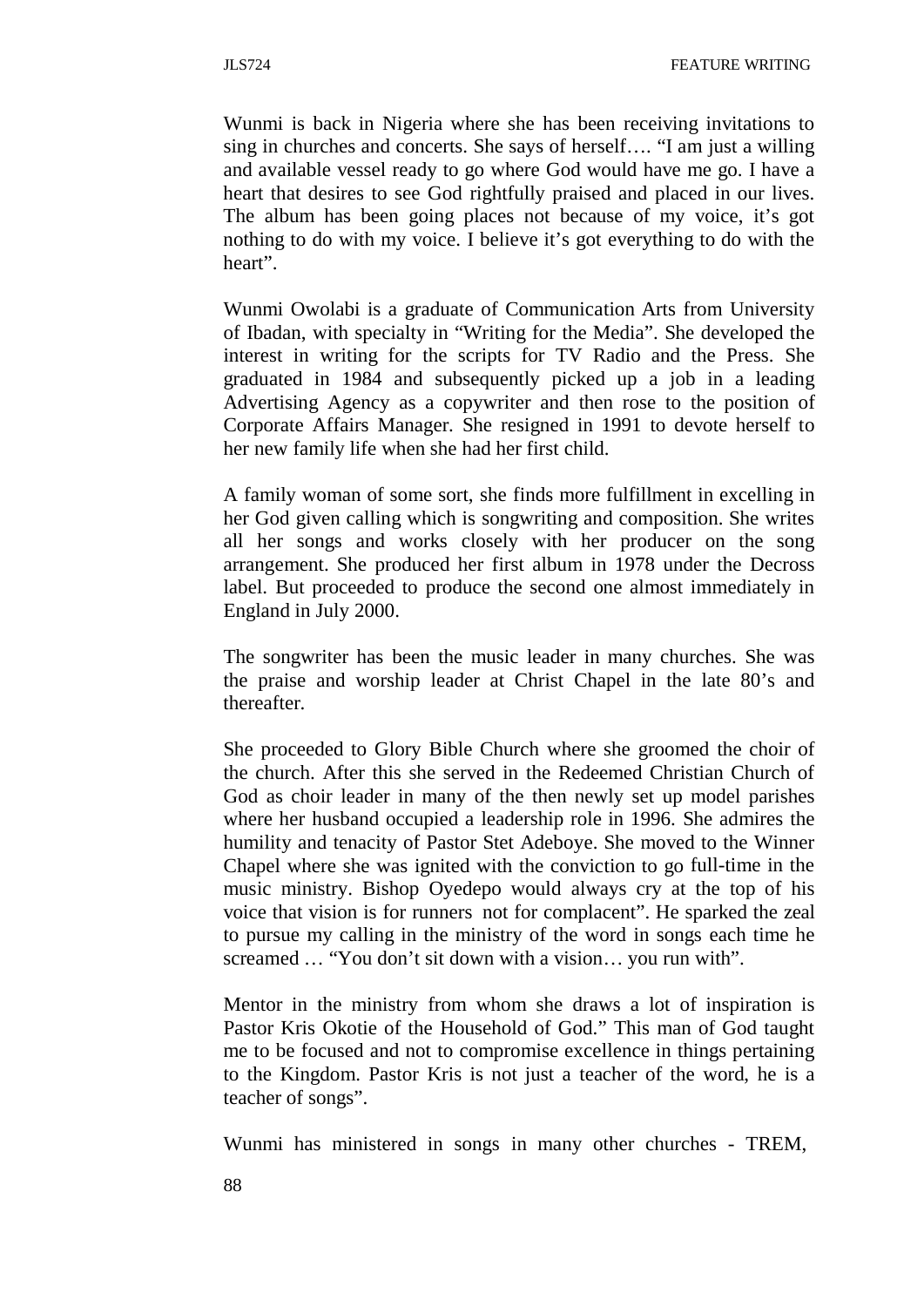Wunmi is back in Nigeria where she has been receiving invitations to sing in churches and concerts. She says of herself…. "I am just a willing and available vessel ready to go where God would have me go. I have a heart that desires to see God rightfully praised and placed in our lives. The album has been going places not because of my voice, it's got nothing to do with my voice. I believe it's got everything to do with the heart".

Wunmi Owolabi is a graduate of Communication Arts from University of Ibadan, with specialty in "Writing for the Media". She developed the interest in writing for the scripts for TV Radio and the Press. She graduated in 1984 and subsequently picked up a job in a leading Advertising Agency as a copywriter and then rose to the position of Corporate Affairs Manager. She resigned in 1991 to devote herself to her new family life when she had her first child.

A family woman of some sort, she finds more fulfillment in excelling in her God given calling which is songwriting and composition. She writes all her songs and works closely with her producer on the song arrangement. She produced her first album in 1978 under the Decross label. But proceeded to produce the second one almost immediately in England in July 2000.

The songwriter has been the music leader in many churches. She was the praise and worship leader at Christ Chapel in the late 80's and thereafter.

She proceeded to Glory Bible Church where she groomed the choir of the church. After this she served in the Redeemed Christian Church of God as choir leader in many of the then newly set up model parishes where her husband occupied a leadership role in 1996. She admires the humility and tenacity of Pastor Stet Adeboye. She moved to the Winner Chapel where she was ignited with the conviction to go full-time in the music ministry. Bishop Oyedepo would always cry at the top of his voice that vision is for runners not for complacent". He sparked the zeal to pursue my calling in the ministry of the word in songs each time he screamed ... "You don't sit down with a vision... you run with".

Mentor in the ministry from whom she draws a lot of inspiration is Pastor Kris Okotie of the Household of God." This man of God taught me to be focused and not to compromise excellence in things pertaining to the Kingdom. Pastor Kris is not just a teacher of the word, he is a teacher of songs".

Wunmi has ministered in songs in many other churches - TREM,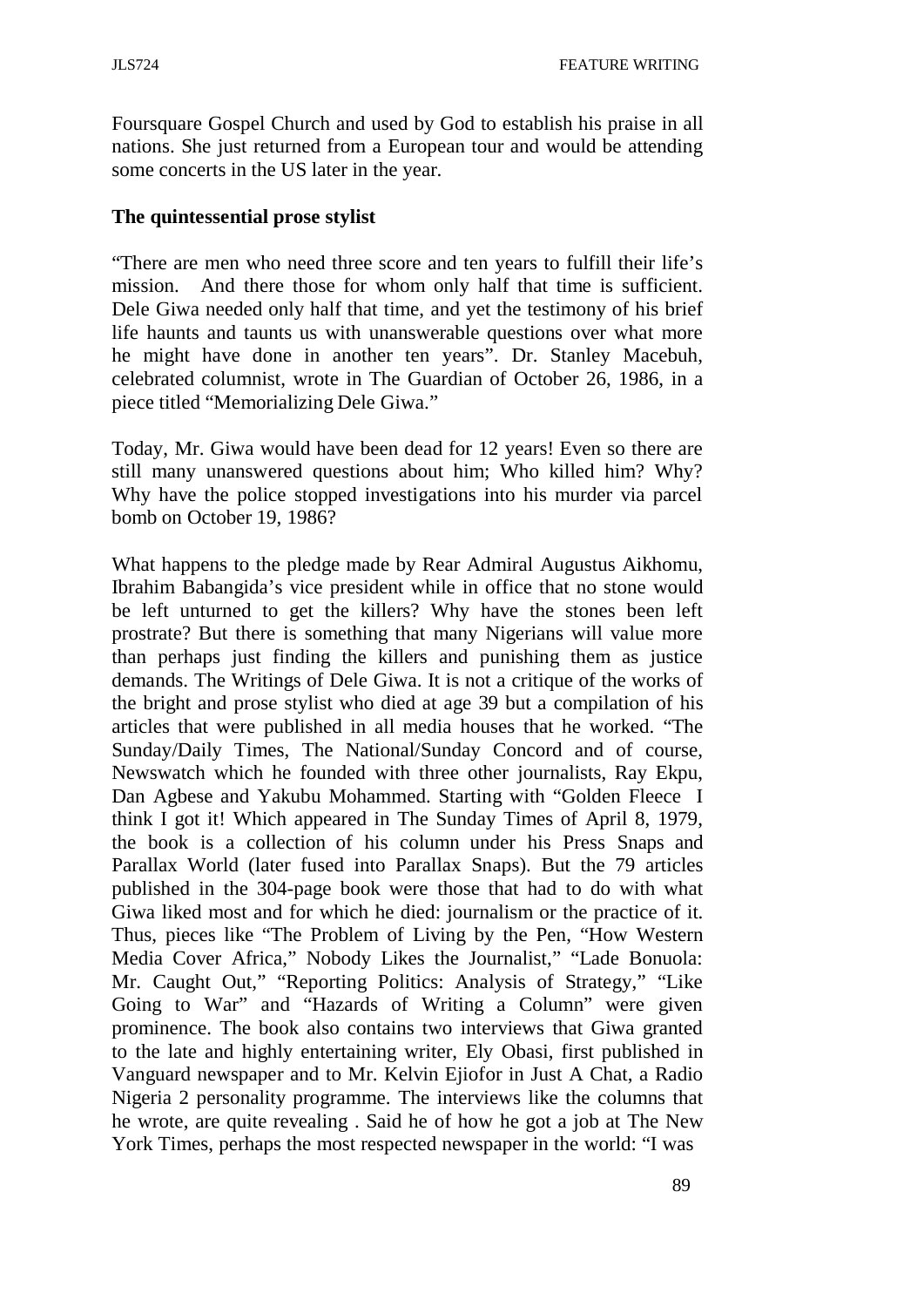Foursquare Gospel Church and used by God to establish his praise in all nations. She just returned from a European tour and would be attending some concerts in the US later in the year.

### **The quintessential prose stylist**

"There are men who need three score and ten years to fulfill their life's mission. And there those for whom only half that time is sufficient. Dele Giwa needed only half that time, and yet the testimony of his brief life haunts and taunts us with unanswerable questions over what more he might have done in another ten years". Dr. Stanley Macebuh, celebrated columnist, wrote in The Guardian of October 26, 1986, in a piece titled "Memorializing Dele Giwa."

Today, Mr. Giwa would have been dead for 12 years! Even so there are still many unanswered questions about him; Who killed him? Why? Why have the police stopped investigations into his murder via parcel bomb on October 19, 1986?

What happens to the pledge made by Rear Admiral Augustus Aikhomu, Ibrahim Babangida's vice president while in office that no stone would be left unturned to get the killers? Why have the stones been left prostrate? But there is something that many Nigerians will value more than perhaps just finding the killers and punishing them as justice demands. The Writings of Dele Giwa. It is not a critique of the works of the bright and prose stylist who died at age 39 but a compilation of his articles that were published in all media houses that he worked. "The Sunday/Daily Times, The National/Sunday Concord and of course, Newswatch which he founded with three other journalists, Ray Ekpu, Dan Agbese and Yakubu Mohammed. Starting with "Golden Fleece I think I got it! Which appeared in The Sunday Times of April 8, 1979, the book is a collection of his column under his Press Snaps and Parallax World (later fused into Parallax Snaps). But the 79 articles published in the 304-page book were those that had to do with what Giwa liked most and for which he died: journalism or the practice of it. Thus, pieces like "The Problem of Living by the Pen, "How Western Media Cover Africa," Nobody Likes the Journalist," "Lade Bonuola: Mr. Caught Out," "Reporting Politics: Analysis of Strategy," "Like Going to War" and "Hazards of Writing a Column" were given prominence. The book also contains two interviews that Giwa granted to the late and highly entertaining writer, Ely Obasi, first published in Vanguard newspaper and to Mr. Kelvin Ejiofor in Just A Chat, a Radio Nigeria 2 personality programme. The interviews like the columns that he wrote, are quite revealing . Said he of how he got a job at The New York Times, perhaps the most respected newspaper in the world: "I was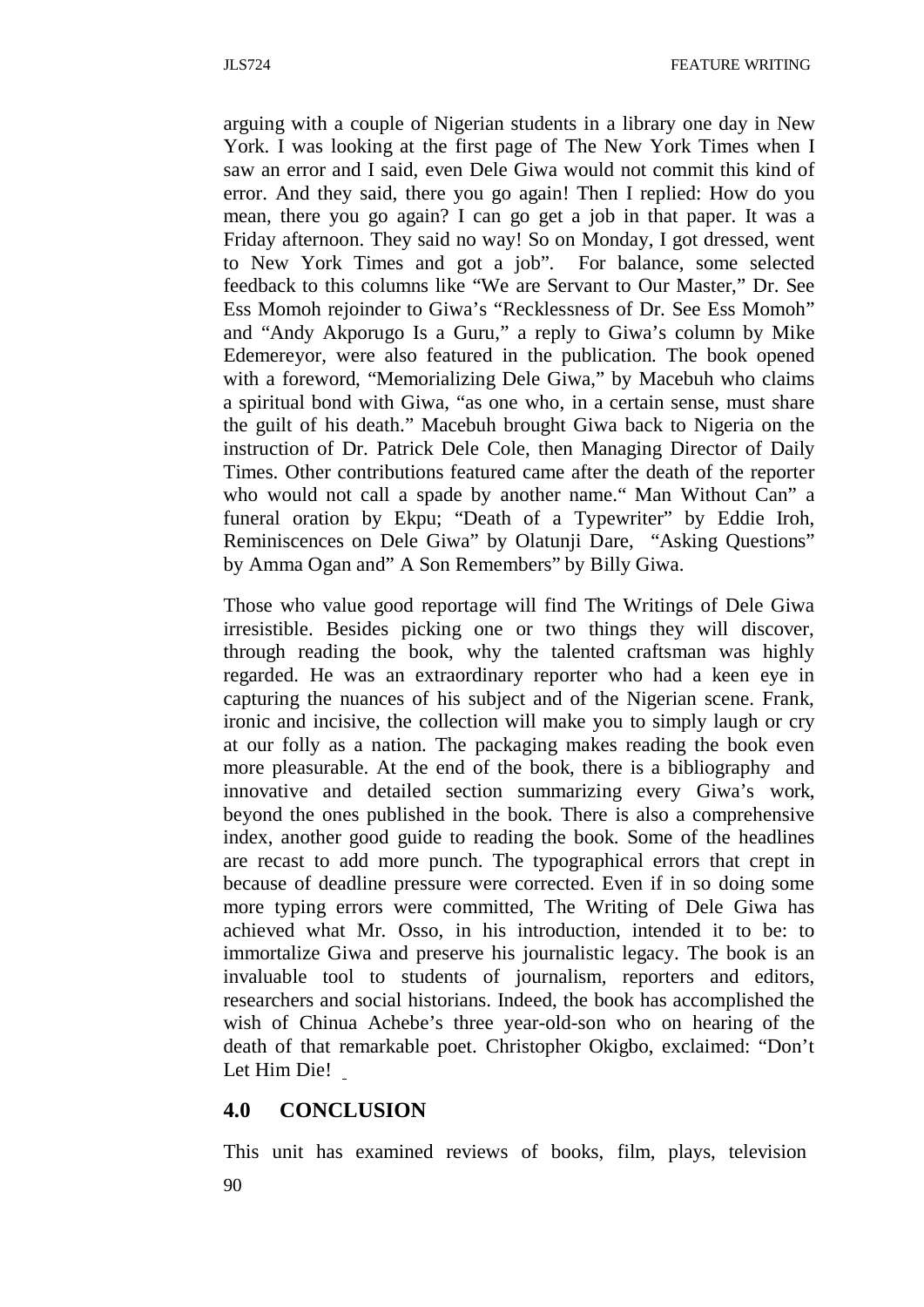arguing with a couple of Nigerian students in a library one day in New York. I was looking at the first page of The New York Times when I saw an error and I said, even Dele Giwa would not commit this kind of error. And they said, there you go again! Then I replied: How do you mean, there you go again? I can go get a job in that paper. It was a Friday afternoon. They said no way! So on Monday, I got dressed, went to New York Times and got a job". For balance, some selected feedback to this columns like "We are Servant to Our Master," Dr. See Ess Momoh rejoinder to Giwa's "Recklessness of Dr. See Ess Momoh" and "Andy Akporugo Is a Guru," a reply to Giwa's column by Mike Edemereyor, were also featured in the publication. The book opened with a foreword, "Memorializing Dele Giwa," by Macebuh who claims a spiritual bond with Giwa, "as one who, in a certain sense, must share the guilt of his death." Macebuh brought Giwa back to Nigeria on the instruction of Dr. Patrick Dele Cole, then Managing Director of Daily Times. Other contributions featured came after the death of the reporter who would not call a spade by another name." Man Without Can" a funeral oration by Ekpu; "Death of a Typewriter" by Eddie Iroh, Reminiscences on Dele Giwa" by Olatunji Dare, "Asking Questions" by Amma Ogan and" A Son Remembers" by Billy Giwa.

Those who value good reportage will find The Writings of Dele Giwa irresistible. Besides picking one or two things they will discover, through reading the book, why the talented craftsman was highly regarded. He was an extraordinary reporter who had a keen eye in capturing the nuances of his subject and of the Nigerian scene. Frank, ironic and incisive, the collection will make you to simply laugh or cry at our folly as a nation. The packaging makes reading the book even more pleasurable. At the end of the book, there is a bibliography and innovative and detailed section summarizing every Giwa's work, beyond the ones published in the book. There is also a comprehensive index, another good guide to reading the book. Some of the headlines are recast to add more punch. The typographical errors that crept in because of deadline pressure were corrected. Even if in so doing some more typing errors were committed, The Writing of Dele Giwa has achieved what Mr. Osso, in his introduction, intended it to be: to immortalize Giwa and preserve his journalistic legacy. The book is an invaluable tool to students of journalism, reporters and editors, researchers and social historians. Indeed, the book has accomplished the wish of Chinua Achebe's three year-old-son who on hearing of the death of that remarkable poet. Christopher Okigbo, exclaimed: "Don't Let Him Die!

### **4.0 CONCLUSION**

90 This unit has examined reviews of books, film, plays, television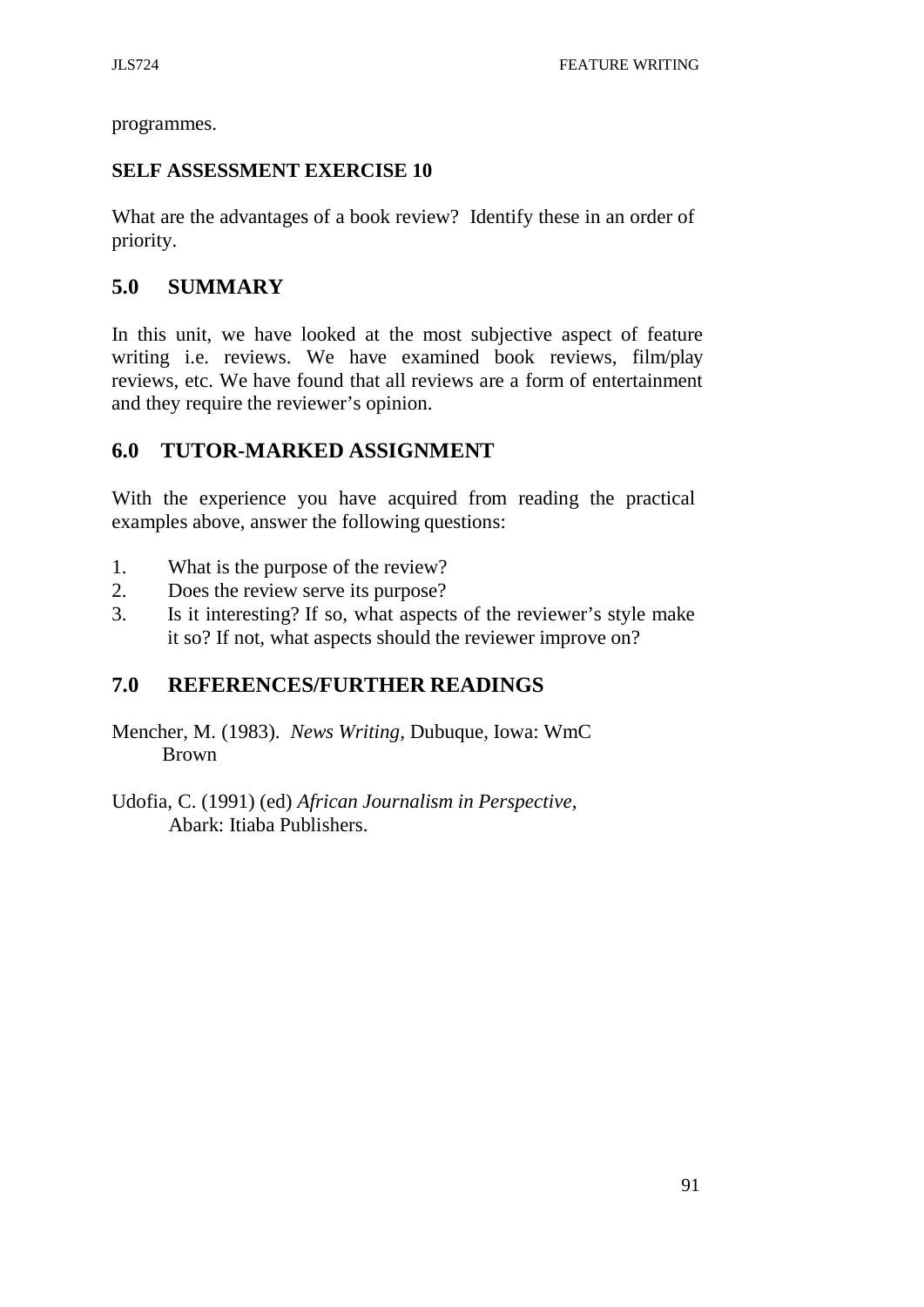programmes.

### **SELF ASSESSMENT EXERCISE 10**

What are the advantages of a book review? Identify these in an order of priority.

## **5.0 SUMMARY**

In this unit, we have looked at the most subjective aspect of feature writing i.e. reviews. We have examined book reviews, film/play reviews, etc. We have found that all reviews are a form of entertainment and they require the reviewer's opinion.

## **6.0 TUTOR-MARKED ASSIGNMENT**

With the experience you have acquired from reading the practical examples above, answer the following questions:

- 1. What is the purpose of the review?
- 2. Does the review serve its purpose?
- 3. Is it interesting? If so, what aspects of the reviewer's style make it so? If not, what aspects should the reviewer improve on?

# **7.0 REFERENCES/FURTHER READINGS**

Mencher, M. (1983). *News Writing,* Dubuque, Iowa: WmC Brown

Udofia, C. (1991) (ed) *African Journalism in Perspective,* Abark: Itiaba Publishers.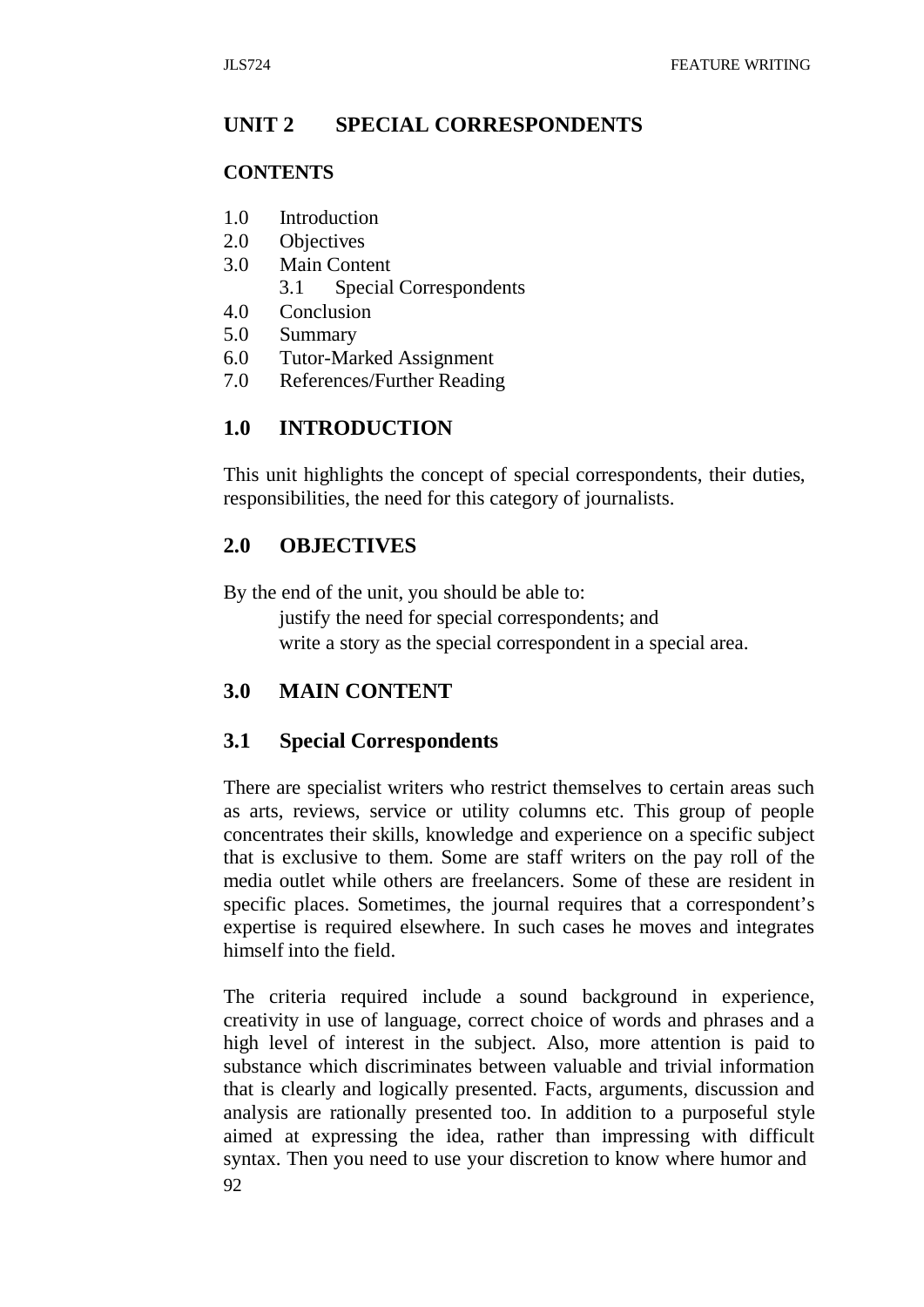### **UNIT 2 SPECIAL CORRESPONDENTS**

#### **CONTENTS**

- 1.0 Introduction
- 2.0 Objectives
- 3.0 Main Content
	- 3.1 Special Correspondents
- 4.0 Conclusion<br>5.0 Summary
- **Summary**
- 6.0 Tutor-Marked Assignment
- 7.0 References/Further Reading

### **1.0 INTRODUCTION**

This unit highlights the concept of special correspondents, their duties, responsibilities, the need for this category of journalists.

### **2.0 OBJECTIVES**

By the end of the unit, you should be able to:

justify the need for special correspondents; and write a story as the special correspondent in a special area.

## **3.0 MAIN CONTENT**

### **3.1 Special Correspondents**

There are specialist writers who restrict themselves to certain areas such as arts, reviews, service or utility columns etc. This group of people concentrates their skills, knowledge and experience on a specific subject that is exclusive to them. Some are staff writers on the pay roll of the media outlet while others are freelancers. Some of these are resident in specific places. Sometimes, the journal requires that a correspondent's expertise is required elsewhere. In such cases he moves and integrates himself into the field.

92 The criteria required include a sound background in experience, creativity in use of language, correct choice of words and phrases and a high level of interest in the subject. Also, more attention is paid to substance which discriminates between valuable and trivial information that is clearly and logically presented. Facts, arguments, discussion and analysis are rationally presented too. In addition to a purposeful style aimed at expressing the idea, rather than impressing with difficult syntax. Then you need to use your discretion to know where humor and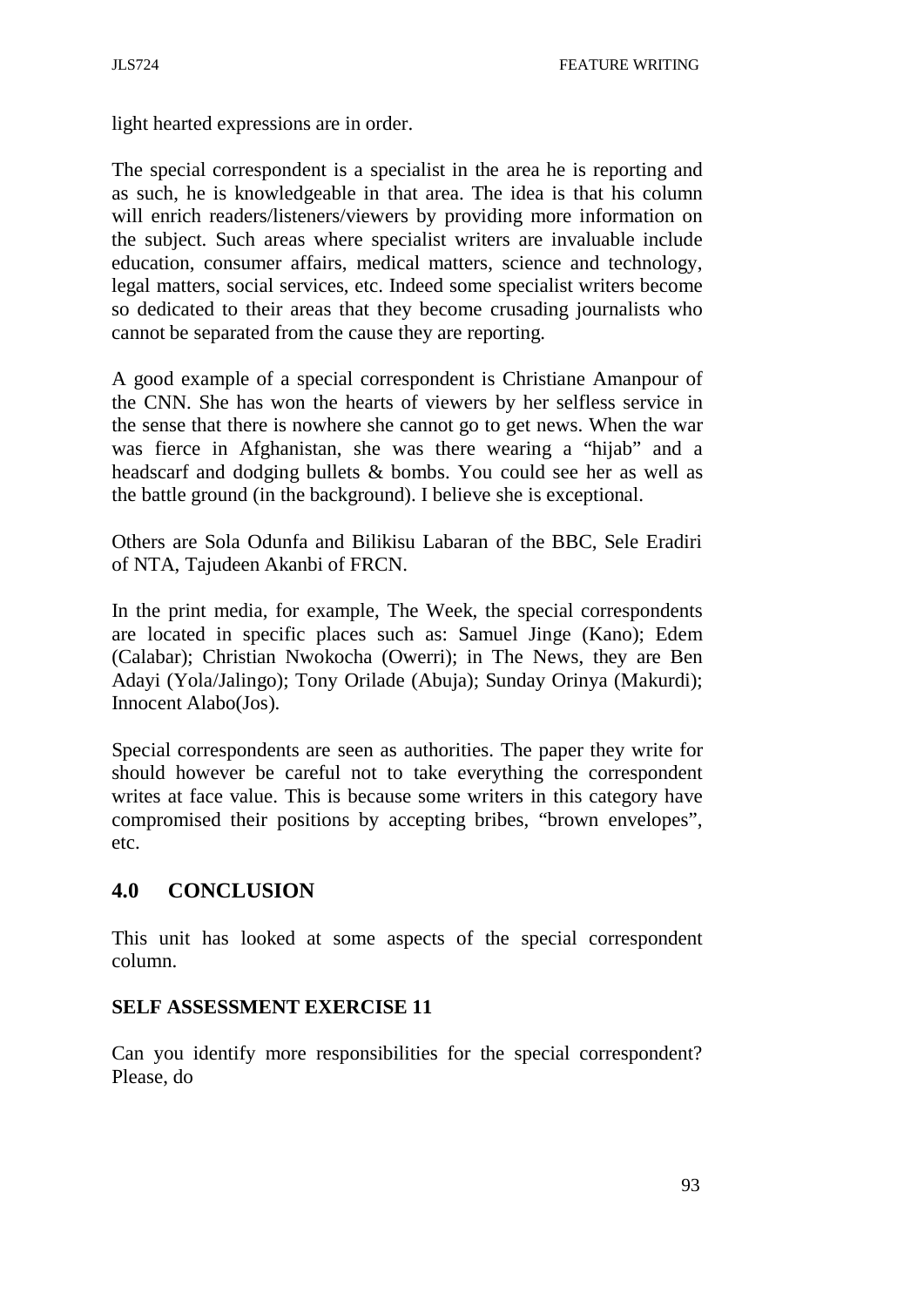light hearted expressions are in order.

The special correspondent is a specialist in the area he is reporting and as such, he is knowledgeable in that area. The idea is that his column will enrich readers/listeners/viewers by providing more information on the subject. Such areas where specialist writers are invaluable include education, consumer affairs, medical matters, science and technology, legal matters, social services, etc. Indeed some specialist writers become so dedicated to their areas that they become crusading journalists who cannot be separated from the cause they are reporting.

A good example of a special correspondent is Christiane Amanpour of the CNN. She has won the hearts of viewers by her selfless service in the sense that there is nowhere she cannot go to get news. When the war was fierce in Afghanistan, she was there wearing a "hijab" and a headscarf and dodging bullets & bombs. You could see her as well as the battle ground (in the background). I believe she is exceptional.

Others are Sola Odunfa and Bilikisu Labaran of the BBC, Sele Eradiri of NTA, Tajudeen Akanbi of FRCN.

In the print media, for example, The Week, the special correspondents are located in specific places such as: Samuel Jinge (Kano); Edem (Calabar); Christian Nwokocha (Owerri); in The News, they are Ben Adayi (Yola/Jalingo); Tony Orilade (Abuja); Sunday Orinya (Makurdi); Innocent Alabo(Jos).

Special correspondents are seen as authorities. The paper they write for should however be careful not to take everything the correspondent writes at face value. This is because some writers in this category have compromised their positions by accepting bribes, "brown envelopes", etc.

## **4.0 CONCLUSION**

This unit has looked at some aspects of the special correspondent column.

## **SELF ASSESSMENT EXERCISE 11**

Can you identify more responsibilities for the special correspondent? Please, do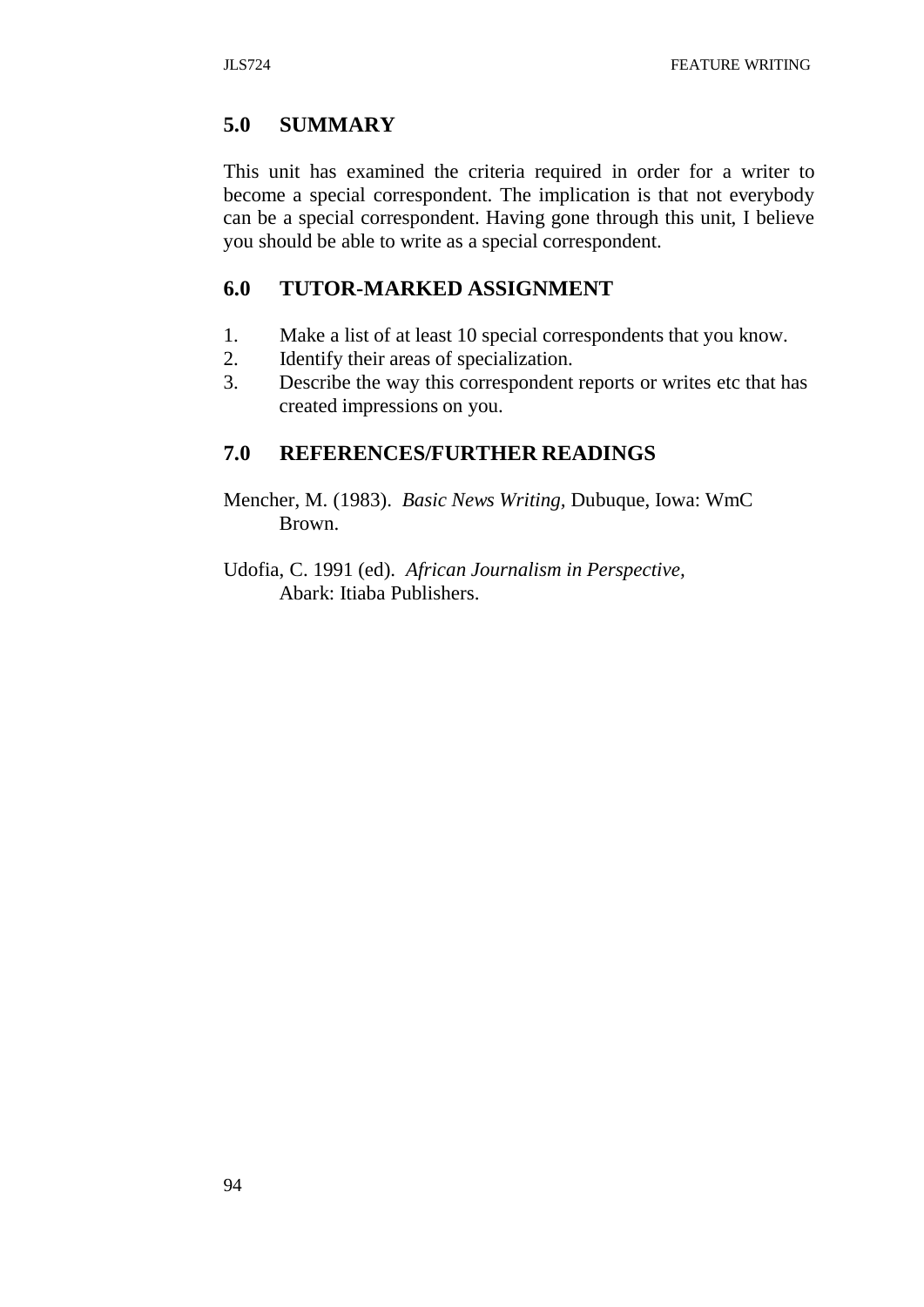## **5.0 SUMMARY**

This unit has examined the criteria required in order for a writer to become a special correspondent. The implication is that not everybody can be a special correspondent. Having gone through this unit, I believe you should be able to write as a special correspondent.

### **6.0 TUTOR-MARKED ASSIGNMENT**

- 1. Make a list of at least 10 special correspondents that you know.
- 2. Identify their areas of specialization.
- 3. Describe the way this correspondent reports or writes etc that has created impressions on you.

## **7.0 REFERENCES/FURTHER READINGS**

Mencher, M. (1983). *Basic News Writing,* Dubuque, Iowa: WmC Brown.

Udofia, C. 1991 (ed). *African Journalism in Perspective,* Abark: Itiaba Publishers.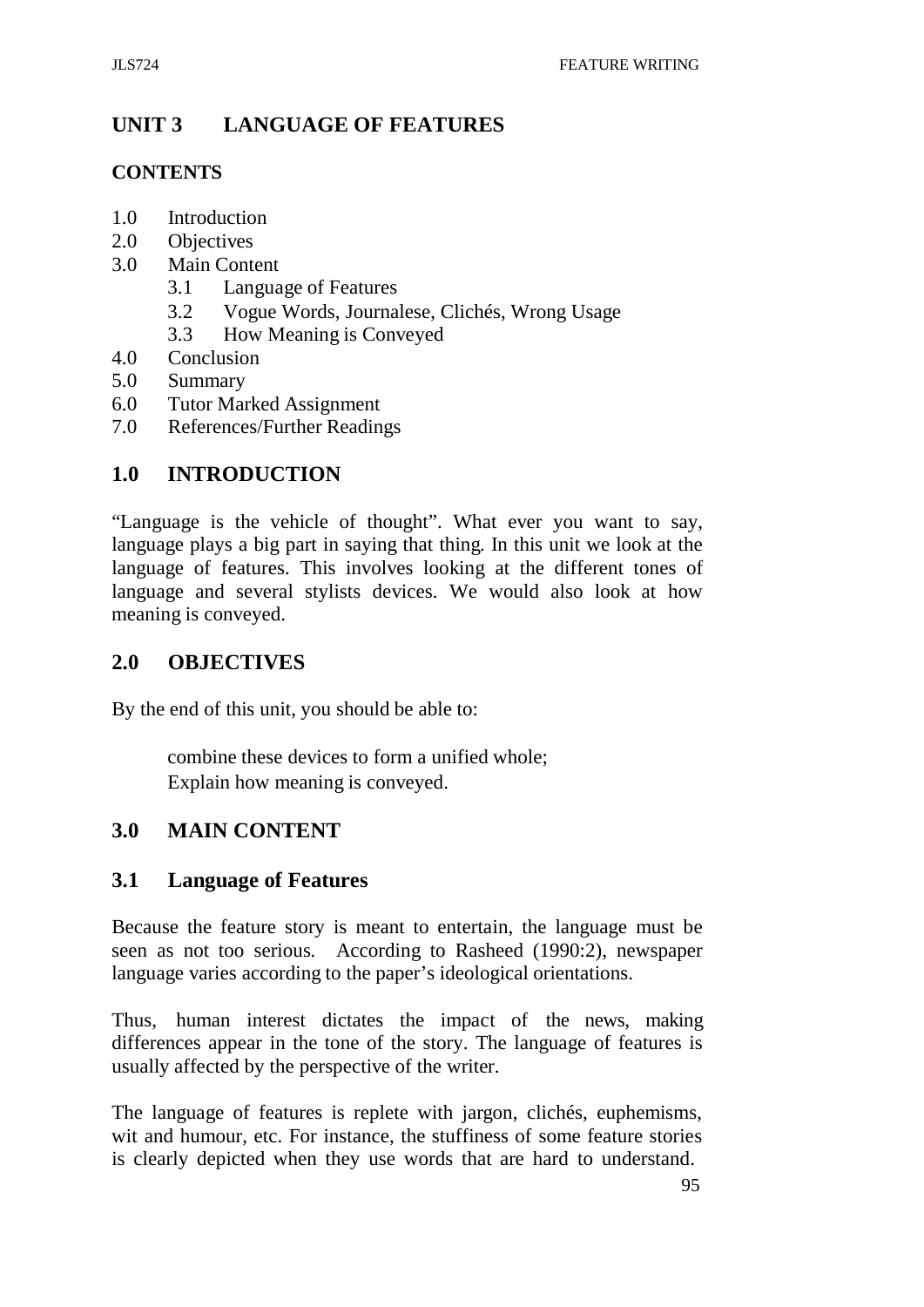# **UNIT 3 LANGUAGE OF FEATURES**

### **CONTENTS**

- 1.0 Introduction
- 2.0 Objectives
- 3.0 Main Content
	- 3.1 Language of Features
	- 3.2 Vogue Words, Journalese, Clichés, Wrong Usage
	- 3.3 How Meaning is Conveyed
- 4.0 Conclusion
- 5.0 Summary
- 6.0 Tutor Marked Assignment
- 7.0 References/Further Readings

### **1.0 INTRODUCTION**

"Language is the vehicle of thought". What ever you want to say, language plays a big part in saying that thing. In this unit we look at the language of features. This involves looking at the different tones of language and several stylists devices. We would also look at how meaning is conveyed.

### **2.0 OBJECTIVES**

By the end of this unit, you should be able to:

combine these devices to form a unified whole; Explain how meaning is conveyed.

## **3.0 MAIN CONTENT**

### **3.1 Language of Features**

Because the feature story is meant to entertain, the language must be seen as not too serious. According to Rasheed (1990:2), newspaper language varies according to the paper's ideological orientations.

Thus, human interest dictates the impact of the news, making differences appear in the tone of the story. The language of features is usually affected by the perspective of the writer.

The language of features is replete with jargon, clichés, euphemisms, wit and humour, etc. For instance, the stuffiness of some feature stories is clearly depicted when they use words that are hard to understand.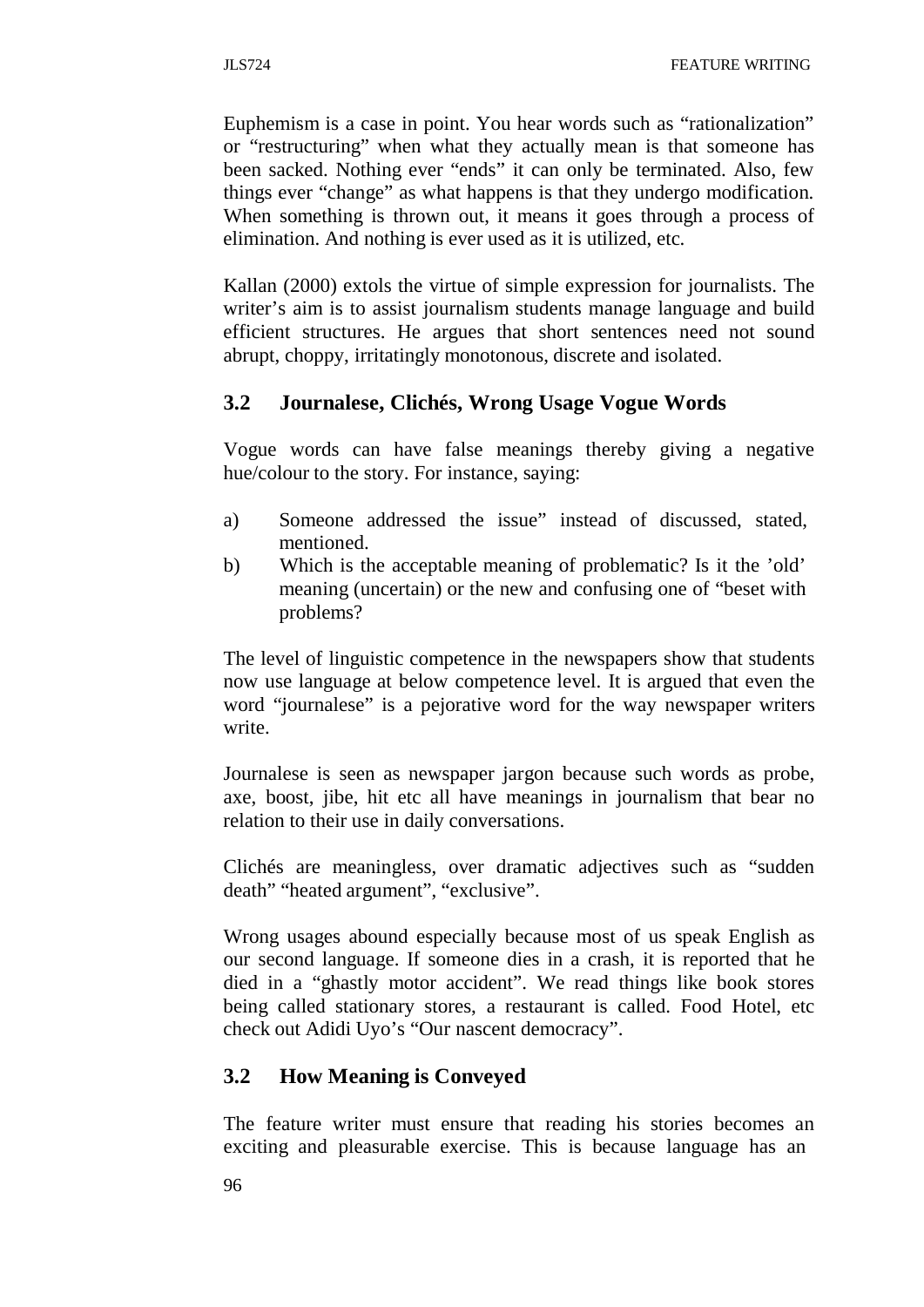Euphemism is a case in point. You hear words such as "rationalization" or "restructuring" when what they actually mean is that someone has been sacked. Nothing ever "ends" it can only be terminated. Also, few things ever "change" as what happens is that they undergo modification. When something is thrown out, it means it goes through a process of elimination. And nothing is ever used as it is utilized, etc.

Kallan (2000) extols the virtue of simple expression for journalists. The writer's aim is to assist journalism students manage language and build efficient structures. He argues that short sentences need not sound abrupt, choppy, irritatingly monotonous, discrete and isolated.

### **3.2 Journalese, Clichés, Wrong Usage Vogue Words**

Vogue words can have false meanings thereby giving a negative hue/colour to the story. For instance, saying:

- a) Someone addressed the issue" instead of discussed, stated, mentioned.
- b) Which is the acceptable meaning of problematic? Is it the 'old' meaning (uncertain) or the new and confusing one of "beset with problems?

The level of linguistic competence in the newspapers show that students now use language at below competence level. It is argued that even the word "journalese" is a pejorative word for the way newspaper writers write.

Journalese is seen as newspaper jargon because such words as probe, axe, boost, jibe, hit etc all have meanings in journalism that bear no relation to their use in daily conversations.

Clichés are meaningless, over dramatic adjectives such as "sudden death" "heated argument", "exclusive".

Wrong usages abound especially because most of us speak English as our second language. If someone dies in a crash, it is reported that he died in a "ghastly motor accident". We read things like book stores being called stationary stores, a restaurant is called. Food Hotel, etc check out Adidi Uyo's "Our nascent democracy".

### **3.2 How Meaning is Conveyed**

The feature writer must ensure that reading his stories becomes an exciting and pleasurable exercise. This is because language has an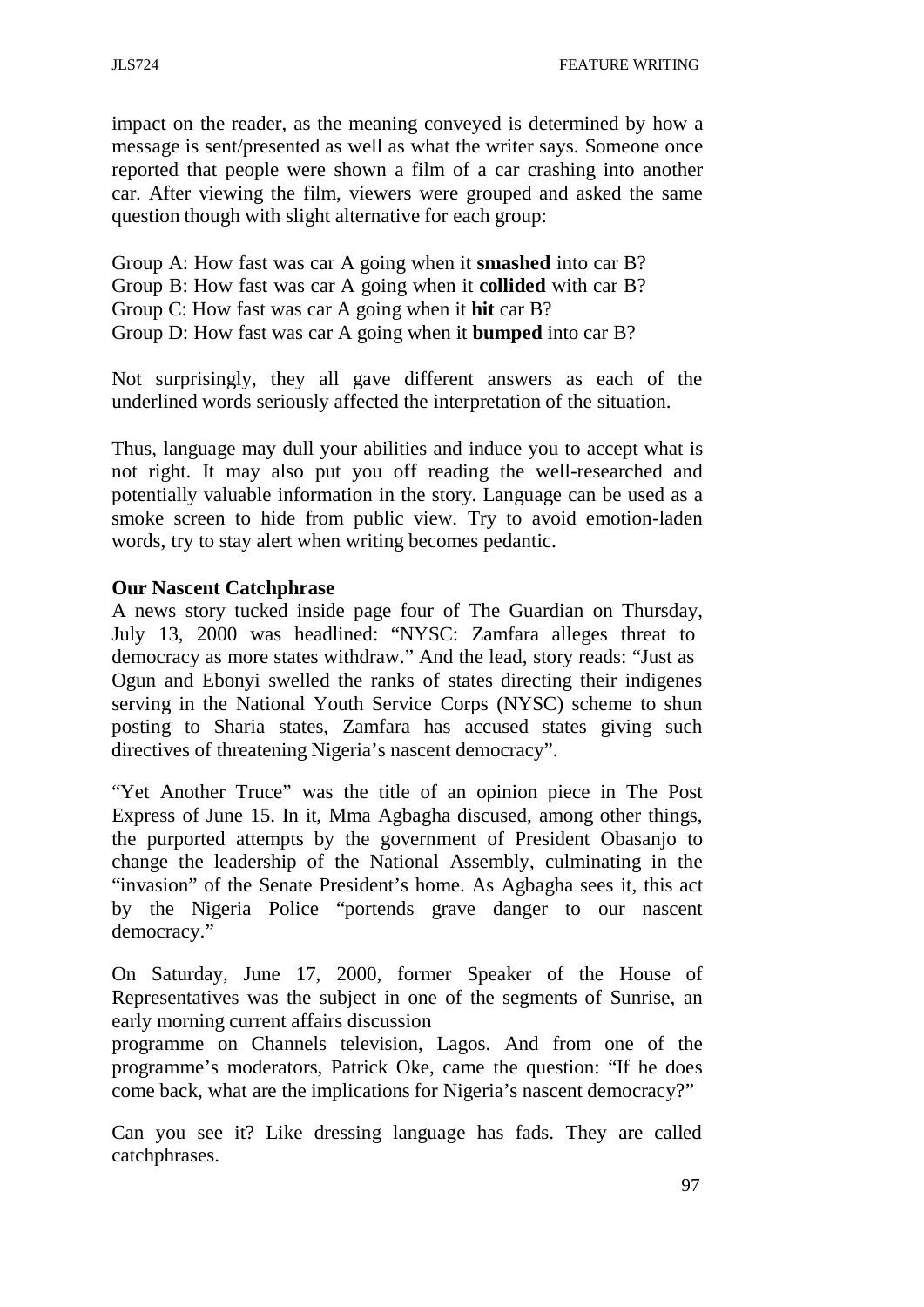impact on the reader, as the meaning conveyed is determined by how a message is sent/presented as well as what the writer says. Someone once reported that people were shown a film of a car crashing into another car. After viewing the film, viewers were grouped and asked the same question though with slight alternative for each group:

Group A: How fast was car A going when it **smashed** into car B? Group B: How fast was car A going when it **collided** with car B? Group C: How fast was car A going when it **hit** car B? Group D: How fast was car A going when it **bumped** into car B?

Not surprisingly, they all gave different answers as each of the underlined words seriously affected the interpretation of the situation.

Thus, language may dull your abilities and induce you to accept what is not right. It may also put you off reading the well-researched and potentially valuable information in the story. Language can be used as a smoke screen to hide from public view. Try to avoid emotion-laden words, try to stay alert when writing becomes pedantic.

#### **Our Nascent Catchphrase**

A news story tucked inside page four of The Guardian on Thursday, July 13, 2000 was headlined: "NYSC: Zamfara alleges threat to democracy as more states withdraw." And the lead, story reads: "Just as Ogun and Ebonyi swelled the ranks of states directing their indigenes serving in the National Youth Service Corps (NYSC) scheme to shun posting to Sharia states, Zamfara has accused states giving such directives of threatening Nigeria's nascent democracy".

"Yet Another Truce" was the title of an opinion piece in The Post Express of June 15. In it, Mma Agbagha discused, among other things, the purported attempts by the government of President Obasanjo to change the leadership of the National Assembly, culminating in the "invasion" of the Senate President's home. As Agbagha sees it, this act by the Nigeria Police "portends grave danger to our nascent democracy."

On Saturday, June 17, 2000, former Speaker of the House of Representatives was the subject in one of the segments of Sunrise, an early morning current affairs discussion

programme on Channels television, Lagos. And from one of the programme's moderators, Patrick Oke, came the question: "If he does come back, what are the implications for Nigeria's nascent democracy?"

Can you see it? Like dressing language has fads. They are called catchphrases.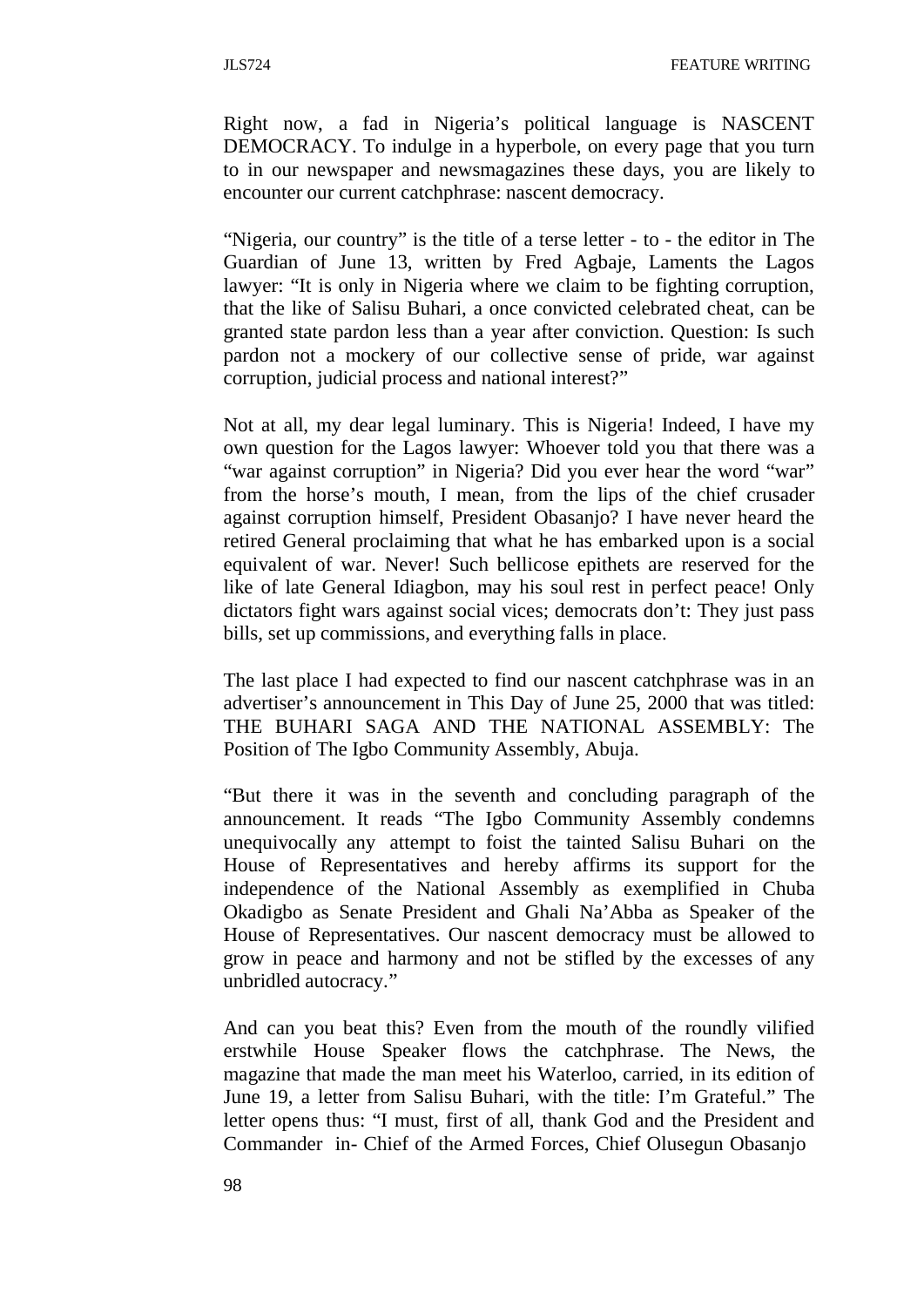Right now, a fad in Nigeria's political language is NASCENT DEMOCRACY. To indulge in a hyperbole, on every page that you turn to in our newspaper and newsmagazines these days, you are likely to encounter our current catchphrase: nascent democracy.

"Nigeria, our country" is the title of a terse letter - to - the editor in The Guardian of June 13, written by Fred Agbaje, Laments the Lagos lawyer: "It is only in Nigeria where we claim to be fighting corruption, that the like of Salisu Buhari, a once convicted celebrated cheat, can be granted state pardon less than a year after conviction. Question: Is such pardon not a mockery of our collective sense of pride, war against corruption, judicial process and national interest?"

Not at all, my dear legal luminary. This is Nigeria! Indeed, I have my own question for the Lagos lawyer: Whoever told you that there was a "war against corruption" in Nigeria? Did you ever hear the word "war" from the horse's mouth, I mean, from the lips of the chief crusader against corruption himself, President Obasanjo? I have never heard the retired General proclaiming that what he has embarked upon is a social equivalent of war. Never! Such bellicose epithets are reserved for the like of late General Idiagbon, may his soul rest in perfect peace! Only dictators fight wars against social vices; democrats don't: They just pass bills, set up commissions, and everything falls in place.

The last place I had expected to find our nascent catchphrase was in an advertiser's announcement in This Day of June 25, 2000 that was titled: THE BUHARI SAGA AND THE NATIONAL ASSEMBLY: The Position of The Igbo Community Assembly, Abuja.

"But there it was in the seventh and concluding paragraph of the announcement. It reads "The Igbo Community Assembly condemns unequivocally any attempt to foist the tainted Salisu Buhari on the House of Representatives and hereby affirms its support for the independence of the National Assembly as exemplified in Chuba Okadigbo as Senate President and Ghali Na'Abba as Speaker of the House of Representatives. Our nascent democracy must be allowed to grow in peace and harmony and not be stifled by the excesses of any unbridled autocracy."

And can you beat this? Even from the mouth of the roundly vilified erstwhile House Speaker flows the catchphrase. The News, the magazine that made the man meet his Waterloo, carried, in its edition of June 19, a letter from Salisu Buhari, with the title: I'm Grateful." The letter opens thus: "I must, first of all, thank God and the President and Commander in- Chief of the Armed Forces, Chief Olusegun Obasanjo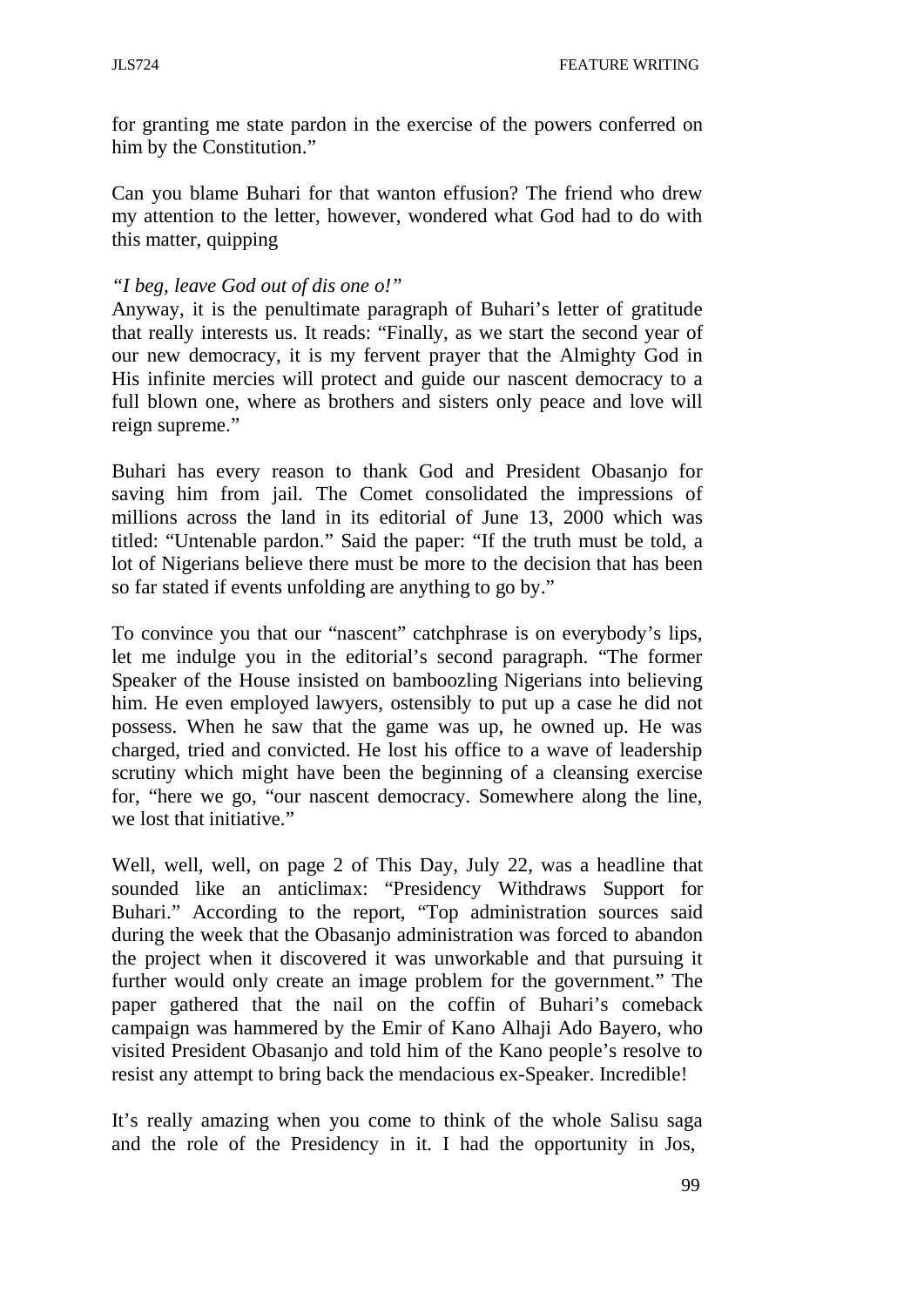for granting me state pardon in the exercise of the powers conferred on him by the Constitution."

Can you blame Buhari for that wanton effusion? The friend who drew my attention to the letter, however, wondered what God had to do with this matter, quipping

*"I beg, leave God out of dis one o!"*

Anyway, it is the penultimate paragraph of Buhari's letter of gratitude that really interests us. It reads: "Finally, as we start the second year of our new democracy, it is my fervent prayer that the Almighty God in His infinite mercies will protect and guide our nascent democracy to a full blown one, where as brothers and sisters only peace and love will reign supreme."

Buhari has every reason to thank God and President Obasanjo for saving him from jail. The Comet consolidated the impressions of millions across the land in its editorial of June 13, 2000 which was titled: "Untenable pardon." Said the paper: "If the truth must be told, a lot of Nigerians believe there must be more to the decision that has been so far stated if events unfolding are anything to go by."

To convince you that our "nascent" catchphrase is on everybody's lips, let me indulge you in the editorial's second paragraph. "The former Speaker of the House insisted on bamboozling Nigerians into believing him. He even employed lawyers, ostensibly to put up a case he did not possess. When he saw that the game was up, he owned up. He was charged, tried and convicted. He lost his office to a wave of leadership scrutiny which might have been the beginning of a cleansing exercise for, "here we go, "our nascent democracy. Somewhere along the line, we lost that initiative."

Well, well, well, on page 2 of This Day, July 22, was a headline that sounded like an anticlimax: "Presidency Withdraws Support for Buhari." According to the report, "Top administration sources said during the week that the Obasanjo administration was forced to abandon the project when it discovered it was unworkable and that pursuing it further would only create an image problem for the government." The paper gathered that the nail on the coffin of Buhari's comeback campaign was hammered by the Emir of Kano Alhaji Ado Bayero, who visited President Obasanjo and told him of the Kano people's resolve to resist any attempt to bring back the mendacious ex-Speaker. Incredible!

It's really amazing when you come to think of the whole Salisu saga and the role of the Presidency in it. I had the opportunity in Jos,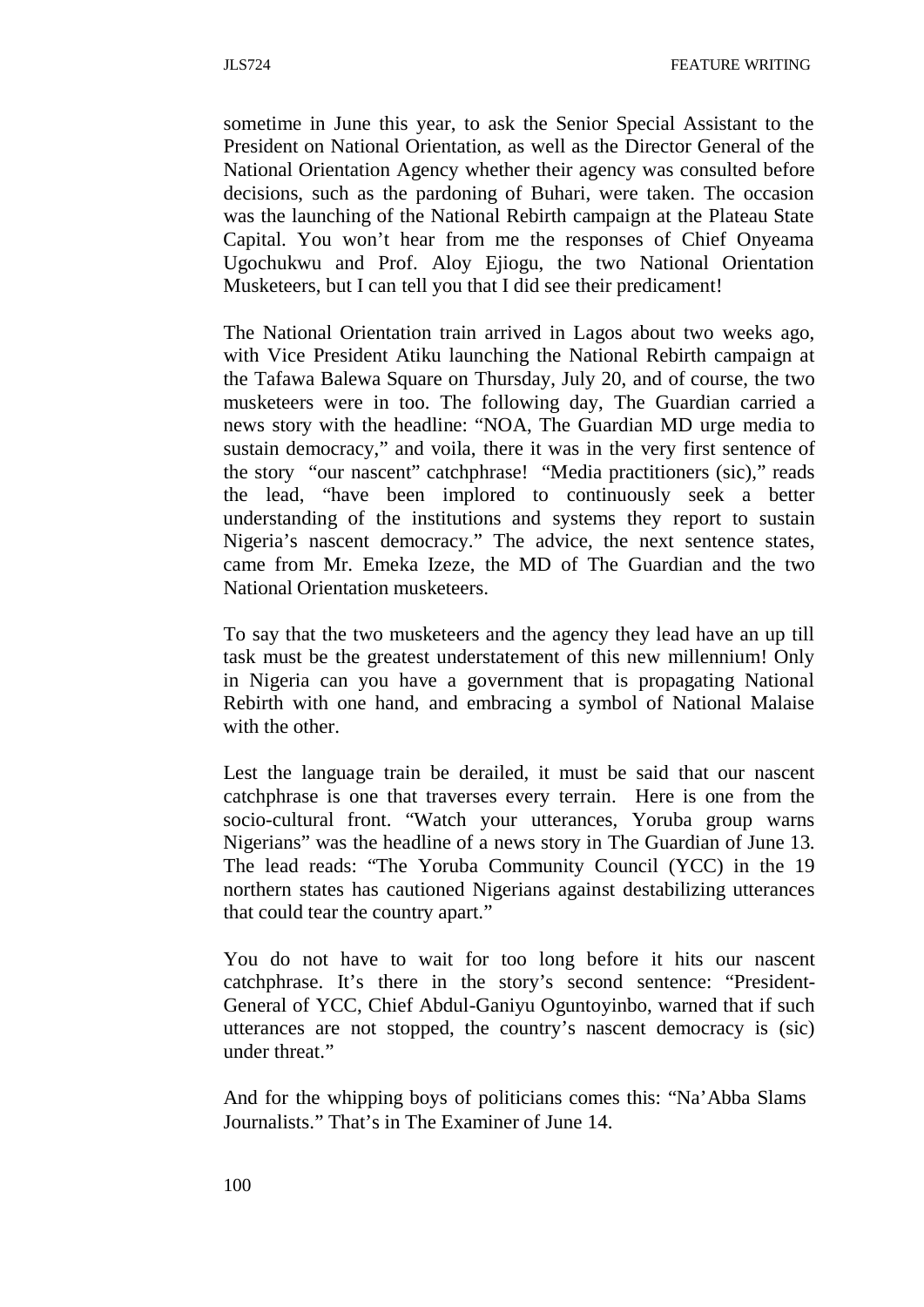sometime in June this year, to ask the Senior Special Assistant to the President on National Orientation, as well as the Director General of the National Orientation Agency whether their agency was consulted before decisions, such as the pardoning of Buhari, were taken. The occasion was the launching of the National Rebirth campaign at the Plateau State Capital. You won't hear from me the responses of Chief Onyeama Ugochukwu and Prof. Aloy Ejiogu, the two National Orientation Musketeers, but I can tell you that I did see their predicament!

The National Orientation train arrived in Lagos about two weeks ago, with Vice President Atiku launching the National Rebirth campaign at the Tafawa Balewa Square on Thursday, July 20, and of course, the two musketeers were in too. The following day, The Guardian carried a news story with the headline: "NOA, The Guardian MD urge media to sustain democracy," and voila, there it was in the very first sentence of the story "our nascent" catchphrase! "Media practitioners (sic)," reads the lead, "have been implored to continuously seek a better understanding of the institutions and systems they report to sustain Nigeria's nascent democracy." The advice, the next sentence states, came from Mr. Emeka Izeze, the MD of The Guardian and the two National Orientation musketeers.

To say that the two musketeers and the agency they lead have an up till task must be the greatest understatement of this new millennium! Only in Nigeria can you have a government that is propagating National Rebirth with one hand, and embracing a symbol of National Malaise with the other

Lest the language train be derailed, it must be said that our nascent catchphrase is one that traverses every terrain. Here is one from the socio-cultural front. "Watch your utterances, Yoruba group warns Nigerians" was the headline of a news story in The Guardian of June 13. The lead reads: "The Yoruba Community Council (YCC) in the 19 northern states has cautioned Nigerians against destabilizing utterances that could tear the country apart."

You do not have to wait for too long before it hits our nascent catchphrase. It's there in the story's second sentence: "President-General of YCC, Chief Abdul-Ganiyu Oguntoyinbo, warned that if such utterances are not stopped, the country's nascent democracy is (sic) under threat."

And for the whipping boys of politicians comes this: "Na'Abba Slams Journalists." That's in The Examiner of June 14.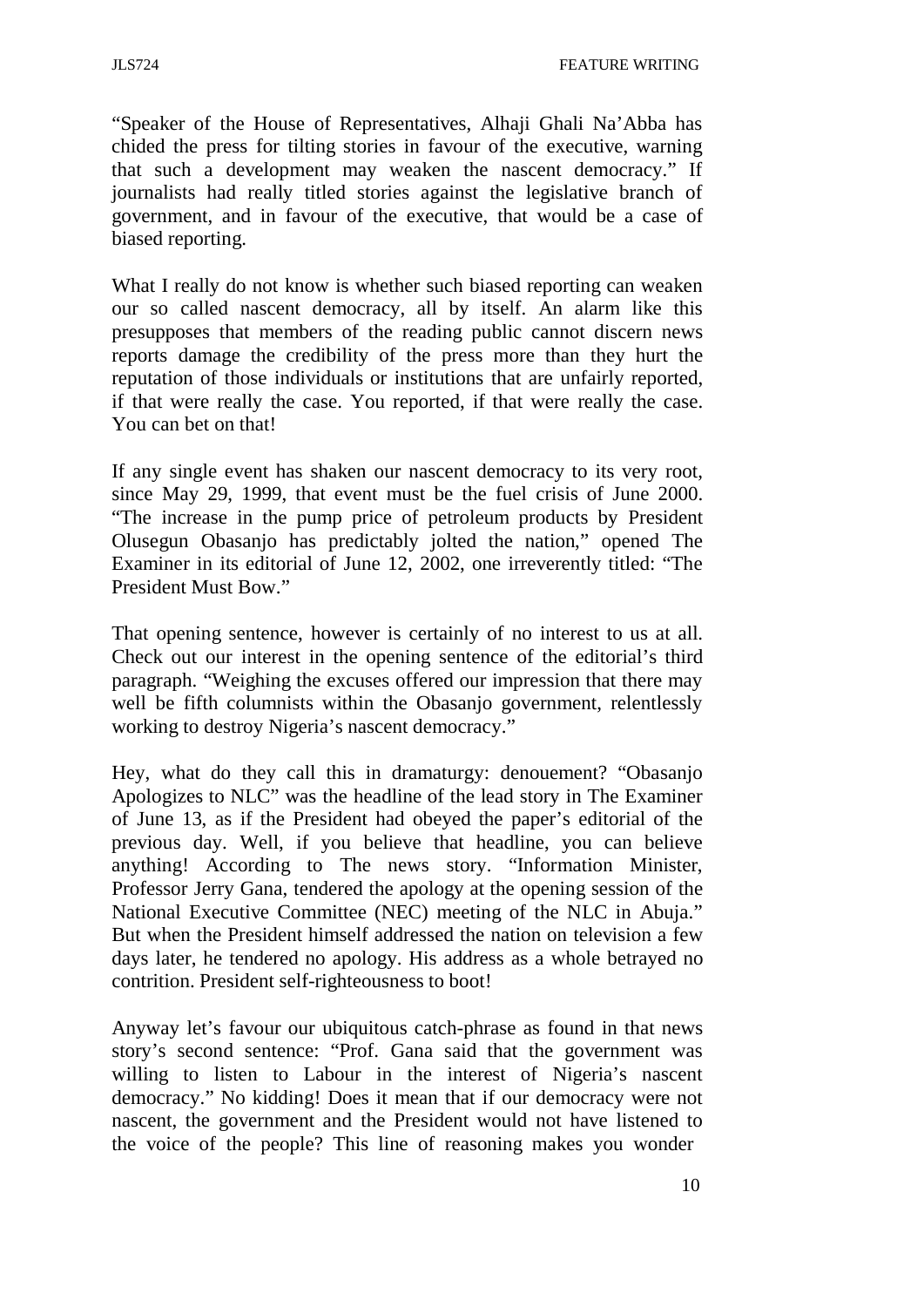"Speaker of the House of Representatives, Alhaji Ghali Na'Abba has chided the press for tilting stories in favour of the executive, warning that such a development may weaken the nascent democracy." If journalists had really titled stories against the legislative branch of government, and in favour of the executive, that would be a case of biased reporting.

What I really do not know is whether such biased reporting can weaken our so called nascent democracy, all by itself. An alarm like this presupposes that members of the reading public cannot discern news reports damage the credibility of the press more than they hurt the reputation of those individuals or institutions that are unfairly reported, if that were really the case. You reported, if that were really the case. You can bet on that!

If any single event has shaken our nascent democracy to its very root, since May 29, 1999, that event must be the fuel crisis of June 2000. "The increase in the pump price of petroleum products by President Olusegun Obasanjo has predictably jolted the nation," opened The Examiner in its editorial of June 12, 2002, one irreverently titled: "The President Must Bow."

That opening sentence, however is certainly of no interest to us at all. Check out our interest in the opening sentence of the editorial's third paragraph. "Weighing the excuses offered our impression that there may well be fifth columnists within the Obasanjo government, relentlessly working to destroy Nigeria's nascent democracy."

Hey, what do they call this in dramaturgy: denouement? "Obasanjo Apologizes to NLC" was the headline of the lead story in The Examiner of June 13, as if the President had obeyed the paper's editorial of the previous day. Well, if you believe that headline, you can believe anything! According to The news story. "Information Minister, Professor Jerry Gana, tendered the apology at the opening session of the National Executive Committee (NEC) meeting of the NLC in Abuja." But when the President himself addressed the nation on television a few days later, he tendered no apology. His address as a whole betrayed no contrition. President self-righteousness to boot!

Anyway let's favour our ubiquitous catch-phrase as found in that news story's second sentence: "Prof. Gana said that the government was willing to listen to Labour in the interest of Nigeria's nascent democracy." No kidding! Does it mean that if our democracy were not nascent, the government and the President would not have listened to the voice of the people? This line of reasoning makes you wonder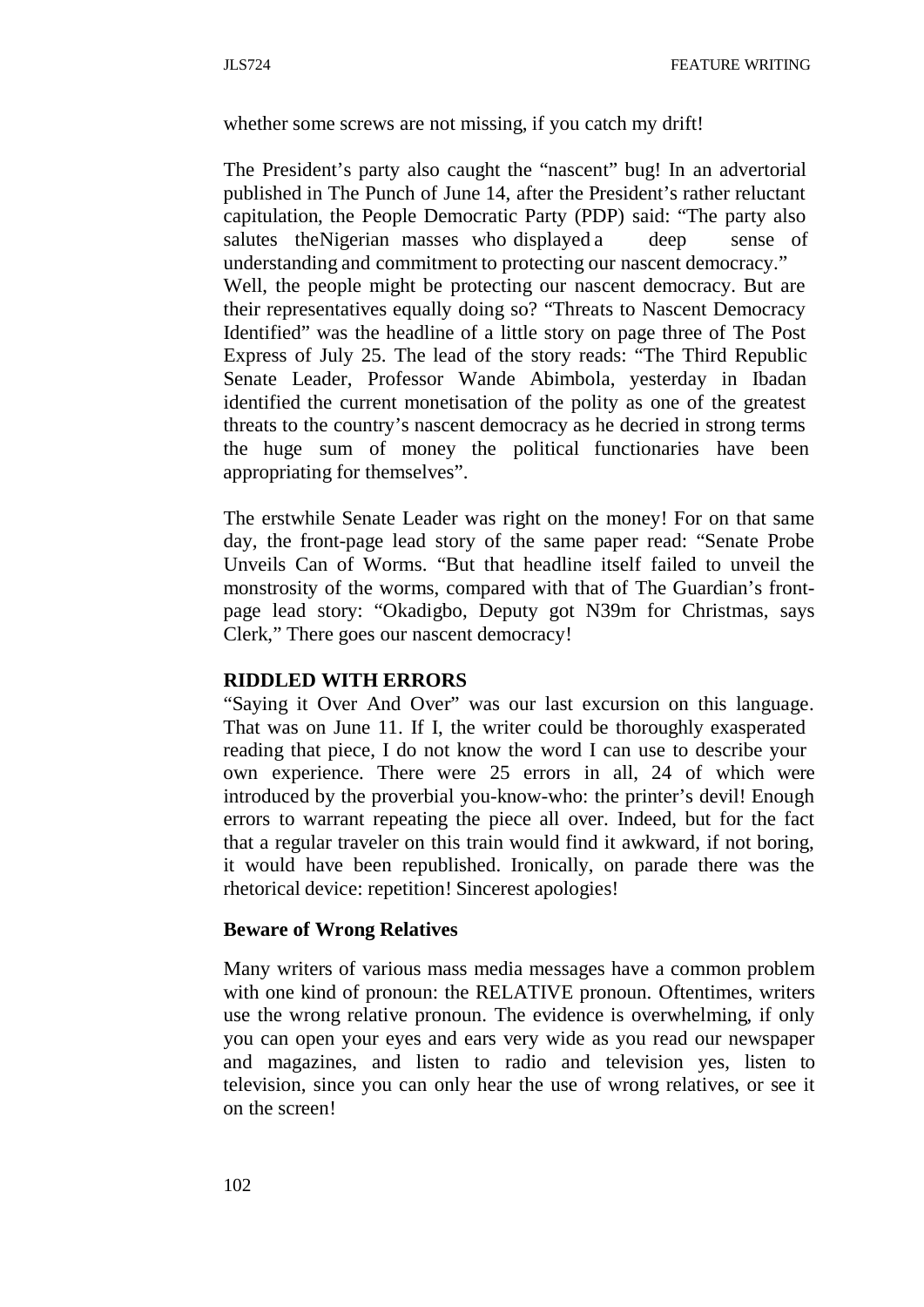whether some screws are not missing, if you catch my drift!

The President's party also caught the "nascent" bug! In an advertorial published in The Punch of June 14, after the President's rather reluctant capitulation, the People Democratic Party (PDP) said: "The party also salutes the Nigerian masses who displayed a deep sense of understanding and commitment to protecting our nascent democracy." Well, the people might be protecting our nascent democracy. But are their representatives equally doing so? "Threats to Nascent Democracy Identified" was the headline of a little story on page three of The Post Express of July 25. The lead of the story reads: "The Third Republic Senate Leader, Professor Wande Abimbola, yesterday in Ibadan identified the current monetisation of the polity as one of the greatest threats to the country's nascent democracy as he decried in strong terms the huge sum of money the political functionaries have been appropriating for themselves".

The erstwhile Senate Leader was right on the money! For on that same day, the front-page lead story of the same paper read: "Senate Probe Unveils Can of Worms. "But that headline itself failed to unveil the monstrosity of the worms, compared with that of The Guardian's frontpage lead story: "Okadigbo, Deputy got N39m for Christmas, says Clerk," There goes our nascent democracy!

#### **RIDDLED WITH ERRORS**

"Saying it Over And Over" was our last excursion on this language. That was on June 11. If I, the writer could be thoroughly exasperated reading that piece, I do not know the word I can use to describe your own experience. There were 25 errors in all, 24 of which were introduced by the proverbial you-know-who: the printer's devil! Enough errors to warrant repeating the piece all over. Indeed, but for the fact that a regular traveler on this train would find it awkward, if not boring, it would have been republished. Ironically, on parade there was the rhetorical device: repetition! Sincerest apologies!

#### **Beware of Wrong Relatives**

Many writers of various mass media messages have a common problem with one kind of pronoun: the RELATIVE pronoun. Oftentimes, writers use the wrong relative pronoun. The evidence is overwhelming, if only you can open your eyes and ears very wide as you read our newspaper and magazines, and listen to radio and television yes, listen to television, since you can only hear the use of wrong relatives, or see it on the screen!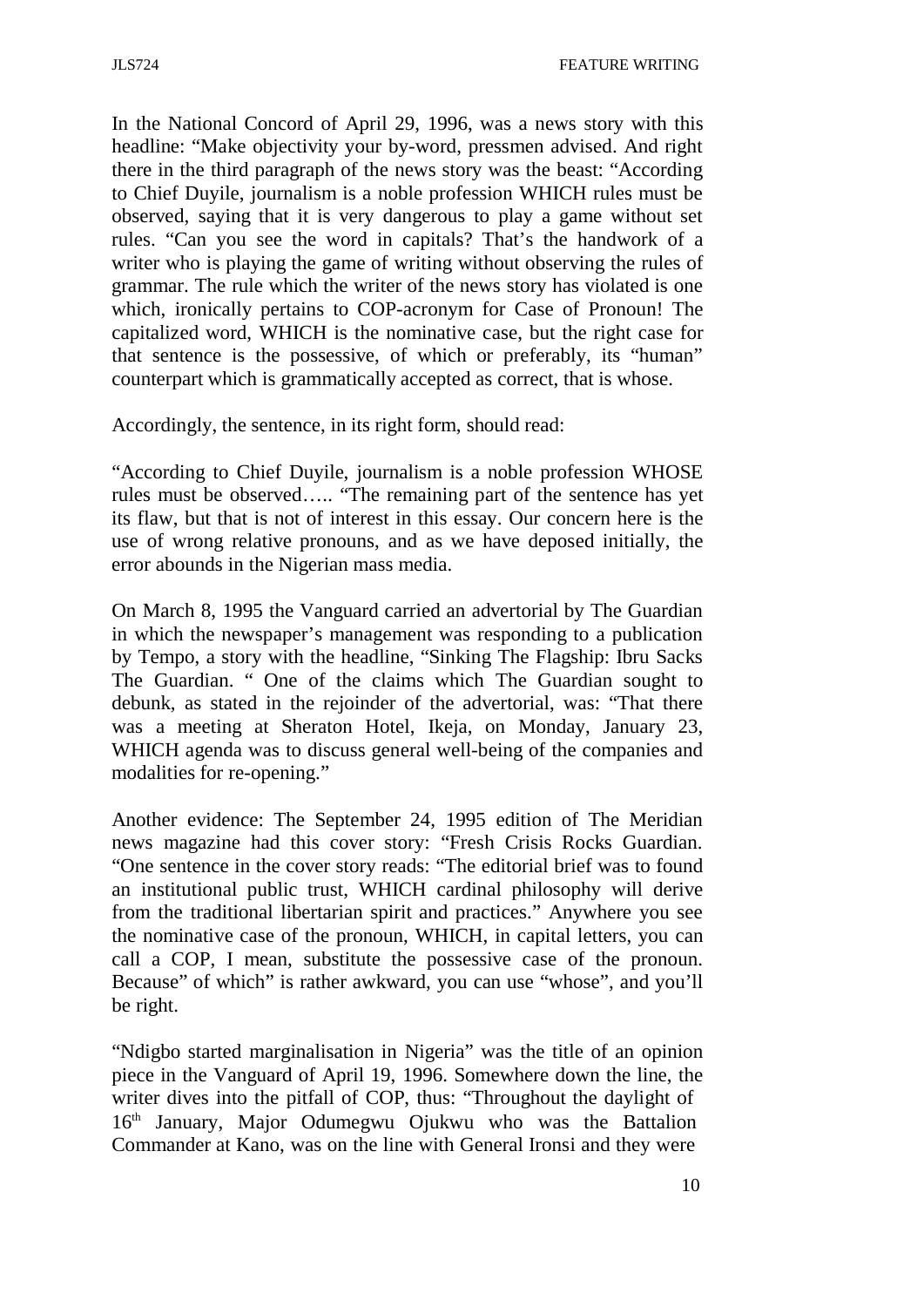In the National Concord of April 29, 1996, was a news story with this headline: "Make objectivity your by-word, pressmen advised. And right there in the third paragraph of the news story was the beast: "According to Chief Duyile, journalism is a noble profession WHICH rules must be observed, saying that it is very dangerous to play a game without set rules. "Can you see the word in capitals? That's the handwork of a writer who is playing the game of writing without observing the rules of grammar. The rule which the writer of the news story has violated is one which, ironically pertains to COP-acronym for Case of Pronoun! The capitalized word, WHICH is the nominative case, but the right case for that sentence is the possessive, of which or preferably, its "human" counterpart which is grammatically accepted as correct, that is whose.

Accordingly, the sentence, in its right form, should read:

"According to Chief Duyile, journalism is a noble profession WHOSE rules must be observed….. "The remaining part of the sentence has yet its flaw, but that is not of interest in this essay. Our concern here is the use of wrong relative pronouns, and as we have deposed initially, the error abounds in the Nigerian mass media.

On March 8, 1995 the Vanguard carried an advertorial by The Guardian in which the newspaper's management was responding to a publication by Tempo, a story with the headline, "Sinking The Flagship: Ibru Sacks The Guardian. " One of the claims which The Guardian sought to debunk, as stated in the rejoinder of the advertorial, was: "That there was a meeting at Sheraton Hotel, Ikeja, on Monday, January 23, WHICH agenda was to discuss general well-being of the companies and modalities for re-opening."

Another evidence: The September 24, 1995 edition of The Meridian news magazine had this cover story: "Fresh Crisis Rocks Guardian. "One sentence in the cover story reads: "The editorial brief was to found an institutional public trust, WHICH cardinal philosophy will derive from the traditional libertarian spirit and practices." Anywhere you see the nominative case of the pronoun, WHICH, in capital letters, you can call a COP, I mean, substitute the possessive case of the pronoun. Because" of which" is rather awkward, you can use "whose", and you'll be right.

"Ndigbo started marginalisation in Nigeria" was the title of an opinion piece in the Vanguard of April 19, 1996. Somewhere down the line, the writer dives into the pitfall of COP, thus: "Throughout the daylight of 16th January, Major Odumegwu Ojukwu who was the Battalion Commander at Kano, was on the line with General Ironsi and they were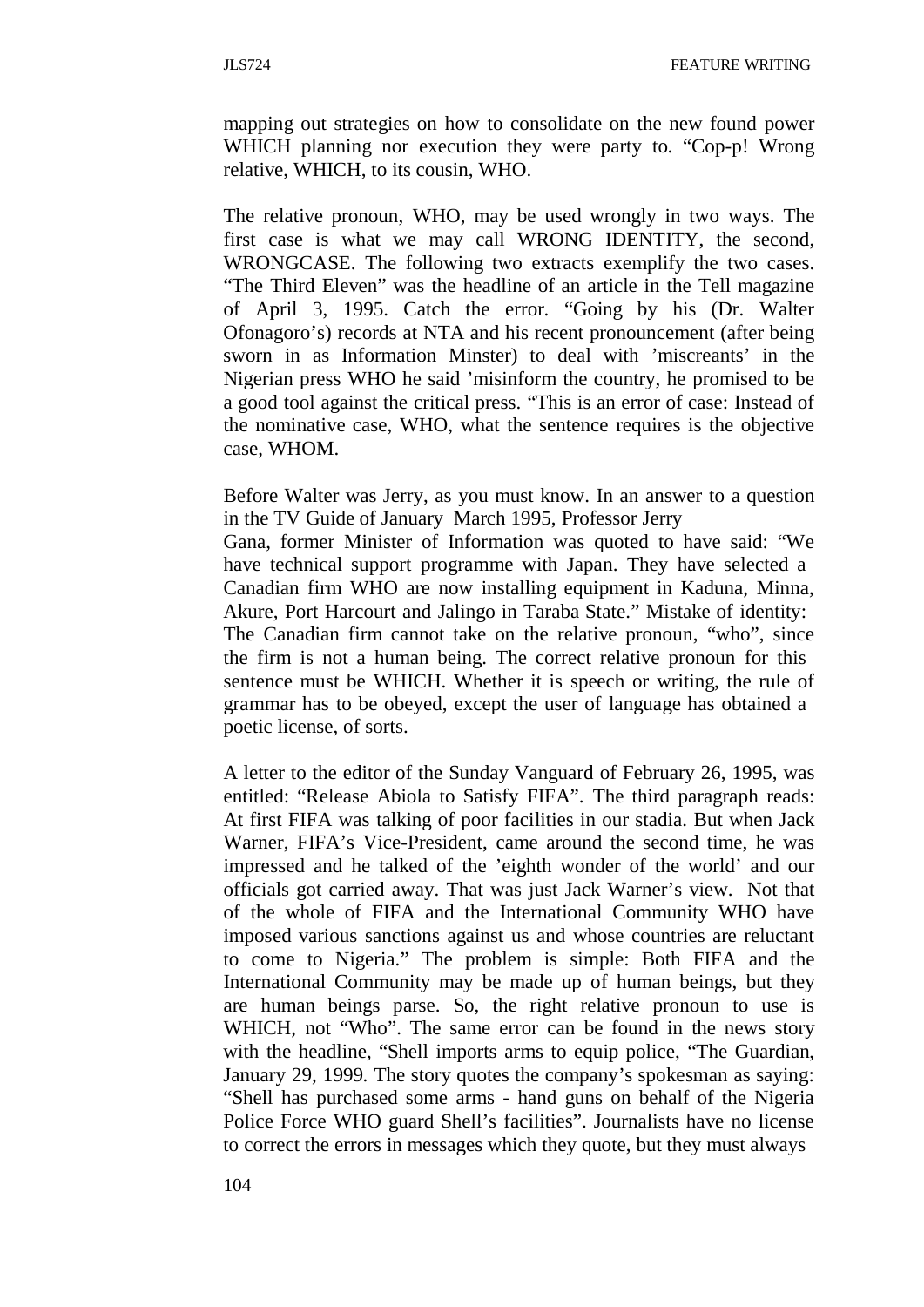mapping out strategies on how to consolidate on the new found power WHICH planning nor execution they were party to. "Cop-p! Wrong relative, WHICH, to its cousin, WHO.

The relative pronoun, WHO, may be used wrongly in two ways. The first case is what we may call WRONG IDENTITY, the second, WRONGCASE. The following two extracts exemplify the two cases. "The Third Eleven" was the headline of an article in the Tell magazine of April 3, 1995. Catch the error. "Going by his (Dr. Walter Ofonagoro's) records at NTA and his recent pronouncement (after being sworn in as Information Minster) to deal with 'miscreants' in the Nigerian press WHO he said 'misinform the country, he promised to be a good tool against the critical press. "This is an error of case: Instead of the nominative case, WHO, what the sentence requires is the objective case, WHOM.

Before Walter was Jerry, as you must know. In an answer to a question in the TV Guide of January March 1995, Professor Jerry Gana, former Minister of Information was quoted to have said: "We have technical support programme with Japan. They have selected a Canadian firm WHO are now installing equipment in Kaduna, Minna, Akure, Port Harcourt and Jalingo in Taraba State." Mistake of identity: The Canadian firm cannot take on the relative pronoun, "who", since the firm is not a human being. The correct relative pronoun for this sentence must be WHICH. Whether it is speech or writing, the rule of grammar has to be obeyed, except the user of language has obtained a poetic license, of sorts.

A letter to the editor of the Sunday Vanguard of February 26, 1995, was entitled: "Release Abiola to Satisfy FIFA". The third paragraph reads: At first FIFA was talking of poor facilities in our stadia. But when Jack Warner, FIFA's Vice-President, came around the second time, he was impressed and he talked of the 'eighth wonder of the world' and our officials got carried away. That was just Jack Warner's view. Not that of the whole of FIFA and the International Community WHO have imposed various sanctions against us and whose countries are reluctant to come to Nigeria." The problem is simple: Both FIFA and the International Community may be made up of human beings, but they are human beings parse. So, the right relative pronoun to use is WHICH, not "Who". The same error can be found in the news story with the headline, "Shell imports arms to equip police, "The Guardian, January 29, 1999. The story quotes the company's spokesman as saying: "Shell has purchased some arms - hand guns on behalf of the Nigeria Police Force WHO guard Shell's facilities". Journalists have no license to correct the errors in messages which they quote, but they must always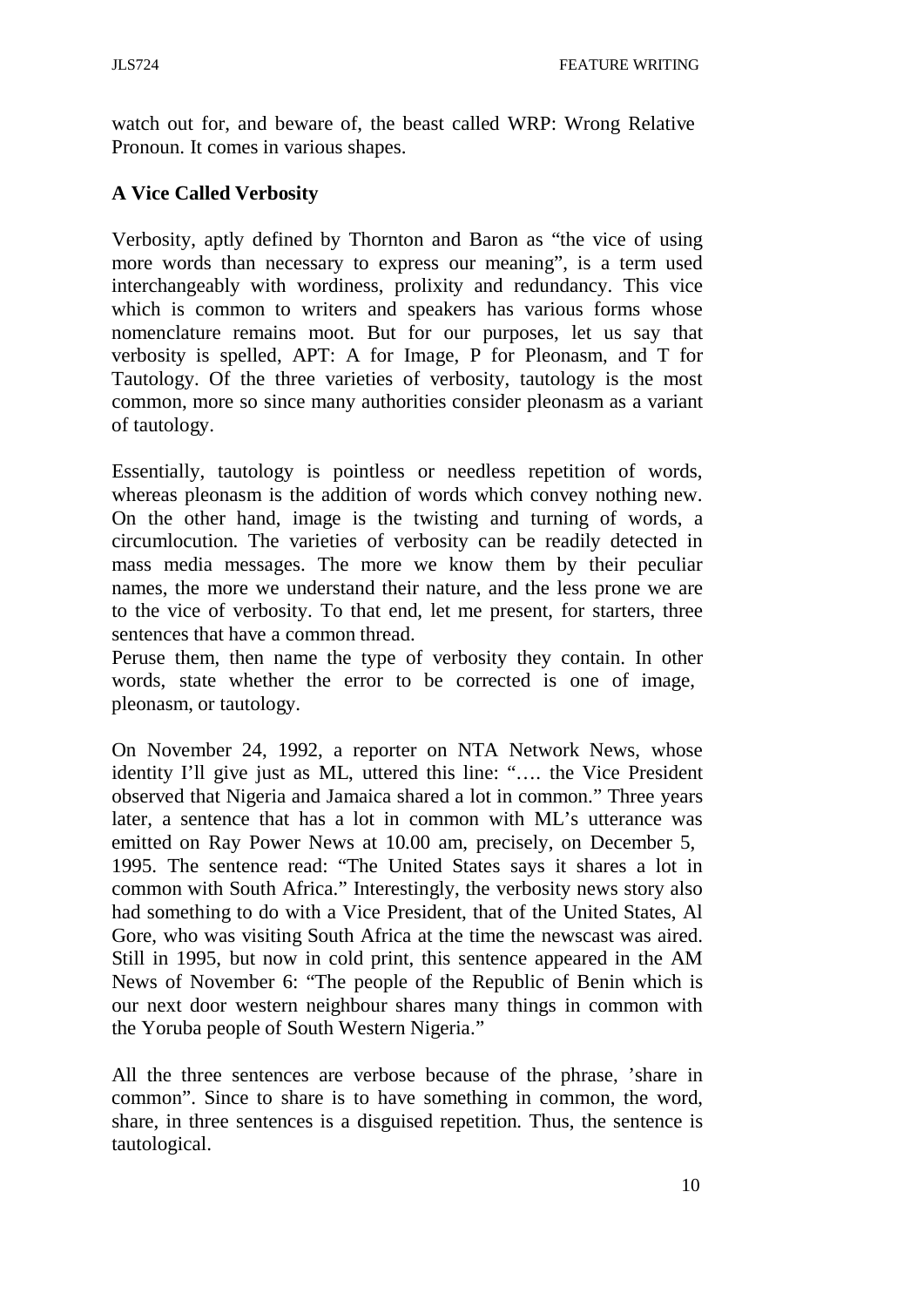watch out for, and beware of, the beast called WRP: Wrong Relative Pronoun. It comes in various shapes.

### **A Vice Called Verbosity**

Verbosity, aptly defined by Thornton and Baron as "the vice of using more words than necessary to express our meaning", is a term used interchangeably with wordiness, prolixity and redundancy. This vice which is common to writers and speakers has various forms whose nomenclature remains moot. But for our purposes, let us say that verbosity is spelled, APT: A for Image, P for Pleonasm, and T for Tautology. Of the three varieties of verbosity, tautology is the most common, more so since many authorities consider pleonasm as a variant of tautology.

Essentially, tautology is pointless or needless repetition of words, whereas pleonasm is the addition of words which convey nothing new. On the other hand, image is the twisting and turning of words, a circumlocution. The varieties of verbosity can be readily detected in mass media messages. The more we know them by their peculiar names, the more we understand their nature, and the less prone we are to the vice of verbosity. To that end, let me present, for starters, three sentences that have a common thread.

Peruse them, then name the type of verbosity they contain. In other words, state whether the error to be corrected is one of image, pleonasm, or tautology.

On November 24, 1992, a reporter on NTA Network News, whose identity I'll give just as ML, uttered this line: "…. the Vice President observed that Nigeria and Jamaica shared a lot in common." Three years later, a sentence that has a lot in common with ML's utterance was emitted on Ray Power News at 10.00 am, precisely, on December 5, 1995. The sentence read: "The United States says it shares a lot in common with South Africa." Interestingly, the verbosity news story also had something to do with a Vice President, that of the United States, Al Gore, who was visiting South Africa at the time the newscast was aired. Still in 1995, but now in cold print, this sentence appeared in the AM News of November 6: "The people of the Republic of Benin which is our next door western neighbour shares many things in common with the Yoruba people of South Western Nigeria."

All the three sentences are verbose because of the phrase, 'share in common". Since to share is to have something in common, the word, share, in three sentences is a disguised repetition. Thus, the sentence is tautological.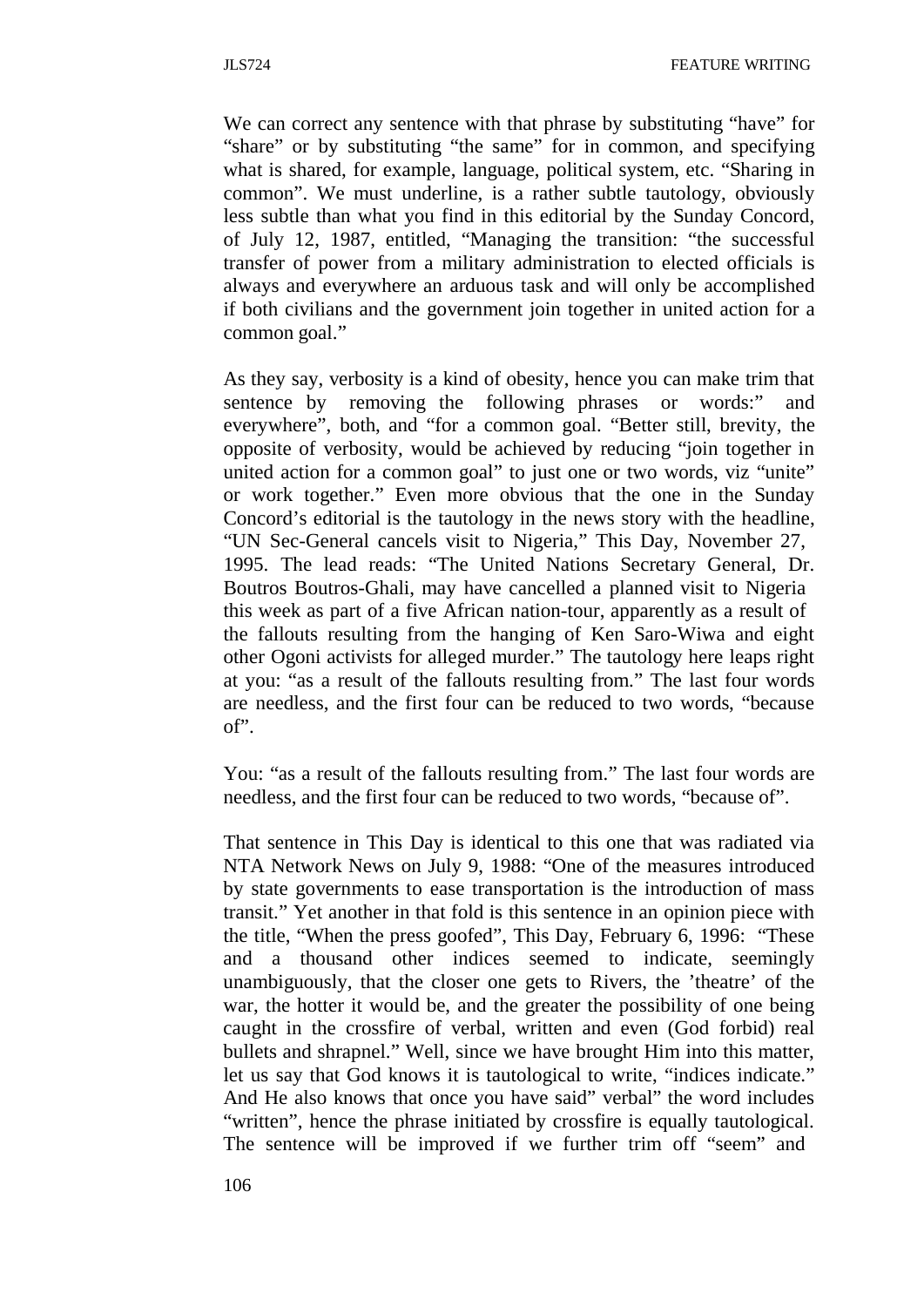We can correct any sentence with that phrase by substituting "have" for "share" or by substituting "the same" for in common, and specifying what is shared, for example, language, political system, etc. "Sharing in common". We must underline, is a rather subtle tautology, obviously less subtle than what you find in this editorial by the Sunday Concord, of July 12, 1987, entitled, "Managing the transition: "the successful transfer of power from a military administration to elected officials is always and everywhere an arduous task and will only be accomplished if both civilians and the government join together in united action for a common goal."

As they say, verbosity is a kind of obesity, hence you can make trim that sentence by removing the following phrases or words:" and everywhere", both, and "for a common goal. "Better still, brevity, the opposite of verbosity, would be achieved by reducing "join together in united action for a common goal" to just one or two words, viz "unite" or work together." Even more obvious that the one in the Sunday Concord's editorial is the tautology in the news story with the headline, "UN Sec-General cancels visit to Nigeria," This Day, November 27, 1995. The lead reads: "The United Nations Secretary General, Dr. Boutros Boutros-Ghali, may have cancelled a planned visit to Nigeria this week as part of a five African nation-tour, apparently as a result of the fallouts resulting from the hanging of Ken Saro-Wiwa and eight other Ogoni activists for alleged murder." The tautology here leaps right at you: "as a result of the fallouts resulting from." The last four words are needless, and the first four can be reduced to two words, "because of".

You: "as a result of the fallouts resulting from." The last four words are needless, and the first four can be reduced to two words, "because of".

That sentence in This Day is identical to this one that was radiated via NTA Network News on July 9, 1988: "One of the measures introduced by state governments to ease transportation is the introduction of mass transit." Yet another in that fold is this sentence in an opinion piece with the title, "When the press goofed", This Day, February 6, 1996: "These and a thousand other indices seemed to indicate, seemingly unambiguously, that the closer one gets to Rivers, the 'theatre' of the war, the hotter it would be, and the greater the possibility of one being caught in the crossfire of verbal, written and even (God forbid) real bullets and shrapnel." Well, since we have brought Him into this matter, let us say that God knows it is tautological to write, "indices indicate." And He also knows that once you have said" verbal" the word includes "written", hence the phrase initiated by crossfire is equally tautological. The sentence will be improved if we further trim off "seem" and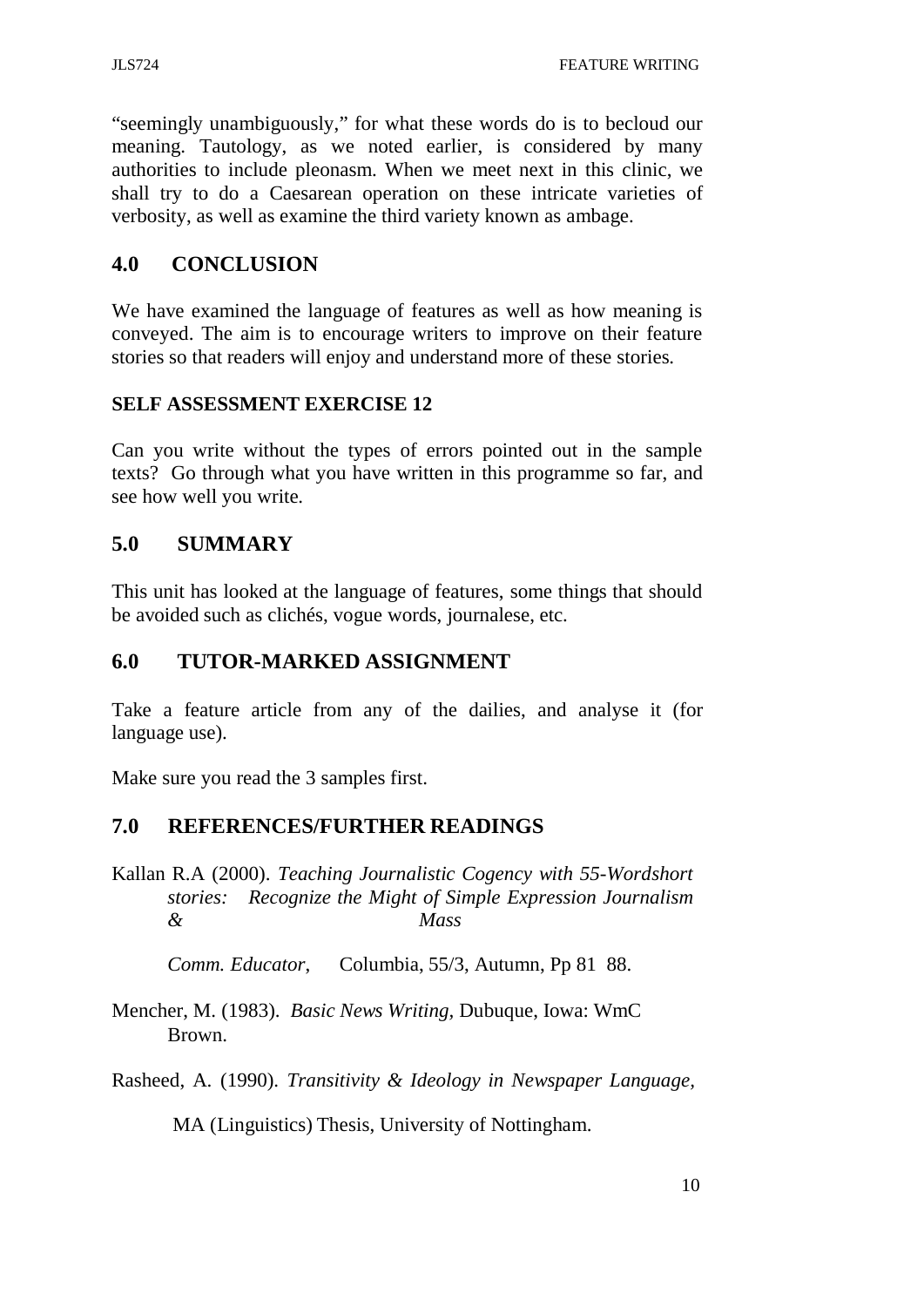"seemingly unambiguously," for what these words do is to becloud our meaning. Tautology, as we noted earlier, is considered by many authorities to include pleonasm. When we meet next in this clinic, we shall try to do a Caesarean operation on these intricate varieties of verbosity, as well as examine the third variety known as ambage.

## **4.0 CONCLUSION**

We have examined the language of features as well as how meaning is conveyed. The aim is to encourage writers to improve on their feature stories so that readers will enjoy and understand more of these stories.

### **SELF ASSESSMENT EXERCISE 12**

Can you write without the types of errors pointed out in the sample texts? Go through what you have written in this programme so far, and see how well you write.

### **5.0 SUMMARY**

This unit has looked at the language of features, some things that should be avoided such as clichés, vogue words, journalese, etc.

### **6.0 TUTOR-MARKED ASSIGNMENT**

Take a feature article from any of the dailies, and analyse it (for language use).

Make sure you read the 3 samples first.

## **7.0 REFERENCES/FURTHER READINGS**

Kallan R.A (2000). *Teaching Journalistic Cogency with 55-Wordshort stories: Recognize the Might of Simple Expression Journalism & Mass*

*Comm. Educator*, Columbia, 55/3, Autumn, Pp 81 88.

Mencher, M. (1983). *Basic News Writing,* Dubuque, Iowa: WmC Brown.

Rasheed, A. (1990). *Transitivity & Ideology in Newspaper Language,*

MA (Linguistics) Thesis, University of Nottingham.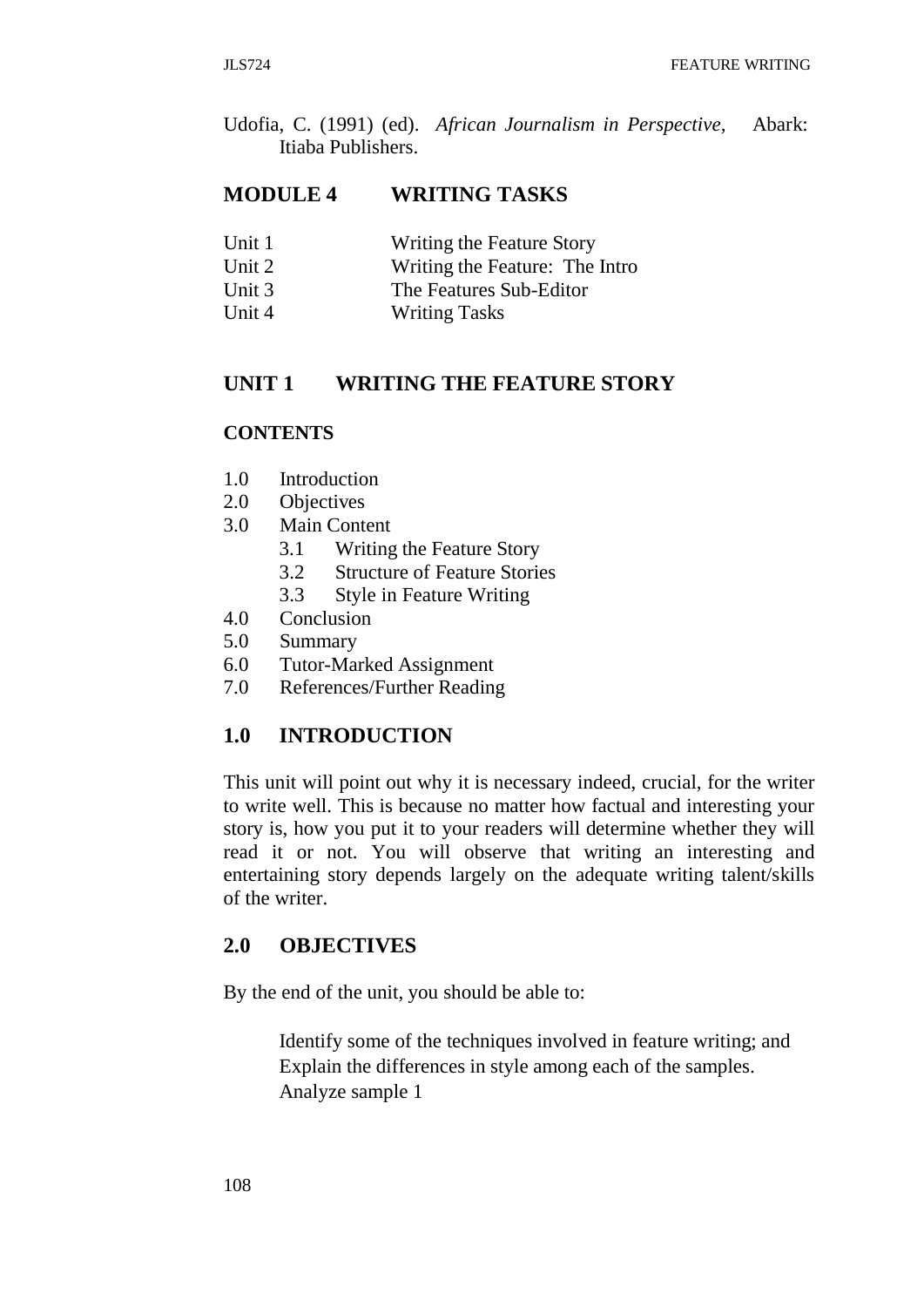Udofia, C. (1991) (ed). *African Journalism in Perspective,* Abark: Itiaba Publishers.

#### **MODULE 4 WRITING TASKS**

- Unit 1 Writing the Feature Story
- Unit 2 Writing the Feature: The Intro
- Unit 3 The Features Sub-Editor
- Unit 4 Writing Tasks

#### **UNIT 1 WRITING THE FEATURE STORY**

#### **CONTENTS**

- 1.0 Introduction
- 2.0 Objectives
- 3.0 Main Content
	- 3.1 Writing the Feature Story
	- 3.2 Structure of Feature Stories
	- 3.3 Style in Feature Writing
- 4.0 Conclusion
- 5.0 Summary
- 6.0 Tutor-Marked Assignment
- 7.0 References/Further Reading

### **1.0 INTRODUCTION**

This unit will point out why it is necessary indeed, crucial, for the writer to write well. This is because no matter how factual and interesting your story is, how you put it to your readers will determine whether they will read it or not. You will observe that writing an interesting and entertaining story depends largely on the adequate writing talent/skills of the writer.

### **2.0 OBJECTIVES**

By the end of the unit, you should be able to:

Identify some of the techniques involved in feature writing; and Explain the differences in style among each of the samples. Analyze sample 1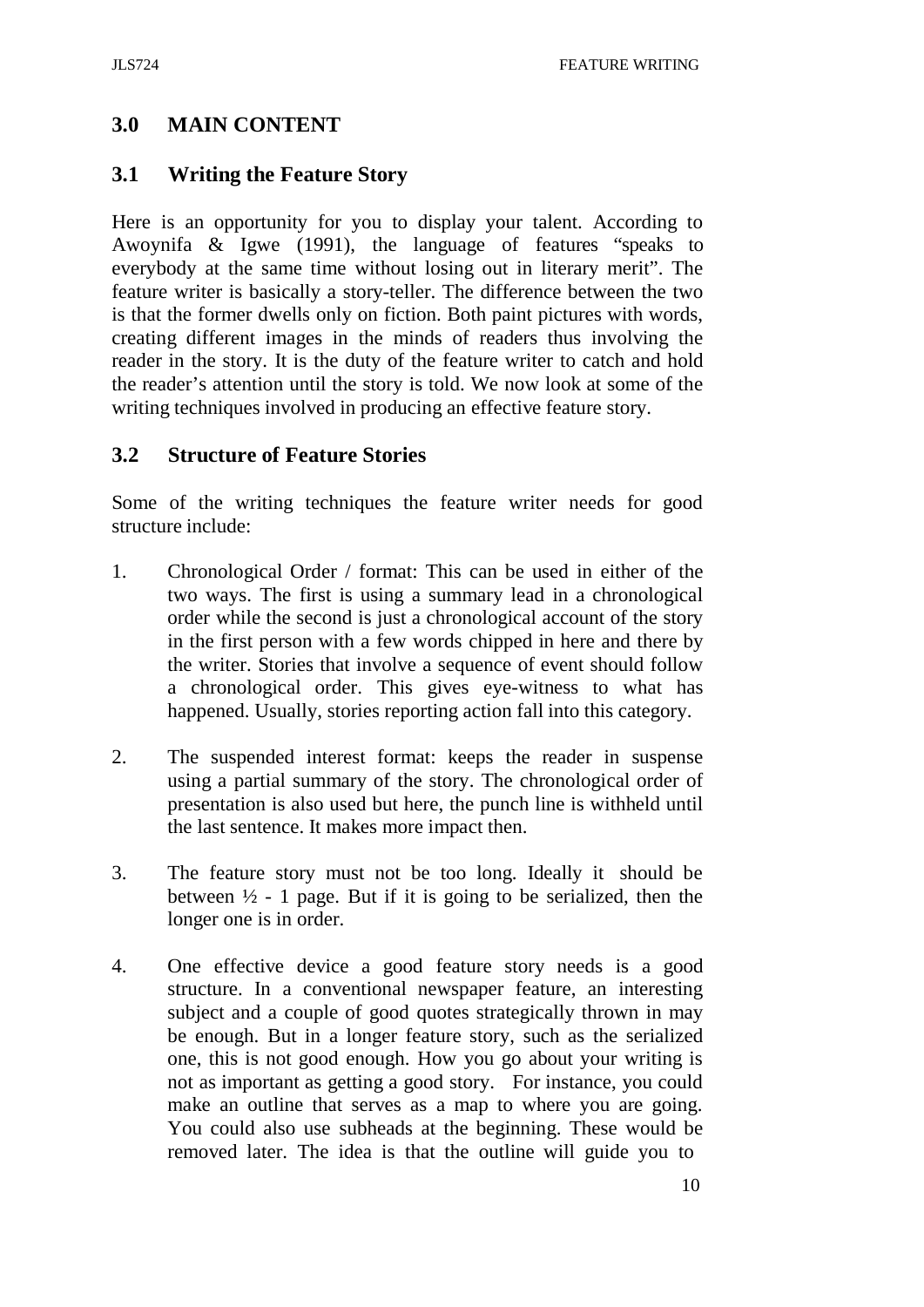## **3.0 MAIN CONTENT**

### **3.1 Writing the Feature Story**

Here is an opportunity for you to display your talent. According to Awoynifa & Igwe (1991), the language of features "speaks to everybody at the same time without losing out in literary merit". The feature writer is basically a story-teller. The difference between the two is that the former dwells only on fiction. Both paint pictures with words, creating different images in the minds of readers thus involving the reader in the story. It is the duty of the feature writer to catch and hold the reader's attention until the story is told. We now look at some of the writing techniques involved in producing an effective feature story.

### **3.2 Structure of Feature Stories**

Some of the writing techniques the feature writer needs for good structure include:

- 1. Chronological Order / format: This can be used in either of the two ways. The first is using a summary lead in a chronological order while the second is just a chronological account of the story in the first person with a few words chipped in here and there by the writer. Stories that involve a sequence of event should follow a chronological order. This gives eye-witness to what has happened. Usually, stories reporting action fall into this category.
- 2. The suspended interest format: keeps the reader in suspense using a partial summary of the story. The chronological order of presentation is also used but here, the punch line is withheld until the last sentence. It makes more impact then.
- 3. The feature story must not be too long. Ideally it should be between  $\frac{1}{2}$  - 1 page. But if it is going to be serialized, then the longer one is in order.
- 4. One effective device a good feature story needs is a good structure. In a conventional newspaper feature, an interesting subject and a couple of good quotes strategically thrown in may be enough. But in a longer feature story, such as the serialized one, this is not good enough. How you go about your writing is not as important as getting a good story. For instance, you could make an outline that serves as a map to where you are going. You could also use subheads at the beginning. These would be removed later. The idea is that the outline will guide you to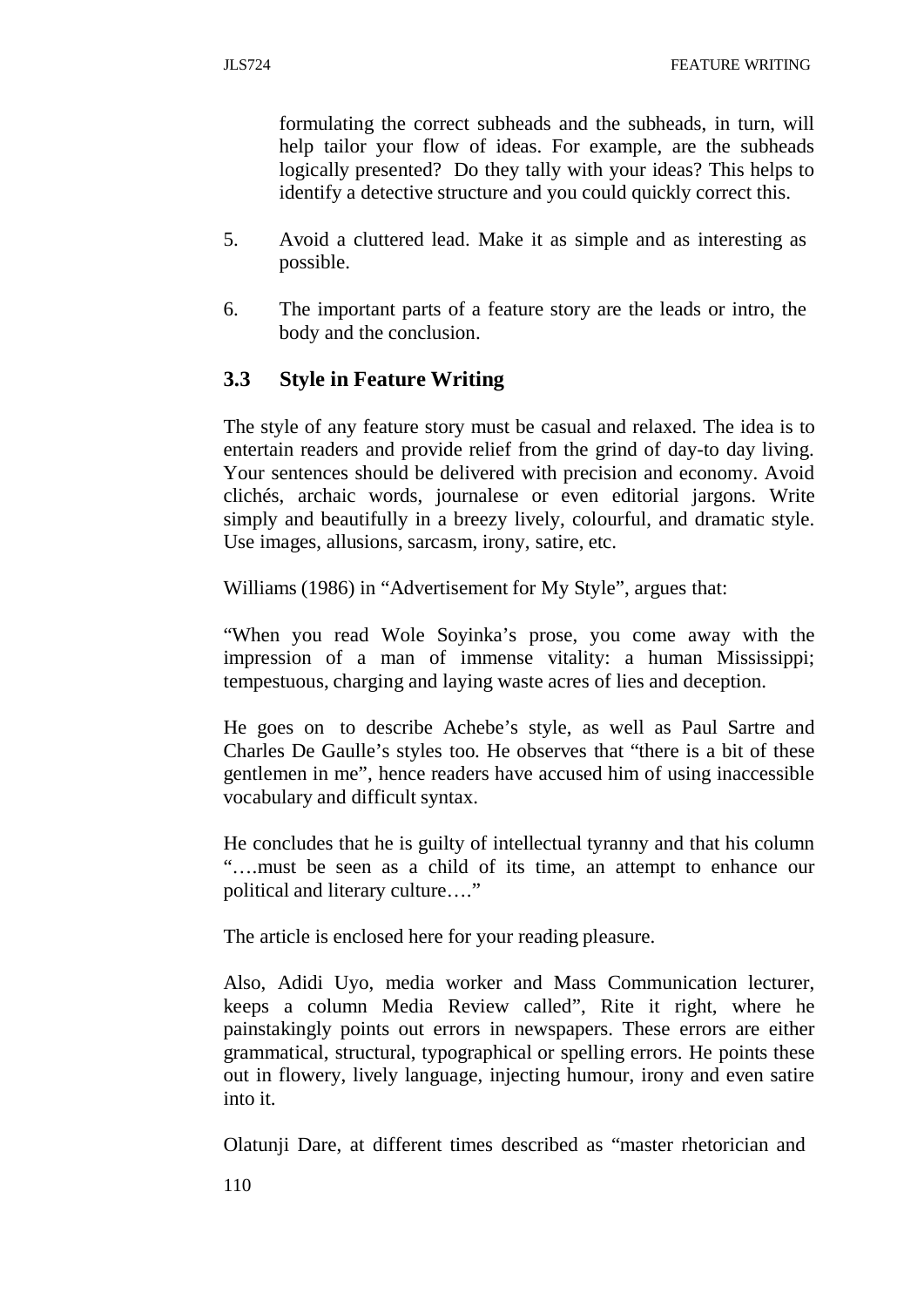formulating the correct subheads and the subheads, in turn, will help tailor your flow of ideas. For example, are the subheads logically presented? Do they tally with your ideas? This helps to identify a detective structure and you could quickly correct this.

- 5. Avoid a cluttered lead. Make it as simple and as interesting as possible.
- 6. The important parts of a feature story are the leads or intro, the body and the conclusion.

#### **3.3 Style in Feature Writing**

The style of any feature story must be casual and relaxed. The idea is to entertain readers and provide relief from the grind of day-to day living. Your sentences should be delivered with precision and economy. Avoid clichés, archaic words, journalese or even editorial jargons. Write simply and beautifully in a breezy lively, colourful, and dramatic style. Use images, allusions, sarcasm, irony, satire, etc.

Williams (1986) in "Advertisement for My Style", argues that:

"When you read Wole Soyinka's prose, you come away with the impression of a man of immense vitality: a human Mississippi; tempestuous, charging and laying waste acres of lies and deception.

He goes on to describe Achebe's style, as well as Paul Sartre and Charles De Gaulle's styles too. He observes that "there is a bit of these gentlemen in me", hence readers have accused him of using inaccessible vocabulary and difficult syntax.

He concludes that he is guilty of intellectual tyranny and that his column "….must be seen as a child of its time, an attempt to enhance our political and literary culture…."

The article is enclosed here for your reading pleasure.

Also, Adidi Uyo, media worker and Mass Communication lecturer, keeps a column Media Review called", Rite it right, where he painstakingly points out errors in newspapers. These errors are either grammatical, structural, typographical or spelling errors. He points these out in flowery, lively language, injecting humour, irony and even satire into it.

Olatunji Dare, at different times described as "master rhetorician and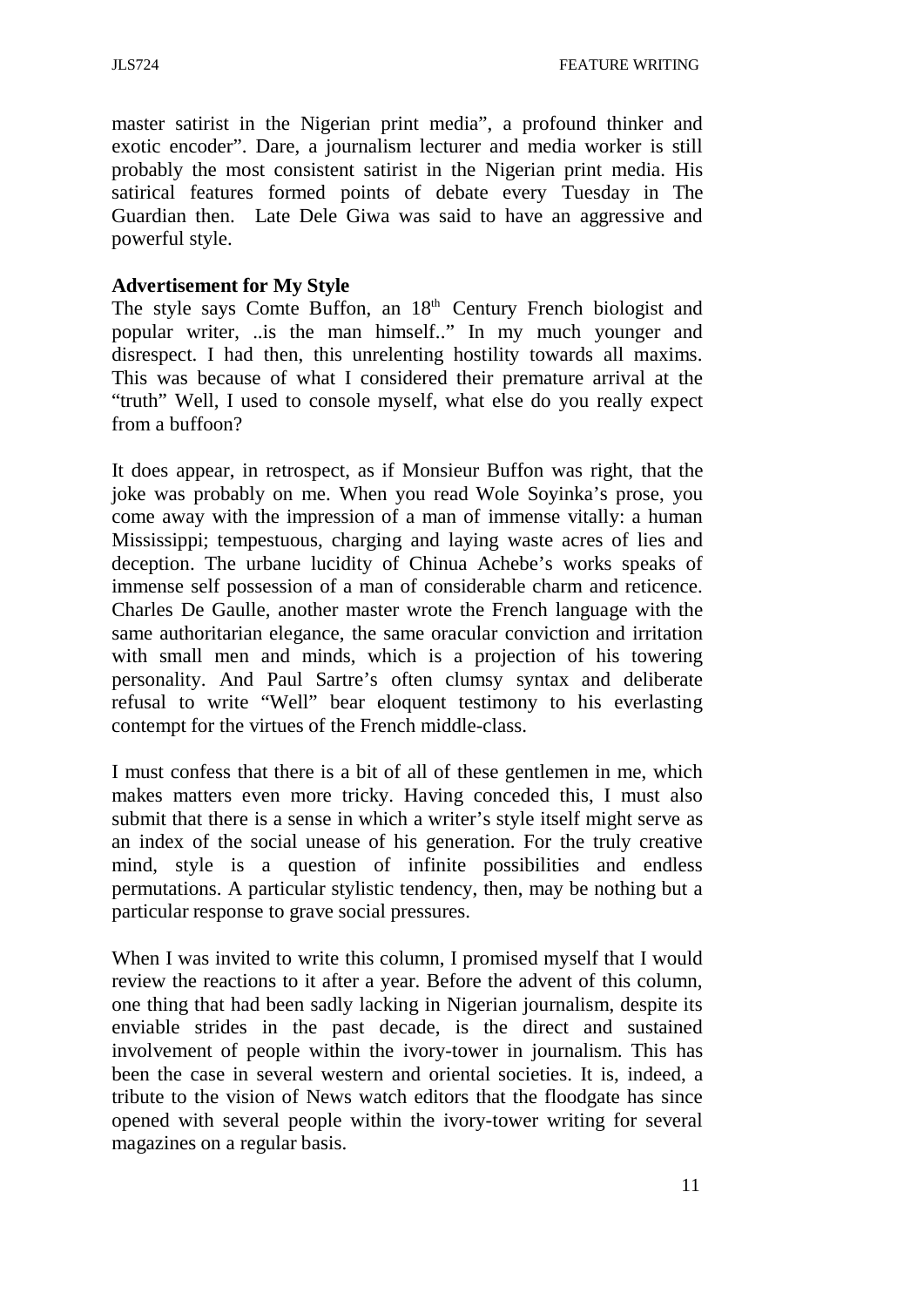master satirist in the Nigerian print media", a profound thinker and exotic encoder". Dare, a journalism lecturer and media worker is still probably the most consistent satirist in the Nigerian print media. His satirical features formed points of debate every Tuesday in The Guardian then. Late Dele Giwa was said to have an aggressive and powerful style.

### **Advertisement for My Style**

The style says Comte Buffon, an 18<sup>th</sup> Century French biologist and popular writer, ..is the man himself.." In my much younger and disrespect. I had then, this unrelenting hostility towards all maxims. This was because of what I considered their premature arrival at the "truth" Well, I used to console myself, what else do you really expect from a buffoon?

It does appear, in retrospect, as if Monsieur Buffon was right, that the joke was probably on me. When you read Wole Soyinka's prose, you come away with the impression of a man of immense vitally: a human Mississippi; tempestuous, charging and laying waste acres of lies and deception. The urbane lucidity of Chinua Achebe's works speaks of immense self possession of a man of considerable charm and reticence. Charles De Gaulle, another master wrote the French language with the same authoritarian elegance, the same oracular conviction and irritation with small men and minds, which is a projection of his towering personality. And Paul Sartre's often clumsy syntax and deliberate refusal to write "Well" bear eloquent testimony to his everlasting contempt for the virtues of the French middle-class.

I must confess that there is a bit of all of these gentlemen in me, which makes matters even more tricky. Having conceded this, I must also submit that there is a sense in which a writer's style itself might serve as an index of the social unease of his generation. For the truly creative mind, style is a question of infinite possibilities and endless permutations. A particular stylistic tendency, then, may be nothing but a particular response to grave social pressures.

When I was invited to write this column, I promised myself that I would review the reactions to it after a year. Before the advent of this column, one thing that had been sadly lacking in Nigerian journalism, despite its enviable strides in the past decade, is the direct and sustained involvement of people within the ivory-tower in journalism. This has been the case in several western and oriental societies. It is, indeed, a tribute to the vision of News watch editors that the floodgate has since opened with several people within the ivory-tower writing for several magazines on a regular basis.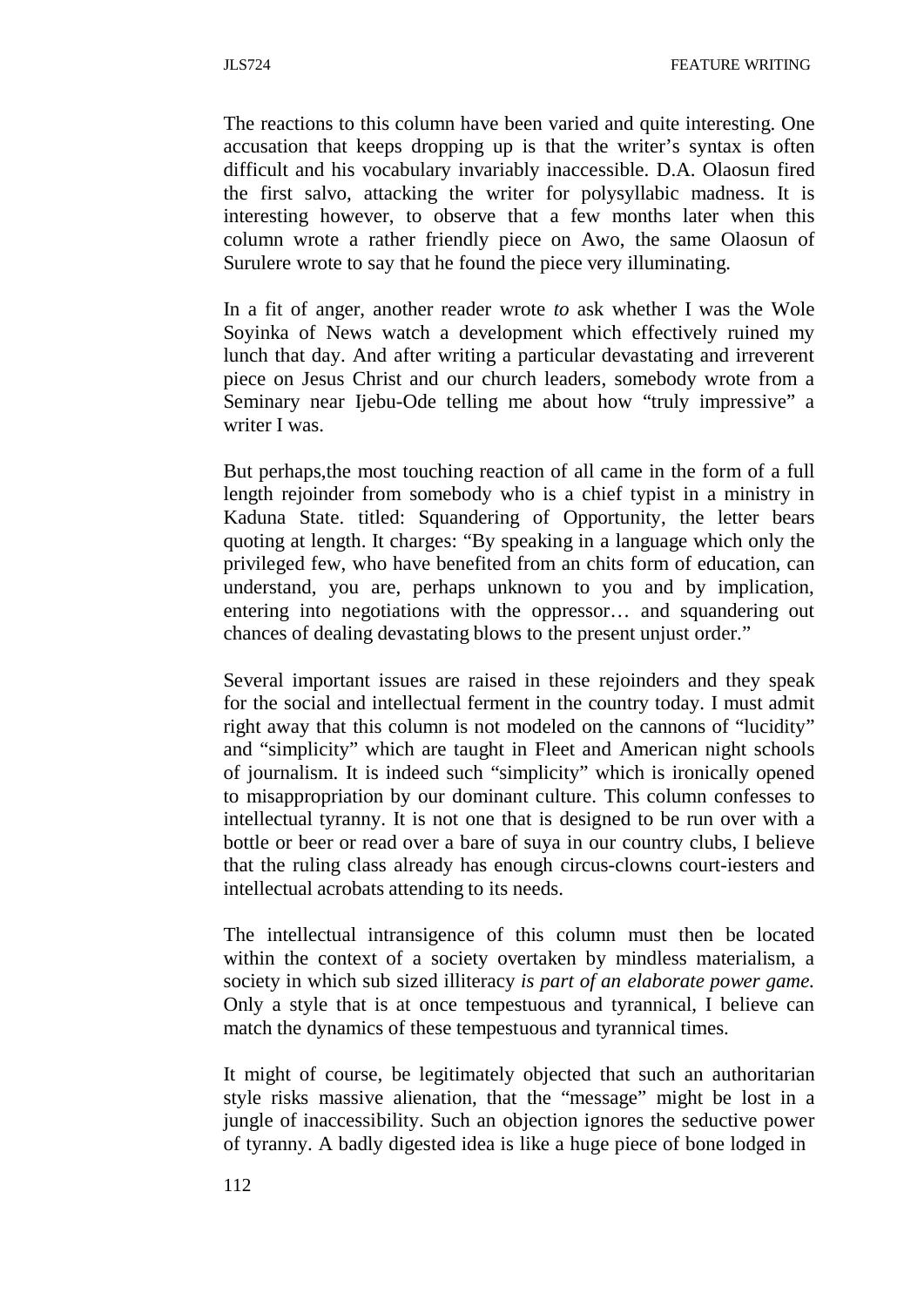The reactions to this column have been varied and quite interesting. One accusation that keeps dropping up is that the writer's syntax is often difficult and his vocabulary invariably inaccessible. D.A. Olaosun fired the first salvo, attacking the writer for polysyllabic madness. It is interesting however, to observe that a few months later when this column wrote a rather friendly piece on Awo, the same Olaosun of Surulere wrote to say that he found the piece very illuminating.

In a fit of anger, another reader wrote *to* ask whether I was the Wole Soyinka of News watch a development which effectively ruined my lunch that day. And after writing a particular devastating and irreverent piece on Jesus Christ and our church leaders, somebody wrote from a Seminary near Ijebu-Ode telling me about how "truly impressive" a writer I was.

But perhaps,the most touching reaction of all came in the form of a full length rejoinder from somebody who is a chief typist in a ministry in Kaduna State. titled: Squandering of Opportunity, the letter bears quoting at length. It charges: "By speaking in a language which only the privileged few, who have benefited from an chits form of education, can understand, you are, perhaps unknown to you and by implication, entering into negotiations with the oppressor… and squandering out chances of dealing devastating blows to the present unjust order."

Several important issues are raised in these rejoinders and they speak for the social and intellectual ferment in the country today. I must admit right away that this column is not modeled on the cannons of "lucidity" and "simplicity" which are taught in Fleet and American night schools of journalism. It is indeed such "simplicity" which is ironically opened to misappropriation by our dominant culture. This column confesses to intellectual tyranny. It is not one that is designed to be run over with a bottle or beer or read over a bare of suya in our country clubs, I believe that the ruling class already has enough circus-clowns court-iesters and intellectual acrobats attending to its needs.

The intellectual intransigence of this column must then be located within the context of a society overtaken by mindless materialism, a society in which sub sized illiteracy *is part of an elaborate power game.*  Only a style that is at once tempestuous and tyrannical, I believe can match the dynamics of these tempestuous and tyrannical times.

It might of course, be legitimately objected that such an authoritarian style risks massive alienation, that the "message" might be lost in a jungle of inaccessibility. Such an objection ignores the seductive power of tyranny. A badly digested idea is like a huge piece of bone lodged in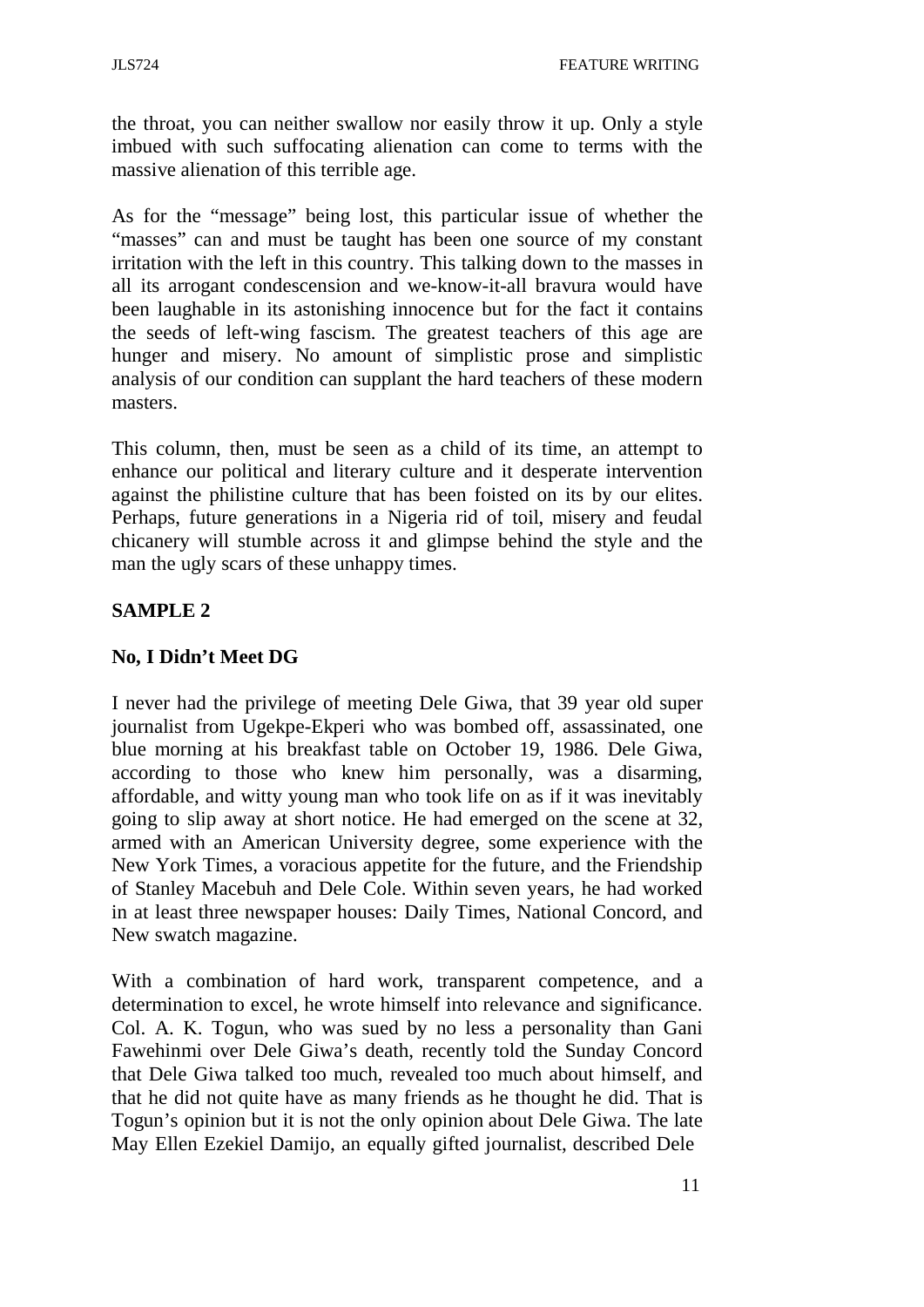the throat, you can neither swallow nor easily throw it up. Only a style imbued with such suffocating alienation can come to terms with the massive alienation of this terrible age.

As for the "message" being lost, this particular issue of whether the "masses" can and must be taught has been one source of my constant irritation with the left in this country. This talking down to the masses in all its arrogant condescension and we-know-it-all bravura would have been laughable in its astonishing innocence but for the fact it contains the seeds of left-wing fascism. The greatest teachers of this age are hunger and misery. No amount of simplistic prose and simplistic analysis of our condition can supplant the hard teachers of these modern masters.

This column, then, must be seen as a child of its time, an attempt to enhance our political and literary culture and it desperate intervention against the philistine culture that has been foisted on its by our elites. Perhaps, future generations in a Nigeria rid of toil, misery and feudal chicanery will stumble across it and glimpse behind the style and the man the ugly scars of these unhappy times.

### **SAMPLE 2**

### **No, I Didn't Meet DG**

I never had the privilege of meeting Dele Giwa, that 39 year old super journalist from Ugekpe-Ekperi who was bombed off, assassinated, one blue morning at his breakfast table on October 19, 1986. Dele Giwa, according to those who knew him personally, was a disarming, affordable, and witty young man who took life on as if it was inevitably going to slip away at short notice. He had emerged on the scene at 32, armed with an American University degree, some experience with the New York Times, a voracious appetite for the future, and the Friendship of Stanley Macebuh and Dele Cole. Within seven years, he had worked in at least three newspaper houses: Daily Times, National Concord, and New swatch magazine.

With a combination of hard work, transparent competence, and a determination to excel, he wrote himself into relevance and significance. Col. A. K. Togun, who was sued by no less a personality than Gani Fawehinmi over Dele Giwa's death, recently told the Sunday Concord that Dele Giwa talked too much, revealed too much about himself, and that he did not quite have as many friends as he thought he did. That is Togun's opinion but it is not the only opinion about Dele Giwa. The late May Ellen Ezekiel Damijo, an equally gifted journalist, described Dele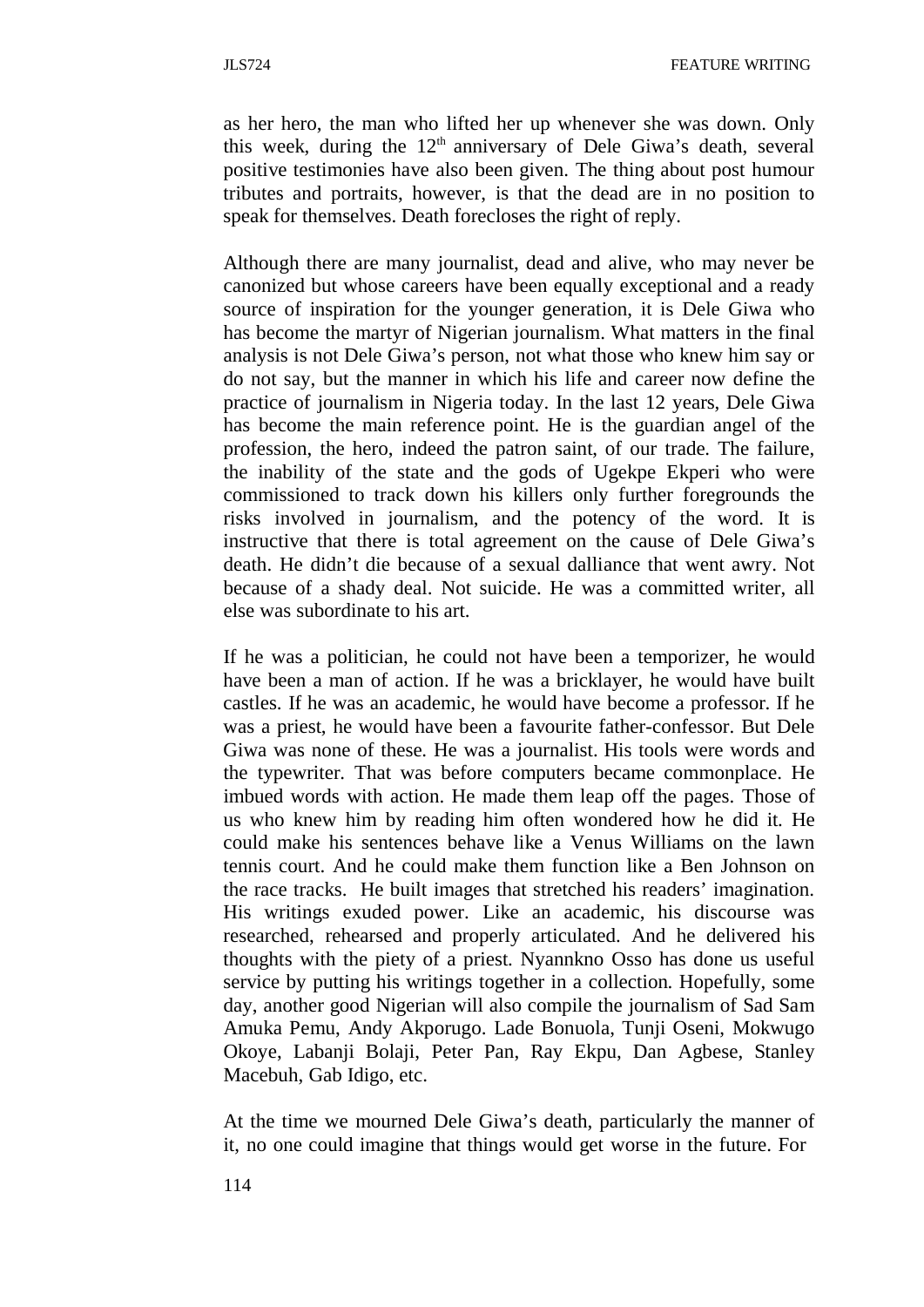as her hero, the man who lifted her up whenever she was down. Only this week, during the  $12<sup>th</sup>$  anniversary of Dele Giwa's death, several positive testimonies have also been given. The thing about post humour tributes and portraits, however, is that the dead are in no position to speak for themselves. Death forecloses the right of reply.

Although there are many journalist, dead and alive, who may never be canonized but whose careers have been equally exceptional and a ready source of inspiration for the younger generation, it is Dele Giwa who has become the martyr of Nigerian journalism. What matters in the final analysis is not Dele Giwa's person, not what those who knew him say or do not say, but the manner in which his life and career now define the practice of journalism in Nigeria today. In the last 12 years, Dele Giwa has become the main reference point. He is the guardian angel of the profession, the hero, indeed the patron saint, of our trade. The failure, the inability of the state and the gods of Ugekpe Ekperi who were commissioned to track down his killers only further foregrounds the risks involved in journalism, and the potency of the word. It is instructive that there is total agreement on the cause of Dele Giwa's death. He didn't die because of a sexual dalliance that went awry. Not because of a shady deal. Not suicide. He was a committed writer, all else was subordinate to his art.

If he was a politician, he could not have been a temporizer, he would have been a man of action. If he was a bricklayer, he would have built castles. If he was an academic, he would have become a professor. If he was a priest, he would have been a favourite father-confessor. But Dele Giwa was none of these. He was a journalist. His tools were words and the typewriter. That was before computers became commonplace. He imbued words with action. He made them leap off the pages. Those of us who knew him by reading him often wondered how he did it. He could make his sentences behave like a Venus Williams on the lawn tennis court. And he could make them function like a Ben Johnson on the race tracks. He built images that stretched his readers' imagination. His writings exuded power. Like an academic, his discourse was researched, rehearsed and properly articulated. And he delivered his thoughts with the piety of a priest. Nyannkno Osso has done us useful service by putting his writings together in a collection. Hopefully, some day, another good Nigerian will also compile the journalism of Sad Sam Amuka Pemu, Andy Akporugo. Lade Bonuola, Tunji Oseni, Mokwugo Okoye, Labanji Bolaji, Peter Pan, Ray Ekpu, Dan Agbese, Stanley Macebuh, Gab Idigo, etc.

At the time we mourned Dele Giwa's death, particularly the manner of it, no one could imagine that things would get worse in the future. For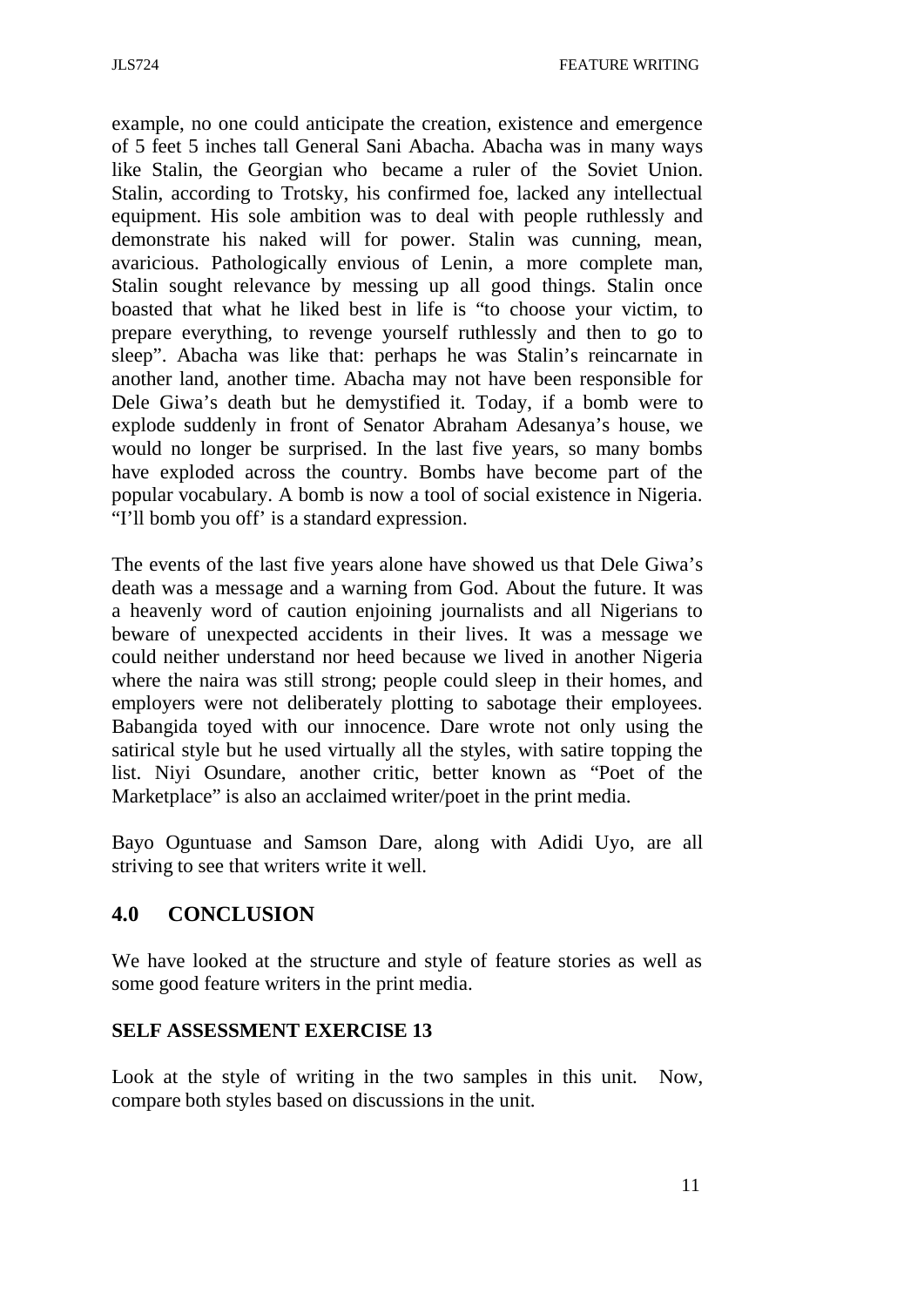example, no one could anticipate the creation, existence and emergence of 5 feet 5 inches tall General Sani Abacha. Abacha was in many ways like Stalin, the Georgian who became a ruler of the Soviet Union. Stalin, according to Trotsky, his confirmed foe, lacked any intellectual equipment. His sole ambition was to deal with people ruthlessly and demonstrate his naked will for power. Stalin was cunning, mean, avaricious. Pathologically envious of Lenin, a more complete man, Stalin sought relevance by messing up all good things. Stalin once boasted that what he liked best in life is "to choose your victim, to prepare everything, to revenge yourself ruthlessly and then to go to sleep". Abacha was like that: perhaps he was Stalin's reincarnate in another land, another time. Abacha may not have been responsible for Dele Giwa's death but he demystified it. Today, if a bomb were to explode suddenly in front of Senator Abraham Adesanya's house, we would no longer be surprised. In the last five years, so many bombs have exploded across the country. Bombs have become part of the popular vocabulary. A bomb is now a tool of social existence in Nigeria. "I'll bomb you off' is a standard expression.

The events of the last five years alone have showed us that Dele Giwa's death was a message and a warning from God. About the future. It was a heavenly word of caution enjoining journalists and all Nigerians to beware of unexpected accidents in their lives. It was a message we could neither understand nor heed because we lived in another Nigeria where the naira was still strong; people could sleep in their homes, and employers were not deliberately plotting to sabotage their employees. Babangida toyed with our innocence. Dare wrote not only using the satirical style but he used virtually all the styles, with satire topping the list. Niyi Osundare, another critic, better known as "Poet of the Marketplace" is also an acclaimed writer/poet in the print media.

Bayo Oguntuase and Samson Dare, along with Adidi Uyo, are all striving to see that writers write it well.

### **4.0 CONCLUSION**

We have looked at the structure and style of feature stories as well as some good feature writers in the print media.

#### **SELF ASSESSMENT EXERCISE 13**

Look at the style of writing in the two samples in this unit. Now, compare both styles based on discussions in the unit.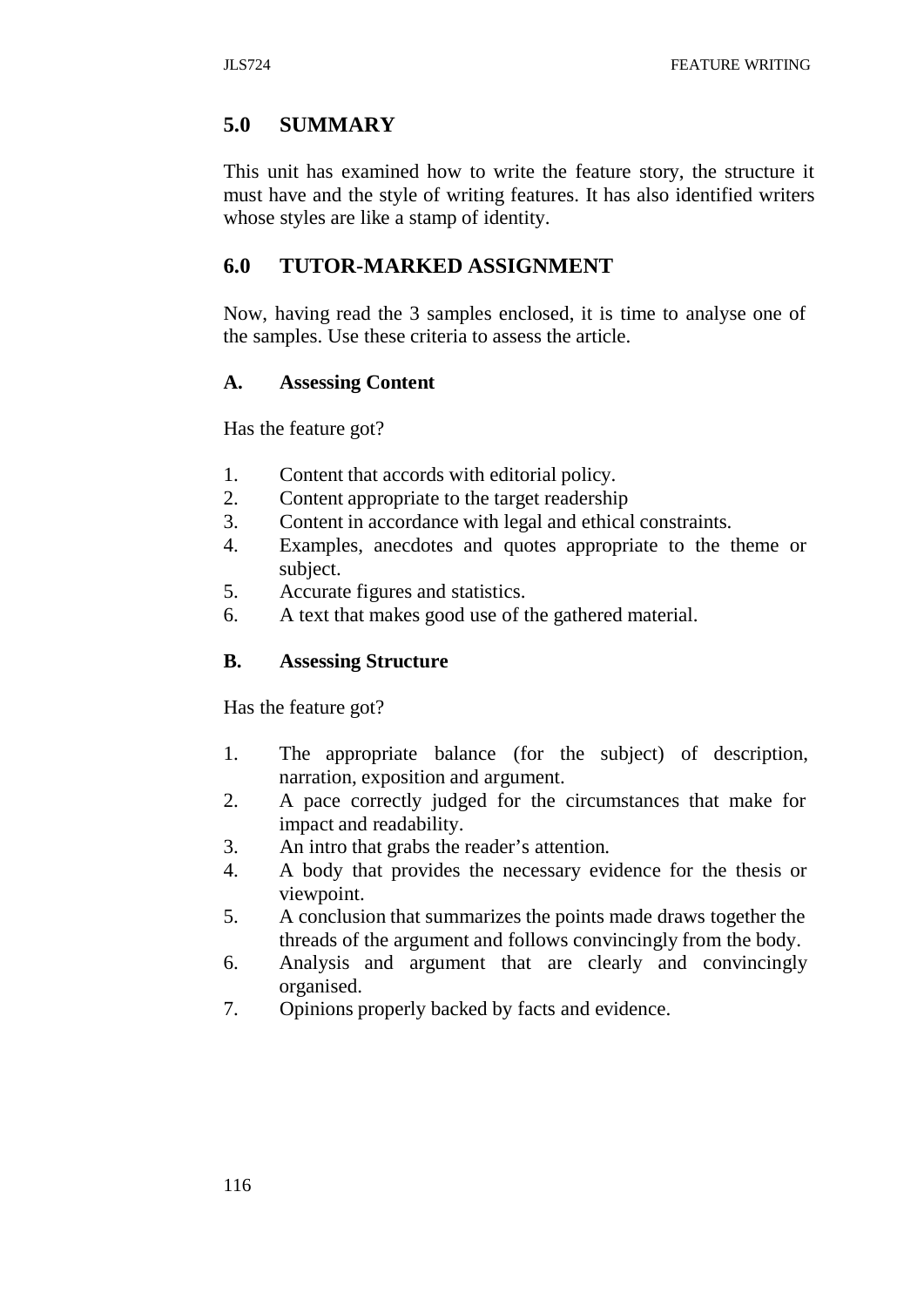## **5.0 SUMMARY**

This unit has examined how to write the feature story, the structure it must have and the style of writing features. It has also identified writers whose styles are like a stamp of identity.

### **6.0 TUTOR-MARKED ASSIGNMENT**

Now, having read the 3 samples enclosed, it is time to analyse one of the samples. Use these criteria to assess the article.

#### **A. Assessing Content**

Has the feature got?

- 1. Content that accords with editorial policy.
- 2. Content appropriate to the target readership
- 3. Content in accordance with legal and ethical constraints.
- 4. Examples, anecdotes and quotes appropriate to the theme or subject.
- 5. Accurate figures and statistics.
- 6. A text that makes good use of the gathered material.

### **B. Assessing Structure**

Has the feature got?

- 1. The appropriate balance (for the subject) of description, narration, exposition and argument.
- 2. A pace correctly judged for the circumstances that make for impact and readability.
- 3. An intro that grabs the reader's attention.
- 4. A body that provides the necessary evidence for the thesis or viewpoint.
- 5. A conclusion that summarizes the points made draws together the threads of the argument and follows convincingly from the body.
- 6. Analysis and argument that are clearly and convincingly organised.
- 7. Opinions properly backed by facts and evidence.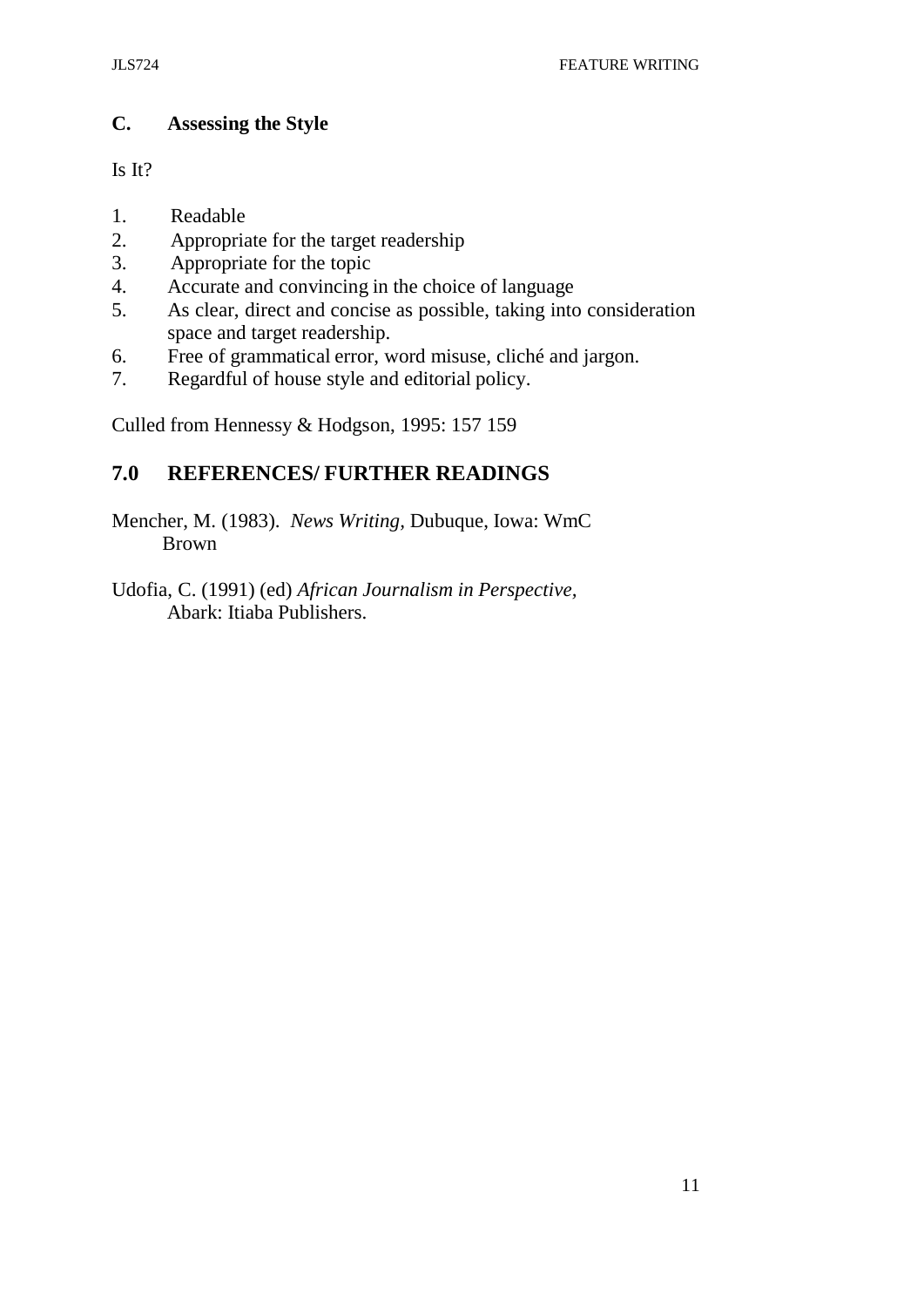### **C. Assessing the Style**

Is It?

- 1. Readable
- 2. Appropriate for the target readership
- 3. Appropriate for the topic
- 4. Accurate and convincing in the choice of language
- 5. As clear, direct and concise as possible, taking into consideration space and target readership.
- 6. Free of grammatical error, word misuse, cliché and jargon.
- 7. Regardful of house style and editorial policy.

Culled from Hennessy & Hodgson, 1995: 157 159

# **7.0 REFERENCES/ FURTHER READINGS**

Mencher, M. (1983). *News Writing,* Dubuque, Iowa: WmC Brown

Udofia, C. (1991) (ed) *African Journalism in Perspective,* Abark: Itiaba Publishers.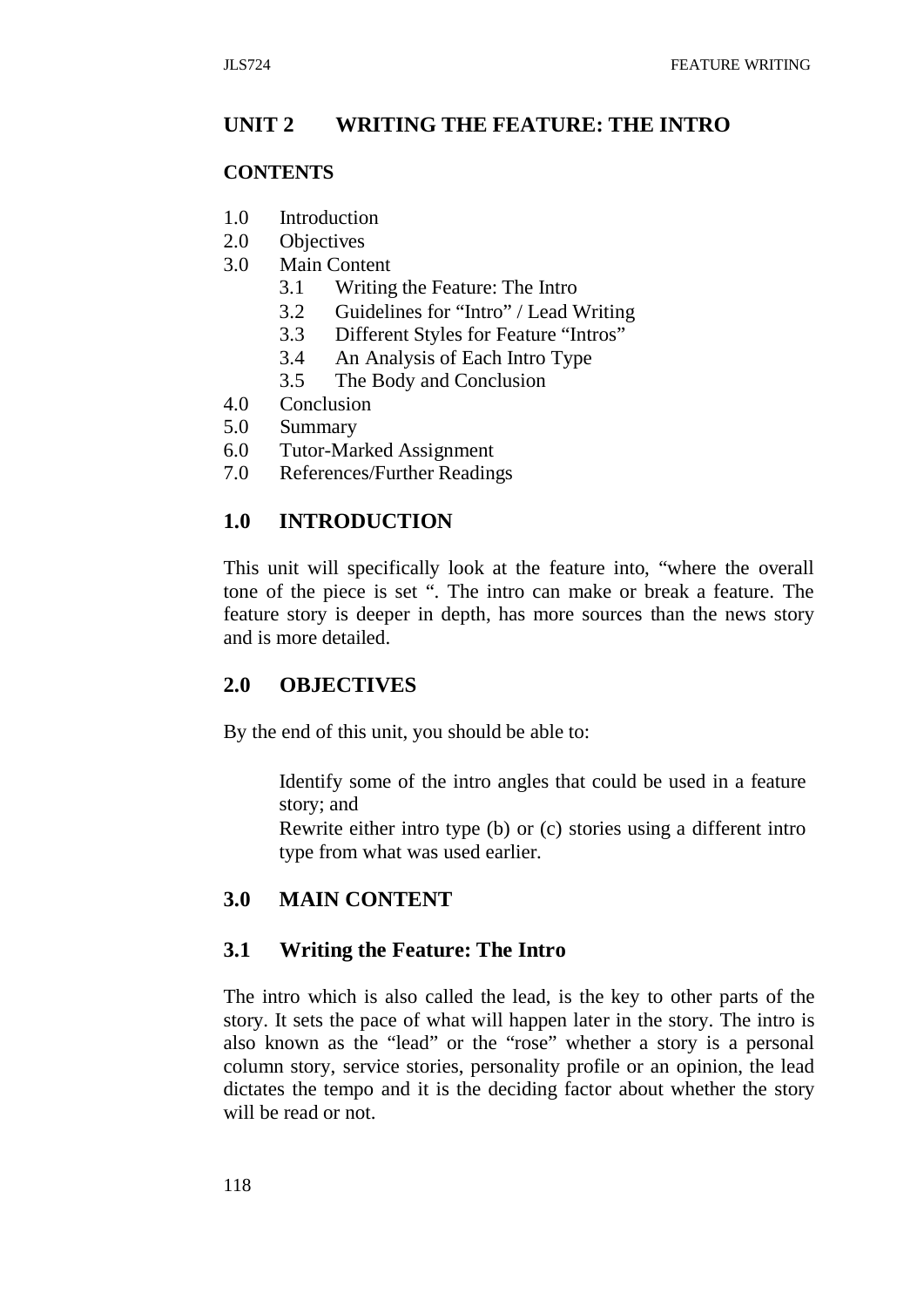#### **UNIT 2 WRITING THE FEATURE: THE INTRO**

#### **CONTENTS**

- 1.0 Introduction
- 2.0 Objectives
- 3.0 Main Content
	- 3.1 Writing the Feature: The Intro
	- 3.2 Guidelines for "Intro" / Lead Writing
	- 3.3 Different Styles for Feature "Intros"
	- 3.4 An Analysis of Each Intro Type
	- 3.5 The Body and Conclusion
- 4.0 Conclusion
- 5.0 Summary
- 6.0 Tutor-Marked Assignment
- 7.0 References/Further Readings

#### **1.0 INTRODUCTION**

This unit will specifically look at the feature into, "where the overall tone of the piece is set ". The intro can make or break a feature. The feature story is deeper in depth, has more sources than the news story and is more detailed.

#### **2.0 OBJECTIVES**

By the end of this unit, you should be able to:

Identify some of the intro angles that could be used in a feature story; and

Rewrite either intro type (b) or (c) stories using a different intro type from what was used earlier.

### **3.0 MAIN CONTENT**

#### **3.1 Writing the Feature: The Intro**

The intro which is also called the lead, is the key to other parts of the story. It sets the pace of what will happen later in the story. The intro is also known as the "lead" or the "rose" whether a story is a personal column story, service stories, personality profile or an opinion, the lead dictates the tempo and it is the deciding factor about whether the story will be read or not.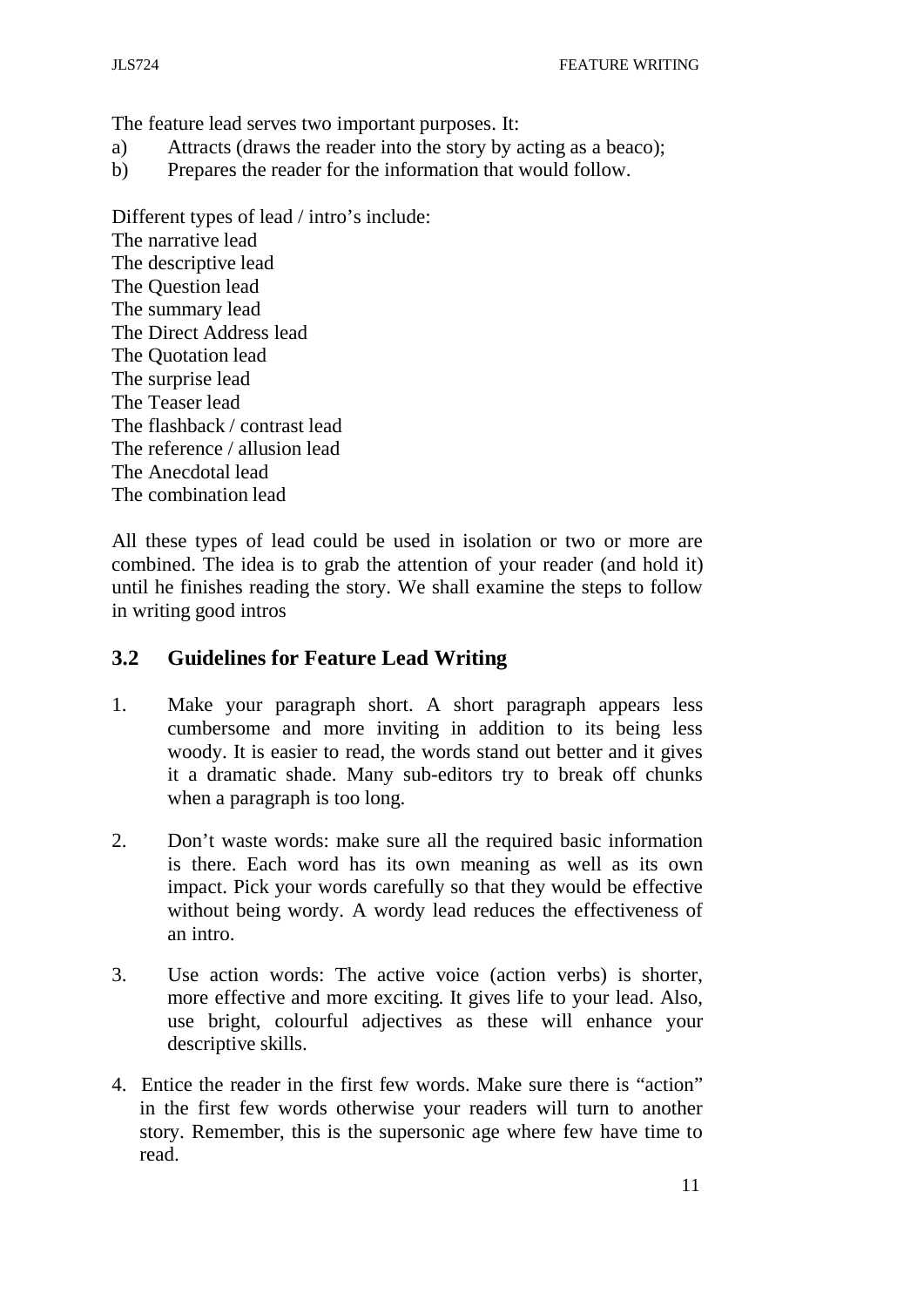The feature lead serves two important purposes. It:

- a) Attracts (draws the reader into the story by acting as a beaco);
- b) Prepares the reader for the information that would follow.

Different types of lead / intro's include: The narrative lead The descriptive lead The Question lead The summary lead The Direct Address lead The Quotation lead The surprise lead The Teaser lead The flashback / contrast lead The reference / allusion lead The Anecdotal lead The combination lead

All these types of lead could be used in isolation or two or more are combined. The idea is to grab the attention of your reader (and hold it) until he finishes reading the story. We shall examine the steps to follow in writing good intros

## **3.2 Guidelines for Feature Lead Writing**

- 1. Make your paragraph short. A short paragraph appears less cumbersome and more inviting in addition to its being less woody. It is easier to read, the words stand out better and it gives it a dramatic shade. Many sub-editors try to break off chunks when a paragraph is too long.
- 2. Don't waste words: make sure all the required basic information is there. Each word has its own meaning as well as its own impact. Pick your words carefully so that they would be effective without being wordy. A wordy lead reduces the effectiveness of an intro.
- 3. Use action words: The active voice (action verbs) is shorter, more effective and more exciting. It gives life to your lead. Also, use bright, colourful adjectives as these will enhance your descriptive skills.
- 4. Entice the reader in the first few words. Make sure there is "action" in the first few words otherwise your readers will turn to another story. Remember, this is the supersonic age where few have time to read.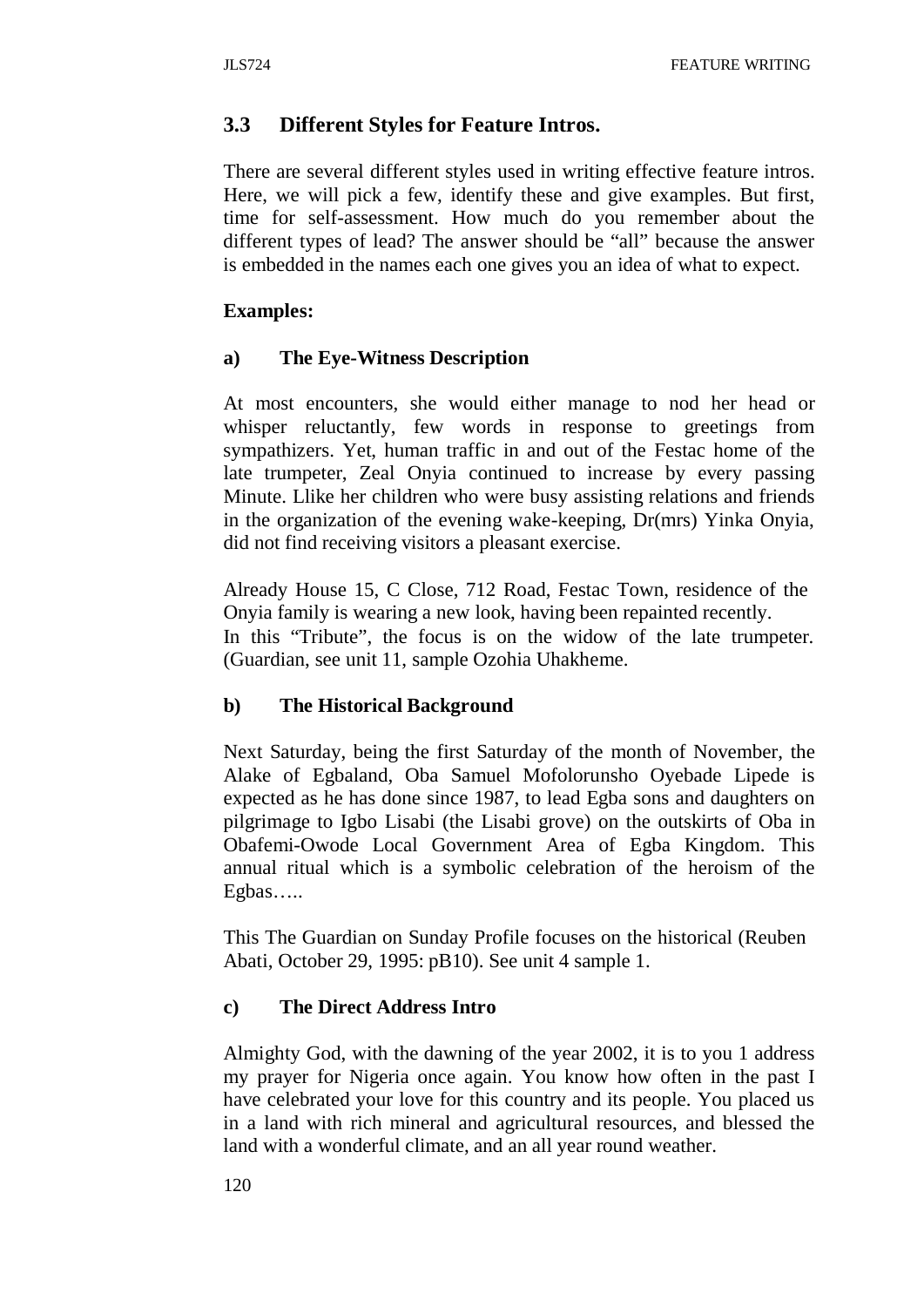#### **3.3 Different Styles for Feature Intros.**

There are several different styles used in writing effective feature intros. Here, we will pick a few, identify these and give examples. But first, time for self-assessment. How much do you remember about the different types of lead? The answer should be "all" because the answer is embedded in the names each one gives you an idea of what to expect.

#### **Examples:**

#### **a) The Eye-Witness Description**

At most encounters, she would either manage to nod her head or whisper reluctantly, few words in response to greetings from sympathizers. Yet, human traffic in and out of the Festac home of the late trumpeter, Zeal Onyia continued to increase by every passing Minute. Llike her children who were busy assisting relations and friends in the organization of the evening wake-keeping, Dr(mrs) Yinka Onyia, did not find receiving visitors a pleasant exercise.

Already House 15, C Close, 712 Road, Festac Town, residence of the Onyia family is wearing a new look, having been repainted recently. In this "Tribute", the focus is on the widow of the late trumpeter. (Guardian, see unit 11, sample Ozohia Uhakheme.

#### **b) The Historical Background**

Next Saturday, being the first Saturday of the month of November, the Alake of Egbaland, Oba Samuel Mofolorunsho Oyebade Lipede is expected as he has done since 1987, to lead Egba sons and daughters on pilgrimage to Igbo Lisabi (the Lisabi grove) on the outskirts of Oba in Obafemi-Owode Local Government Area of Egba Kingdom. This annual ritual which is a symbolic celebration of the heroism of the Egbas…..

This The Guardian on Sunday Profile focuses on the historical (Reuben Abati, October 29, 1995: pB10). See unit 4 sample 1.

#### **c) The Direct Address Intro**

Almighty God, with the dawning of the year 2002, it is to you 1 address my prayer for Nigeria once again. You know how often in the past I have celebrated your love for this country and its people. You placed us in a land with rich mineral and agricultural resources, and blessed the land with a wonderful climate, and an all year round weather.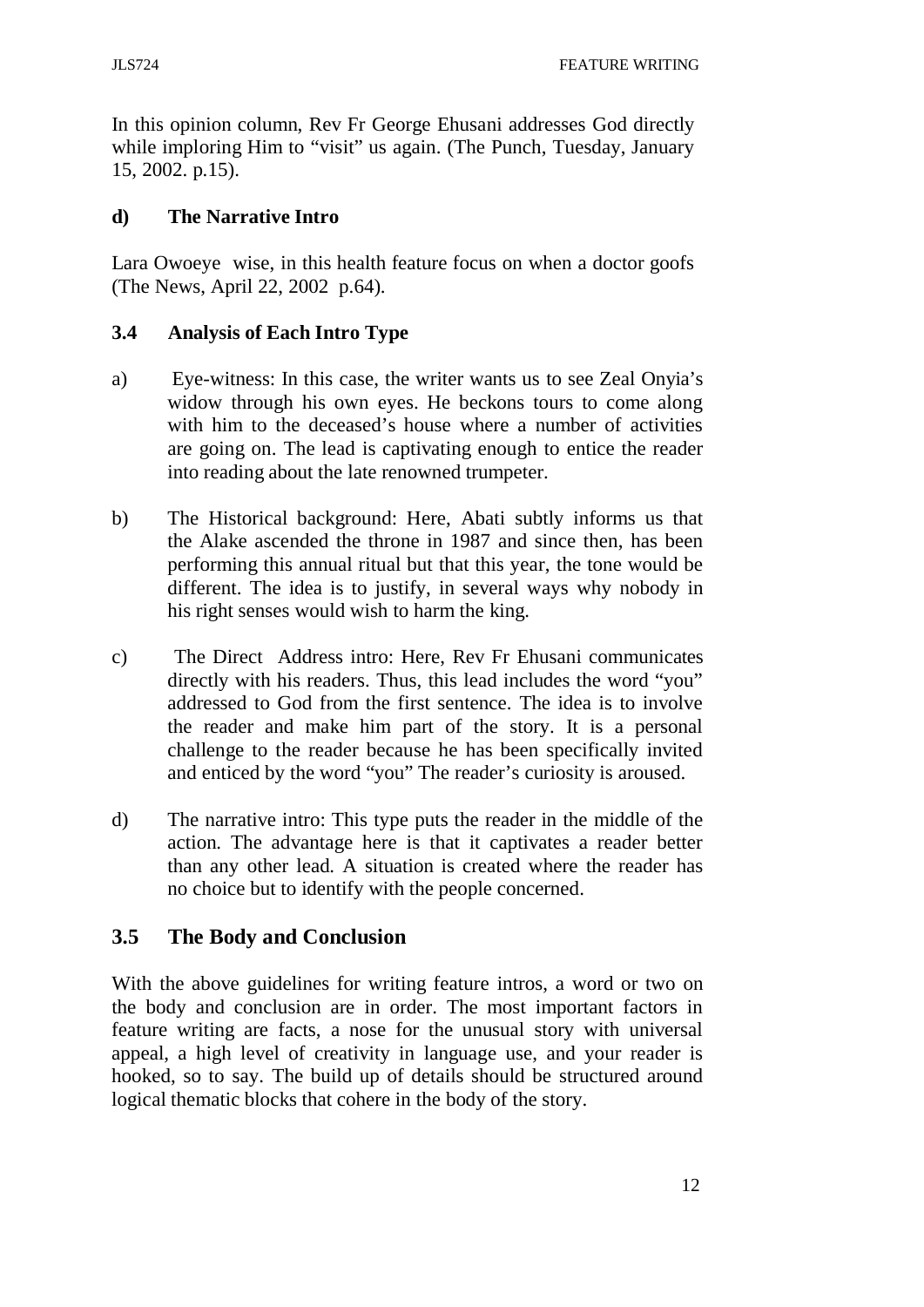In this opinion column, Rev Fr George Ehusani addresses God directly while imploring Him to "visit" us again. (The Punch, Tuesday, January 15, 2002. p.15).

#### **d) The Narrative Intro**

Lara Owoeye wise, in this health feature focus on when a doctor goofs (The News, April 22, 2002 p.64).

### **3.4 Analysis of Each Intro Type**

- a) Eye-witness: In this case, the writer wants us to see Zeal Onyia's widow through his own eyes. He beckons tours to come along with him to the deceased's house where a number of activities are going on. The lead is captivating enough to entice the reader into reading about the late renowned trumpeter.
- b) The Historical background: Here, Abati subtly informs us that the Alake ascended the throne in 1987 and since then, has been performing this annual ritual but that this year, the tone would be different. The idea is to justify, in several ways why nobody in his right senses would wish to harm the king.
- c) The Direct Address intro: Here, Rev Fr Ehusani communicates directly with his readers. Thus, this lead includes the word "you" addressed to God from the first sentence. The idea is to involve the reader and make him part of the story. It is a personal challenge to the reader because he has been specifically invited and enticed by the word "you" The reader's curiosity is aroused.
- d) The narrative intro: This type puts the reader in the middle of the action. The advantage here is that it captivates a reader better than any other lead. A situation is created where the reader has no choice but to identify with the people concerned.

## **3.5 The Body and Conclusion**

With the above guidelines for writing feature intros, a word or two on the body and conclusion are in order. The most important factors in feature writing are facts, a nose for the unusual story with universal appeal, a high level of creativity in language use, and your reader is hooked, so to say. The build up of details should be structured around logical thematic blocks that cohere in the body of the story.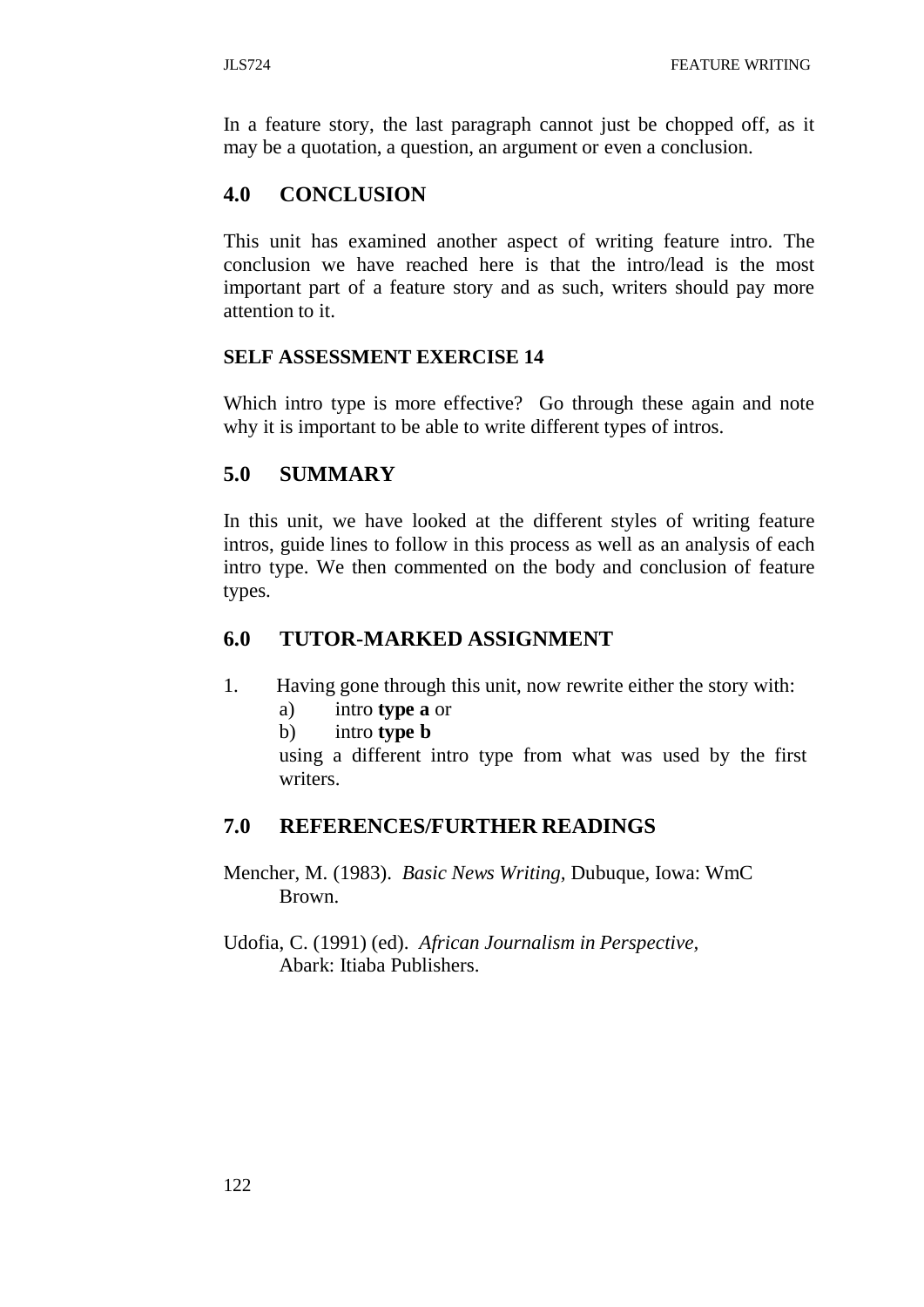In a feature story, the last paragraph cannot just be chopped off, as it may be a quotation, a question, an argument or even a conclusion.

# **4.0 CONCLUSION**

This unit has examined another aspect of writing feature intro. The conclusion we have reached here is that the intro/lead is the most important part of a feature story and as such, writers should pay more attention to it.

### **SELF ASSESSMENT EXERCISE 14**

Which intro type is more effective? Go through these again and note why it is important to be able to write different types of intros.

# **5.0 SUMMARY**

In this unit, we have looked at the different styles of writing feature intros, guide lines to follow in this process as well as an analysis of each intro type. We then commented on the body and conclusion of feature types.

# **6.0 TUTOR-MARKED ASSIGNMENT**

- 1. Having gone through this unit, now rewrite either the story with:
	- a) intro **type a** or
	- b) intro **type b**

using a different intro type from what was used by the first writers.

## **7.0 REFERENCES/FURTHER READINGS**

Mencher, M. (1983). *Basic News Writing,* Dubuque, Iowa: WmC Brown.

Udofia, C. (1991) (ed). *African Journalism in Perspective,* Abark: Itiaba Publishers.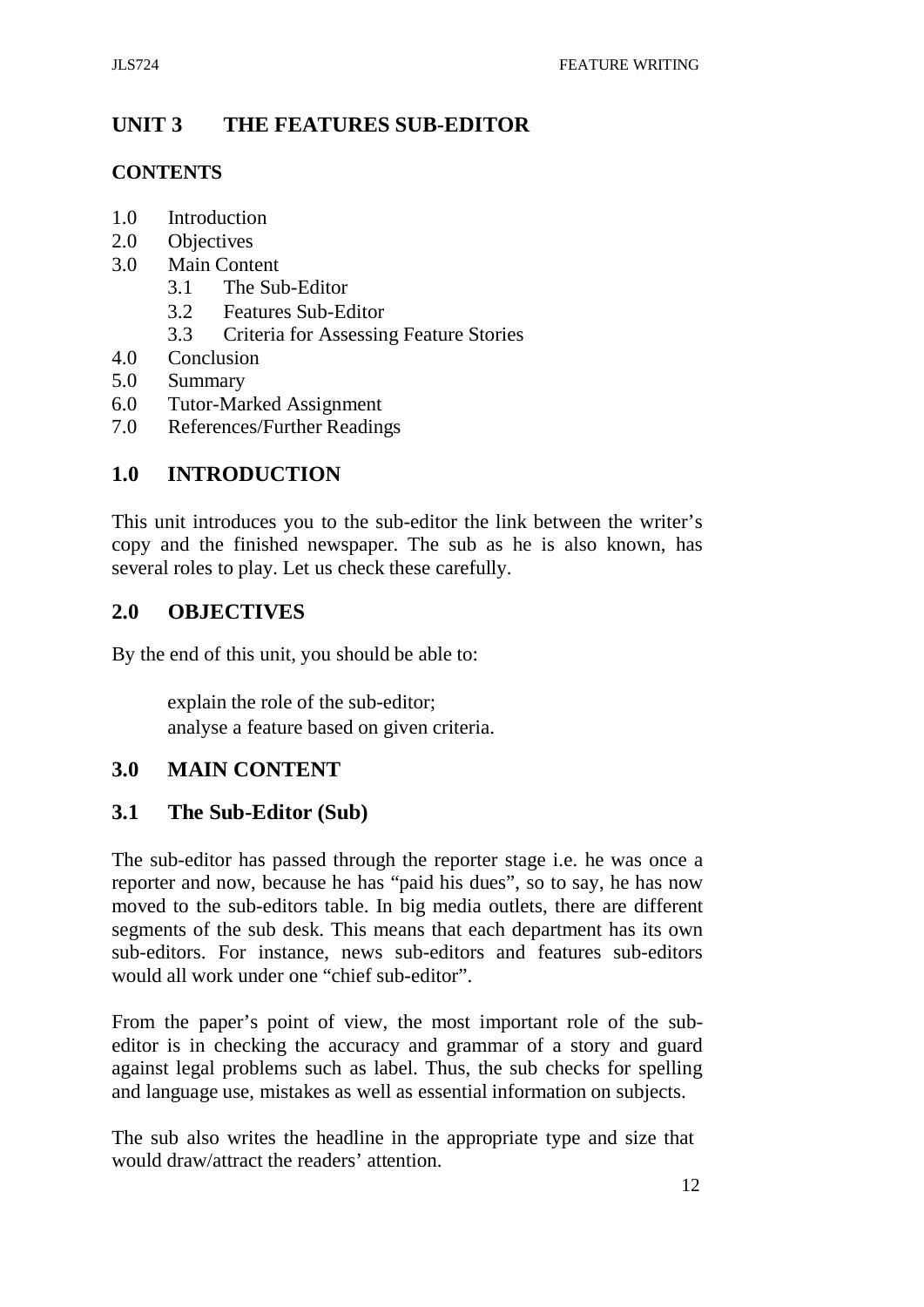# **UNIT 3 THE FEATURES SUB-EDITOR**

#### **CONTENTS**

- 1.0 Introduction
- 2.0 Objectives
- 3.0 Main Content
	- 3.1 The Sub-Editor
	- 3.2 Features Sub-Editor
	- 3.3 Criteria for Assessing Feature Stories
- 4.0 Conclusion
- 5.0 Summary
- 6.0 Tutor-Marked Assignment
- 7.0 References/Further Readings

### **1.0 INTRODUCTION**

This unit introduces you to the sub-editor the link between the writer's copy and the finished newspaper. The sub as he is also known, has several roles to play. Let us check these carefully.

### **2.0 OBJECTIVES**

By the end of this unit, you should be able to:

explain the role of the sub-editor; analyse a feature based on given criteria.

### **3.0 MAIN CONTENT**

### **3.1 The Sub-Editor (Sub)**

The sub-editor has passed through the reporter stage i.e. he was once a reporter and now, because he has "paid his dues", so to say, he has now moved to the sub-editors table. In big media outlets, there are different segments of the sub desk. This means that each department has its own sub-editors. For instance, news sub-editors and features sub-editors would all work under one "chief sub-editor".

From the paper's point of view, the most important role of the subeditor is in checking the accuracy and grammar of a story and guard against legal problems such as label. Thus, the sub checks for spelling and language use, mistakes as well as essential information on subjects.

The sub also writes the headline in the appropriate type and size that would draw/attract the readers' attention.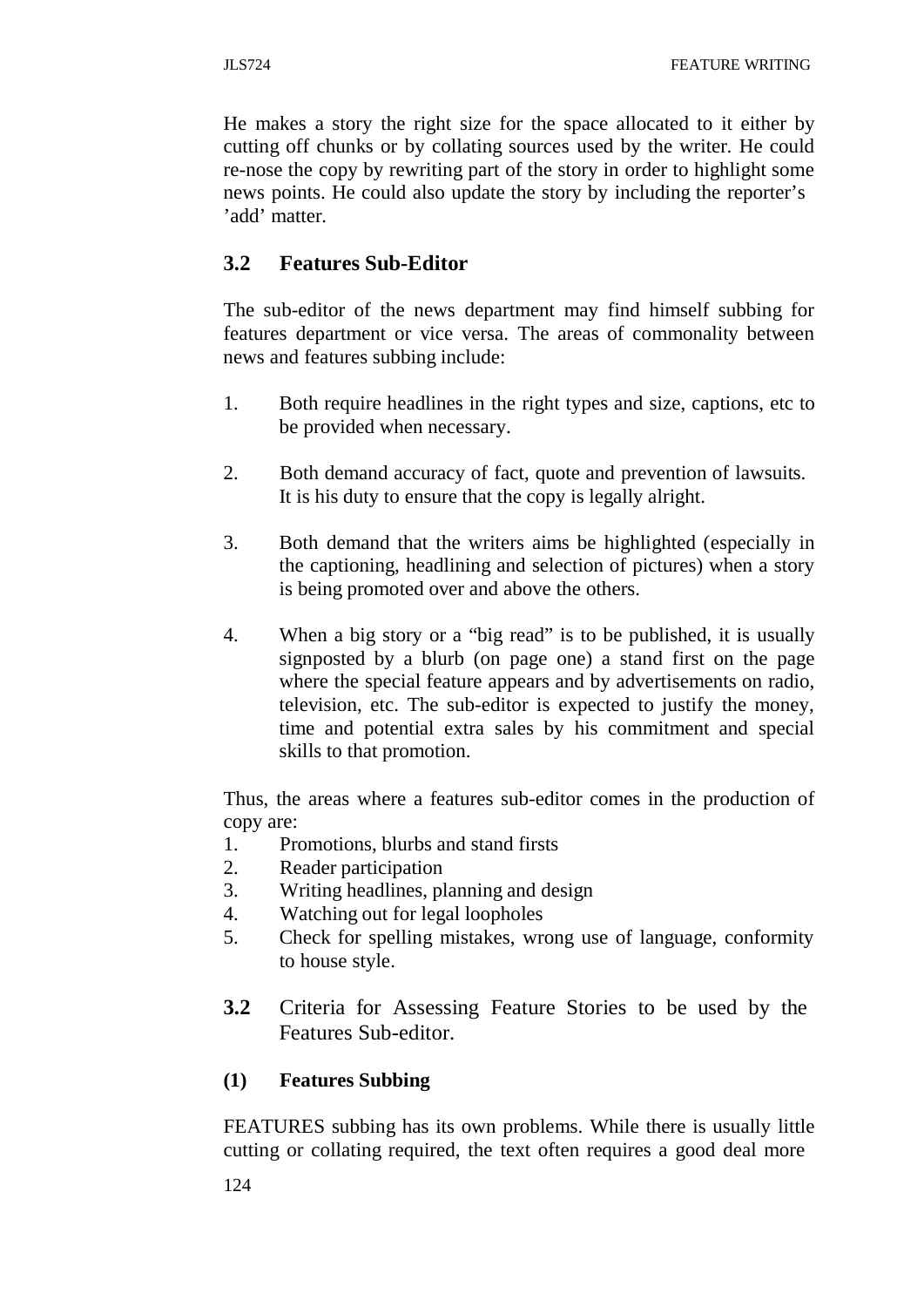He makes a story the right size for the space allocated to it either by cutting off chunks or by collating sources used by the writer. He could re-nose the copy by rewriting part of the story in order to highlight some news points. He could also update the story by including the reporter's 'add' matter.

## **3.2 Features Sub-Editor**

The sub-editor of the news department may find himself subbing for features department or vice versa. The areas of commonality between news and features subbing include:

- 1. Both require headlines in the right types and size, captions, etc to be provided when necessary.
- 2. Both demand accuracy of fact, quote and prevention of lawsuits. It is his duty to ensure that the copy is legally alright.
- 3. Both demand that the writers aims be highlighted (especially in the captioning, headlining and selection of pictures) when a story is being promoted over and above the others.
- 4. When a big story or a "big read" is to be published, it is usually signposted by a blurb (on page one) a stand first on the page where the special feature appears and by advertisements on radio, television, etc. The sub-editor is expected to justify the money, time and potential extra sales by his commitment and special skills to that promotion.

Thus, the areas where a features sub-editor comes in the production of copy are:

- 1. Promotions, blurbs and stand firsts
- 2. Reader participation
- 3. Writing headlines, planning and design
- 4. Watching out for legal loopholes
- 5. Check for spelling mistakes, wrong use of language, conformity to house style.
- **3.2** Criteria for Assessing Feature Stories to be used by the Features Sub-editor.

## **(1) Features Subbing**

FEATURES subbing has its own problems. While there is usually little cutting or collating required, the text often requires a good deal more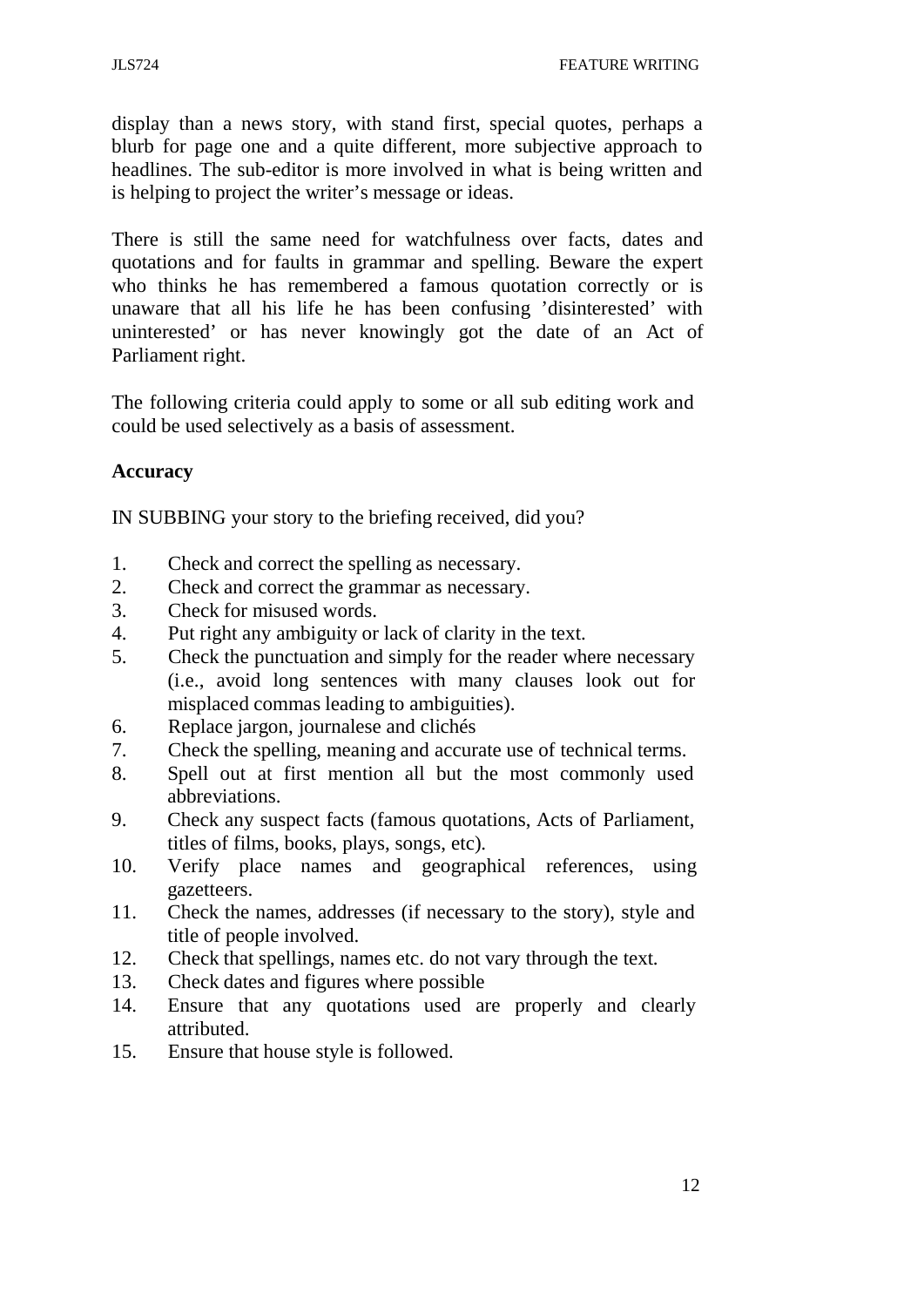display than a news story, with stand first, special quotes, perhaps a blurb for page one and a quite different, more subjective approach to headlines. The sub-editor is more involved in what is being written and is helping to project the writer's message or ideas.

There is still the same need for watchfulness over facts, dates and quotations and for faults in grammar and spelling. Beware the expert who thinks he has remembered a famous quotation correctly or is unaware that all his life he has been confusing 'disinterested' with uninterested' or has never knowingly got the date of an Act of Parliament right.

The following criteria could apply to some or all sub editing work and could be used selectively as a basis of assessment.

### **Accuracy**

IN SUBBING your story to the briefing received, did you?

- 1. Check and correct the spelling as necessary.
- 2. Check and correct the grammar as necessary.
- 3. Check for misused words.
- 4. Put right any ambiguity or lack of clarity in the text.
- 5. Check the punctuation and simply for the reader where necessary (i.e., avoid long sentences with many clauses look out for misplaced commas leading to ambiguities).
- 6. Replace jargon, journalese and clichés
- 7. Check the spelling, meaning and accurate use of technical terms.
- 8. Spell out at first mention all but the most commonly used abbreviations.
- 9. Check any suspect facts (famous quotations, Acts of Parliament, titles of films, books, plays, songs, etc).
- 10. Verify place names and geographical references, using gazetteers.
- 11. Check the names, addresses (if necessary to the story), style and title of people involved.
- 12. Check that spellings, names etc. do not vary through the text.
- 13. Check dates and figures where possible
- 14. Ensure that any quotations used are properly and clearly attributed.
- 15. Ensure that house style is followed.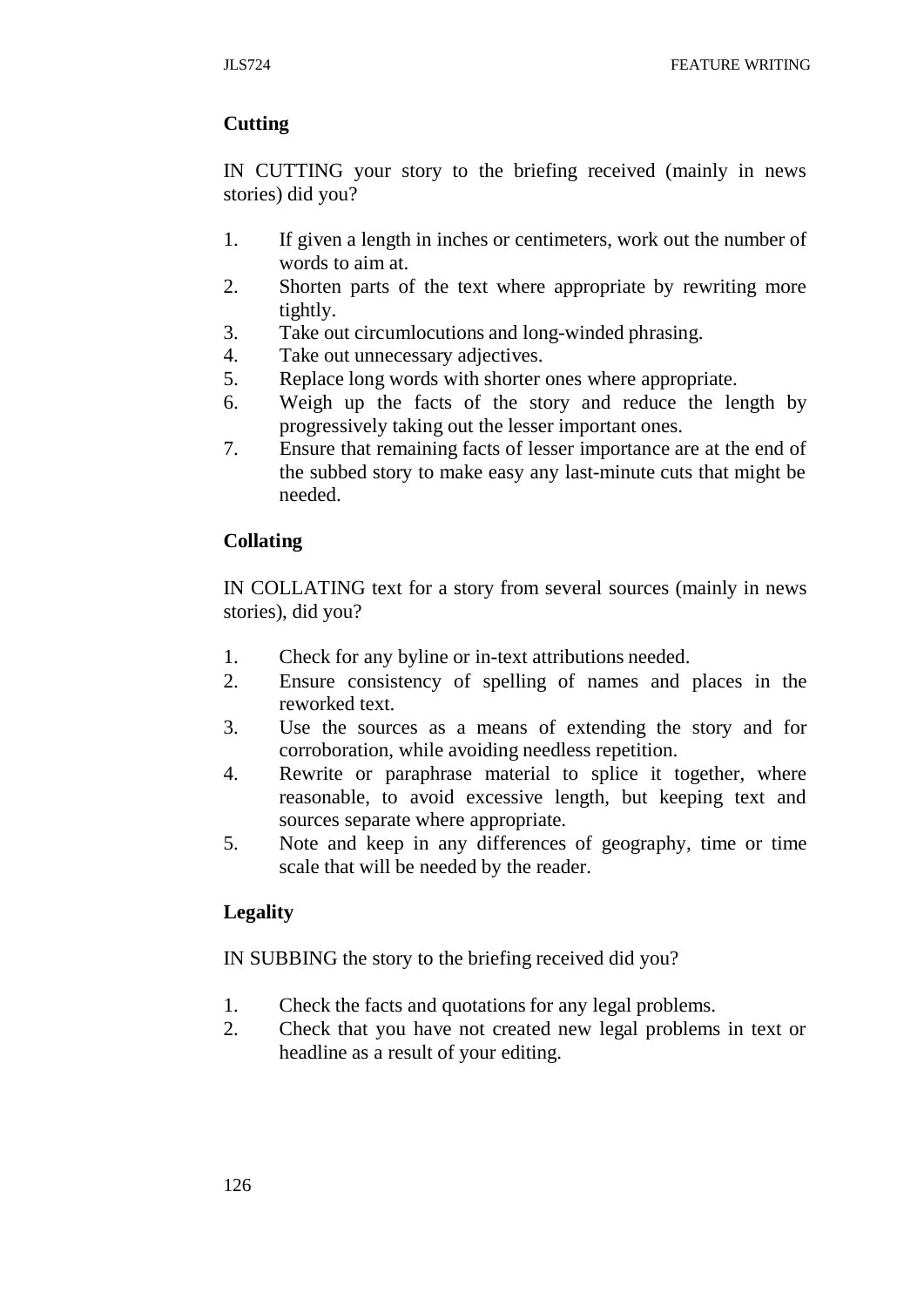## **Cutting**

IN CUTTING your story to the briefing received (mainly in news stories) did you?

- 1. If given a length in inches or centimeters, work out the number of words to aim at.
- 2. Shorten parts of the text where appropriate by rewriting more tightly.
- 3. Take out circumlocutions and long-winded phrasing.
- 4. Take out unnecessary adjectives.
- 5. Replace long words with shorter ones where appropriate.
- 6. Weigh up the facts of the story and reduce the length by progressively taking out the lesser important ones.
- 7. Ensure that remaining facts of lesser importance are at the end of the subbed story to make easy any last-minute cuts that might be needed.

# **Collating**

IN COLLATING text for a story from several sources (mainly in news stories), did you?

- 1. Check for any byline or in-text attributions needed.
- 2. Ensure consistency of spelling of names and places in the reworked text.
- 3. Use the sources as a means of extending the story and for corroboration, while avoiding needless repetition.
- 4. Rewrite or paraphrase material to splice it together, where reasonable, to avoid excessive length, but keeping text and sources separate where appropriate.
- 5. Note and keep in any differences of geography, time or time scale that will be needed by the reader.

# **Legality**

IN SUBBING the story to the briefing received did you?

- 1. Check the facts and quotations for any legal problems.
- 2. Check that you have not created new legal problems in text or headline as a result of your editing.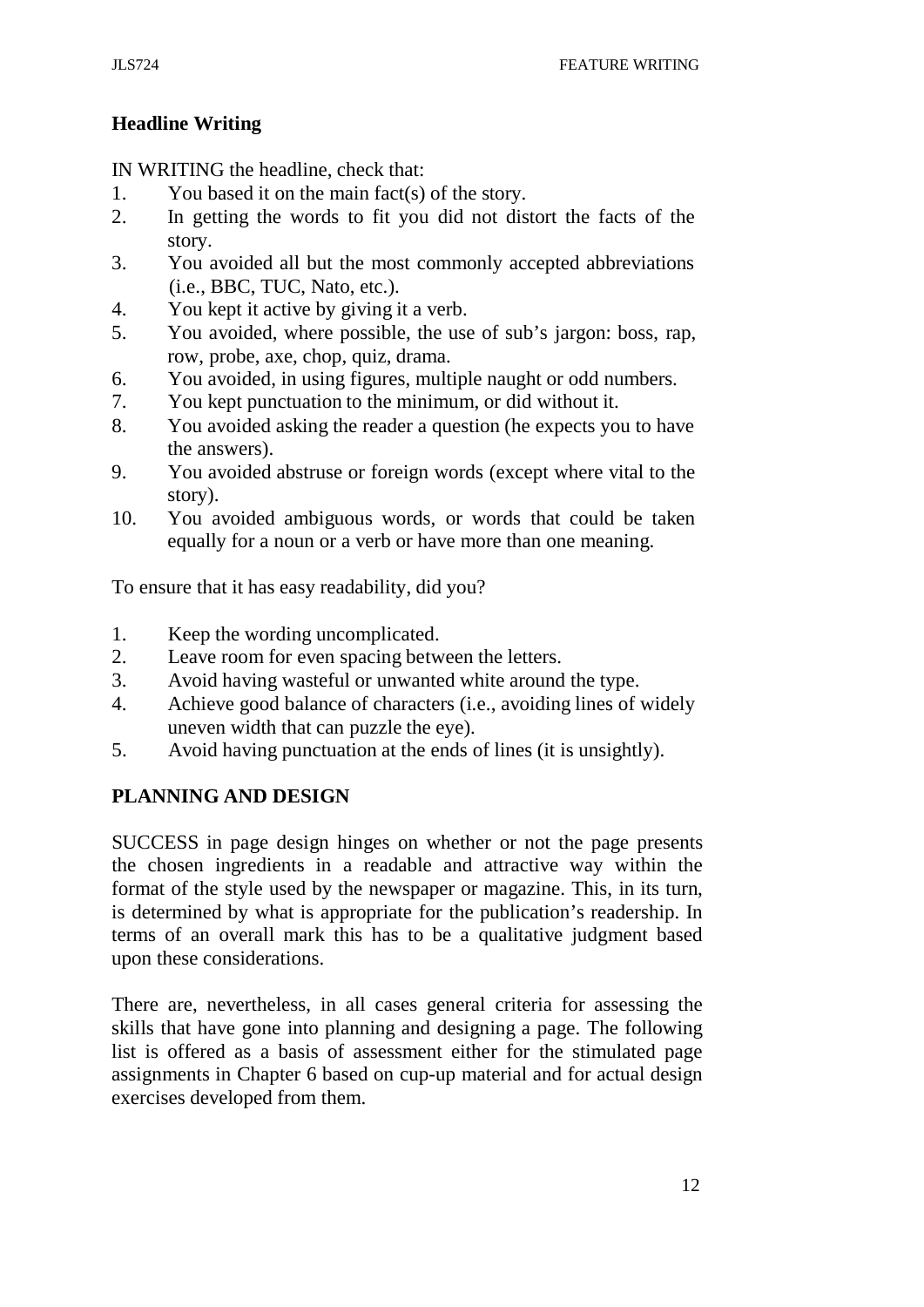## **Headline Writing**

IN WRITING the headline, check that:

- 1. You based it on the main fact(s) of the story.
- 2. In getting the words to fit you did not distort the facts of the story.
- 3. You avoided all but the most commonly accepted abbreviations (i.e., BBC, TUC, Nato, etc.).
- 4. You kept it active by giving it a verb.
- 5. You avoided, where possible, the use of sub's jargon: boss, rap, row, probe, axe, chop, quiz, drama.
- 6. You avoided, in using figures, multiple naught or odd numbers.
- 7. You kept punctuation to the minimum, or did without it.
- 8. You avoided asking the reader a question (he expects you to have the answers).
- 9. You avoided abstruse or foreign words (except where vital to the story).
- 10. You avoided ambiguous words, or words that could be taken equally for a noun or a verb or have more than one meaning.

To ensure that it has easy readability, did you?

- 1. Keep the wording uncomplicated.
- 2. Leave room for even spacing between the letters.
- 3. Avoid having wasteful or unwanted white around the type.
- 4. Achieve good balance of characters (i.e., avoiding lines of widely uneven width that can puzzle the eye).
- 5. Avoid having punctuation at the ends of lines (it is unsightly).

## **PLANNING AND DESIGN**

SUCCESS in page design hinges on whether or not the page presents the chosen ingredients in a readable and attractive way within the format of the style used by the newspaper or magazine. This, in its turn, is determined by what is appropriate for the publication's readership. In terms of an overall mark this has to be a qualitative judgment based upon these considerations.

There are, nevertheless, in all cases general criteria for assessing the skills that have gone into planning and designing a page. The following list is offered as a basis of assessment either for the stimulated page assignments in Chapter 6 based on cup-up material and for actual design exercises developed from them.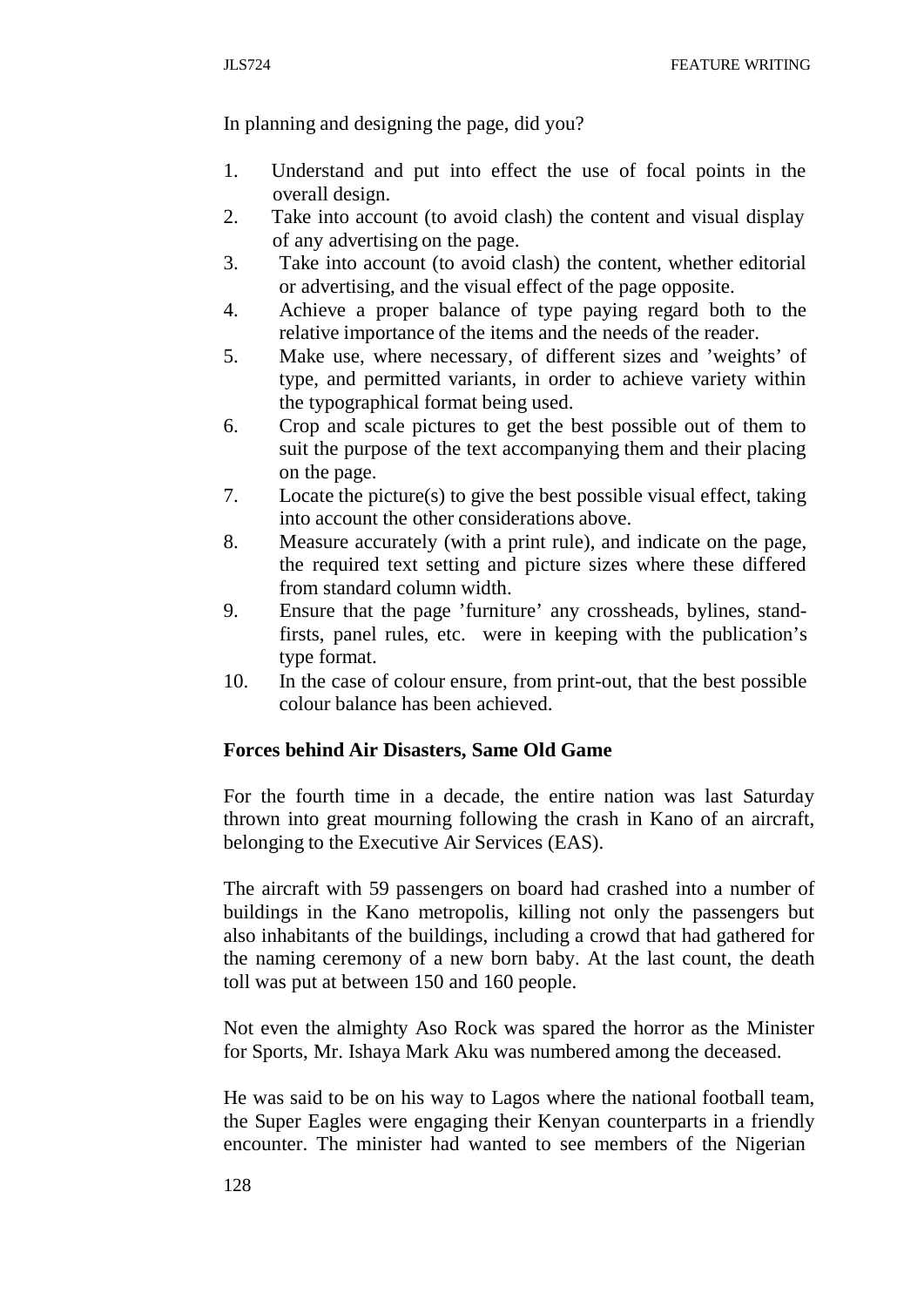In planning and designing the page, did you?

- 1. Understand and put into effect the use of focal points in the overall design.
- 2. Take into account (to avoid clash) the content and visual display of any advertising on the page.
- 3. Take into account (to avoid clash) the content, whether editorial or advertising, and the visual effect of the page opposite.
- 4. Achieve a proper balance of type paying regard both to the relative importance of the items and the needs of the reader.
- 5. Make use, where necessary, of different sizes and 'weights' of type, and permitted variants, in order to achieve variety within the typographical format being used.
- 6. Crop and scale pictures to get the best possible out of them to suit the purpose of the text accompanying them and their placing on the page.
- 7. Locate the picture(s) to give the best possible visual effect, taking into account the other considerations above.
- 8. Measure accurately (with a print rule), and indicate on the page, the required text setting and picture sizes where these differed from standard column width.
- 9. Ensure that the page 'furniture' any crossheads, bylines, standfirsts, panel rules, etc. were in keeping with the publication's type format.
- 10. In the case of colour ensure, from print-out, that the best possible colour balance has been achieved.

### **Forces behind Air Disasters, Same Old Game**

For the fourth time in a decade, the entire nation was last Saturday thrown into great mourning following the crash in Kano of an aircraft, belonging to the Executive Air Services (EAS).

The aircraft with 59 passengers on board had crashed into a number of buildings in the Kano metropolis, killing not only the passengers but also inhabitants of the buildings, including a crowd that had gathered for the naming ceremony of a new born baby. At the last count, the death toll was put at between 150 and 160 people.

Not even the almighty Aso Rock was spared the horror as the Minister for Sports, Mr. Ishaya Mark Aku was numbered among the deceased.

He was said to be on his way to Lagos where the national football team, the Super Eagles were engaging their Kenyan counterparts in a friendly encounter. The minister had wanted to see members of the Nigerian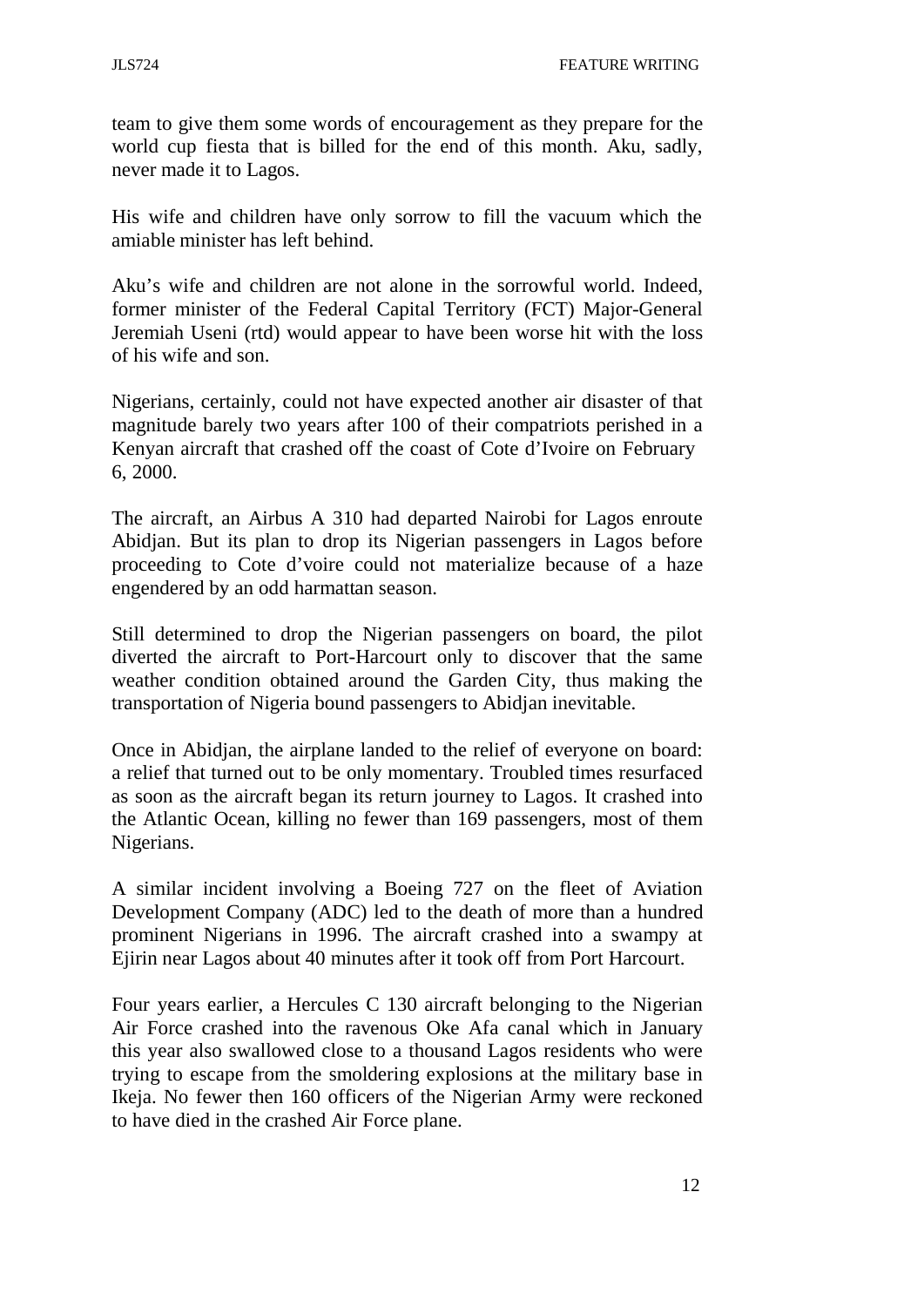team to give them some words of encouragement as they prepare for the world cup fiesta that is billed for the end of this month. Aku, sadly, never made it to Lagos.

His wife and children have only sorrow to fill the vacuum which the amiable minister has left behind.

Aku's wife and children are not alone in the sorrowful world. Indeed, former minister of the Federal Capital Territory (FCT) Major-General Jeremiah Useni (rtd) would appear to have been worse hit with the loss of his wife and son.

Nigerians, certainly, could not have expected another air disaster of that magnitude barely two years after 100 of their compatriots perished in a Kenyan aircraft that crashed off the coast of Cote d'Ivoire on February 6, 2000.

The aircraft, an Airbus A 310 had departed Nairobi for Lagos enroute Abidjan. But its plan to drop its Nigerian passengers in Lagos before proceeding to Cote d'voire could not materialize because of a haze engendered by an odd harmattan season.

Still determined to drop the Nigerian passengers on board, the pilot diverted the aircraft to Port-Harcourt only to discover that the same weather condition obtained around the Garden City, thus making the transportation of Nigeria bound passengers to Abidjan inevitable.

Once in Abidjan, the airplane landed to the relief of everyone on board: a relief that turned out to be only momentary. Troubled times resurfaced as soon as the aircraft began its return journey to Lagos. It crashed into the Atlantic Ocean, killing no fewer than 169 passengers, most of them Nigerians.

A similar incident involving a Boeing 727 on the fleet of Aviation Development Company (ADC) led to the death of more than a hundred prominent Nigerians in 1996. The aircraft crashed into a swampy at Ejirin near Lagos about 40 minutes after it took off from Port Harcourt.

Four years earlier, a Hercules C 130 aircraft belonging to the Nigerian Air Force crashed into the ravenous Oke Afa canal which in January this year also swallowed close to a thousand Lagos residents who were trying to escape from the smoldering explosions at the military base in Ikeja. No fewer then 160 officers of the Nigerian Army were reckoned to have died in the crashed Air Force plane.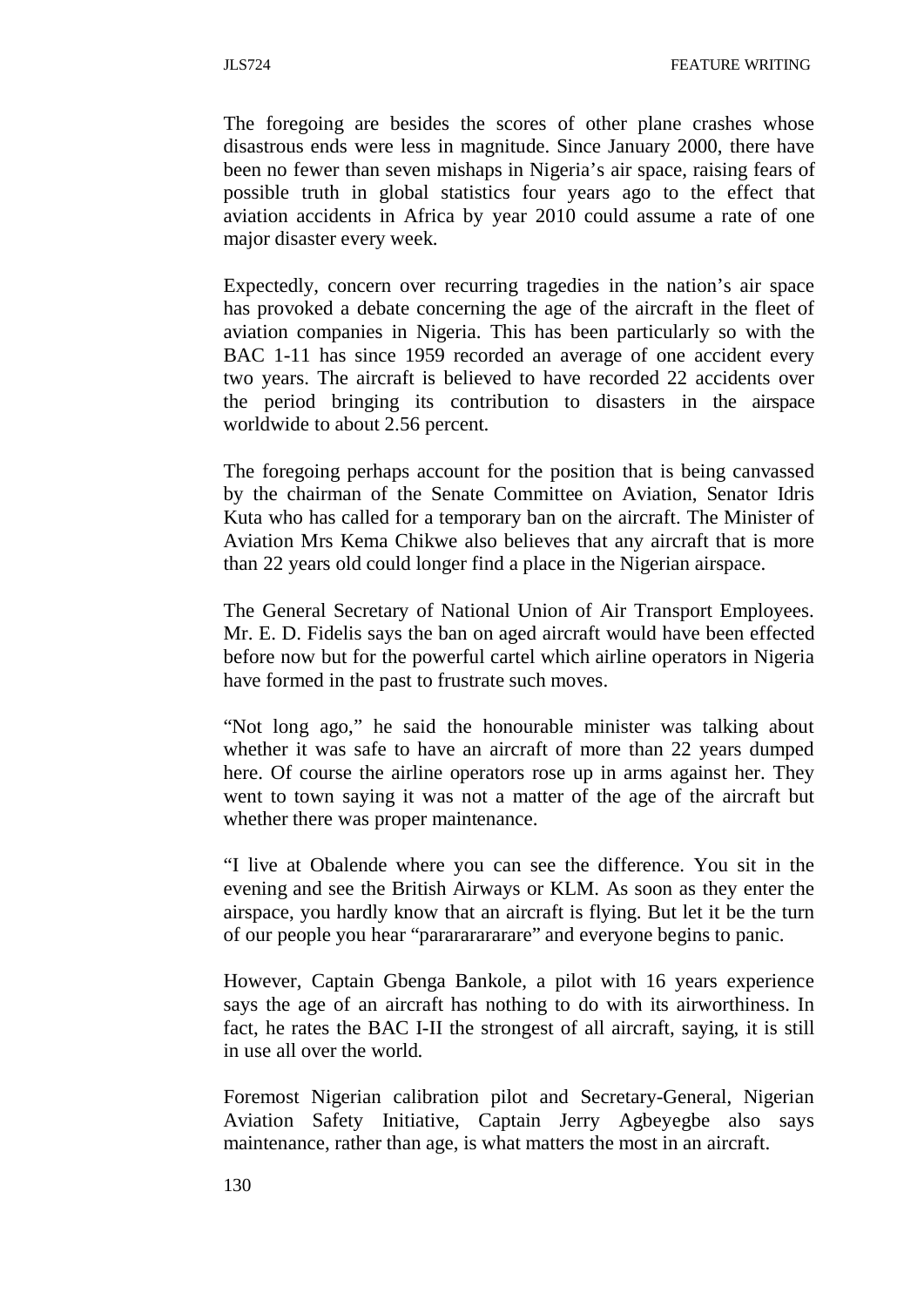The foregoing are besides the scores of other plane crashes whose disastrous ends were less in magnitude. Since January 2000, there have been no fewer than seven mishaps in Nigeria's air space, raising fears of possible truth in global statistics four years ago to the effect that aviation accidents in Africa by year 2010 could assume a rate of one major disaster every week.

Expectedly, concern over recurring tragedies in the nation's air space has provoked a debate concerning the age of the aircraft in the fleet of aviation companies in Nigeria. This has been particularly so with the BAC 1-11 has since 1959 recorded an average of one accident every two years. The aircraft is believed to have recorded 22 accidents over the period bringing its contribution to disasters in the airspace worldwide to about 2.56 percent.

The foregoing perhaps account for the position that is being canvassed by the chairman of the Senate Committee on Aviation, Senator Idris Kuta who has called for a temporary ban on the aircraft. The Minister of Aviation Mrs Kema Chikwe also believes that any aircraft that is more than 22 years old could longer find a place in the Nigerian airspace.

The General Secretary of National Union of Air Transport Employees. Mr. E. D. Fidelis says the ban on aged aircraft would have been effected before now but for the powerful cartel which airline operators in Nigeria have formed in the past to frustrate such moves.

"Not long ago," he said the honourable minister was talking about whether it was safe to have an aircraft of more than 22 years dumped here. Of course the airline operators rose up in arms against her. They went to town saying it was not a matter of the age of the aircraft but whether there was proper maintenance.

"I live at Obalende where you can see the difference. You sit in the evening and see the British Airways or KLM. As soon as they enter the airspace, you hardly know that an aircraft is flying. But let it be the turn of our people you hear "parararararare" and everyone begins to panic.

However, Captain Gbenga Bankole, a pilot with 16 years experience says the age of an aircraft has nothing to do with its airworthiness. In fact, he rates the BAC I-II the strongest of all aircraft, saying, it is still in use all over the world.

Foremost Nigerian calibration pilot and Secretary-General, Nigerian Aviation Safety Initiative, Captain Jerry Agbeyegbe also says maintenance, rather than age, is what matters the most in an aircraft.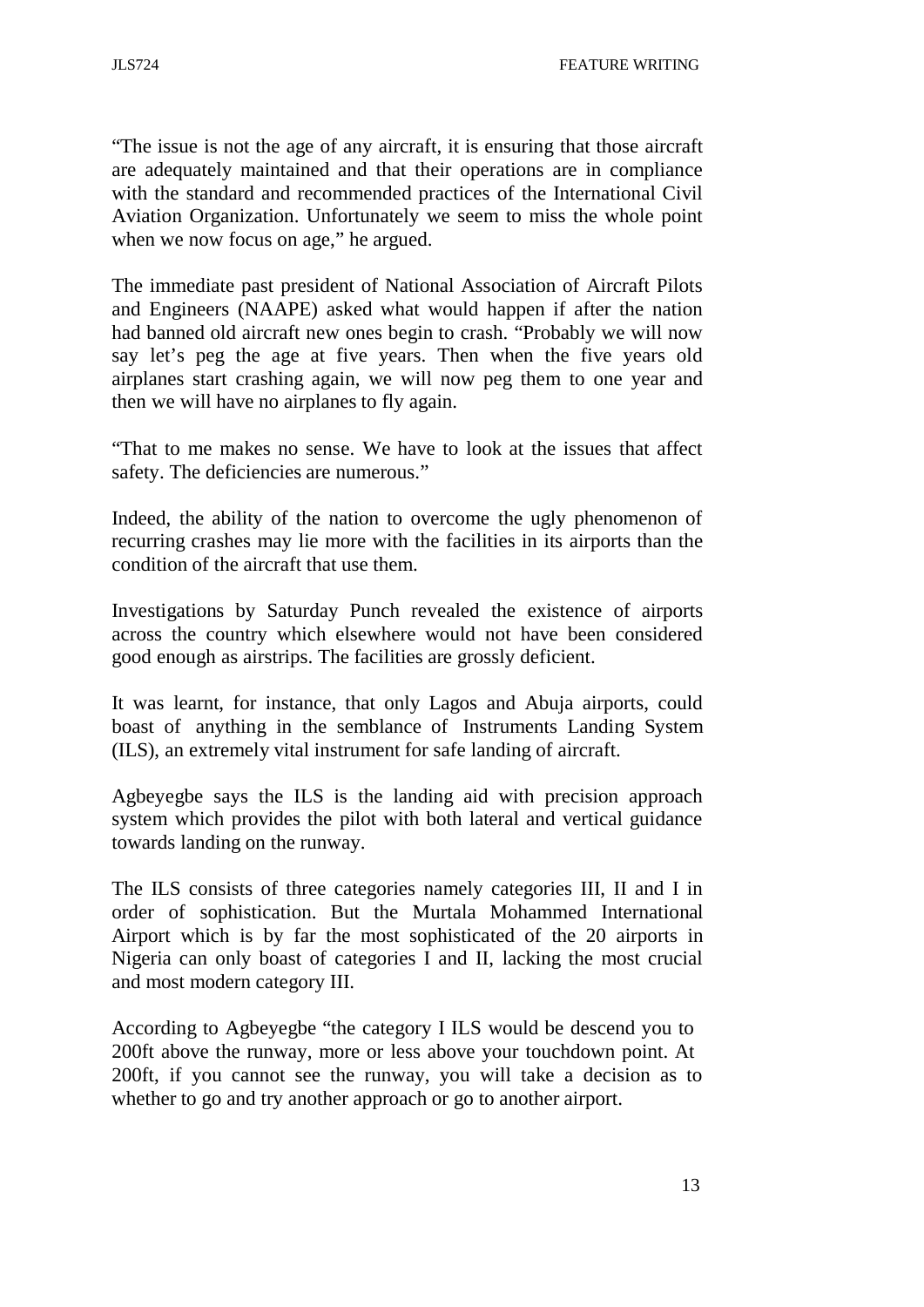"The issue is not the age of any aircraft, it is ensuring that those aircraft are adequately maintained and that their operations are in compliance with the standard and recommended practices of the International Civil Aviation Organization. Unfortunately we seem to miss the whole point when we now focus on age," he argued.

The immediate past president of National Association of Aircraft Pilots and Engineers (NAAPE) asked what would happen if after the nation had banned old aircraft new ones begin to crash. "Probably we will now say let's peg the age at five years. Then when the five years old airplanes start crashing again, we will now peg them to one year and then we will have no airplanes to fly again.

"That to me makes no sense. We have to look at the issues that affect safety. The deficiencies are numerous."

Indeed, the ability of the nation to overcome the ugly phenomenon of recurring crashes may lie more with the facilities in its airports than the condition of the aircraft that use them.

Investigations by Saturday Punch revealed the existence of airports across the country which elsewhere would not have been considered good enough as airstrips. The facilities are grossly deficient.

It was learnt, for instance, that only Lagos and Abuja airports, could boast of anything in the semblance of Instruments Landing System (ILS), an extremely vital instrument for safe landing of aircraft.

Agbeyegbe says the ILS is the landing aid with precision approach system which provides the pilot with both lateral and vertical guidance towards landing on the runway.

The ILS consists of three categories namely categories III, II and I in order of sophistication. But the Murtala Mohammed International Airport which is by far the most sophisticated of the 20 airports in Nigeria can only boast of categories I and II, lacking the most crucial and most modern category III.

According to Agbeyegbe "the category I ILS would be descend you to 200ft above the runway, more or less above your touchdown point. At 200ft, if you cannot see the runway, you will take a decision as to whether to go and try another approach or go to another airport.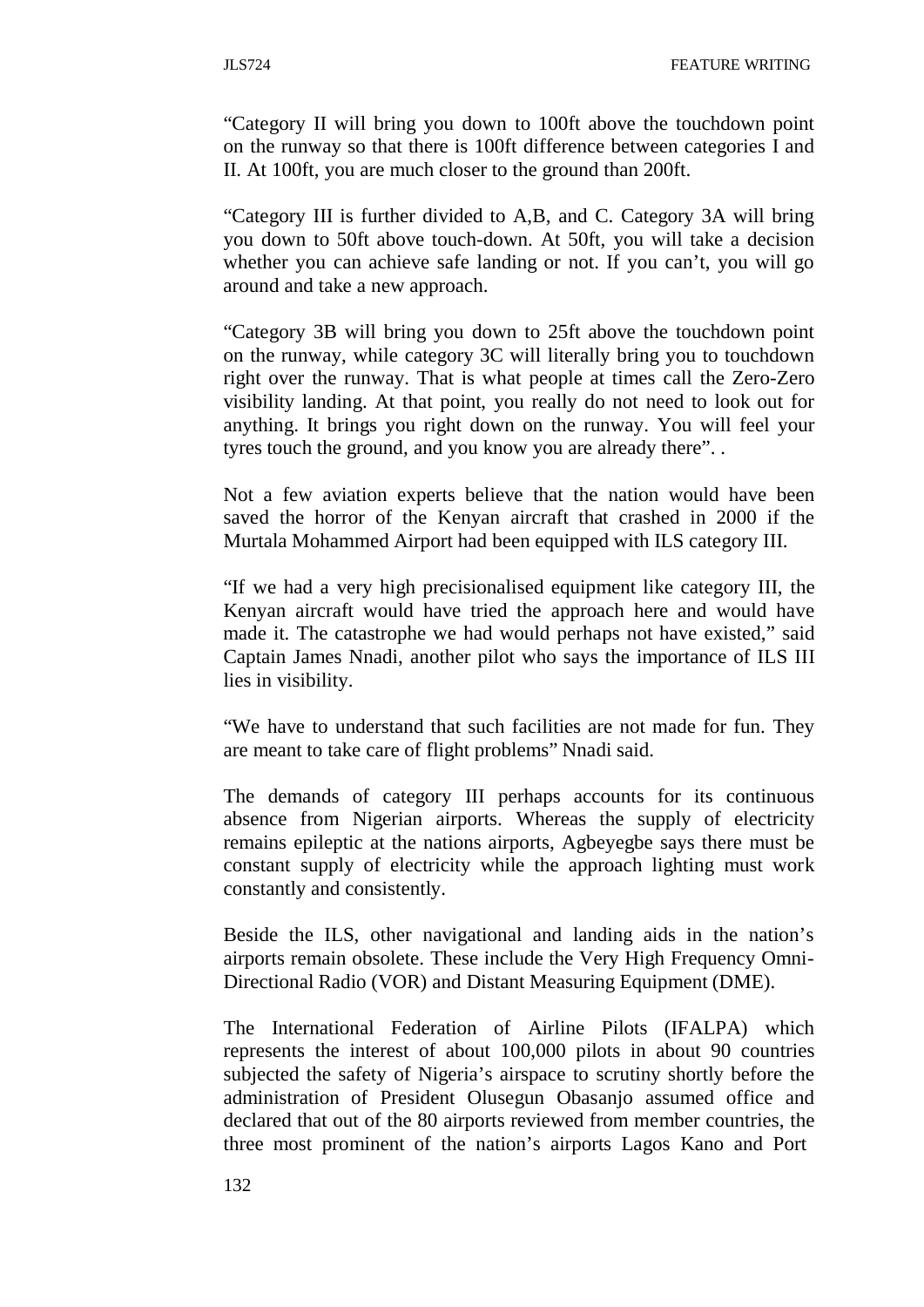"Category II will bring you down to 100ft above the touchdown point on the runway so that there is 100ft difference between categories I and II. At 100ft, you are much closer to the ground than 200ft.

"Category III is further divided to A,B, and C. Category 3A will bring you down to 50ft above touch-down. At 50ft, you will take a decision whether you can achieve safe landing or not. If you can't, you will go around and take a new approach.

"Category 3B will bring you down to 25ft above the touchdown point on the runway, while category 3C will literally bring you to touchdown right over the runway. That is what people at times call the Zero-Zero visibility landing. At that point, you really do not need to look out for anything. It brings you right down on the runway. You will feel your tyres touch the ground, and you know you are already there". .

Not a few aviation experts believe that the nation would have been saved the horror of the Kenyan aircraft that crashed in 2000 if the Murtala Mohammed Airport had been equipped with ILS category III.

"If we had a very high precisionalised equipment like category III, the Kenyan aircraft would have tried the approach here and would have made it. The catastrophe we had would perhaps not have existed," said Captain James Nnadi, another pilot who says the importance of ILS III lies in visibility.

"We have to understand that such facilities are not made for fun. They are meant to take care of flight problems" Nnadi said.

The demands of category III perhaps accounts for its continuous absence from Nigerian airports. Whereas the supply of electricity remains epileptic at the nations airports, Agbeyegbe says there must be constant supply of electricity while the approach lighting must work constantly and consistently.

Beside the ILS, other navigational and landing aids in the nation's airports remain obsolete. These include the Very High Frequency Omni-Directional Radio (VOR) and Distant Measuring Equipment (DME).

The International Federation of Airline Pilots (IFALPA) which represents the interest of about 100,000 pilots in about 90 countries subjected the safety of Nigeria's airspace to scrutiny shortly before the administration of President Olusegun Obasanjo assumed office and declared that out of the 80 airports reviewed from member countries, the three most prominent of the nation's airports Lagos Kano and Port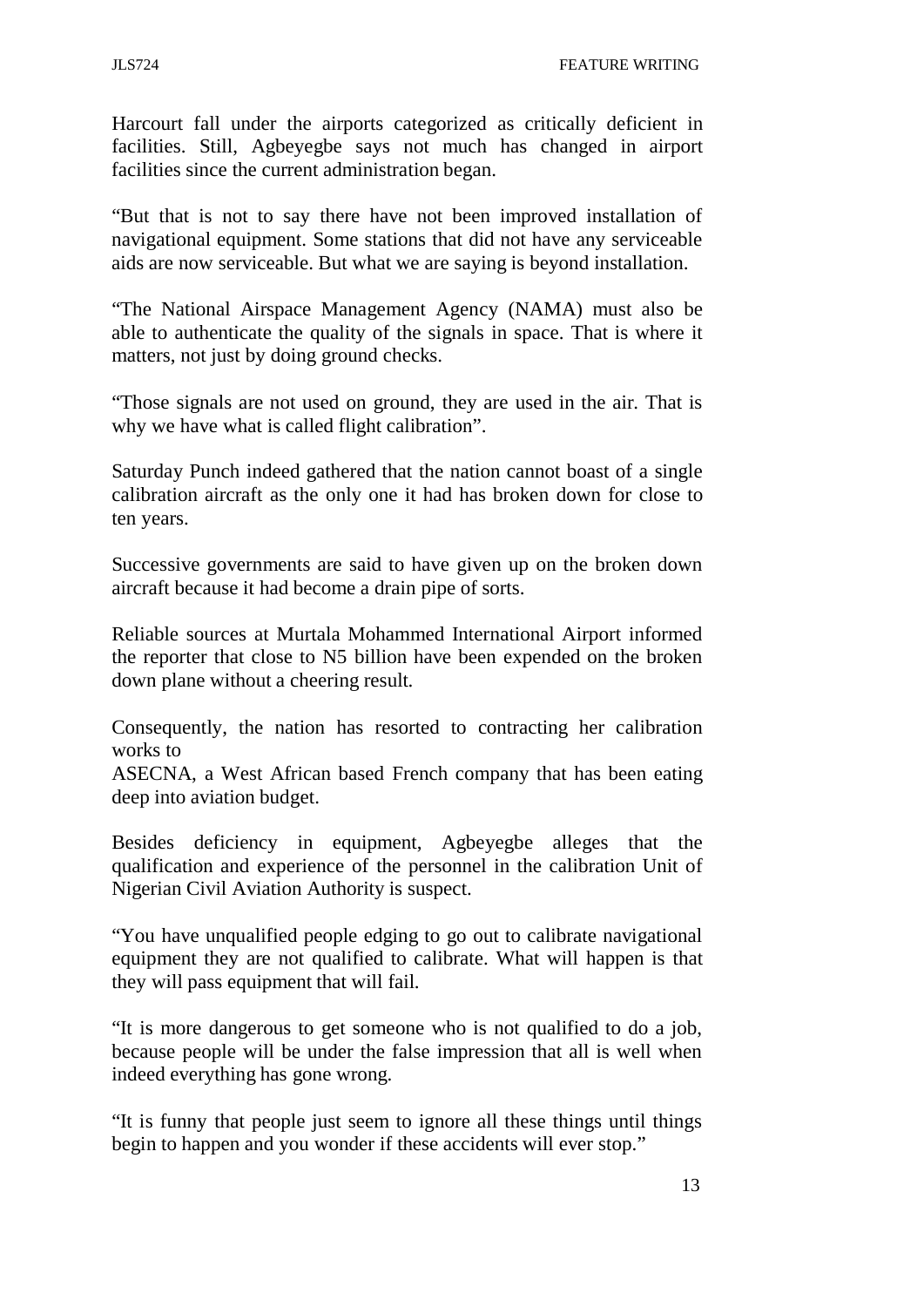Harcourt fall under the airports categorized as critically deficient in facilities. Still, Agbeyegbe says not much has changed in airport facilities since the current administration began.

"But that is not to say there have not been improved installation of navigational equipment. Some stations that did not have any serviceable aids are now serviceable. But what we are saying is beyond installation.

"The National Airspace Management Agency (NAMA) must also be able to authenticate the quality of the signals in space. That is where it matters, not just by doing ground checks.

"Those signals are not used on ground, they are used in the air. That is why we have what is called flight calibration".

Saturday Punch indeed gathered that the nation cannot boast of a single calibration aircraft as the only one it had has broken down for close to ten years.

Successive governments are said to have given up on the broken down aircraft because it had become a drain pipe of sorts.

Reliable sources at Murtala Mohammed International Airport informed the reporter that close to N5 billion have been expended on the broken down plane without a cheering result.

Consequently, the nation has resorted to contracting her calibration works to

ASECNA, a West African based French company that has been eating deep into aviation budget.

Besides deficiency in equipment, Agbeyegbe alleges that the qualification and experience of the personnel in the calibration Unit of Nigerian Civil Aviation Authority is suspect.

"You have unqualified people edging to go out to calibrate navigational equipment they are not qualified to calibrate. What will happen is that they will pass equipment that will fail.

"It is more dangerous to get someone who is not qualified to do a job, because people will be under the false impression that all is well when indeed everything has gone wrong.

"It is funny that people just seem to ignore all these things until things begin to happen and you wonder if these accidents will ever stop."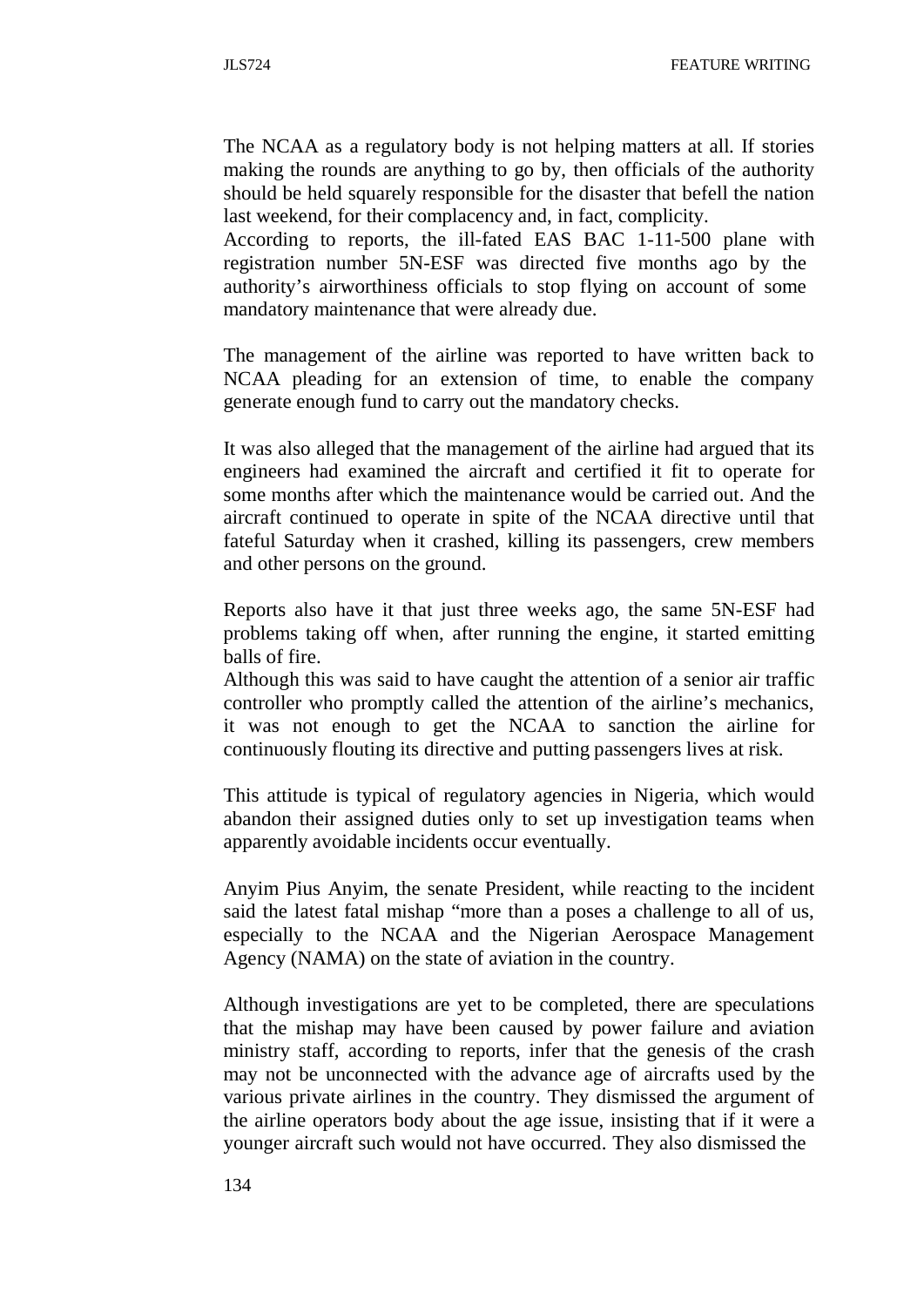The NCAA as a regulatory body is not helping matters at all. If stories making the rounds are anything to go by, then officials of the authority should be held squarely responsible for the disaster that befell the nation last weekend, for their complacency and, in fact, complicity.

According to reports, the ill-fated EAS BAC 1-11-500 plane with registration number 5N-ESF was directed five months ago by the authority's airworthiness officials to stop flying on account of some mandatory maintenance that were already due.

The management of the airline was reported to have written back to NCAA pleading for an extension of time, to enable the company generate enough fund to carry out the mandatory checks.

It was also alleged that the management of the airline had argued that its engineers had examined the aircraft and certified it fit to operate for some months after which the maintenance would be carried out. And the aircraft continued to operate in spite of the NCAA directive until that fateful Saturday when it crashed, killing its passengers, crew members and other persons on the ground.

Reports also have it that just three weeks ago, the same 5N-ESF had problems taking off when, after running the engine, it started emitting balls of fire.

Although this was said to have caught the attention of a senior air traffic controller who promptly called the attention of the airline's mechanics, it was not enough to get the NCAA to sanction the airline for continuously flouting its directive and putting passengers lives at risk.

This attitude is typical of regulatory agencies in Nigeria, which would abandon their assigned duties only to set up investigation teams when apparently avoidable incidents occur eventually.

Anyim Pius Anyim, the senate President, while reacting to the incident said the latest fatal mishap "more than a poses a challenge to all of us, especially to the NCAA and the Nigerian Aerospace Management Agency (NAMA) on the state of aviation in the country.

Although investigations are yet to be completed, there are speculations that the mishap may have been caused by power failure and aviation ministry staff, according to reports, infer that the genesis of the crash may not be unconnected with the advance age of aircrafts used by the various private airlines in the country. They dismissed the argument of the airline operators body about the age issue, insisting that if it were a younger aircraft such would not have occurred. They also dismissed the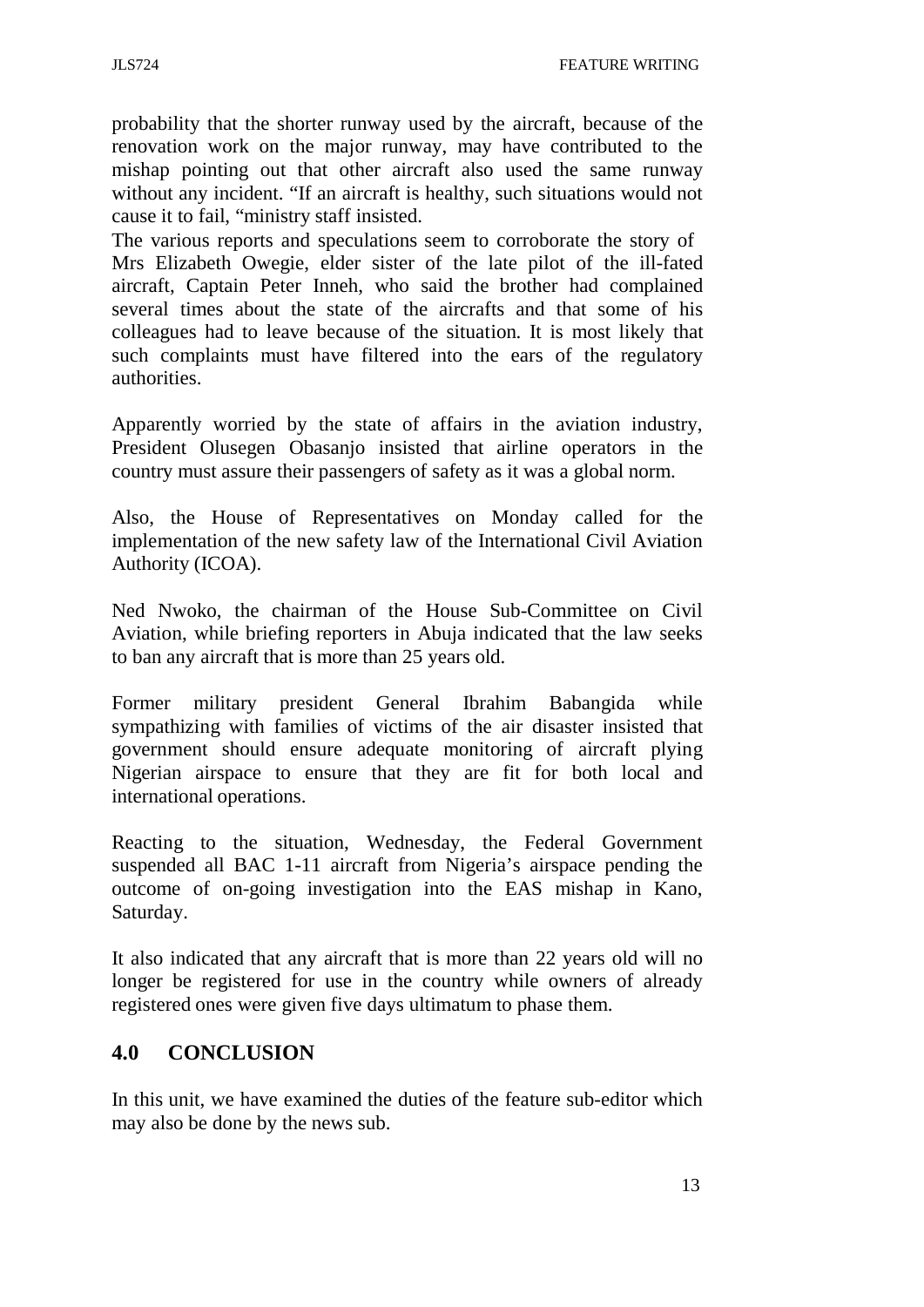probability that the shorter runway used by the aircraft, because of the renovation work on the major runway, may have contributed to the mishap pointing out that other aircraft also used the same runway without any incident. "If an aircraft is healthy, such situations would not cause it to fail, "ministry staff insisted.

The various reports and speculations seem to corroborate the story of Mrs Elizabeth Owegie, elder sister of the late pilot of the ill-fated aircraft, Captain Peter Inneh, who said the brother had complained several times about the state of the aircrafts and that some of his colleagues had to leave because of the situation. It is most likely that such complaints must have filtered into the ears of the regulatory authorities.

Apparently worried by the state of affairs in the aviation industry, President Olusegen Obasanjo insisted that airline operators in the country must assure their passengers of safety as it was a global norm.

Also, the House of Representatives on Monday called for the implementation of the new safety law of the International Civil Aviation Authority (ICOA).

Ned Nwoko, the chairman of the House Sub-Committee on Civil Aviation, while briefing reporters in Abuja indicated that the law seeks to ban any aircraft that is more than 25 years old.

Former military president General Ibrahim Babangida while sympathizing with families of victims of the air disaster insisted that government should ensure adequate monitoring of aircraft plying Nigerian airspace to ensure that they are fit for both local and international operations.

Reacting to the situation, Wednesday, the Federal Government suspended all BAC 1-11 aircraft from Nigeria's airspace pending the outcome of on-going investigation into the EAS mishap in Kano, Saturday.

It also indicated that any aircraft that is more than 22 years old will no longer be registered for use in the country while owners of already registered ones were given five days ultimatum to phase them.

### **4.0 CONCLUSION**

In this unit, we have examined the duties of the feature sub-editor which may also be done by the news sub.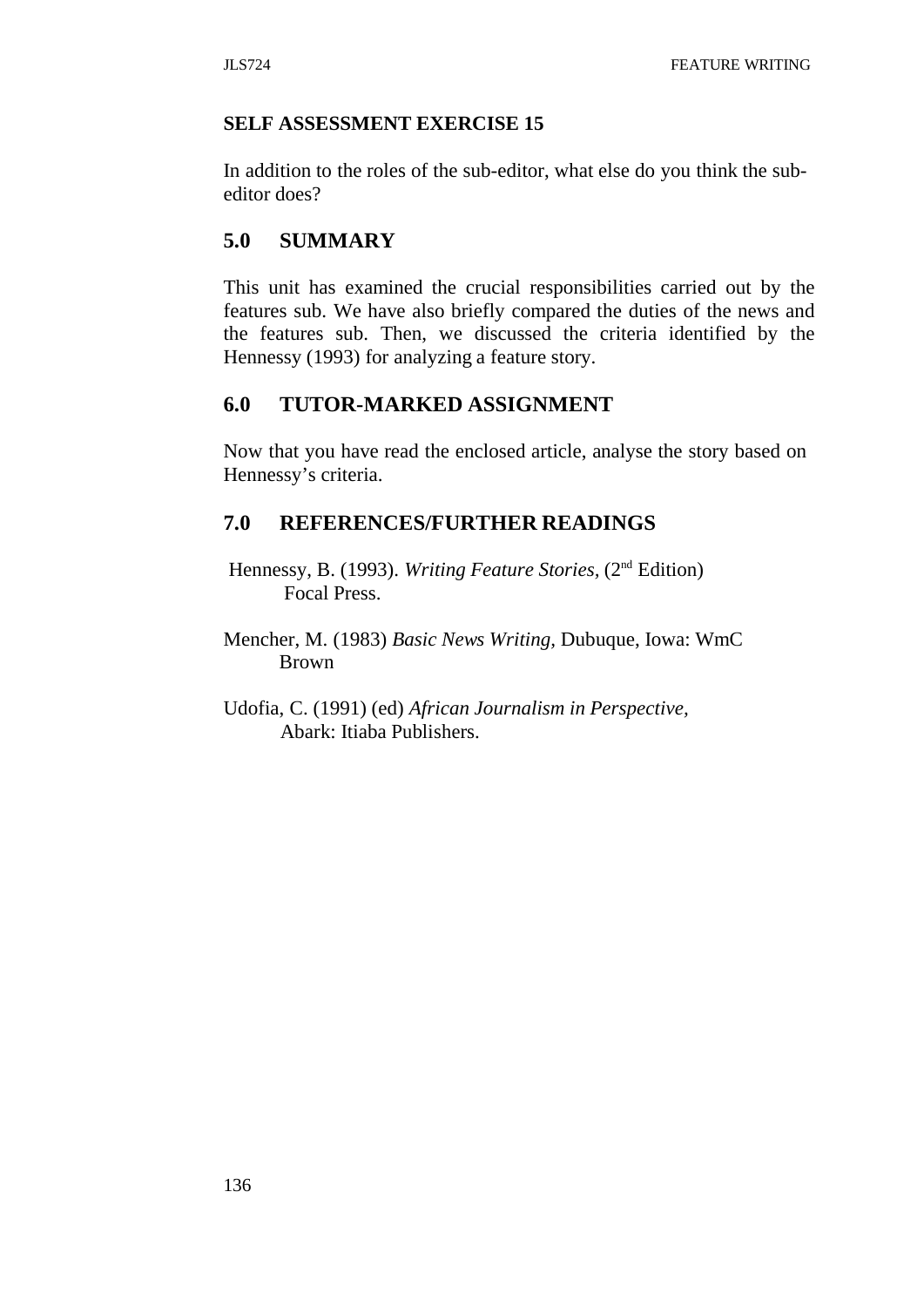#### **SELF ASSESSMENT EXERCISE 15**

In addition to the roles of the sub-editor, what else do you think the subeditor does?

#### **5.0 SUMMARY**

This unit has examined the crucial responsibilities carried out by the features sub. We have also briefly compared the duties of the news and the features sub. Then, we discussed the criteria identified by the Hennessy (1993) for analyzing a feature story.

### **6.0 TUTOR-MARKED ASSIGNMENT**

Now that you have read the enclosed article, analyse the story based on Hennessy's criteria.

## **7.0 REFERENCES/FURTHER READINGS**

Hennessy, B. (1993). *Writing Feature Stories,* (2nd Edition) Focal Press.

Mencher, M. (1983) *Basic News Writing,* Dubuque, Iowa: WmC Brown

Udofia, C. (1991) (ed) *African Journalism in Perspective,* Abark: Itiaba Publishers.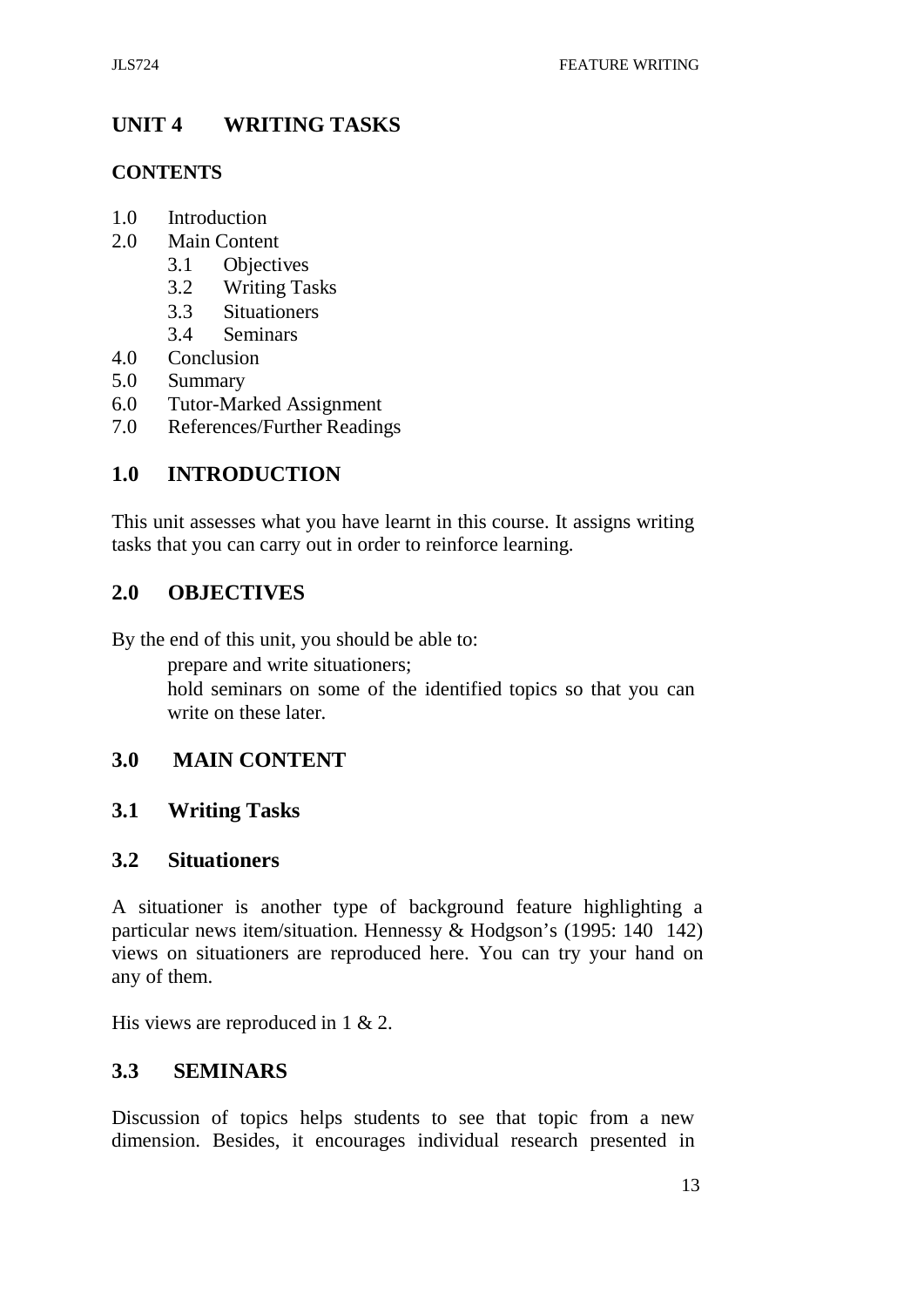# **UNIT 4 WRITING TASKS**

### **CONTENTS**

- 1.0 Introduction
- 2.0 Main Content
	- 3.1 Objectives
	- 3.2 Writing Tasks
	- 3.3 Situationers
	- 3.4 Seminars
- 4.0 Conclusion
- 5.0 Summary
- 6.0 Tutor-Marked Assignment
- 7.0 References/Further Readings

# **1.0 INTRODUCTION**

This unit assesses what you have learnt in this course. It assigns writing tasks that you can carry out in order to reinforce learning.

## **2.0 OBJECTIVES**

By the end of this unit, you should be able to:

prepare and write situationers; hold seminars on some of the identified topics so that you can write on these later.

# **3.0 MAIN CONTENT**

## **3.1 Writing Tasks**

### **3.2 Situationers**

A situationer is another type of background feature highlighting a particular news item/situation. Hennessy & Hodgson's (1995: 140 142) views on situationers are reproduced here. You can try your hand on any of them.

His views are reproduced in 1 & 2.

## **3.3 SEMINARS**

Discussion of topics helps students to see that topic from a new dimension. Besides, it encourages individual research presented in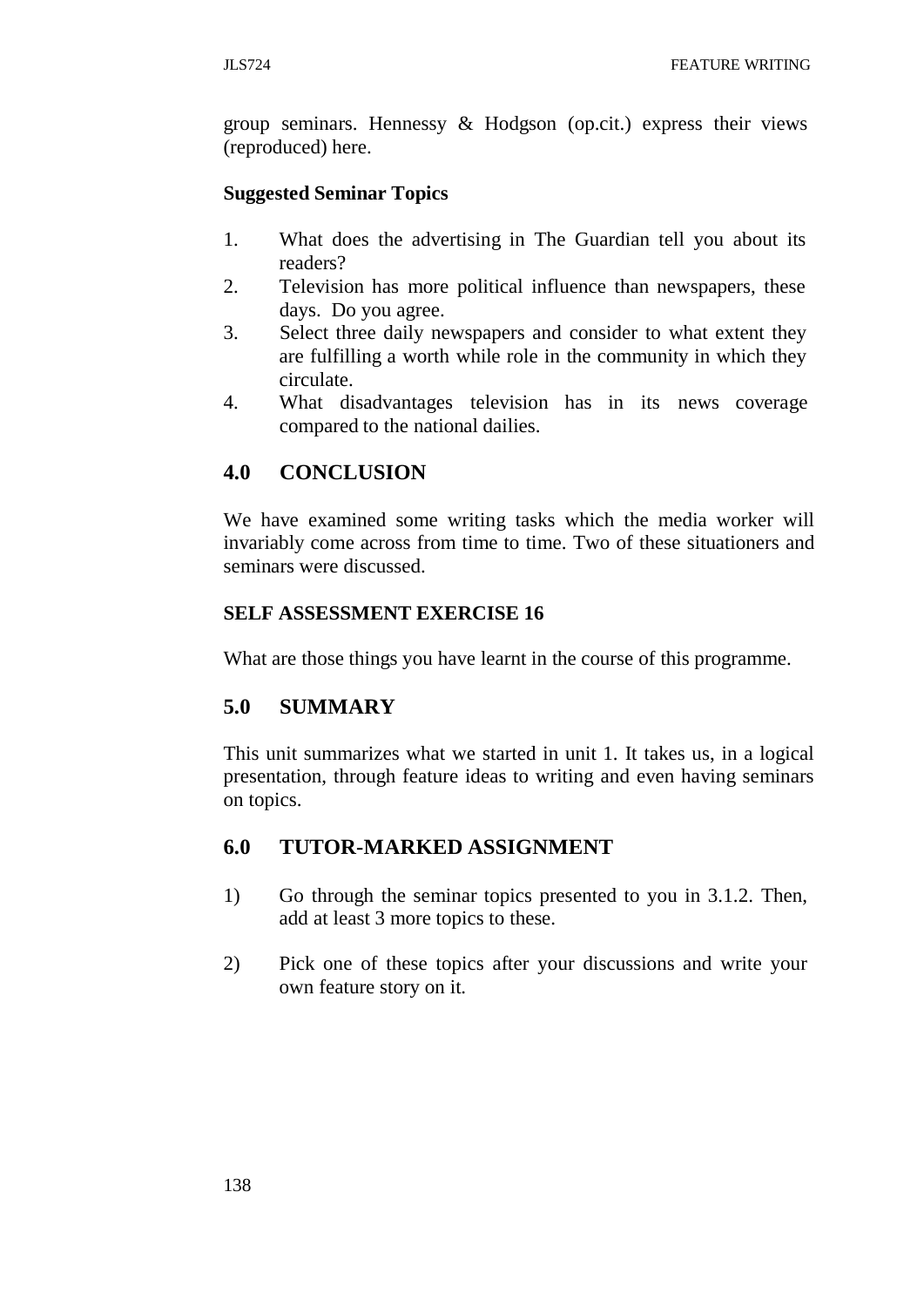group seminars. Hennessy & Hodgson (op.cit.) express their views (reproduced) here.

#### **Suggested Seminar Topics**

- 1. What does the advertising in The Guardian tell you about its readers?
- 2. Television has more political influence than newspapers, these days. Do you agree.
- 3. Select three daily newspapers and consider to what extent they are fulfilling a worth while role in the community in which they circulate.
- 4. What disadvantages television has in its news coverage compared to the national dailies.

## **4.0 CONCLUSION**

We have examined some writing tasks which the media worker will invariably come across from time to time. Two of these situationers and seminars were discussed.

#### **SELF ASSESSMENT EXERCISE 16**

What are those things you have learnt in the course of this programme.

### **5.0 SUMMARY**

This unit summarizes what we started in unit 1. It takes us, in a logical presentation, through feature ideas to writing and even having seminars on topics.

### **6.0 TUTOR-MARKED ASSIGNMENT**

- 1) Go through the seminar topics presented to you in 3.1.2. Then, add at least 3 more topics to these.
- 2) Pick one of these topics after your discussions and write your own feature story on it.